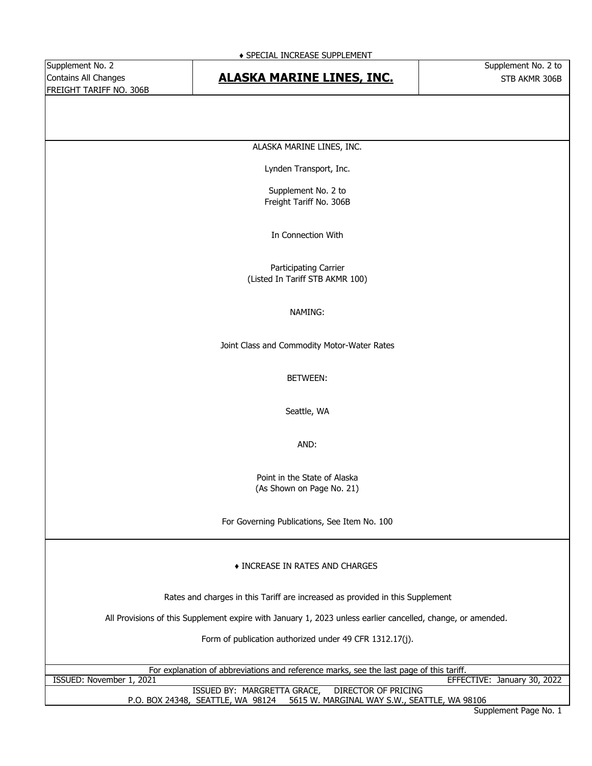Supplement No. 2 Supplement No. 2 to FREIGHT TARIFF NO. 306B

#### ♦ SPECIAL INCREASE SUPPLEMENT

## Contains All Changes **STB ACTIVE ART AND ALASKA MARINE LINES, INC.** The STB AKMR 306B

ALASKA MARINE LINES, INC.

Lynden Transport, Inc.

Supplement No. 2 to Freight Tariff No. 306B

In Connection With

Participating Carrier (Listed In Tariff STB AKMR 100)

#### NAMING:

Joint Class and Commodity Motor-Water Rates

#### BETWEEN:

Seattle, WA

AND:

Point in the State of Alaska (As Shown on Page No. 21)

For Governing Publications, See Item No. 100

### ♦ INCREASE IN RATES AND CHARGES

Rates and charges in this Tariff are increased as provided in this Supplement

All Provisions of this Supplement expire with January 1, 2023 unless earlier cancelled, change, or amended.

Form of publication authorized under 49 CFR 1312.17(j).

For explanation of abbreviations and reference marks, see the last page of this tariff.<br>EFFE

EFFECTIVE: January 30, 2022

P.O. BOX 24348, SEATTLE, WA 98124 5615 W. MARGINAL WAY S.W., SEATTLE, WA 98106 ISSUED BY: MARGRETTA GRACE, DIRECTOR OF PRICING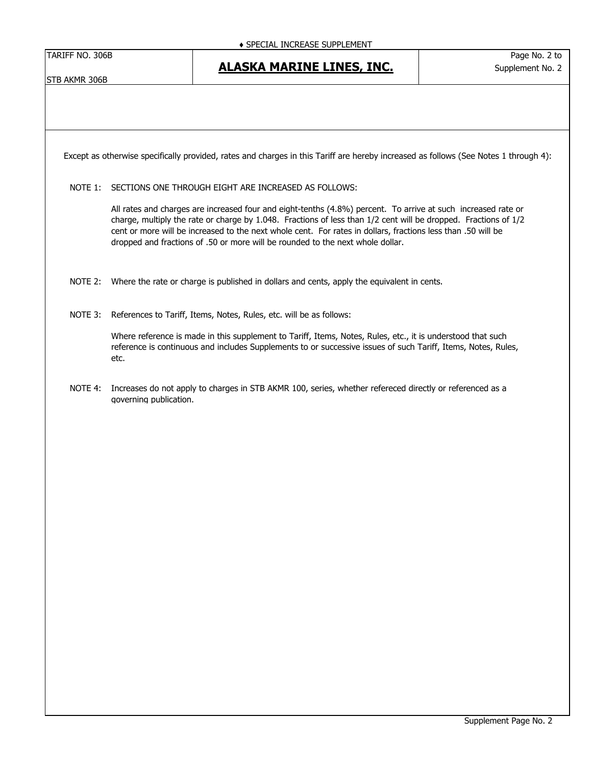TARIFF NO. 306B Page No. 2 to

STB AKMR 306B

Except as otherwise specifically provided, rates and charges in this Tariff are hereby increased as follows (See Notes 1 through 4):

#### NOTE 1: SECTIONS ONE THROUGH EIGHT ARE INCREASED AS FOLLOWS:

All rates and charges are increased four and eight-tenths (4.8%) percent. To arrive at such increased rate or charge, multiply the rate or charge by 1.048. Fractions of less than 1/2 cent will be dropped. Fractions of 1/2 cent or more will be increased to the next whole cent. For rates in dollars, fractions less than .50 will be dropped and fractions of .50 or more will be rounded to the next whole dollar.

NOTE 2: Where the rate or charge is published in dollars and cents, apply the equivalent in cents.

NOTE 3: References to Tariff, Items, Notes, Rules, etc. will be as follows:

Where reference is made in this supplement to Tariff, Items, Notes, Rules, etc., it is understood that such reference is continuous and includes Supplements to or successive issues of such Tariff, Items, Notes, Rules, etc.

NOTE 4: Increases do not apply to charges in STB AKMR 100, series, whether refereced directly or referenced as a governing publication.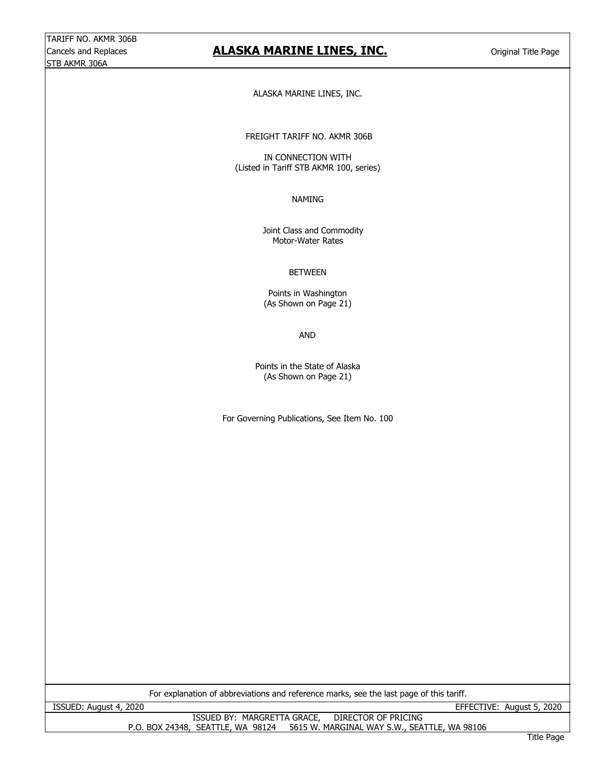## Cancels and Replaces **Cancels and Replaces Cancels and Replaces Cancels and Replaces Cancels and Title Page**

ALASKA MARINE LINES, INC.

FREIGHT TARIFF NO. AKMR 306B

(Listed in Tariff STB AKMR 100, series) IN CONNECTION WITH

#### NAMING

 Joint Class and Commodity Motor-Water Rates

### BETWEEN

Points in Washington (As Shown on Page 21)

AND

Points in the State of Alaska (As Shown on Page 21)

For Governing Publications, See Item No. 100

For explanation of abbreviations and reference marks, see the last page of this tariff.

ISSUED: August 4, 2020 EFFECTIVE: August 5, 2020

ISSUED BY: MARGRETTA GRACE, DIRECTOR OF PRICING P.O. BOX 24348, SEATTLE, WA 98124 5615 W. MARGINAL WAY S.W., SEATTLE, WA 98106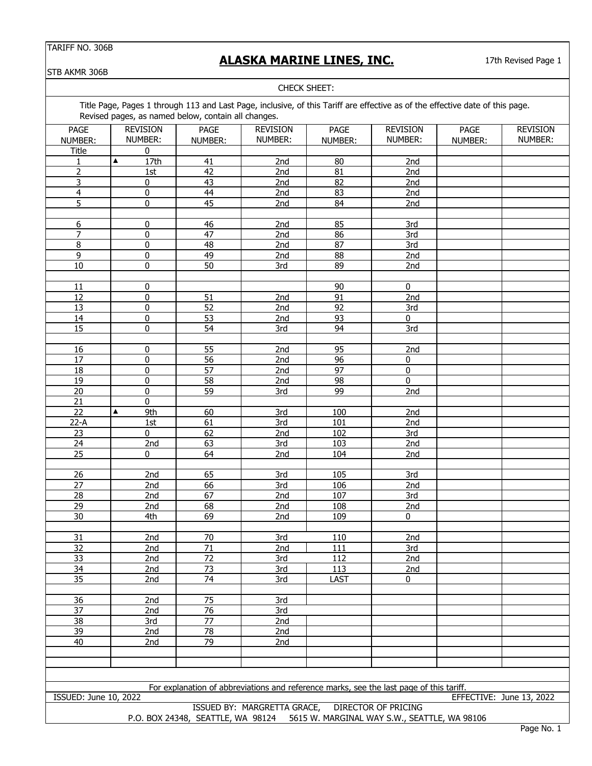# **ALASKA MARINE LINES, INC.**

17th Revised Page 1

STB AKMR 306B

|                       |                  |                                                                                                                                                                                      | CHECK SHEET:    |                 |                 |         |                          |
|-----------------------|------------------|--------------------------------------------------------------------------------------------------------------------------------------------------------------------------------------|-----------------|-----------------|-----------------|---------|--------------------------|
|                       |                  | Title Page, Pages 1 through 113 and Last Page, inclusive, of this Tariff are effective as of the effective date of this page.<br>Revised pages, as named below, contain all changes. |                 |                 |                 |         |                          |
| <b>PAGE</b>           | <b>REVISION</b>  | <b>PAGE</b>                                                                                                                                                                          | <b>REVISION</b> | <b>PAGE</b>     | <b>REVISION</b> | PAGE    | <b>REVISION</b>          |
| NUMBER:               | NUMBER:          | NUMBER:                                                                                                                                                                              | NUMBER:         | NUMBER:         | NUMBER:         | NUMBER: | NUMBER:                  |
| Title                 | 0                |                                                                                                                                                                                      |                 |                 |                 |         |                          |
| 1                     | ▲<br>17th        | 41                                                                                                                                                                                   | 2nd             | 80              | 2nd             |         |                          |
| $\overline{2}$        |                  | 42                                                                                                                                                                                   | 2nd             | 81              | 2nd             |         |                          |
| $\overline{3}$        | 1st<br>$\pmb{0}$ | 43                                                                                                                                                                                   | 2nd             | $\overline{82}$ | 2nd             |         |                          |
| $\overline{4}$        | $\pmb{0}$        | $\overline{44}$                                                                                                                                                                      | 2nd             | $\overline{83}$ | 2nd             |         |                          |
| $\overline{5}$        | $\mathbf 0$      | 45                                                                                                                                                                                   | 2nd             | 84              |                 |         |                          |
|                       |                  |                                                                                                                                                                                      |                 |                 | 2nd             |         |                          |
| 6                     | $\pmb{0}$        | 46                                                                                                                                                                                   | 2nd             | 85              | 3rd             |         |                          |
| $\overline{7}$        | $\pmb{0}$        | 47                                                                                                                                                                                   | 2nd             | 86              | 3rd             |         |                          |
| $\overline{8}$        | $\mathbf 0$      | 48                                                                                                                                                                                   | 2nd             | $\overline{87}$ | 3rd             |         |                          |
| 9                     | $\pmb{0}$        | 49                                                                                                                                                                                   | 2nd             | 88              | 2nd             |         |                          |
| 10                    | $\pmb{0}$        | 50                                                                                                                                                                                   |                 | 89              |                 |         |                          |
|                       |                  |                                                                                                                                                                                      | 3rd             |                 | 2nd             |         |                          |
| 11                    | $\pmb{0}$        |                                                                                                                                                                                      |                 | 90              | $\pmb{0}$       |         |                          |
| $\overline{12}$       | $\mathbf 0$      | 51                                                                                                                                                                                   | 2nd             | $\overline{91}$ | 2nd             |         |                          |
|                       |                  |                                                                                                                                                                                      |                 |                 |                 |         |                          |
| 13                    | $\pmb{0}$        | 52                                                                                                                                                                                   | 2nd             | 92              | 3rd             |         |                          |
| 14                    | $\pmb{0}$        | 53                                                                                                                                                                                   | 2nd             | 93              | 0               |         |                          |
| 15                    | 0                | 54                                                                                                                                                                                   | 3rd             | 94              | 3rd             |         |                          |
| 16                    | 0                | 55                                                                                                                                                                                   | 2nd             | 95              | 2nd             |         |                          |
| 17                    | $\pmb{0}$        | 56                                                                                                                                                                                   | 2nd             | 96              | $\pmb{0}$       |         |                          |
|                       |                  |                                                                                                                                                                                      |                 |                 |                 |         |                          |
| 18                    | 0                | 57                                                                                                                                                                                   | 2nd             | 97              | $\pmb{0}$       |         |                          |
| 19                    | 0                | 58                                                                                                                                                                                   | 2nd             | 98              | 0               |         |                          |
| 20                    | $\pmb{0}$        | 59                                                                                                                                                                                   | 3rd             | 99              | 2nd             |         |                          |
| $\overline{21}$       | $\overline{0}$   |                                                                                                                                                                                      |                 |                 |                 |         |                          |
| $\overline{22}$       | ▲<br>9th         | 60                                                                                                                                                                                   | 3rd             | 100             | 2nd             |         |                          |
| $22-A$                | 1st              | 61                                                                                                                                                                                   | 3rd             | 101             | 2nd             |         |                          |
| 23                    | 0                | 62                                                                                                                                                                                   | 2nd             | 102             | 3rd             |         |                          |
| 24                    | 2nd              | 63                                                                                                                                                                                   | 3rd             | 103             | 2nd             |         |                          |
| $\overline{25}$       | $\pmb{0}$        | 64                                                                                                                                                                                   | 2nd             | 104             | 2nd             |         |                          |
|                       |                  |                                                                                                                                                                                      |                 |                 |                 |         |                          |
| 26                    | 2nd              | 65                                                                                                                                                                                   | 3rd             | 105             | 3rd             |         |                          |
| 27                    | 2nd              | 66                                                                                                                                                                                   | 3rd             | 106             | 2nd             |         |                          |
| 28                    | 2nd              | 67                                                                                                                                                                                   | 2nd             | 107             | 3rd             |         |                          |
| 29                    | 2nd              | 68                                                                                                                                                                                   | 2nd             | 108             | 2nd             |         |                          |
| 30                    | 4th              | 69                                                                                                                                                                                   | 2nd             | 109             | $\Omega$        |         |                          |
|                       |                  |                                                                                                                                                                                      |                 |                 |                 |         |                          |
| 31                    | 2nd              | 70                                                                                                                                                                                   | 3rd             | 110             | 2nd             |         |                          |
| 32                    | 2nd              | $71\,$                                                                                                                                                                               | 2nd             | 111             | 3rd             |         |                          |
| 33                    | 2nd              | $\overline{72}$                                                                                                                                                                      | 3rd             | 112             | 2nd             |         |                          |
| 34                    | 2nd              | 73                                                                                                                                                                                   | 3rd             | 113             | 2nd             |         |                          |
| 35                    | 2nd              | 74                                                                                                                                                                                   | 3rd             | LAST            | 0               |         |                          |
|                       |                  |                                                                                                                                                                                      |                 |                 |                 |         |                          |
| $\overline{36}$       | 2nd              | 75                                                                                                                                                                                   | 3rd             |                 |                 |         |                          |
| $\overline{37}$       | 2nd              | 76                                                                                                                                                                                   | 3rd             |                 |                 |         |                          |
| 38                    | 3rd              | 77                                                                                                                                                                                   | 2nd             |                 |                 |         |                          |
| 39                    | 2nd              | 78                                                                                                                                                                                   | 2nd             |                 |                 |         |                          |
| 40                    | 2nd              | 79                                                                                                                                                                                   | 2nd             |                 |                 |         |                          |
|                       |                  |                                                                                                                                                                                      |                 |                 |                 |         |                          |
|                       |                  |                                                                                                                                                                                      |                 |                 |                 |         |                          |
|                       |                  |                                                                                                                                                                                      |                 |                 |                 |         |                          |
|                       |                  | For explanation of abbreviations and reference marks, see the last page of this tariff.                                                                                              |                 |                 |                 |         |                          |
| ISSUED: June 10, 2022 |                  |                                                                                                                                                                                      |                 |                 |                 |         | EFFECTIVE: June 13, 2022 |
|                       |                  |                                                                                                                                                                                      |                 |                 |                 |         |                          |

P.O. BOX 24348, SEATTLE, WA 98124 5615 W. MARGINAL WAY S.W., SEATTLE, WA 98106 ISSUED BY: MARGRETTA GRACE, DIRECTOR OF PRICING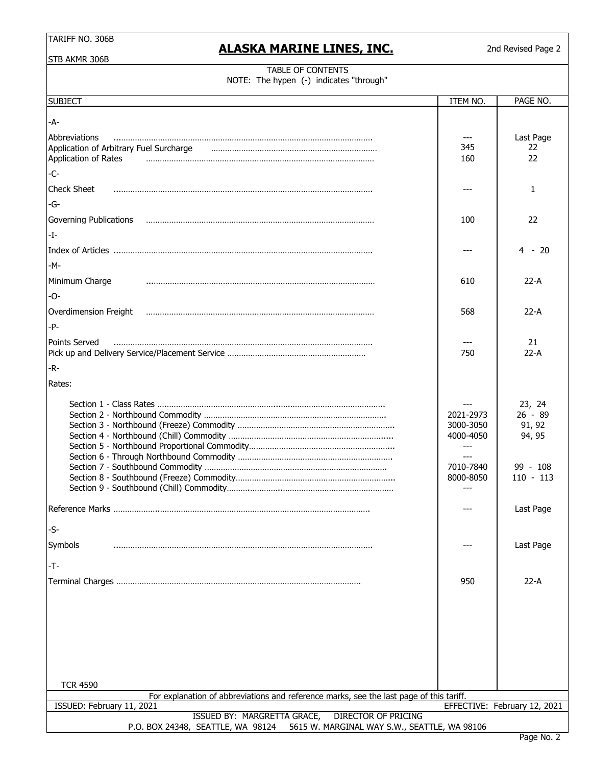# **ALASKA MARINE LINES, INC.**

2nd Revised Page 2

STB AKMR 306B

### TABLE OF CONTENTS NOTE: The hypen (-) indicates "through"

| <b>SUBJECT</b>                                                                                             | ITEM NO.                                                                        | PAGE NO.                                                             |  |  |
|------------------------------------------------------------------------------------------------------------|---------------------------------------------------------------------------------|----------------------------------------------------------------------|--|--|
| -A-                                                                                                        |                                                                                 |                                                                      |  |  |
| Abbreviations<br>Application of Arbitrary Fuel Surcharge<br>Application of Rates                           | 345<br>160                                                                      | Last Page<br>22<br>22                                                |  |  |
| $-C-$                                                                                                      |                                                                                 |                                                                      |  |  |
| <b>Check Sheet</b>                                                                                         |                                                                                 | $\mathbf{1}$                                                         |  |  |
| -G-                                                                                                        |                                                                                 |                                                                      |  |  |
| Governing Publications                                                                                     | 100                                                                             | 22                                                                   |  |  |
| $-I-$                                                                                                      |                                                                                 |                                                                      |  |  |
|                                                                                                            |                                                                                 | 4 - 20                                                               |  |  |
| $-M -$                                                                                                     |                                                                                 |                                                                      |  |  |
| Minimum Charge                                                                                             | 610                                                                             | 22-A                                                                 |  |  |
| -O-                                                                                                        |                                                                                 |                                                                      |  |  |
| Overdimension Freight                                                                                      | 568                                                                             | $22-A$                                                               |  |  |
| $-P-$                                                                                                      |                                                                                 |                                                                      |  |  |
| Points Served                                                                                              | 750                                                                             | 21<br>$22-A$                                                         |  |  |
| $-R -$                                                                                                     |                                                                                 |                                                                      |  |  |
| Rates:                                                                                                     |                                                                                 |                                                                      |  |  |
|                                                                                                            | 2021-2973<br>3000-3050<br>4000-4050<br>$---$<br>$---$<br>7010-7840<br>8000-8050 | 23, 24<br>$26 - 89$<br>91, 92<br>94, 95<br>$99 - 108$<br>$110 - 113$ |  |  |
|                                                                                                            |                                                                                 | Last Page                                                            |  |  |
| -S-                                                                                                        |                                                                                 |                                                                      |  |  |
| Symbols                                                                                                    |                                                                                 | Last Page                                                            |  |  |
| $-T-$                                                                                                      |                                                                                 |                                                                      |  |  |
|                                                                                                            | 950                                                                             | $22-A$                                                               |  |  |
|                                                                                                            |                                                                                 |                                                                      |  |  |
| <b>TCR 4590</b><br>For explanation of abbreviations and reference marks, see the last page of this tariff. |                                                                                 |                                                                      |  |  |
| EFFECTIVE: February 12, 2021<br>ISSUED: February 11, 2021                                                  |                                                                                 |                                                                      |  |  |
| ISSUED BY: MARGRETTA GRACE,<br><b>DIRECTOR OF PRICING</b><br>5615 W. MARGINAL WAY S.W., SEATTLE, WA 98106  |                                                                                 |                                                                      |  |  |
| P.O. BOX 24348, SEATTLE, WA 98124                                                                          |                                                                                 |                                                                      |  |  |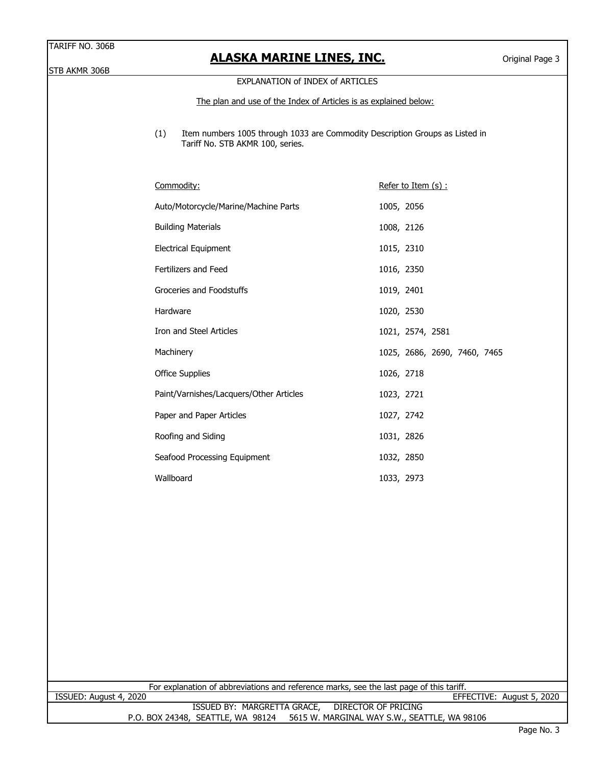## **ALASKA MARINE LINES, INC.**

STB AKMR 306B

### EXPLANATION of INDEX of ARTICLES

The plan and use of the Index of Articles is as explained below:

(1) Item numbers 1005 through 1033 are Commodity Description Groups as Listed in Tariff No. STB AKMR 100, series.

| <u>Commodity:</u>                       | <u>Refer to Item (s) :</u>   |
|-----------------------------------------|------------------------------|
| Auto/Motorcycle/Marine/Machine Parts    | 1005, 2056                   |
| <b>Building Materials</b>               | 1008, 2126                   |
| Electrical Equipment                    | 1015, 2310                   |
| <b>Fertilizers and Feed</b>             | 1016, 2350                   |
| Groceries and Foodstuffs                | 1019, 2401                   |
| Hardware                                | 1020, 2530                   |
| Iron and Steel Articles                 | 1021, 2574, 2581             |
| Machinery                               | 1025, 2686, 2690, 7460, 7465 |
| <b>Office Supplies</b>                  | 1026, 2718                   |
| Paint/Varnishes/Lacquers/Other Articles | 1023, 2721                   |
| Paper and Paper Articles                | 1027, 2742                   |
| Roofing and Siding                      | 1031, 2826                   |
| Seafood Processing Equipment            | 1032, 2850                   |
| Wallboard                               | 1033, 2973                   |

For explanation of abbreviations and reference marks, see the last page of this tariff.

ISSUED BY: MARGRETTA GRACE, DIRECTOR OF PRICING P.O. BOX 24348, SEATTLE, WA 98124 5615 W. MARGINAL WAY S.W., SEATTLE, WA 98106 ISSUED: August 4, 2020 EFFECTIVE: August 5, 2020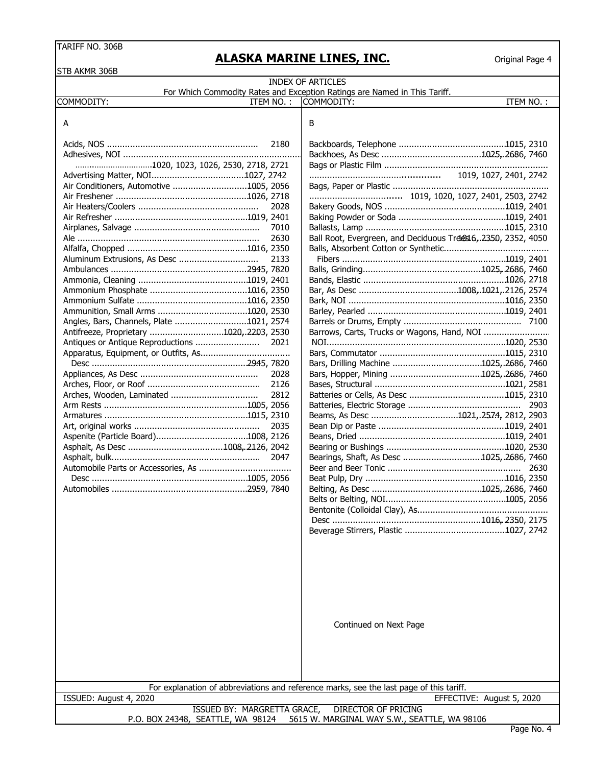## **ALASKA MARINE LINES, INC.**

| STB AKMR 306B                                         |                                                                                         |
|-------------------------------------------------------|-----------------------------------------------------------------------------------------|
|                                                       | <b>INDEX OF ARTICLES</b>                                                                |
|                                                       | For Which Commodity Rates and Exception Ratings are Named in This Tariff.               |
| COMMODITY:<br>ITEM NO.:                               | ITEM NO.:<br>COMMODITY:                                                                 |
| A                                                     | В                                                                                       |
| 2180                                                  |                                                                                         |
|                                                       |                                                                                         |
| 1020, 1023, 1026, 2530, 2718, 2721                    |                                                                                         |
|                                                       |                                                                                         |
| Air Conditioners, Automotive 1005, 2056               |                                                                                         |
|                                                       |                                                                                         |
| 2028                                                  |                                                                                         |
|                                                       |                                                                                         |
| 7010                                                  |                                                                                         |
| 2630                                                  | Ball Root, Evergreen, and Deciduous Trdes16, 2350, 2352, 4050                           |
|                                                       |                                                                                         |
| Aluminum Extrusions, As Desc<br>2133                  |                                                                                         |
|                                                       |                                                                                         |
|                                                       |                                                                                         |
|                                                       |                                                                                         |
|                                                       |                                                                                         |
|                                                       |                                                                                         |
| Angles, Bars, Channels, Plate 1021, 2574              |                                                                                         |
| Antifreeze, Proprietary 1020, 2203, 2530              | Barrows, Carts, Trucks or Wagons, Hand, NOI                                             |
| 2021                                                  |                                                                                         |
|                                                       |                                                                                         |
|                                                       |                                                                                         |
| 2028                                                  |                                                                                         |
| 2126                                                  |                                                                                         |
| Arches, Wooden, Laminated<br>2812                     |                                                                                         |
|                                                       | 2903                                                                                    |
|                                                       | Beams, As Desc 1021,.2574, 2812, 2903                                                   |
| 2035                                                  |                                                                                         |
|                                                       |                                                                                         |
|                                                       |                                                                                         |
|                                                       | Bearings, Shaft, As Desc 1025, 2686, 7460                                               |
|                                                       | 2630                                                                                    |
|                                                       |                                                                                         |
|                                                       |                                                                                         |
|                                                       |                                                                                         |
|                                                       |                                                                                         |
|                                                       |                                                                                         |
|                                                       |                                                                                         |
|                                                       |                                                                                         |
|                                                       |                                                                                         |
|                                                       |                                                                                         |
|                                                       |                                                                                         |
|                                                       |                                                                                         |
|                                                       | Continued on Next Page                                                                  |
|                                                       |                                                                                         |
|                                                       |                                                                                         |
|                                                       |                                                                                         |
|                                                       | For explanation of abbreviations and reference marks, see the last page of this tariff. |
| ISSUED: August 4, 2020<br>ISSUED BY: MARGRETTA GRACE, | EFFECTIVE: August 5, 2020<br>DIRECTOR OF PRICING                                        |
|                                                       | P.O. BOX 24348, SEATTLE, WA 98124 5615 W. MARGINAL WAY S.W., SEATTLE, WA 98106          |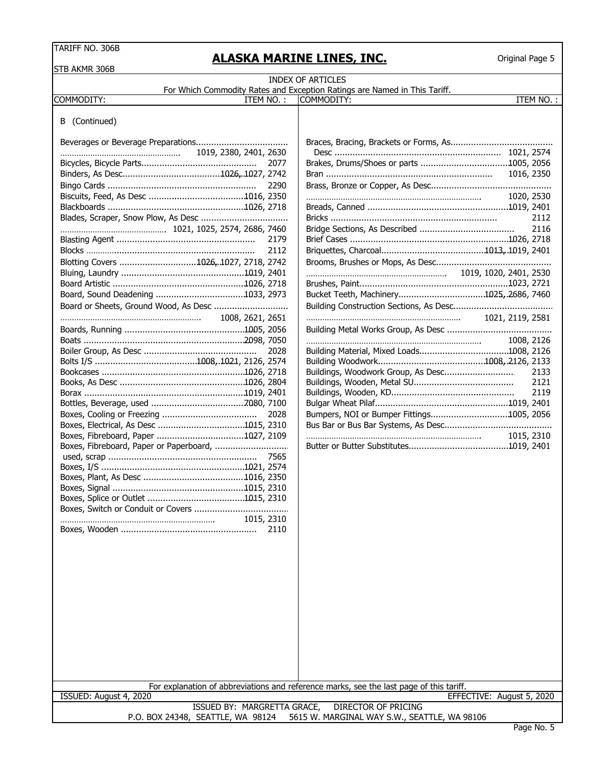# **ALASKA MARINE LINES, INC.**

| STB AKMR 306B                          |                             |            |      |                                                                                                                      |      |
|----------------------------------------|-----------------------------|------------|------|----------------------------------------------------------------------------------------------------------------------|------|
|                                        |                             |            |      | <b>INDEX OF ARTICLES</b>                                                                                             |      |
| COMMODITY:                             |                             | ITEM NO.:  |      | For Which Commodity Rates and Exception Ratings are Named in This Tariff.<br>ITEM NO.:<br>COMMODITY:                 |      |
|                                        |                             |            |      |                                                                                                                      |      |
| B (Continued)                          |                             |            |      |                                                                                                                      |      |
|                                        |                             |            |      |                                                                                                                      |      |
|                                        | 1019, 2380, 2401, 2630      |            |      |                                                                                                                      |      |
|                                        |                             |            | 2077 |                                                                                                                      |      |
|                                        |                             |            |      |                                                                                                                      |      |
|                                        |                             |            | 2290 |                                                                                                                      |      |
|                                        |                             |            |      | 1020, 2530                                                                                                           |      |
|                                        |                             |            |      |                                                                                                                      |      |
| Blades, Scraper, Snow Plow, As Desc    |                             |            |      |                                                                                                                      | 2112 |
|                                        |                             |            |      |                                                                                                                      | 2116 |
|                                        |                             |            | 2179 |                                                                                                                      |      |
|                                        |                             |            | 2112 |                                                                                                                      |      |
| Blotting Covers 1026, 1027, 2718, 2742 |                             |            |      |                                                                                                                      |      |
|                                        |                             |            |      |                                                                                                                      |      |
|                                        |                             |            |      |                                                                                                                      |      |
|                                        |                             |            |      |                                                                                                                      |      |
| Board or Sheets, Ground Wood, As Desc  |                             |            |      |                                                                                                                      |      |
|                                        |                             |            |      |                                                                                                                      |      |
|                                        |                             |            |      |                                                                                                                      |      |
|                                        |                             |            |      | 1008, 2126                                                                                                           |      |
|                                        |                             |            | 2028 |                                                                                                                      |      |
|                                        |                             |            |      |                                                                                                                      |      |
|                                        |                             |            |      | Buildings, Woodwork Group, As Desc                                                                                   | 2133 |
|                                        |                             |            |      |                                                                                                                      | 2121 |
|                                        |                             |            |      |                                                                                                                      | 2119 |
|                                        |                             |            |      |                                                                                                                      |      |
|                                        |                             |            | 2028 | Bumpers, NOI or Bumper Fittings1005, 2056                                                                            |      |
| Boxes, Electrical, As Desc 1015, 2310  |                             |            |      |                                                                                                                      |      |
|                                        |                             |            |      | 1015, 2310                                                                                                           |      |
|                                        |                             |            |      |                                                                                                                      |      |
|                                        |                             |            |      |                                                                                                                      |      |
|                                        |                             |            |      |                                                                                                                      |      |
|                                        |                             |            |      |                                                                                                                      |      |
|                                        |                             |            |      |                                                                                                                      |      |
|                                        |                             |            |      |                                                                                                                      |      |
|                                        |                             | 1015, 2310 |      |                                                                                                                      |      |
|                                        |                             |            | 2110 |                                                                                                                      |      |
|                                        |                             |            |      |                                                                                                                      |      |
|                                        |                             |            |      |                                                                                                                      |      |
|                                        |                             |            |      |                                                                                                                      |      |
|                                        |                             |            |      |                                                                                                                      |      |
|                                        |                             |            |      |                                                                                                                      |      |
|                                        |                             |            |      |                                                                                                                      |      |
|                                        |                             |            |      |                                                                                                                      |      |
|                                        |                             |            |      |                                                                                                                      |      |
|                                        |                             |            |      |                                                                                                                      |      |
|                                        |                             |            |      |                                                                                                                      |      |
|                                        |                             |            |      |                                                                                                                      |      |
|                                        |                             |            |      |                                                                                                                      |      |
|                                        |                             |            |      |                                                                                                                      |      |
| ISSUED: August 4, 2020                 |                             |            |      | For explanation of abbreviations and reference marks, see the last page of this tariff.<br>EFFECTIVE: August 5, 2020 |      |
|                                        | ISSUED BY: MARGRETTA GRACE, |            |      | <b>DIRECTOR OF PRICING</b>                                                                                           |      |
|                                        |                             |            |      | P.O. BOX 24348, SEATTLE, WA 98124 5615 W. MARGINAL WAY S.W., SEATTLE, WA 98106                                       |      |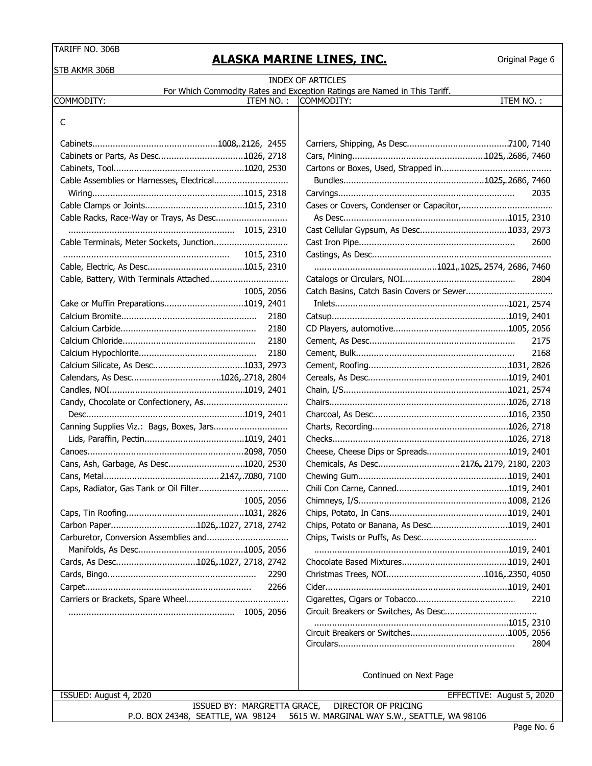**ALASKA MARINE LINES, INC.**

Original Page 6

| STB AKMR 306B                             | ENSIVA I IMILAILE ESILES/ SILSI                                           |
|-------------------------------------------|---------------------------------------------------------------------------|
|                                           | <b>INDEX OF ARTICLES</b>                                                  |
|                                           | For Which Commodity Rates and Exception Ratings are Named in This Tariff. |
| COMMODITY:<br>ITEM NO.:                   | COMMODITY:<br>ITEM NO.:                                                   |
| C                                         |                                                                           |
|                                           |                                                                           |
|                                           |                                                                           |
| Cabinets or Parts, As Desc1026, 2718      |                                                                           |
|                                           |                                                                           |
| Cable Assemblies or Harnesses, Electrical |                                                                           |
|                                           | 2035                                                                      |
|                                           |                                                                           |
| Cable Racks, Race-Way or Trays, As Desc   |                                                                           |
|                                           |                                                                           |
|                                           | 2600                                                                      |
|                                           |                                                                           |
|                                           |                                                                           |
|                                           | 2804                                                                      |
| 1005, 2056                                |                                                                           |
| Cake or Muffin Preparations1019, 2401     |                                                                           |
| 2180                                      |                                                                           |
| 2180                                      |                                                                           |
| 2180                                      | 2175                                                                      |
| 2180                                      | 2168                                                                      |
|                                           |                                                                           |
|                                           |                                                                           |
|                                           |                                                                           |
|                                           |                                                                           |
|                                           |                                                                           |
| Canning Supplies Viz.: Bags, Boxes, Jars  |                                                                           |
|                                           |                                                                           |
|                                           | Cheese, Cheese Dips or Spreads1019, 2401                                  |
| Cans, Ash, Garbage, As Desc1020, 2530     | Chemicals, As Desc2176, 2179, 2180, 2203                                  |
|                                           |                                                                           |
|                                           |                                                                           |
| 1005, 2056                                |                                                                           |
|                                           |                                                                           |
| Carbon Paper1026, 1027, 2718, 2742        | Chips, Potato or Banana, As Desc1019, 2401                                |
|                                           |                                                                           |
|                                           |                                                                           |
| Cards, As Desc1026, 1027, 2718, 2742      |                                                                           |
| 2290                                      |                                                                           |
| 2266                                      |                                                                           |
|                                           | 2210                                                                      |
|                                           |                                                                           |
|                                           |                                                                           |
|                                           |                                                                           |
|                                           | 2804                                                                      |
|                                           | Continued on Next Page                                                    |
|                                           |                                                                           |
| ISSUED: August 4, 2020                    | EFFECTIVE: August 5, 2020                                                 |
| ISSUED BY: MARGRETTA GRACE,               | DIRECTOR OF PRICING                                                       |

P.O. BOX 24348, SEATTLE, WA 98124 5615 W. MARGINAL WAY S.W., SEATTLE, WA 98106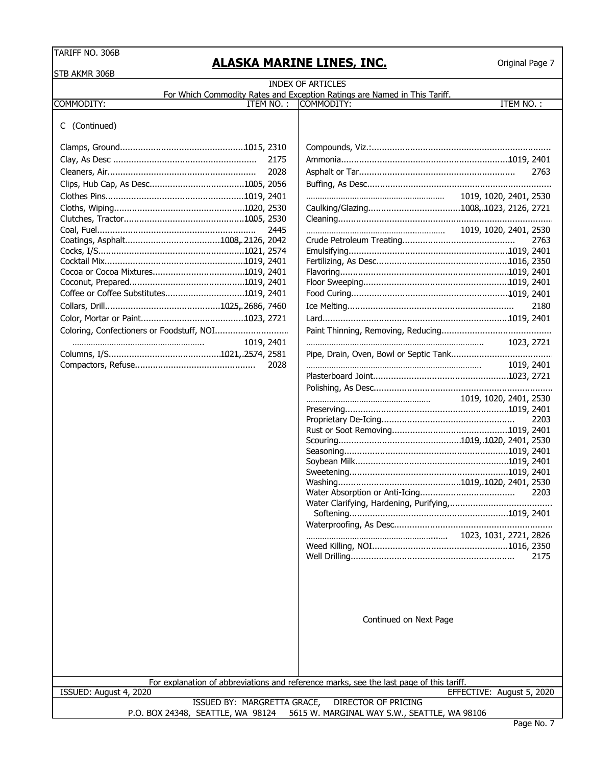# **ALASKA MARINE LINES, INC.**

| <b>INDEX OF ARTICLES</b><br>For Which Commodity Rates and Exception Ratings are Named in This Tariff.<br><b>ITEM NO.:</b><br>ITEM NO.:<br>COMMODITY:<br>C (Continued)<br>2175<br>2028<br>2763<br>1019, 1020, 2401, 2530<br>1019, 1020, 2401, 2530<br>2445<br>2763<br>Coffee or Coffee Substitutes1019, 2401<br>2180<br>1019, 2401<br>1023, 2721<br>2028<br>1019, 2401<br>1019, 1020, 2401, 2530<br>2203<br>2203<br>Water Clarifying, Hardening, Purifying,<br>1023, 1031, 2721, 2826<br>2175<br>Continued on Next Page<br>For explanation of abbreviations and reference marks, see the last page of this tariff.<br>ISSUED: August 4, 2020<br>EFFECTIVE: August 5, 2020<br>ISSUED BY: MARGRETTA GRACE,<br><b>DIRECTOR OF PRICING</b><br>P.O. BOX 24348, SEATTLE, WA 98124<br>5615 W. MARGINAL WAY S.W., SEATTLE, WA 98106 | STB AKMR 306B |  |  |
|----------------------------------------------------------------------------------------------------------------------------------------------------------------------------------------------------------------------------------------------------------------------------------------------------------------------------------------------------------------------------------------------------------------------------------------------------------------------------------------------------------------------------------------------------------------------------------------------------------------------------------------------------------------------------------------------------------------------------------------------------------------------------------------------------------------------------|---------------|--|--|
|                                                                                                                                                                                                                                                                                                                                                                                                                                                                                                                                                                                                                                                                                                                                                                                                                            |               |  |  |
|                                                                                                                                                                                                                                                                                                                                                                                                                                                                                                                                                                                                                                                                                                                                                                                                                            | COMMODITY:    |  |  |
|                                                                                                                                                                                                                                                                                                                                                                                                                                                                                                                                                                                                                                                                                                                                                                                                                            |               |  |  |
|                                                                                                                                                                                                                                                                                                                                                                                                                                                                                                                                                                                                                                                                                                                                                                                                                            |               |  |  |
|                                                                                                                                                                                                                                                                                                                                                                                                                                                                                                                                                                                                                                                                                                                                                                                                                            |               |  |  |
|                                                                                                                                                                                                                                                                                                                                                                                                                                                                                                                                                                                                                                                                                                                                                                                                                            |               |  |  |
|                                                                                                                                                                                                                                                                                                                                                                                                                                                                                                                                                                                                                                                                                                                                                                                                                            |               |  |  |
|                                                                                                                                                                                                                                                                                                                                                                                                                                                                                                                                                                                                                                                                                                                                                                                                                            |               |  |  |
|                                                                                                                                                                                                                                                                                                                                                                                                                                                                                                                                                                                                                                                                                                                                                                                                                            |               |  |  |
|                                                                                                                                                                                                                                                                                                                                                                                                                                                                                                                                                                                                                                                                                                                                                                                                                            |               |  |  |
|                                                                                                                                                                                                                                                                                                                                                                                                                                                                                                                                                                                                                                                                                                                                                                                                                            |               |  |  |
|                                                                                                                                                                                                                                                                                                                                                                                                                                                                                                                                                                                                                                                                                                                                                                                                                            |               |  |  |
|                                                                                                                                                                                                                                                                                                                                                                                                                                                                                                                                                                                                                                                                                                                                                                                                                            |               |  |  |
|                                                                                                                                                                                                                                                                                                                                                                                                                                                                                                                                                                                                                                                                                                                                                                                                                            |               |  |  |
|                                                                                                                                                                                                                                                                                                                                                                                                                                                                                                                                                                                                                                                                                                                                                                                                                            |               |  |  |
|                                                                                                                                                                                                                                                                                                                                                                                                                                                                                                                                                                                                                                                                                                                                                                                                                            |               |  |  |
|                                                                                                                                                                                                                                                                                                                                                                                                                                                                                                                                                                                                                                                                                                                                                                                                                            |               |  |  |
|                                                                                                                                                                                                                                                                                                                                                                                                                                                                                                                                                                                                                                                                                                                                                                                                                            |               |  |  |
|                                                                                                                                                                                                                                                                                                                                                                                                                                                                                                                                                                                                                                                                                                                                                                                                                            |               |  |  |
|                                                                                                                                                                                                                                                                                                                                                                                                                                                                                                                                                                                                                                                                                                                                                                                                                            |               |  |  |
|                                                                                                                                                                                                                                                                                                                                                                                                                                                                                                                                                                                                                                                                                                                                                                                                                            |               |  |  |
|                                                                                                                                                                                                                                                                                                                                                                                                                                                                                                                                                                                                                                                                                                                                                                                                                            |               |  |  |
|                                                                                                                                                                                                                                                                                                                                                                                                                                                                                                                                                                                                                                                                                                                                                                                                                            |               |  |  |
|                                                                                                                                                                                                                                                                                                                                                                                                                                                                                                                                                                                                                                                                                                                                                                                                                            |               |  |  |
|                                                                                                                                                                                                                                                                                                                                                                                                                                                                                                                                                                                                                                                                                                                                                                                                                            |               |  |  |
|                                                                                                                                                                                                                                                                                                                                                                                                                                                                                                                                                                                                                                                                                                                                                                                                                            |               |  |  |
|                                                                                                                                                                                                                                                                                                                                                                                                                                                                                                                                                                                                                                                                                                                                                                                                                            |               |  |  |
|                                                                                                                                                                                                                                                                                                                                                                                                                                                                                                                                                                                                                                                                                                                                                                                                                            |               |  |  |
|                                                                                                                                                                                                                                                                                                                                                                                                                                                                                                                                                                                                                                                                                                                                                                                                                            |               |  |  |
|                                                                                                                                                                                                                                                                                                                                                                                                                                                                                                                                                                                                                                                                                                                                                                                                                            |               |  |  |
|                                                                                                                                                                                                                                                                                                                                                                                                                                                                                                                                                                                                                                                                                                                                                                                                                            |               |  |  |
|                                                                                                                                                                                                                                                                                                                                                                                                                                                                                                                                                                                                                                                                                                                                                                                                                            |               |  |  |
|                                                                                                                                                                                                                                                                                                                                                                                                                                                                                                                                                                                                                                                                                                                                                                                                                            |               |  |  |
|                                                                                                                                                                                                                                                                                                                                                                                                                                                                                                                                                                                                                                                                                                                                                                                                                            |               |  |  |
|                                                                                                                                                                                                                                                                                                                                                                                                                                                                                                                                                                                                                                                                                                                                                                                                                            |               |  |  |
|                                                                                                                                                                                                                                                                                                                                                                                                                                                                                                                                                                                                                                                                                                                                                                                                                            |               |  |  |
|                                                                                                                                                                                                                                                                                                                                                                                                                                                                                                                                                                                                                                                                                                                                                                                                                            |               |  |  |
|                                                                                                                                                                                                                                                                                                                                                                                                                                                                                                                                                                                                                                                                                                                                                                                                                            |               |  |  |
|                                                                                                                                                                                                                                                                                                                                                                                                                                                                                                                                                                                                                                                                                                                                                                                                                            |               |  |  |
|                                                                                                                                                                                                                                                                                                                                                                                                                                                                                                                                                                                                                                                                                                                                                                                                                            |               |  |  |
|                                                                                                                                                                                                                                                                                                                                                                                                                                                                                                                                                                                                                                                                                                                                                                                                                            |               |  |  |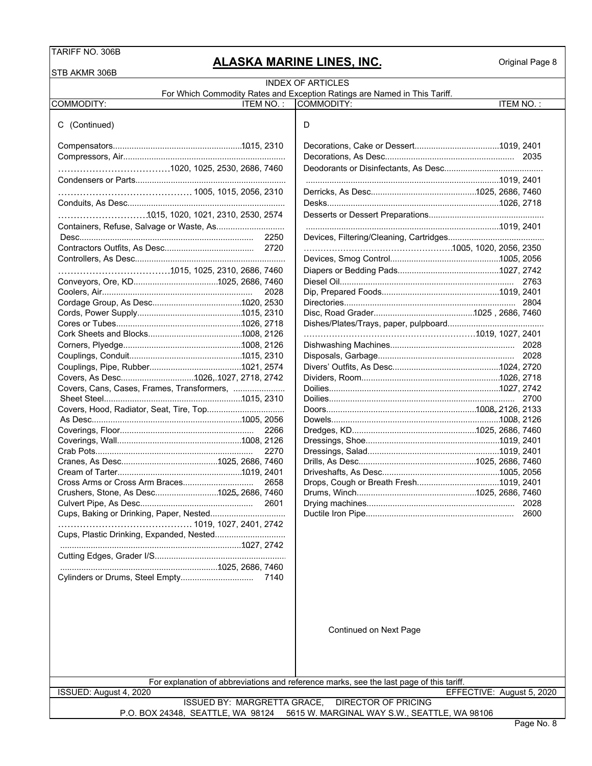STR AKMR 306R

# **ALASKA MARINE LINES, INC.**

| O I D ANIVIR JUUD                          |                                                                                         |  |
|--------------------------------------------|-----------------------------------------------------------------------------------------|--|
|                                            | <b>INDEX OF ARTICLES</b>                                                                |  |
|                                            | For Which Commodity Rates and Exception Ratings are Named in This Tariff.               |  |
| COMMODITY:<br>ITEM NO.:                    | ITEM NO.:<br>COMMODITY:                                                                 |  |
| C (Continued)                              | D                                                                                       |  |
|                                            |                                                                                         |  |
|                                            |                                                                                         |  |
| 1020, 1025, 2530, 2686, 7460               |                                                                                         |  |
|                                            |                                                                                         |  |
|                                            |                                                                                         |  |
|                                            |                                                                                         |  |
| 10.15, 1020, 1021, 2310, 2530, 2574        |                                                                                         |  |
|                                            |                                                                                         |  |
|                                            |                                                                                         |  |
|                                            |                                                                                         |  |
|                                            |                                                                                         |  |
|                                            |                                                                                         |  |
|                                            |                                                                                         |  |
| 2028                                       |                                                                                         |  |
|                                            |                                                                                         |  |
|                                            |                                                                                         |  |
|                                            |                                                                                         |  |
|                                            |                                                                                         |  |
|                                            |                                                                                         |  |
|                                            |                                                                                         |  |
|                                            |                                                                                         |  |
| Covers, As Desc1026,.1027, 2718, 2742      |                                                                                         |  |
| Covers, Cans, Cases, Frames, Transformers, |                                                                                         |  |
|                                            | 2700                                                                                    |  |
| Covers, Hood, Radiator, Seat, Tire, Top    |                                                                                         |  |
|                                            |                                                                                         |  |
| 2266                                       |                                                                                         |  |
|                                            |                                                                                         |  |
| 2270                                       |                                                                                         |  |
|                                            |                                                                                         |  |
|                                            |                                                                                         |  |
| Cross Arms or Cross Arm Braces<br>2658     |                                                                                         |  |
| Crushers, Stone, As Desc1025, 2686, 7460   |                                                                                         |  |
| 2601                                       | 2028                                                                                    |  |
| Cups, Baking or Drinking, Paper, Nested    | 2600                                                                                    |  |
| Cups, Plastic Drinking, Expanded, Nested   |                                                                                         |  |
|                                            |                                                                                         |  |
|                                            |                                                                                         |  |
|                                            |                                                                                         |  |
|                                            |                                                                                         |  |
|                                            |                                                                                         |  |
|                                            |                                                                                         |  |
|                                            |                                                                                         |  |
|                                            | Continued on Next Page                                                                  |  |
|                                            |                                                                                         |  |
|                                            |                                                                                         |  |
|                                            |                                                                                         |  |
|                                            | For explanation of abbreviations and reference marks, see the last page of this tariff. |  |
| ISSUED: August 4, 2020                     | EFFECTIVE: August 5, 2020                                                               |  |
| <b>ISSUED BY: MARGRETTA GRACE,</b>         | <b>DIRECTOR OF PRICING</b>                                                              |  |
| P.O. BOX 24348, SEATTLE, WA 98124          | 5615 W. MARGINAL WAY S.W., SEATTLE, WA 98106                                            |  |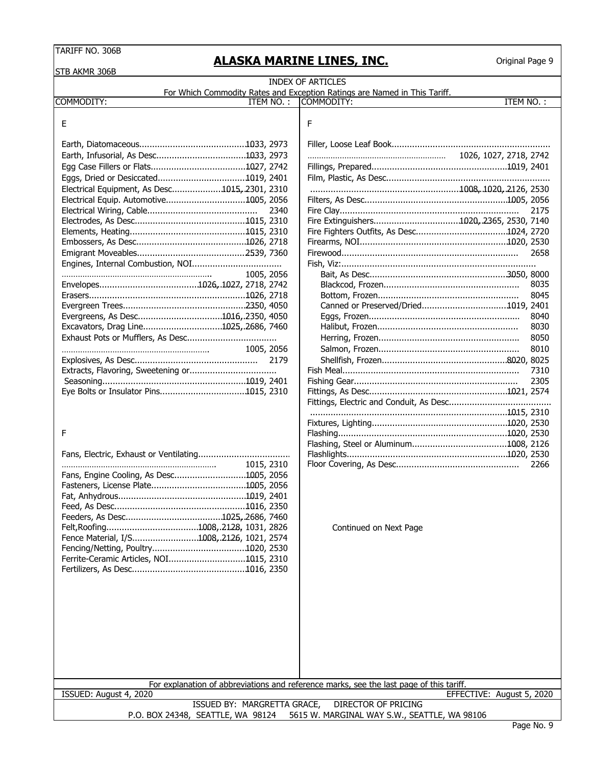# **ALASKA MARINE LINES, INC.**

|                                               |      | <b>INDEX OF ARTICLES</b><br>For Which Commodity Rates and Exception Ratings are Named in This Tariff. |                           |      |
|-----------------------------------------------|------|-------------------------------------------------------------------------------------------------------|---------------------------|------|
| ITEM NO.:<br>COMMODITY:                       |      | COMMODITY:                                                                                            | ITEM NO.:                 |      |
| Ε                                             |      | F                                                                                                     |                           |      |
|                                               |      |                                                                                                       |                           |      |
|                                               |      |                                                                                                       | 1026, 1027, 2718, 2742    |      |
|                                               |      |                                                                                                       |                           |      |
|                                               |      |                                                                                                       |                           |      |
| Electrical Equipment, As Desc1015, 2301, 2310 |      |                                                                                                       |                           |      |
| Electrical Equip. Automotive1005, 2056        |      |                                                                                                       |                           |      |
|                                               | 2340 |                                                                                                       |                           | 2175 |
|                                               |      |                                                                                                       |                           |      |
|                                               |      |                                                                                                       |                           |      |
|                                               |      |                                                                                                       |                           |      |
|                                               |      |                                                                                                       |                           | 2658 |
|                                               |      |                                                                                                       |                           |      |
| 1005, 2056                                    |      |                                                                                                       |                           |      |
|                                               |      |                                                                                                       |                           | 8035 |
|                                               |      |                                                                                                       |                           | 8045 |
| Evergreens, As Desc1016, 2350, 4050           |      |                                                                                                       |                           | 8040 |
| Excavators, Drag Line1025,.2686, 7460         |      |                                                                                                       |                           | 8030 |
|                                               |      |                                                                                                       |                           | 8050 |
| 1005, 2056                                    |      |                                                                                                       |                           | 8010 |
|                                               | 2179 |                                                                                                       |                           |      |
| Extracts, Flavoring, Sweetening or            |      |                                                                                                       |                           | 7310 |
|                                               |      |                                                                                                       |                           | 2305 |
|                                               |      |                                                                                                       |                           |      |
|                                               |      |                                                                                                       |                           |      |
|                                               |      |                                                                                                       |                           |      |
|                                               |      |                                                                                                       |                           |      |
| F                                             |      |                                                                                                       |                           |      |
|                                               |      |                                                                                                       |                           |      |
|                                               |      |                                                                                                       |                           |      |
| 1015, 2310                                    |      |                                                                                                       |                           | 2266 |
| Fans, Engine Cooling, As Desc1005, 2056       |      |                                                                                                       |                           |      |
|                                               |      |                                                                                                       |                           |      |
|                                               |      |                                                                                                       |                           |      |
|                                               |      |                                                                                                       |                           |      |
|                                               |      | Continued on Next Page                                                                                |                           |      |
| Fence Material, I/S1008, 2126, 1021, 2574     |      |                                                                                                       |                           |      |
|                                               |      |                                                                                                       |                           |      |
| Ferrite-Ceramic Articles, NOI1015, 2310       |      |                                                                                                       |                           |      |
|                                               |      |                                                                                                       |                           |      |
|                                               |      |                                                                                                       |                           |      |
|                                               |      |                                                                                                       |                           |      |
|                                               |      |                                                                                                       |                           |      |
|                                               |      |                                                                                                       |                           |      |
|                                               |      |                                                                                                       |                           |      |
|                                               |      |                                                                                                       |                           |      |
|                                               |      |                                                                                                       |                           |      |
|                                               |      |                                                                                                       |                           |      |
|                                               |      |                                                                                                       |                           |      |
|                                               |      | For explanation of abbreviations and reference marks, see the last page of this tariff.               |                           |      |
| ISSUED: August 4, 2020                        |      |                                                                                                       | EFFECTIVE: August 5, 2020 |      |
| ISSUED BY: MARGRETTA GRACE,                   |      | <b>DIRECTOR OF PRICING</b>                                                                            |                           |      |
| P.O. BOX 24348, SEATTLE, WA 98124             |      | 5615 W. MARGINAL WAY S.W., SEATTLE, WA 98106                                                          |                           |      |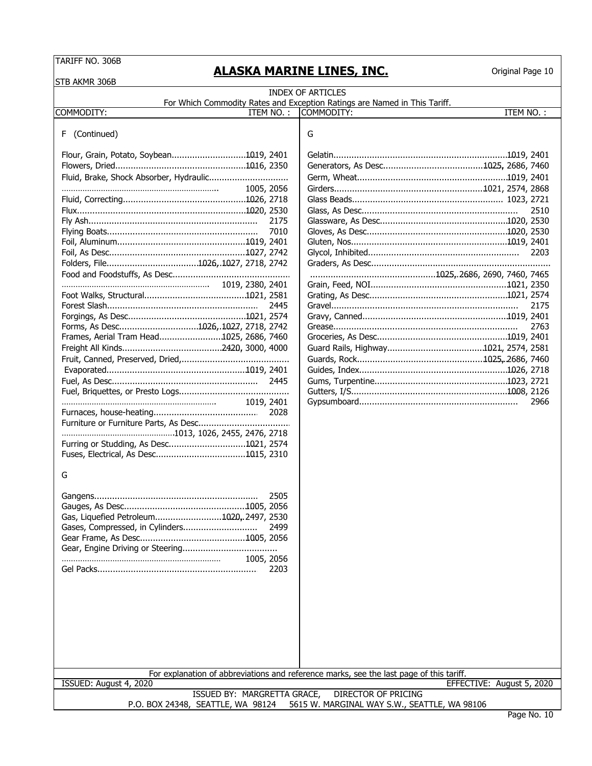## **ALASKA MARINE LINES, INC.**

Original Page 10

STB AKMR 306B COMMODITY: ITEM NO. : |COMMODITY: ITEM NO. : F (Continued) G Flour, Grain, Potato, Soybean................................. 1019. , 2401 Gelatin........................................................................ 1019, 2401 Flowers, Dried....................................................... 1016, 2350 Generators, As Desc.................................. . ............. 1025, 2686, 7460 Fluid, Brake, Shock Absorber, Hydraulic............................... Germ, Wheat............................................................... 1019, 2401 ………………………………………………………….. 1005, 2056 Girders............................................................1021, 2574, 2868 Fluid, Correcting.................................................... 1026, 2718 Glass Beads.......................................... . ................. 1023, 2721 Flux...................................................................... 1020, 2530 Glass, As Desc............................................................. 2510 Fly Ash.................................................................. 2175 Glassware, As Desc...................................................... 1020, 2530 Flying Boats........................................................... 7010 Gloves, As Desc.......................................................1020 .... , 2530 Foil, Aluminum...................................................... 1019. , 2401 Gluten, Nos................................................................. 1019. , 2401 Foil, As Desc.......................................................1027 ... , 2742 Glycol, Inhibited........................................................... 2203 Folders, File.................................................. 1026, 1027, 2718, 2742 Graders, As Desc...................................................................... Food and Foodstuffs, As Desc.............................................. ............................................................... 1025, 2686, 2690, 7460, 7465 ………………………………………………………. 1019, 2380, 2401 Grain, Feed, NOI.......................................................... 1021, 2350 Foot Walks, Structural............................................ 1021, 2581 Grating, As Desc.......................................................1021, 2574 ... Forest Slash........................................................... 2445 Gravel......................................................................... 2175 Forgings, As Desc.................................................. 1021. , 2574 Gravy, Canned............................................................. 1019, 2401 Forms, As Desc............................................... 1026, 1027, 2718, 2742 Grease........................................................................ 2763 Frames, Aerial Tram Head............................. 1025, 2686, 7460 Groceries, As Desc....................................................... 1019, 2401 Freight All Kinds.............................................. 2420, 3000, 4000 Guard Rails, Highway........................... . .................. 1021, 2574, 2581 Fruit, Canned, Preserved, Dried,.......................................... Guards, Rock.......................................................... 1025, 2686 . , 7460 Evaporated........................................................... 1019, 2401 Guides, Index.............................................................. 1026, 2718 Fuel, As Desc......................................................... 2445 Gums, Turpentine........................................................ 1023, 2721 Fuel, Briquettes, or Presto Logs........................................... Gutters, I/S................................................................. 1008. , 2126 …………………………………………………………. 1019, 2401 Gypsumboard.............................................................. 2966 Furnaces, house-heating......................................... 2028 Furniture or Furniture Parts, As Desc.................................... ………………………………………….1013, 1026, 2455, 2476, 2718 Furring or Studding, As Desc.................................1021, 2574 Fuses, Electrical, As Desc....................................... 1015. , 2310 G Gangens................................................................ 2505 Gauges, As Desc.................................................... 1005, 2056 Gas, Liquefied Petroleum................................... 1020, 2497, 2530 Gases, Compressed, in Cylinders............................. 2499 Gear Frame, As Desc............................................. 1005. , 2056 Gear, Engine Driving or Steering..................................... …………………………………………………………… 1005, 2056 Gel Packs............................................................... 2203 ISSUED BY: MARGRETTA GRACE, DIRECTOR OF PRICING P.O. BOX 24348, SEATTLE, WA 98124 5615 W. MARGINAL WAY S.W., SEATTLE, WA 98106 INDEX OF ARTICLES For Which Commodity Rates and Exception Ratings are Named in This Tariff.<br>ITEM NO.: | COMMODITY: For explanation of abbreviations and reference marks, see the last page of this tariff. ISSUED: August 4, 2020 EFFECTIVE: August 5, 2020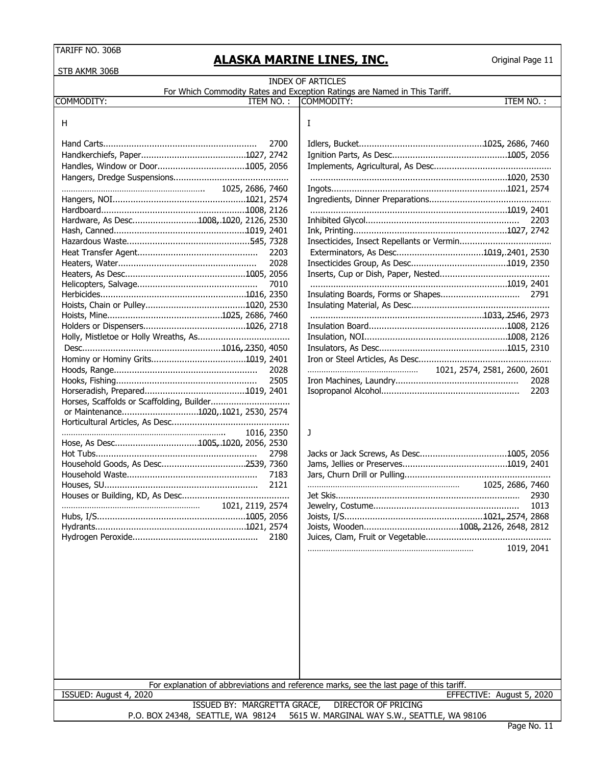STR AKMR 306B

# **ALASKA MARINE LINES, INC.**

| <b>OUD AN'IR JUDD</b>                   |                                                                                                      |
|-----------------------------------------|------------------------------------------------------------------------------------------------------|
|                                         | <b>INDEX OF ARTICLES</b>                                                                             |
| COMMODITY:<br>ITEM NO.:                 | For Which Commodity Rates and Exception Ratings are Named in This Tariff.<br>COMMODITY:<br>ITEM NO.: |
|                                         |                                                                                                      |
| H                                       | I                                                                                                    |
| 2700                                    |                                                                                                      |
|                                         |                                                                                                      |
|                                         |                                                                                                      |
|                                         |                                                                                                      |
| 1025, 2686, 7460                        |                                                                                                      |
|                                         |                                                                                                      |
|                                         |                                                                                                      |
| Hardware, As Desc1008, 1020, 2126, 2530 | 2203                                                                                                 |
|                                         |                                                                                                      |
|                                         |                                                                                                      |
| 2203                                    |                                                                                                      |
| 2028                                    |                                                                                                      |
|                                         |                                                                                                      |
| 7010                                    |                                                                                                      |
|                                         |                                                                                                      |
|                                         |                                                                                                      |
|                                         |                                                                                                      |
|                                         |                                                                                                      |
|                                         |                                                                                                      |
|                                         |                                                                                                      |
|                                         |                                                                                                      |
| 2028                                    | 1021, 2574, 2581, 2600, 2601                                                                         |
| 2505                                    | 2028                                                                                                 |
|                                         | 2203                                                                                                 |
| or Maintenance1020,.1021, 2530, 2574    |                                                                                                      |
|                                         |                                                                                                      |
| 1016, 2350                              | J                                                                                                    |
| Hose, As Desc1005, 1020, 2056, 2530     |                                                                                                      |
| 2798                                    |                                                                                                      |
|                                         |                                                                                                      |
| 7183                                    |                                                                                                      |
| 2121                                    | 1025, 2686, 7460                                                                                     |
|                                         |                                                                                                      |
| 1021, 2119, 2574                        |                                                                                                      |
|                                         |                                                                                                      |
|                                         |                                                                                                      |
| 2180                                    |                                                                                                      |
|                                         | 1019, 2041                                                                                           |
|                                         |                                                                                                      |
|                                         |                                                                                                      |
|                                         |                                                                                                      |
|                                         |                                                                                                      |
|                                         |                                                                                                      |
|                                         |                                                                                                      |
|                                         |                                                                                                      |
|                                         |                                                                                                      |
|                                         |                                                                                                      |
|                                         |                                                                                                      |
|                                         |                                                                                                      |
|                                         | For explanation of abbreviations and reference marks, see the last page of this tariff.              |
| ISSUED: August 4, 2020                  | EFFECTIVE: August 5, 2020                                                                            |
| ISSUED BY: MARGRETTA GRACE,             | DIRECTOR OF PRICING                                                                                  |
| P.O. BOX 24348, SEATTLE, WA 98124       | 5615 W. MARGINAL WAY S.W., SEATTLE, WA 98106<br>$D2 = N2 + 11$                                       |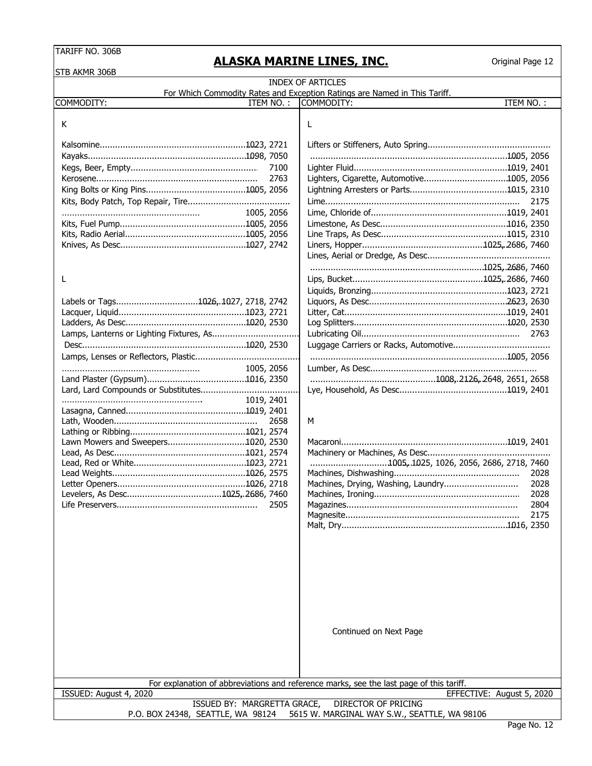## **ALASKA MARINE LINES, INC.**

| STB AKMR 306B                                                                     |                                                                                                      |  |  |  |  |
|-----------------------------------------------------------------------------------|------------------------------------------------------------------------------------------------------|--|--|--|--|
|                                                                                   | <b>INDEX OF ARTICLES</b>                                                                             |  |  |  |  |
| COMMODITY:<br>ITEM NO.:                                                           | For Which Commodity Rates and Exception Ratings are Named in This Tariff.<br>ITEM NO.:<br>COMMODITY: |  |  |  |  |
|                                                                                   |                                                                                                      |  |  |  |  |
| Κ                                                                                 | L                                                                                                    |  |  |  |  |
|                                                                                   |                                                                                                      |  |  |  |  |
|                                                                                   |                                                                                                      |  |  |  |  |
|                                                                                   |                                                                                                      |  |  |  |  |
| 7100                                                                              |                                                                                                      |  |  |  |  |
| 2763                                                                              | Lighters, Cigarette, Automotive1005, 2056                                                            |  |  |  |  |
|                                                                                   | 2175                                                                                                 |  |  |  |  |
|                                                                                   |                                                                                                      |  |  |  |  |
| 1005, 2056                                                                        |                                                                                                      |  |  |  |  |
|                                                                                   |                                                                                                      |  |  |  |  |
|                                                                                   |                                                                                                      |  |  |  |  |
|                                                                                   |                                                                                                      |  |  |  |  |
|                                                                                   |                                                                                                      |  |  |  |  |
| L                                                                                 |                                                                                                      |  |  |  |  |
|                                                                                   |                                                                                                      |  |  |  |  |
| Labels or Tags1026,.1027, 2718, 2742                                              |                                                                                                      |  |  |  |  |
|                                                                                   |                                                                                                      |  |  |  |  |
|                                                                                   |                                                                                                      |  |  |  |  |
|                                                                                   |                                                                                                      |  |  |  |  |
|                                                                                   |                                                                                                      |  |  |  |  |
|                                                                                   |                                                                                                      |  |  |  |  |
| 1005, 2056                                                                        |                                                                                                      |  |  |  |  |
|                                                                                   |                                                                                                      |  |  |  |  |
|                                                                                   |                                                                                                      |  |  |  |  |
| 1019, 2401                                                                        |                                                                                                      |  |  |  |  |
|                                                                                   |                                                                                                      |  |  |  |  |
| 2658                                                                              | M                                                                                                    |  |  |  |  |
|                                                                                   |                                                                                                      |  |  |  |  |
| Lawn Mowers and Sweepers1020, 2530                                                |                                                                                                      |  |  |  |  |
|                                                                                   | 1005, 1025, 1026, 2056, 2686, 2718, 7460                                                             |  |  |  |  |
|                                                                                   | 2028                                                                                                 |  |  |  |  |
|                                                                                   | Machines, Drying, Washing, Laundry<br>2028                                                           |  |  |  |  |
|                                                                                   | 2028                                                                                                 |  |  |  |  |
| 2505                                                                              | 2804                                                                                                 |  |  |  |  |
|                                                                                   | 2175                                                                                                 |  |  |  |  |
|                                                                                   |                                                                                                      |  |  |  |  |
|                                                                                   |                                                                                                      |  |  |  |  |
|                                                                                   |                                                                                                      |  |  |  |  |
|                                                                                   |                                                                                                      |  |  |  |  |
|                                                                                   |                                                                                                      |  |  |  |  |
|                                                                                   |                                                                                                      |  |  |  |  |
|                                                                                   |                                                                                                      |  |  |  |  |
|                                                                                   |                                                                                                      |  |  |  |  |
|                                                                                   |                                                                                                      |  |  |  |  |
|                                                                                   | Continued on Next Page                                                                               |  |  |  |  |
|                                                                                   |                                                                                                      |  |  |  |  |
|                                                                                   |                                                                                                      |  |  |  |  |
|                                                                                   |                                                                                                      |  |  |  |  |
|                                                                                   |                                                                                                      |  |  |  |  |
|                                                                                   | For explanation of abbreviations and reference marks, see the last page of this tariff.              |  |  |  |  |
| ISSUED: August 4, 2020<br>ISSUED BY: MARGRETTA GRACE,                             | EFFECTIVE: August 5, 2020<br><b>DIRECTOR OF PRICING</b>                                              |  |  |  |  |
| P.O. BOX 24348, SEATTLE, WA 98124<br>5615 W. MARGINAL WAY S.W., SEATTLE, WA 98106 |                                                                                                      |  |  |  |  |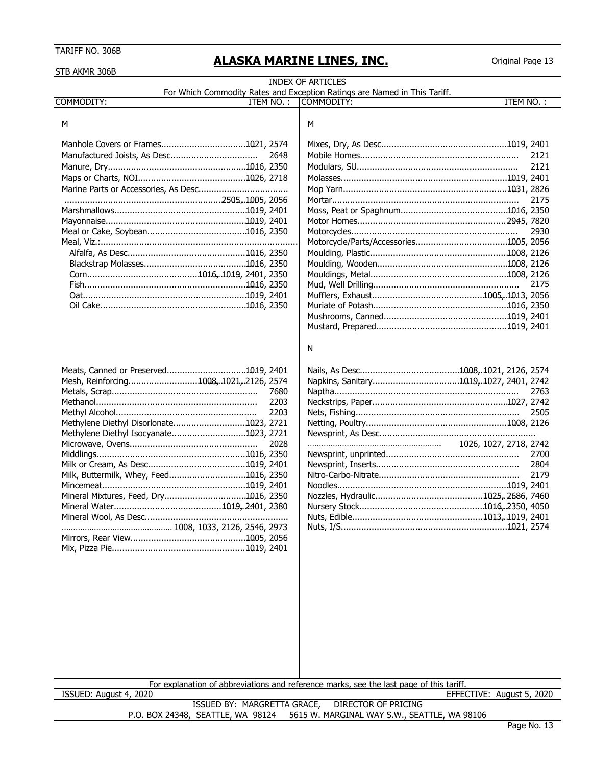STB AKMR 306B

# **ALASKA MARINE LINES, INC.**

| שטטר שוועד חור                                                                    | <b>INDEX OF ARTICLES</b>                                                                |                           |  |  |  |  |
|-----------------------------------------------------------------------------------|-----------------------------------------------------------------------------------------|---------------------------|--|--|--|--|
|                                                                                   | For Which Commodity Rates and Exception Ratings are Named in This Tariff.               |                           |  |  |  |  |
| COMMODITY:<br>ITEM NO.:                                                           | COMMODITY:                                                                              | ITEM NO.:                 |  |  |  |  |
|                                                                                   |                                                                                         |                           |  |  |  |  |
| M                                                                                 | М                                                                                       |                           |  |  |  |  |
|                                                                                   |                                                                                         |                           |  |  |  |  |
| 2648                                                                              |                                                                                         | 2121                      |  |  |  |  |
|                                                                                   |                                                                                         | 2121                      |  |  |  |  |
|                                                                                   |                                                                                         |                           |  |  |  |  |
|                                                                                   |                                                                                         |                           |  |  |  |  |
|                                                                                   |                                                                                         |                           |  |  |  |  |
|                                                                                   |                                                                                         | 2175                      |  |  |  |  |
|                                                                                   |                                                                                         |                           |  |  |  |  |
|                                                                                   |                                                                                         |                           |  |  |  |  |
|                                                                                   |                                                                                         | 2930                      |  |  |  |  |
|                                                                                   |                                                                                         |                           |  |  |  |  |
|                                                                                   |                                                                                         |                           |  |  |  |  |
|                                                                                   |                                                                                         |                           |  |  |  |  |
|                                                                                   |                                                                                         |                           |  |  |  |  |
|                                                                                   |                                                                                         | 2175                      |  |  |  |  |
|                                                                                   |                                                                                         |                           |  |  |  |  |
|                                                                                   |                                                                                         |                           |  |  |  |  |
|                                                                                   |                                                                                         |                           |  |  |  |  |
|                                                                                   |                                                                                         |                           |  |  |  |  |
|                                                                                   | N                                                                                       |                           |  |  |  |  |
|                                                                                   |                                                                                         |                           |  |  |  |  |
| Meats, Canned or Preserved1019, 2401                                              |                                                                                         |                           |  |  |  |  |
| Mesh, Reinforcing1008, 1021, 2126, 2574                                           | Napkins, Sanitary1019,.1027, 2401, 2742                                                 |                           |  |  |  |  |
| 7680                                                                              |                                                                                         | 2763                      |  |  |  |  |
| 2203                                                                              |                                                                                         |                           |  |  |  |  |
| 2203                                                                              |                                                                                         | 2505                      |  |  |  |  |
| Methylene Diethyl Disorlonate1023, 2721                                           |                                                                                         |                           |  |  |  |  |
| Methylene Diethyl Isocyanate1023, 2721                                            |                                                                                         |                           |  |  |  |  |
| 2028                                                                              |                                                                                         | 1026, 1027, 2718, 2742    |  |  |  |  |
|                                                                                   |                                                                                         | 2700                      |  |  |  |  |
|                                                                                   |                                                                                         | 2804                      |  |  |  |  |
| Milk, Buttermilk, Whey, Feed1016, 2350                                            |                                                                                         | 2179                      |  |  |  |  |
|                                                                                   |                                                                                         |                           |  |  |  |  |
| Mineral Mixtures, Feed, Dry1016, 2350                                             |                                                                                         |                           |  |  |  |  |
|                                                                                   |                                                                                         |                           |  |  |  |  |
|                                                                                   |                                                                                         |                           |  |  |  |  |
|                                                                                   |                                                                                         |                           |  |  |  |  |
|                                                                                   |                                                                                         |                           |  |  |  |  |
|                                                                                   |                                                                                         |                           |  |  |  |  |
|                                                                                   |                                                                                         |                           |  |  |  |  |
|                                                                                   |                                                                                         |                           |  |  |  |  |
|                                                                                   |                                                                                         |                           |  |  |  |  |
|                                                                                   |                                                                                         |                           |  |  |  |  |
|                                                                                   |                                                                                         |                           |  |  |  |  |
|                                                                                   |                                                                                         |                           |  |  |  |  |
|                                                                                   |                                                                                         |                           |  |  |  |  |
|                                                                                   |                                                                                         |                           |  |  |  |  |
|                                                                                   |                                                                                         |                           |  |  |  |  |
|                                                                                   |                                                                                         |                           |  |  |  |  |
|                                                                                   |                                                                                         |                           |  |  |  |  |
|                                                                                   |                                                                                         |                           |  |  |  |  |
|                                                                                   | For explanation of abbreviations and reference marks, see the last page of this tariff. |                           |  |  |  |  |
| ISSUED: August 4, 2020                                                            |                                                                                         | EFFECTIVE: August 5, 2020 |  |  |  |  |
| ISSUED BY: MARGRETTA GRACE,<br><b>DIRECTOR OF PRICING</b>                         |                                                                                         |                           |  |  |  |  |
| 5615 W. MARGINAL WAY S.W., SEATTLE, WA 98106<br>P.O. BOX 24348, SEATTLE, WA 98124 |                                                                                         |                           |  |  |  |  |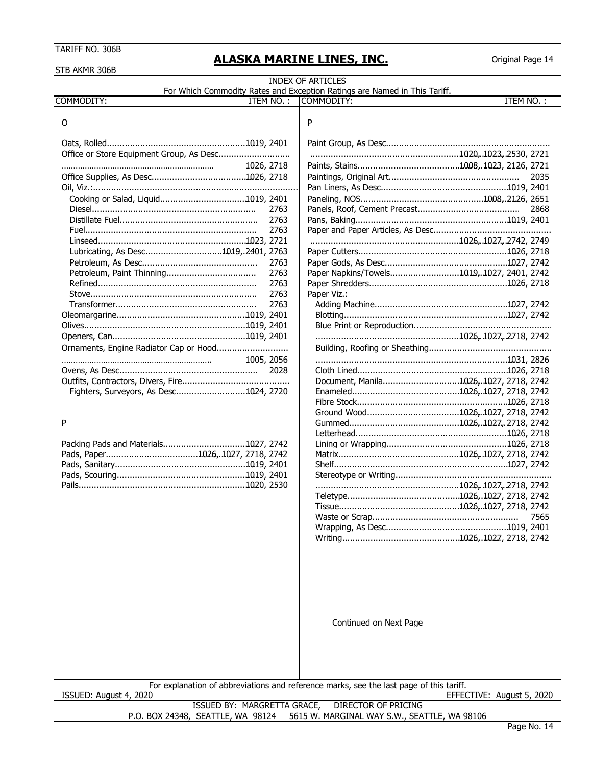# **ALASKA MARINE LINES, INC.**

| STB AKMR 306B                            |      |                                                                                                       |                           |
|------------------------------------------|------|-------------------------------------------------------------------------------------------------------|---------------------------|
|                                          |      | <b>INDEX OF ARTICLES</b><br>For Which Commodity Rates and Exception Ratings are Named in This Tariff. |                           |
| COMMODITY:<br>ITEM NO.:                  |      | COMMODITY:                                                                                            | ITEM NO.:                 |
| O                                        |      | P                                                                                                     |                           |
|                                          |      |                                                                                                       |                           |
| Office or Store Equipment Group, As Desc |      |                                                                                                       |                           |
| 1026, 2718                               |      |                                                                                                       |                           |
|                                          |      |                                                                                                       | 2035                      |
|                                          |      |                                                                                                       |                           |
|                                          |      |                                                                                                       |                           |
|                                          | 2763 |                                                                                                       | 2868                      |
|                                          | 2763 |                                                                                                       |                           |
|                                          | 2763 |                                                                                                       |                           |
|                                          |      |                                                                                                       |                           |
| Lubricating, As Desc1019,.2401, 2763     |      |                                                                                                       |                           |
|                                          | 2763 |                                                                                                       |                           |
|                                          | 2763 | Paper Napkins/Towels1019, 1027, 2401, 2742                                                            |                           |
|                                          | 2763 |                                                                                                       |                           |
|                                          | 2763 | Paper Viz.:                                                                                           |                           |
|                                          | 2763 |                                                                                                       |                           |
|                                          |      |                                                                                                       |                           |
|                                          |      |                                                                                                       |                           |
|                                          |      |                                                                                                       |                           |
|                                          |      |                                                                                                       |                           |
| 1005, 2056                               |      |                                                                                                       |                           |
|                                          | 2028 |                                                                                                       |                           |
|                                          |      | Document, Manila1026,.1027, 2718, 2742                                                                |                           |
| Fighters, Surveyors, As Desc1024, 2720   |      |                                                                                                       |                           |
|                                          |      |                                                                                                       |                           |
|                                          |      |                                                                                                       |                           |
| P                                        |      |                                                                                                       |                           |
|                                          |      |                                                                                                       |                           |
|                                          |      |                                                                                                       |                           |
|                                          |      |                                                                                                       |                           |
|                                          |      |                                                                                                       |                           |
|                                          |      |                                                                                                       |                           |
|                                          |      |                                                                                                       |                           |
|                                          |      |                                                                                                       |                           |
|                                          |      |                                                                                                       |                           |
|                                          |      |                                                                                                       | 7565                      |
|                                          |      |                                                                                                       |                           |
|                                          |      |                                                                                                       |                           |
|                                          |      | Continued on Next Page                                                                                |                           |
|                                          |      |                                                                                                       |                           |
| ISSUED: August 4, 2020                   |      | For explanation of abbreviations and reference marks, see the last page of this tariff.               | EFFECTIVE: August 5, 2020 |
| ISSUED BY: MARGRETTA GRACE,              |      | DIRECTOR OF PRICING                                                                                   |                           |
| P.O. BOX 24348, SEATTLE, WA 98124        |      | 5615 W. MARGINAL WAY S.W., SEATTLE, WA 98106                                                          |                           |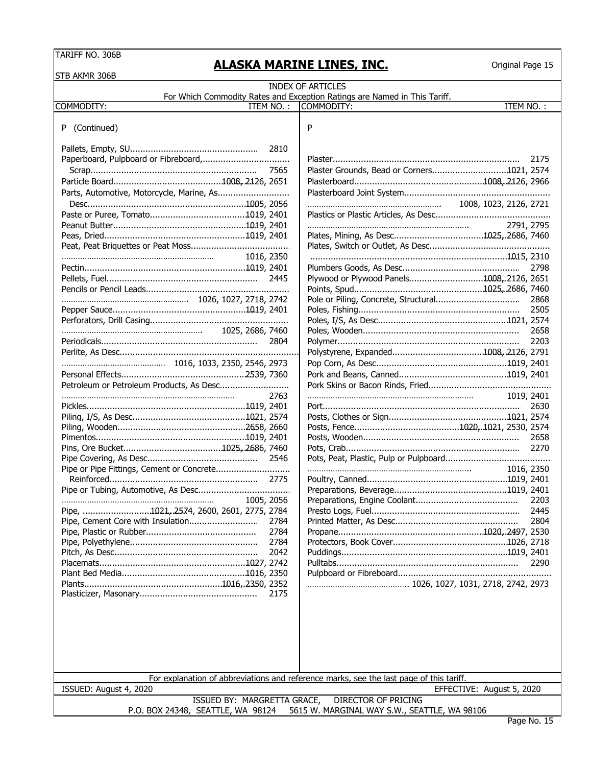STB AKMR 306B

## **ALASKA MARINE LINES, INC.**

| שטטע ווויורוד שוכ                         | <b>INDEX OF ARTICLES</b>                                                                |
|-------------------------------------------|-----------------------------------------------------------------------------------------|
|                                           | For Which Commodity Rates and Exception Ratings are Named in This Tariff.               |
| COMMODITY:<br>ITEM NO. :                  | ITEM NO.:<br>COMMODITY:                                                                 |
|                                           |                                                                                         |
| (Continued)<br>P.                         | P                                                                                       |
|                                           |                                                                                         |
| 2810                                      |                                                                                         |
|                                           | 2175                                                                                    |
| 7565                                      | Plaster Grounds, Bead or Corners1021, 2574                                              |
|                                           |                                                                                         |
| Parts, Automotive, Motorcycle, Marine, As |                                                                                         |
|                                           | 1008, 1023, 2126, 2721                                                                  |
|                                           |                                                                                         |
|                                           | 2791, 2795                                                                              |
|                                           |                                                                                         |
|                                           |                                                                                         |
| 1016, 2350                                |                                                                                         |
|                                           | 2798                                                                                    |
|                                           | Plywood or Plywood Panels1008,.2126, 2651                                               |
|                                           |                                                                                         |
|                                           | 2868                                                                                    |
|                                           | 2505                                                                                    |
|                                           |                                                                                         |
|                                           | 2658                                                                                    |
| 2804                                      | 2203                                                                                    |
|                                           |                                                                                         |
|                                           |                                                                                         |
|                                           |                                                                                         |
| Petroleum or Petroleum Products, As Desc  |                                                                                         |
| 2763                                      | 1019, 2401                                                                              |
|                                           | 2630                                                                                    |
|                                           |                                                                                         |
|                                           |                                                                                         |
|                                           | 2658                                                                                    |
|                                           | 2270                                                                                    |
| 2546                                      |                                                                                         |
| Pipe or Pipe Fittings, Cement or Concrete | 1016, 2350                                                                              |
|                                           |                                                                                         |
|                                           |                                                                                         |
| 1005, 2056                                | 2203                                                                                    |
| Pipe, 1021, 2574, 2600, 2601, 2775, 2784  |                                                                                         |
| 2784                                      | 2804                                                                                    |
| 2784                                      |                                                                                         |
| 2784                                      |                                                                                         |
| 2042                                      |                                                                                         |
|                                           | 2290                                                                                    |
|                                           |                                                                                         |
|                                           |                                                                                         |
| 2175                                      |                                                                                         |
|                                           |                                                                                         |
|                                           |                                                                                         |
|                                           |                                                                                         |
|                                           |                                                                                         |
|                                           |                                                                                         |
|                                           |                                                                                         |
|                                           |                                                                                         |
|                                           | For explanation of abbreviations and reference marks, see the last page of this tariff. |
| ISSUED: August 4, 2020                    | EFFECTIVE: August 5, 2020                                                               |
| ISSUED BY: MARGRETTA GRACE,               | DIRECTOR OF PRICING                                                                     |
| P.O. BOX 24348, SEATTLE, WA 98124         | 5615 W. MARGINAL WAY S.W., SEATTLE, WA 98106                                            |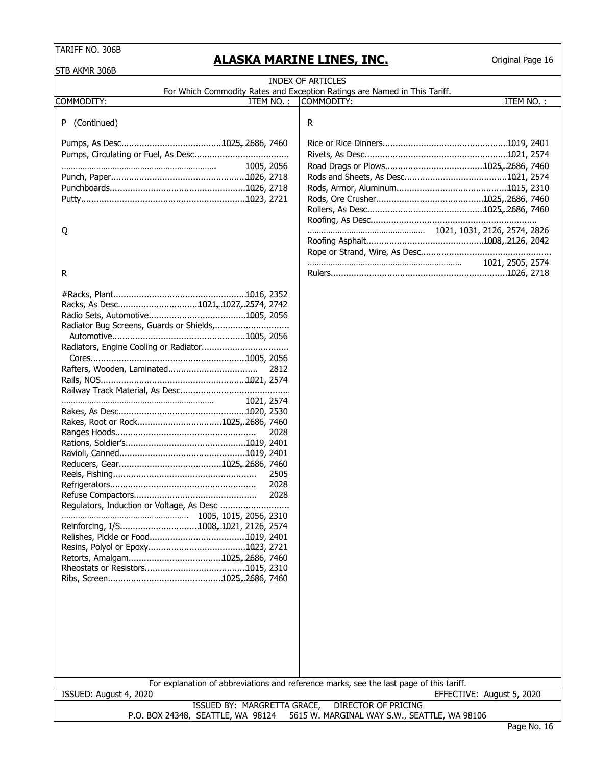## **ALASKA MARINE LINES, INC.**

| STB AKMR 306B                                                    | <u>ALAJNA MANINE EINEJ, INC.</u>                                                        | onginar rayc 10  |
|------------------------------------------------------------------|-----------------------------------------------------------------------------------------|------------------|
|                                                                  | <b>INDEX OF ARTICLES</b>                                                                |                  |
|                                                                  | For Which Commodity Rates and Exception Ratings are Named in This Tariff.               |                  |
| <b>COMMODITY:</b><br>ITEM NO.:                                   | COMMODITY:                                                                              | ITEM NO.:        |
| P (Continued)                                                    | R                                                                                       |                  |
|                                                                  |                                                                                         |                  |
|                                                                  |                                                                                         |                  |
| 1005, 2056                                                       |                                                                                         |                  |
|                                                                  |                                                                                         |                  |
|                                                                  |                                                                                         |                  |
|                                                                  |                                                                                         |                  |
|                                                                  |                                                                                         |                  |
|                                                                  |                                                                                         |                  |
| Q                                                                |                                                                                         |                  |
|                                                                  |                                                                                         |                  |
|                                                                  |                                                                                         |                  |
| R                                                                |                                                                                         | 1021, 2505, 2574 |
|                                                                  |                                                                                         |                  |
|                                                                  |                                                                                         |                  |
| Racks, As Desc1021, 1027, 2574, 2742                             |                                                                                         |                  |
|                                                                  |                                                                                         |                  |
| Radiator Bug Screens, Guards or Shields,                         |                                                                                         |                  |
|                                                                  |                                                                                         |                  |
|                                                                  |                                                                                         |                  |
|                                                                  |                                                                                         |                  |
| 2812                                                             |                                                                                         |                  |
|                                                                  |                                                                                         |                  |
|                                                                  |                                                                                         |                  |
| 1021, 2574                                                       |                                                                                         |                  |
| Rakes, Root or Rock1025, 2686, 7460                              |                                                                                         |                  |
| 2028                                                             |                                                                                         |                  |
|                                                                  |                                                                                         |                  |
|                                                                  |                                                                                         |                  |
|                                                                  |                                                                                         |                  |
| 2505                                                             |                                                                                         |                  |
| 2028                                                             |                                                                                         |                  |
| 2028                                                             |                                                                                         |                  |
| Regulators, Induction or Voltage, As Desc                        |                                                                                         |                  |
| Reinforcing, I/S1008, 1021, 2126, 2574                           |                                                                                         |                  |
|                                                                  |                                                                                         |                  |
|                                                                  |                                                                                         |                  |
|                                                                  |                                                                                         |                  |
|                                                                  |                                                                                         |                  |
|                                                                  |                                                                                         |                  |
|                                                                  |                                                                                         |                  |
|                                                                  |                                                                                         |                  |
|                                                                  |                                                                                         |                  |
|                                                                  |                                                                                         |                  |
|                                                                  |                                                                                         |                  |
|                                                                  |                                                                                         |                  |
|                                                                  |                                                                                         |                  |
|                                                                  |                                                                                         |                  |
|                                                                  | For explanation of abbreviations and reference marks, see the last page of this tariff. |                  |
| ISSUED: August 4, 2020                                           | EFFECTIVE: August 5, 2020                                                               |                  |
| ISSUED BY: MARGRETTA GRACE,<br>P.O. BOX 24348, SEATTLE, WA 98124 | DIRECTOR OF PRICING<br>5615 W. MARGINAL WAY S.W., SEATTLE, WA 98106                     |                  |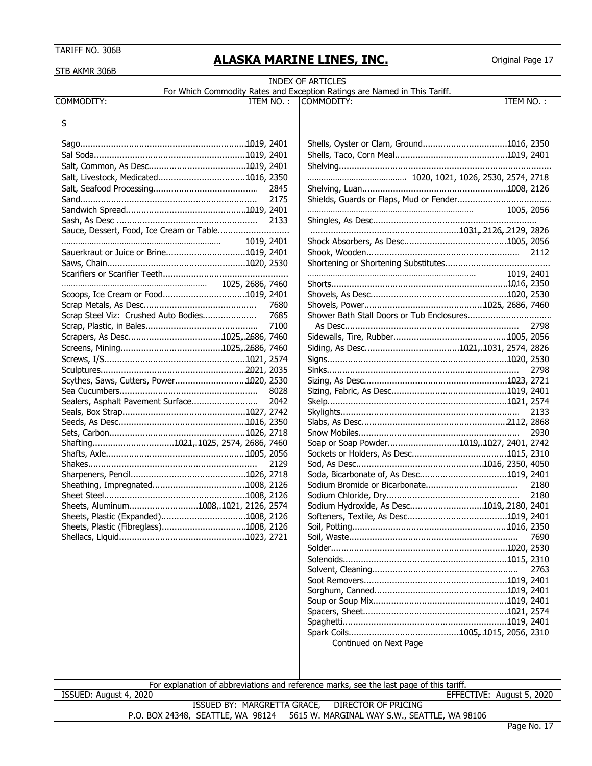| <b>TARIFF NO. 306B</b>                  |                  |           | <u>ALASKA MARINE LINES, INC.</u>                                                                      | Original Page 17 |
|-----------------------------------------|------------------|-----------|-------------------------------------------------------------------------------------------------------|------------------|
| STB AKMR 306B                           |                  |           |                                                                                                       |                  |
|                                         |                  |           | <b>INDEX OF ARTICLES</b><br>For Which Commodity Rates and Exception Ratings are Named in This Tariff. |                  |
| COMMODITY:                              |                  | ITEM NO.: | COMMODITY:                                                                                            | ITEM NO.:        |
| S                                       |                  |           |                                                                                                       |                  |
|                                         |                  |           |                                                                                                       |                  |
|                                         |                  |           |                                                                                                       |                  |
|                                         |                  |           |                                                                                                       |                  |
|                                         |                  |           |                                                                                                       |                  |
| Salt, Livestock, Medicated1016, 2350    |                  |           |                                                                                                       |                  |
|                                         |                  | 2845      |                                                                                                       |                  |
|                                         |                  | 2175      |                                                                                                       |                  |
|                                         |                  |           |                                                                                                       | 1005, 2056       |
|                                         |                  | 2133      |                                                                                                       |                  |
|                                         |                  |           |                                                                                                       |                  |
|                                         | 1019, 2401       |           |                                                                                                       |                  |
|                                         |                  |           |                                                                                                       | 2112             |
|                                         |                  |           |                                                                                                       |                  |
|                                         | 1025, 2686, 7460 |           |                                                                                                       | 1019, 2401       |
| Scoops, Ice Cream or Food1019, 2401     |                  |           |                                                                                                       |                  |
|                                         |                  | 7680      |                                                                                                       |                  |
| Scrap Steel Viz: Crushed Auto Bodies    |                  | 7685      |                                                                                                       |                  |
|                                         |                  | 7100      |                                                                                                       | 2798             |
|                                         |                  |           |                                                                                                       |                  |
|                                         |                  |           |                                                                                                       |                  |
|                                         |                  |           |                                                                                                       |                  |
|                                         |                  |           |                                                                                                       | 2798             |
| Scythes, Saws, Cutters, Power1020, 2530 |                  |           |                                                                                                       |                  |
|                                         |                  | 8028      |                                                                                                       |                  |
| Sealers, Asphalt Pavement Surface       |                  | 2042      |                                                                                                       |                  |
|                                         |                  |           |                                                                                                       | 2133             |
|                                         |                  |           |                                                                                                       |                  |
|                                         |                  |           |                                                                                                       | 2930             |
| Shafting1021,.1025, 2574, 2686, 7460    |                  |           | Soap or Soap Powder1019,.1027, 2401, 2742                                                             |                  |
|                                         |                  |           |                                                                                                       |                  |
|                                         |                  | 2129      |                                                                                                       |                  |
|                                         |                  |           |                                                                                                       |                  |
|                                         |                  |           |                                                                                                       | 2180             |
|                                         |                  |           |                                                                                                       | 2180             |
| Sheets, Aluminum1008, 1021, 2126, 2574  |                  |           | Sodium Hydroxide, As Desc1019, 2180, 2401                                                             |                  |
| Sheets, Plastic (Expanded)1008, 2126    |                  |           |                                                                                                       |                  |
|                                         |                  |           |                                                                                                       |                  |
|                                         |                  |           |                                                                                                       | 7690             |
|                                         |                  |           |                                                                                                       |                  |
|                                         |                  |           |                                                                                                       |                  |
|                                         |                  |           |                                                                                                       | 2763             |
|                                         |                  |           |                                                                                                       |                  |
|                                         |                  |           |                                                                                                       |                  |
|                                         |                  |           |                                                                                                       |                  |
|                                         |                  |           |                                                                                                       |                  |
|                                         |                  |           |                                                                                                       |                  |
|                                         |                  |           |                                                                                                       |                  |
|                                         |                  |           | Continued on Next Page                                                                                |                  |

For explanation of abbreviations and reference marks, see the last page of this tariff.

ISSUED: August 4, 2020 EFFECTIVE: August 5, 2020

ISSUED BY: MARGRETTA GRACE, DIRECTOR OF PRICING P.O. BOX 24348, SEATTLE, WA 98124 5615 W. MARGINAL WAY S.W., SEATTLE, WA 98106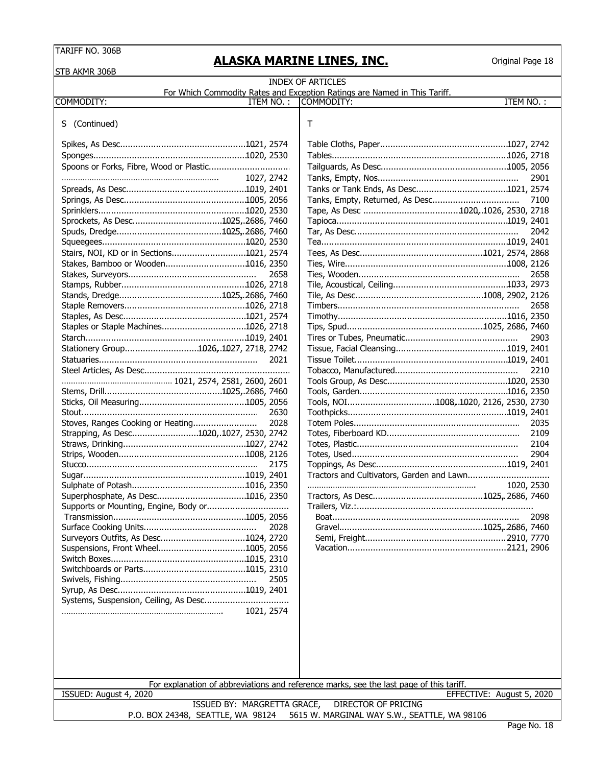**ALASKA MARINE LINES, INC.**

| STB AKMR 306B                                                    |            |                                                                                         |                           |
|------------------------------------------------------------------|------------|-----------------------------------------------------------------------------------------|---------------------------|
|                                                                  |            | <b>INDEX OF ARTICLES</b>                                                                |                           |
| COMMODITY:                                                       | ITEM NO.:  | For Which Commodity Rates and Exception Ratings are Named in This Tariff.<br>COMMODITY: | <b>ITEM NO.:</b>          |
|                                                                  |            |                                                                                         |                           |
| (Continued)<br>S.                                                |            | Т                                                                                       |                           |
|                                                                  |            |                                                                                         |                           |
|                                                                  |            |                                                                                         |                           |
|                                                                  |            |                                                                                         |                           |
|                                                                  | 1027, 2742 |                                                                                         | 2901                      |
|                                                                  |            |                                                                                         |                           |
|                                                                  |            |                                                                                         | 7100                      |
|                                                                  |            |                                                                                         |                           |
|                                                                  |            |                                                                                         |                           |
|                                                                  |            |                                                                                         | 2042                      |
|                                                                  |            |                                                                                         |                           |
| Stairs, NOI, KD or in Sections1021, 2574                         |            |                                                                                         |                           |
| Stakes, Bamboo or Wooden1016, 2350                               |            |                                                                                         |                           |
|                                                                  | 2658       |                                                                                         | 2658                      |
|                                                                  |            |                                                                                         |                           |
|                                                                  |            |                                                                                         |                           |
|                                                                  |            |                                                                                         | 2658                      |
|                                                                  |            |                                                                                         |                           |
| Staples or Staple Machines1026, 2718                             |            |                                                                                         |                           |
|                                                                  |            |                                                                                         | 2903                      |
| Stationery Group1026, 1027, 2718, 2742                           | 2021       |                                                                                         |                           |
|                                                                  |            |                                                                                         | 2210                      |
|                                                                  |            |                                                                                         |                           |
|                                                                  |            |                                                                                         |                           |
|                                                                  |            | Tools, NOI1008, 1020, 2126, 2530, 2730                                                  |                           |
|                                                                  | 2630       |                                                                                         |                           |
| Stoves, Ranges Cooking or Heating                                | 2028       |                                                                                         | 2035                      |
| Strapping, As Desc1020,.1027, 2530, 2742                         |            |                                                                                         | 2109                      |
|                                                                  |            |                                                                                         | 2104                      |
|                                                                  |            |                                                                                         | 2904                      |
|                                                                  | 2175       |                                                                                         |                           |
|                                                                  |            |                                                                                         |                           |
|                                                                  |            |                                                                                         | 1020, 2530                |
|                                                                  |            |                                                                                         |                           |
|                                                                  |            |                                                                                         |                           |
|                                                                  |            |                                                                                         | 2098                      |
| Surveyors Outfits, As Desc1024, 2720                             | 2028       |                                                                                         |                           |
|                                                                  |            |                                                                                         |                           |
|                                                                  |            |                                                                                         |                           |
|                                                                  |            |                                                                                         |                           |
|                                                                  | 2505       |                                                                                         |                           |
|                                                                  |            |                                                                                         |                           |
|                                                                  |            |                                                                                         |                           |
|                                                                  | 1021, 2574 |                                                                                         |                           |
|                                                                  |            |                                                                                         |                           |
|                                                                  |            |                                                                                         |                           |
|                                                                  |            |                                                                                         |                           |
|                                                                  |            | For explanation of abbreviations and reference marks, see the last page of this tariff. |                           |
| ISSUED: August 4, 2020                                           |            |                                                                                         | EFFECTIVE: August 5, 2020 |
| ISSUED BY: MARGRETTA GRACE,<br>P.O. BOX 24348, SEATTLE, WA 98124 |            | <b>DIRECTOR OF PRICING</b><br>5615 W. MARGINAL WAY S.W., SEATTLE, WA 98106              |                           |
|                                                                  |            |                                                                                         |                           |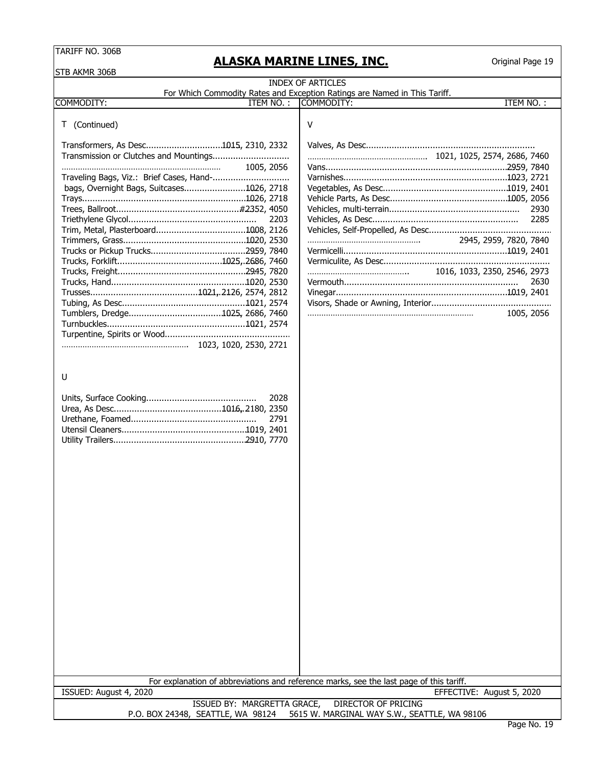# **ALASKA MARINE LINES, INC.**

| STB AKMR 306B                                                                                                                   |                                                                                         |  |  |  |  |  |
|---------------------------------------------------------------------------------------------------------------------------------|-----------------------------------------------------------------------------------------|--|--|--|--|--|
| <b>INDEX OF ARTICLES</b>                                                                                                        |                                                                                         |  |  |  |  |  |
| For Which Commodity Rates and Exception Ratings are Named in This Tariff.<br>ITEM NO.:<br>COMMODITY:<br>ITEM NO.:<br>COMMODITY: |                                                                                         |  |  |  |  |  |
|                                                                                                                                 |                                                                                         |  |  |  |  |  |
| T (Continued)                                                                                                                   | V                                                                                       |  |  |  |  |  |
|                                                                                                                                 |                                                                                         |  |  |  |  |  |
|                                                                                                                                 |                                                                                         |  |  |  |  |  |
| 1005, 2056                                                                                                                      |                                                                                         |  |  |  |  |  |
|                                                                                                                                 |                                                                                         |  |  |  |  |  |
| bags, Overnight Bags, Suitcases1026, 2718                                                                                       |                                                                                         |  |  |  |  |  |
|                                                                                                                                 |                                                                                         |  |  |  |  |  |
|                                                                                                                                 | 2930                                                                                    |  |  |  |  |  |
| 2203                                                                                                                            | 2285                                                                                    |  |  |  |  |  |
|                                                                                                                                 | 2945, 2959, 7820, 7840                                                                  |  |  |  |  |  |
|                                                                                                                                 |                                                                                         |  |  |  |  |  |
|                                                                                                                                 |                                                                                         |  |  |  |  |  |
|                                                                                                                                 | 1016, 1033, 2350, 2546, 2973                                                            |  |  |  |  |  |
|                                                                                                                                 | 2630                                                                                    |  |  |  |  |  |
|                                                                                                                                 |                                                                                         |  |  |  |  |  |
|                                                                                                                                 |                                                                                         |  |  |  |  |  |
|                                                                                                                                 | 1005, 2056                                                                              |  |  |  |  |  |
|                                                                                                                                 |                                                                                         |  |  |  |  |  |
|                                                                                                                                 |                                                                                         |  |  |  |  |  |
|                                                                                                                                 |                                                                                         |  |  |  |  |  |
|                                                                                                                                 |                                                                                         |  |  |  |  |  |
| U                                                                                                                               |                                                                                         |  |  |  |  |  |
|                                                                                                                                 |                                                                                         |  |  |  |  |  |
| 2028                                                                                                                            |                                                                                         |  |  |  |  |  |
|                                                                                                                                 |                                                                                         |  |  |  |  |  |
| 2791                                                                                                                            |                                                                                         |  |  |  |  |  |
|                                                                                                                                 |                                                                                         |  |  |  |  |  |
|                                                                                                                                 |                                                                                         |  |  |  |  |  |
|                                                                                                                                 |                                                                                         |  |  |  |  |  |
|                                                                                                                                 |                                                                                         |  |  |  |  |  |
|                                                                                                                                 |                                                                                         |  |  |  |  |  |
|                                                                                                                                 |                                                                                         |  |  |  |  |  |
|                                                                                                                                 |                                                                                         |  |  |  |  |  |
|                                                                                                                                 |                                                                                         |  |  |  |  |  |
|                                                                                                                                 |                                                                                         |  |  |  |  |  |
|                                                                                                                                 |                                                                                         |  |  |  |  |  |
|                                                                                                                                 |                                                                                         |  |  |  |  |  |
|                                                                                                                                 |                                                                                         |  |  |  |  |  |
|                                                                                                                                 |                                                                                         |  |  |  |  |  |
|                                                                                                                                 |                                                                                         |  |  |  |  |  |
|                                                                                                                                 |                                                                                         |  |  |  |  |  |
|                                                                                                                                 |                                                                                         |  |  |  |  |  |
|                                                                                                                                 |                                                                                         |  |  |  |  |  |
|                                                                                                                                 |                                                                                         |  |  |  |  |  |
|                                                                                                                                 |                                                                                         |  |  |  |  |  |
|                                                                                                                                 |                                                                                         |  |  |  |  |  |
|                                                                                                                                 |                                                                                         |  |  |  |  |  |
|                                                                                                                                 |                                                                                         |  |  |  |  |  |
|                                                                                                                                 | For explanation of abbreviations and reference marks, see the last page of this tariff. |  |  |  |  |  |
| ISSUED: August 4, 2020                                                                                                          | EFFECTIVE: August 5, 2020                                                               |  |  |  |  |  |
| ISSUED BY: MARGRETTA GRACE,                                                                                                     | <b>DIRECTOR OF PRICING</b>                                                              |  |  |  |  |  |
| P.O. BOX 24348, SEATTLE, WA 98124                                                                                               | 5615 W. MARGINAL WAY S.W., SEATTLE, WA 98106                                            |  |  |  |  |  |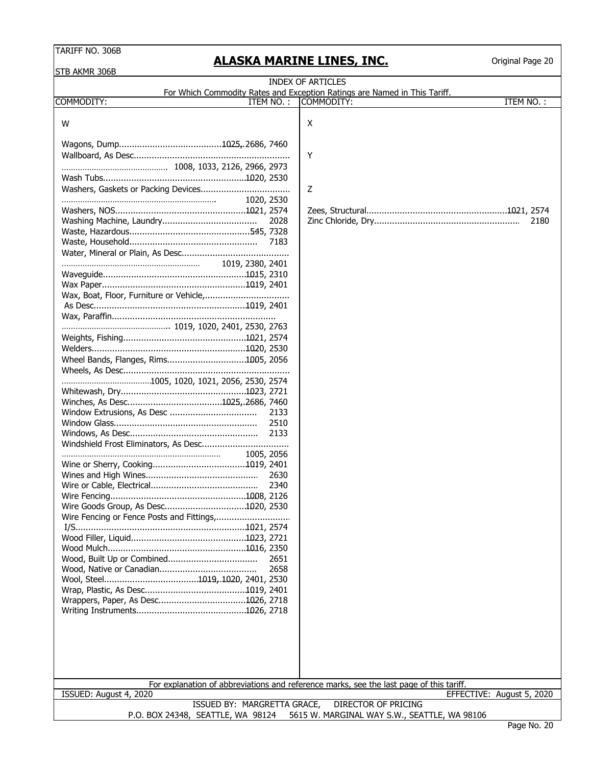STR AKMR 306B

# **ALASKA MARINE LINES, INC.**

| שטטכ עוויוען חוכ                     |                                                                                         |
|--------------------------------------|-----------------------------------------------------------------------------------------|
|                                      | <b>INDEX OF ARTICLES</b>                                                                |
|                                      | For Which Commodity Rates and Exception Ratings are Named in This Tariff.               |
| COMMODITY:<br>ITEM NO.:              | ITEM NO.:<br>COMMODITY:                                                                 |
| W                                    | X                                                                                       |
|                                      |                                                                                         |
|                                      |                                                                                         |
|                                      | Y                                                                                       |
|                                      |                                                                                         |
|                                      |                                                                                         |
|                                      | Z                                                                                       |
| 1020, 2530                           |                                                                                         |
|                                      |                                                                                         |
| 2028                                 | 2180                                                                                    |
|                                      |                                                                                         |
| 7183                                 |                                                                                         |
|                                      |                                                                                         |
| 1019, 2380, 2401                     |                                                                                         |
|                                      |                                                                                         |
|                                      |                                                                                         |
|                                      |                                                                                         |
|                                      |                                                                                         |
|                                      |                                                                                         |
|                                      |                                                                                         |
|                                      |                                                                                         |
|                                      |                                                                                         |
| Wheel Bands, Flanges, Rims1005, 2056 |                                                                                         |
|                                      |                                                                                         |
|                                      |                                                                                         |
|                                      |                                                                                         |
|                                      |                                                                                         |
| 2133                                 |                                                                                         |
| 2510                                 |                                                                                         |
| 2133                                 |                                                                                         |
|                                      |                                                                                         |
| 1005, 2056                           |                                                                                         |
| 2630                                 |                                                                                         |
| 2340                                 |                                                                                         |
|                                      |                                                                                         |
| Wire Goods Group, As Desc1020, 2530  |                                                                                         |
|                                      |                                                                                         |
|                                      |                                                                                         |
|                                      |                                                                                         |
|                                      |                                                                                         |
| 2651                                 |                                                                                         |
| 2658                                 |                                                                                         |
|                                      |                                                                                         |
|                                      |                                                                                         |
| Wrappers, Paper, As Desc1026, 2718   |                                                                                         |
|                                      |                                                                                         |
|                                      |                                                                                         |
|                                      |                                                                                         |
|                                      |                                                                                         |
|                                      |                                                                                         |
|                                      |                                                                                         |
|                                      | For explanation of abbreviations and reference marks, see the last page of this tariff. |
| ISSUED: August 4, 2020               | EFFECTIVE: August 5, 2020                                                               |
| ISSUED BY: MARGRETTA GRACE,          | <b>DIRECTOR OF PRICING</b>                                                              |
| P.O. BOX 24348, SEATTLE, WA 98124    | 5615 W. MARGINAL WAY S.W., SEATTLE, WA 98106                                            |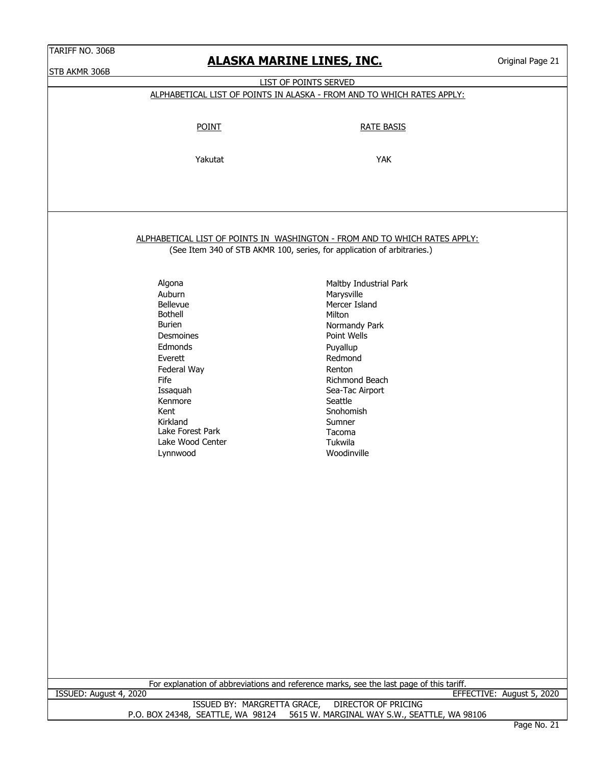**ALASKA MARINE LINES, INC.**

 $O_{\text{wimal}}$  D

| STB AKMR 306B          |                                   | <u>ALASKA MARINE LINES, INC.</u>                                                        | Original Page 21          |
|------------------------|-----------------------------------|-----------------------------------------------------------------------------------------|---------------------------|
|                        |                                   | LIST OF POINTS SERVED                                                                   |                           |
|                        |                                   | ALPHABETICAL LIST OF POINTS IN ALASKA - FROM AND TO WHICH RATES APPLY:                  |                           |
|                        |                                   |                                                                                         |                           |
|                        |                                   |                                                                                         |                           |
|                        | <b>POINT</b>                      | <b>RATE BASIS</b>                                                                       |                           |
|                        |                                   |                                                                                         |                           |
|                        | Yakutat                           | <b>YAK</b>                                                                              |                           |
|                        |                                   |                                                                                         |                           |
|                        |                                   |                                                                                         |                           |
|                        |                                   |                                                                                         |                           |
|                        |                                   |                                                                                         |                           |
|                        |                                   |                                                                                         |                           |
|                        |                                   | ALPHABETICAL LIST OF POINTS IN WASHINGTON - FROM AND TO WHICH RATES APPLY:              |                           |
|                        |                                   | (See Item 340 of STB AKMR 100, series, for application of arbitraries.)                 |                           |
|                        |                                   |                                                                                         |                           |
|                        | Algona                            | Maltby Industrial Park                                                                  |                           |
|                        | Auburn                            | Marysville                                                                              |                           |
|                        | Bellevue                          | Mercer Island                                                                           |                           |
|                        | <b>Bothell</b><br><b>Burien</b>   | Milton                                                                                  |                           |
|                        | Desmoines                         | Normandy Park<br>Point Wells                                                            |                           |
|                        | Edmonds                           | Puyallup                                                                                |                           |
|                        | Everett                           | Redmond                                                                                 |                           |
|                        | Federal Way                       | Renton                                                                                  |                           |
|                        | Fife                              | Richmond Beach                                                                          |                           |
|                        | Issaquah                          | Sea-Tac Airport                                                                         |                           |
|                        | Kenmore                           | Seattle                                                                                 |                           |
|                        | Kent                              | Snohomish                                                                               |                           |
|                        | Kirkland                          | Sumner                                                                                  |                           |
|                        | Lake Forest Park                  | Tacoma                                                                                  |                           |
|                        | Lake Wood Center                  | Tukwila                                                                                 |                           |
|                        | Lynnwood                          | Woodinville                                                                             |                           |
|                        |                                   |                                                                                         |                           |
|                        |                                   |                                                                                         |                           |
|                        |                                   |                                                                                         |                           |
|                        |                                   |                                                                                         |                           |
|                        |                                   |                                                                                         |                           |
|                        |                                   |                                                                                         |                           |
|                        |                                   |                                                                                         |                           |
|                        |                                   |                                                                                         |                           |
|                        |                                   |                                                                                         |                           |
|                        |                                   |                                                                                         |                           |
|                        |                                   |                                                                                         |                           |
|                        |                                   |                                                                                         |                           |
|                        |                                   |                                                                                         |                           |
|                        |                                   |                                                                                         |                           |
|                        |                                   |                                                                                         |                           |
|                        |                                   |                                                                                         |                           |
|                        |                                   |                                                                                         |                           |
|                        |                                   |                                                                                         |                           |
|                        |                                   | For explanation of abbreviations and reference marks, see the last page of this tariff. |                           |
| ISSUED: August 4, 2020 |                                   |                                                                                         | EFFECTIVE: August 5, 2020 |
|                        | ISSUED BY: MARGRETTA GRACE,       | <b>DIRECTOR OF PRICING</b>                                                              |                           |
|                        | P.O. BOX 24348, SEATTLE, WA 98124 | 5615 W. MARGINAL WAY S.W., SEATTLE, WA 98106                                            | Page No. 21               |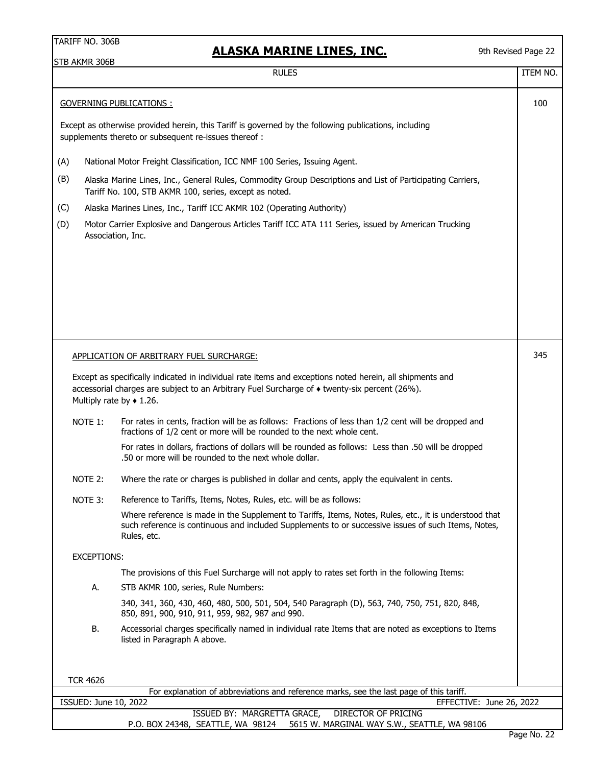# **ALASKA MARINE LINES, INC.**

9th Revised Page 22

|     |                    | <b>RULES</b>                                                                                                                                                                                                                                    | ITEM NO. |
|-----|--------------------|-------------------------------------------------------------------------------------------------------------------------------------------------------------------------------------------------------------------------------------------------|----------|
|     |                    | <b>GOVERNING PUBLICATIONS:</b>                                                                                                                                                                                                                  | 100      |
|     |                    | Except as otherwise provided herein, this Tariff is governed by the following publications, including<br>supplements thereto or subsequent re-issues thereof :                                                                                  |          |
| (A) |                    | National Motor Freight Classification, ICC NMF 100 Series, Issuing Agent.                                                                                                                                                                       |          |
| (B) |                    | Alaska Marine Lines, Inc., General Rules, Commodity Group Descriptions and List of Participating Carriers,<br>Tariff No. 100, STB AKMR 100, series, except as noted.                                                                            |          |
| (C) |                    | Alaska Marines Lines, Inc., Tariff ICC AKMR 102 (Operating Authority)                                                                                                                                                                           |          |
| (D) |                    | Motor Carrier Explosive and Dangerous Articles Tariff ICC ATA 111 Series, issued by American Trucking<br>Association, Inc.                                                                                                                      |          |
|     |                    |                                                                                                                                                                                                                                                 |          |
|     |                    | APPLICATION OF ARBITRARY FUEL SURCHARGE:                                                                                                                                                                                                        | 345      |
|     |                    | Except as specifically indicated in individual rate items and exceptions noted herein, all shipments and<br>accessorial charges are subject to an Arbitrary Fuel Surcharge of • twenty-six percent (26%).<br>Multiply rate by $\triangle$ 1.26. |          |
|     | NOTE 1:            | For rates in cents, fraction will be as follows: Fractions of less than 1/2 cent will be dropped and                                                                                                                                            |          |
|     |                    | fractions of 1/2 cent or more will be rounded to the next whole cent.                                                                                                                                                                           |          |
|     |                    | For rates in dollars, fractions of dollars will be rounded as follows: Less than .50 will be dropped<br>.50 or more will be rounded to the next whole dollar.                                                                                   |          |
|     | NOTE 2:            | Where the rate or charges is published in dollar and cents, apply the equivalent in cents.                                                                                                                                                      |          |
|     | NOTE 3:            | Reference to Tariffs, Items, Notes, Rules, etc. will be as follows:                                                                                                                                                                             |          |
|     |                    | Where reference is made in the Supplement to Tariffs, Items, Notes, Rules, etc., it is understood that<br>such reference is continuous and included Supplements to or successive issues of such Items, Notes,<br>Rules, etc.                    |          |
|     | <b>EXCEPTIONS:</b> |                                                                                                                                                                                                                                                 |          |
|     |                    | The provisions of this Fuel Surcharge will not apply to rates set forth in the following Items:                                                                                                                                                 |          |
|     | А.                 | STB AKMR 100, series, Rule Numbers:                                                                                                                                                                                                             |          |
|     |                    | 340, 341, 360, 430, 460, 480, 500, 501, 504, 540 Paragraph (D), 563, 740, 750, 751, 820, 848,<br>850, 891, 900, 910, 911, 959, 982, 987 and 990.                                                                                                |          |
|     | В.                 | Accessorial charges specifically named in individual rate Items that are noted as exceptions to Items<br>listed in Paragraph A above.                                                                                                           |          |
|     | <b>TCR 4626</b>    | For explanation of abbreviations and reference marks, see the last page of this tariff.                                                                                                                                                         |          |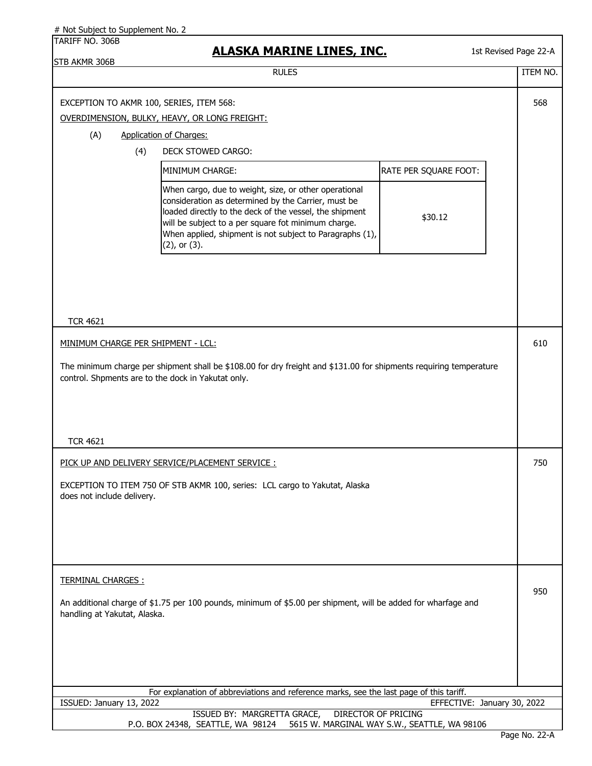| # Not Subject to Supplement No. 2 |     |                                                                                                                                                                                                                                                                                                                  |                                              |                             |
|-----------------------------------|-----|------------------------------------------------------------------------------------------------------------------------------------------------------------------------------------------------------------------------------------------------------------------------------------------------------------------|----------------------------------------------|-----------------------------|
| TARIFF NO. 306B                   |     | <u>ALASKA MARINE LINES, INC.</u>                                                                                                                                                                                                                                                                                 |                                              | 1st Revised Page 22-A       |
| STB AKMR 306B                     |     | <b>RULES</b>                                                                                                                                                                                                                                                                                                     |                                              | <b>ITEM NO.</b>             |
|                                   |     | EXCEPTION TO AKMR 100, SERIES, ITEM 568:<br>OVERDIMENSION, BULKY, HEAVY, OR LONG FREIGHT:                                                                                                                                                                                                                        |                                              | 568                         |
| (A)                               |     | <b>Application of Charges:</b>                                                                                                                                                                                                                                                                                   |                                              |                             |
|                                   | (4) | DECK STOWED CARGO:                                                                                                                                                                                                                                                                                               |                                              |                             |
|                                   |     | MINIMUM CHARGE:                                                                                                                                                                                                                                                                                                  | RATE PER SQUARE FOOT:                        |                             |
|                                   |     |                                                                                                                                                                                                                                                                                                                  |                                              |                             |
|                                   |     | When cargo, due to weight, size, or other operational<br>consideration as determined by the Carrier, must be<br>loaded directly to the deck of the vessel, the shipment<br>will be subject to a per square fot minimum charge.<br>When applied, shipment is not subject to Paragraphs (1),<br>$(2)$ , or $(3)$ . | \$30.12                                      |                             |
| <b>TCR 4621</b>                   |     |                                                                                                                                                                                                                                                                                                                  |                                              |                             |
|                                   |     |                                                                                                                                                                                                                                                                                                                  |                                              |                             |
|                                   |     | MINIMUM CHARGE PER SHIPMENT - LCL:                                                                                                                                                                                                                                                                               |                                              | 610                         |
| <b>TCR 4621</b>                   |     | The minimum charge per shipment shall be \$108.00 for dry freight and \$131.00 for shipments requiring temperature<br>control. Shpments are to the dock in Yakutat only.                                                                                                                                         |                                              |                             |
|                                   |     |                                                                                                                                                                                                                                                                                                                  |                                              |                             |
|                                   |     | PICK UP AND DELIVERY SERVICE/PLACEMENT SERVICE :                                                                                                                                                                                                                                                                 |                                              | 750                         |
| does not include delivery.        |     | EXCEPTION TO ITEM 750 OF STB AKMR 100, series: LCL cargo to Yakutat, Alaska                                                                                                                                                                                                                                      |                                              |                             |
| <b>TERMINAL CHARGES:</b>          |     |                                                                                                                                                                                                                                                                                                                  |                                              | 950                         |
| handling at Yakutat, Alaska.      |     | An additional charge of \$1.75 per 100 pounds, minimum of \$5.00 per shipment, will be added for wharfage and                                                                                                                                                                                                    |                                              |                             |
|                                   |     |                                                                                                                                                                                                                                                                                                                  |                                              |                             |
|                                   |     | For explanation of abbreviations and reference marks, see the last page of this tariff.                                                                                                                                                                                                                          |                                              |                             |
| ISSUED: January 13, 2022          |     | ISSUED BY: MARGRETTA GRACE,<br><b>DIRECTOR OF PRICING</b>                                                                                                                                                                                                                                                        |                                              | EFFECTIVE: January 30, 2022 |
|                                   |     | P.O. BOX 24348, SEATTLE, WA 98124                                                                                                                                                                                                                                                                                | 5615 W. MARGINAL WAY S.W., SEATTLE, WA 98106 |                             |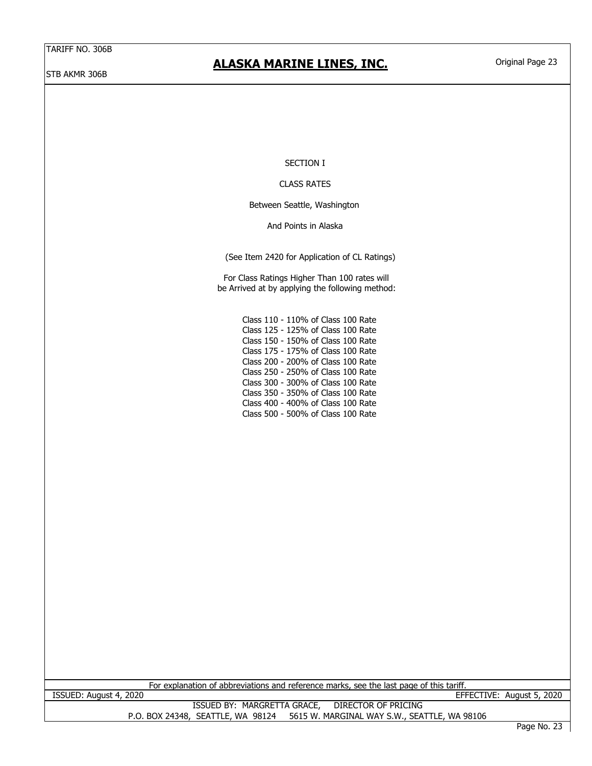STB AKMR 306B

### **ALASKA MARINE LINES, INC.**

### SECTION I

#### CLASS RATES

Between Seattle, Washington

And Points in Alaska

(See Item 2420 for Application of CL Ratings)

For Class Ratings Higher Than 100 rates will be Arrived at by applying the following method:

> Class 110 - 110% of Class 100 Rate Class 125 - 125% of Class 100 Rate Class 150 - 150% of Class 100 Rate Class 175 - 175% of Class 100 Rate Class 200 - 200% of Class 100 Rate Class 250 - 250% of Class 100 Rate Class 300 - 300% of Class 100 Rate Class 350 - 350% of Class 100 Rate Class 400 - 400% of Class 100 Rate Class 500 - 500% of Class 100 Rate

For explanation of abbreviations and reference marks, see the last page of this tariff.

ISSUED: August 4, 2020 EFFECTIVE: August 5, 2020 ISSUED BY: MARGRETTA GRACE, DIRECTOR OF PRICING

P.O. BOX 24348, SEATTLE, WA 98124 5615 W. MARGINAL WAY S.W., SEATTLE, WA 98106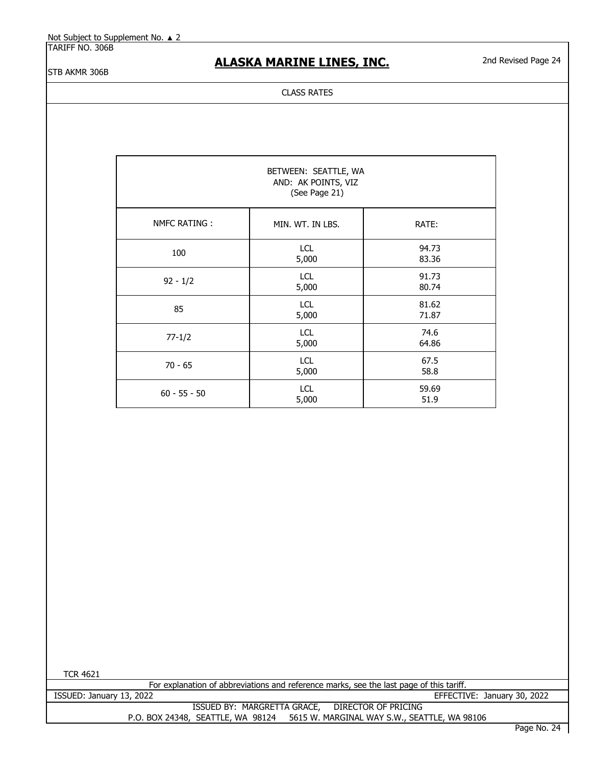TARIFF NO. 306B

### **ALASKA MARINE LINES, INC.**

2nd Revised Page 24

STB AKMR 306B

#### CLASS RATES

| BETWEEN: SEATTLE, WA<br>AND: AK POINTS, VIZ<br>(See Page 21) |                     |                |  |  |
|--------------------------------------------------------------|---------------------|----------------|--|--|
| NMFC RATING:                                                 | MIN. WT. IN LBS.    | RATE:          |  |  |
| 100                                                          | <b>LCL</b><br>5,000 | 94.73<br>83.36 |  |  |
| $92 - 1/2$                                                   | <b>LCL</b><br>5,000 | 91.73<br>80.74 |  |  |
| 85                                                           | LCL<br>5,000        | 81.62<br>71.87 |  |  |
| $77 - 1/2$                                                   | LCL<br>5,000        | 74.6<br>64.86  |  |  |
| $70 - 65$                                                    | LCL<br>5,000        | 67.5<br>58.8   |  |  |
| $60 - 55 - 50$                                               | LCL<br>5,000        | 59.69<br>51.9  |  |  |

TCR 4621

For explanation of abbreviations and reference marks, see the last page of this tariff.

ISSUED BY: MARGRETTA GRACE, DIRECTOR OF PRICING P.O. BOX 24348, SEATTLE, WA 98124 5615 W. MARGINAL WAY S.W., SEATTLE, WA 98106 EFFECTIVE: January 30, 2022 ISSUED: January 13, 2022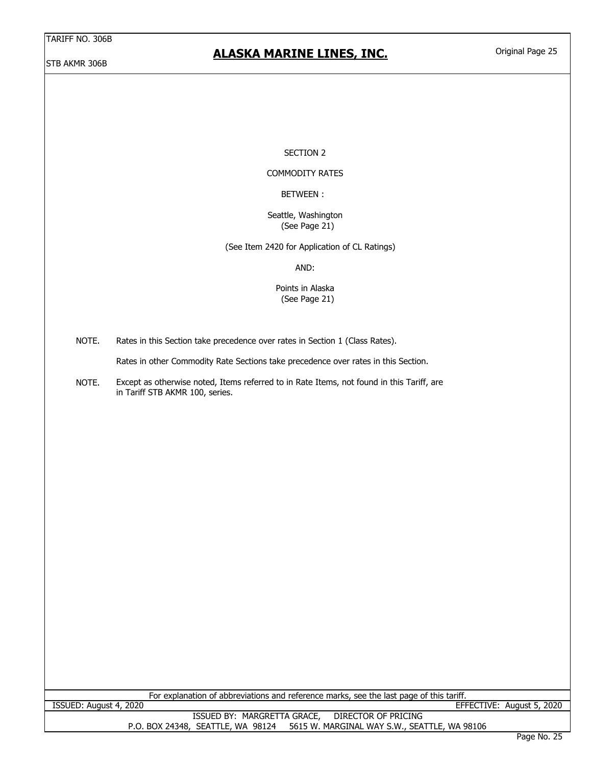### STB AKMR 306B

### **ALASKA MARINE LINES, INC.**

Original Page 25

#### SECTION 2

### COMMODITY RATES

### BETWEEN :

#### (See Page 21) Seattle, Washington

(See Item 2420 for Application of CL Ratings)

AND:

#### (See Page 21) Points in Alaska

NOTE. Rates in this Section take precedence over rates in Section 1 (Class Rates).

Rates in other Commodity Rate Sections take precedence over rates in this Section.

NOTE. Except as otherwise noted, Items referred to in Rate Items, not found in this Tariff, are in Tariff STB AKMR 100, series.

| For explanation of abbreviations and reference marks, see the last page of this tariff. |  |  |
|-----------------------------------------------------------------------------------------|--|--|
|-----------------------------------------------------------------------------------------|--|--|

ISSUED BY: MARGRETTA GRACE, DIRECTOR OF PRICING P.O. BOX 24348, SEATTLE, WA 98124 5615 W. MARGINAL WAY S.W., SEATTLE, WA 98106 ISSUED: August 4, 2020 EFFECTIVE: August 5, 2020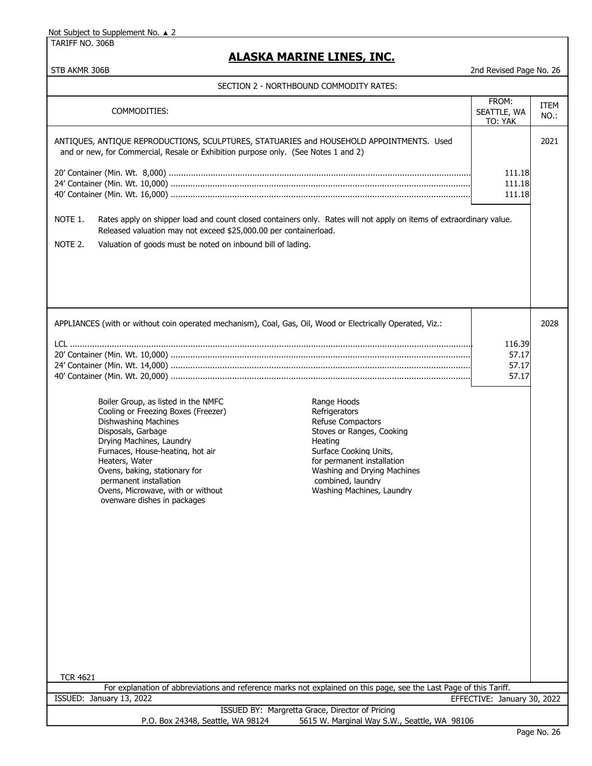TARIFF NO. 306B

# **ALASKA MARINE LINES, INC.**

STB AKMR 306B 2nd Revised Page No. 26

| COMMODITIES:                                                                                                                                                                                                                                                                                                                                                                                                                                                                                                                                                                                  | FROM:<br>SEATTLE, WA<br>TO: YAK   | <b>ITEM</b><br>NO.: |
|-----------------------------------------------------------------------------------------------------------------------------------------------------------------------------------------------------------------------------------------------------------------------------------------------------------------------------------------------------------------------------------------------------------------------------------------------------------------------------------------------------------------------------------------------------------------------------------------------|-----------------------------------|---------------------|
| ANTIQUES, ANTIQUE REPRODUCTIONS, SCULPTURES, STATUARIES and HOUSEHOLD APPOINTMENTS. Used<br>and or new, for Commercial, Resale or Exhibition purpose only. (See Notes 1 and 2)                                                                                                                                                                                                                                                                                                                                                                                                                |                                   | 2021                |
|                                                                                                                                                                                                                                                                                                                                                                                                                                                                                                                                                                                               | 111.18<br>111.18<br>111.18        |                     |
| NOTE 1.<br>Rates apply on shipper load and count closed containers only. Rates will not apply on items of extraordinary value.<br>Released valuation may not exceed \$25,000.00 per containerload.                                                                                                                                                                                                                                                                                                                                                                                            |                                   |                     |
| NOTE 2.<br>Valuation of goods must be noted on inbound bill of lading.                                                                                                                                                                                                                                                                                                                                                                                                                                                                                                                        |                                   |                     |
|                                                                                                                                                                                                                                                                                                                                                                                                                                                                                                                                                                                               |                                   |                     |
| APPLIANCES (with or without coin operated mechanism), Coal, Gas, Oil, Wood or Electrically Operated, Viz.:                                                                                                                                                                                                                                                                                                                                                                                                                                                                                    |                                   | 2028                |
|                                                                                                                                                                                                                                                                                                                                                                                                                                                                                                                                                                                               | 116.39<br>57.17<br>57.17<br>57.17 |                     |
| Boiler Group, as listed in the NMFC<br>Range Hoods<br>Cooling or Freezing Boxes (Freezer)<br>Refrigerators<br><b>Dishwashing Machines</b><br><b>Refuse Compactors</b><br>Disposals, Garbage<br>Stoves or Ranges, Cooking<br>Drying Machines, Laundry<br>Heating<br>Furnaces, House-heating, hot air<br>Surface Cooking Units,<br>Heaters, Water<br>for permanent installation<br>Ovens, baking, stationary for<br>Washing and Drying Machines<br>permanent installation<br>combined, laundry<br>Ovens, Microwave, with or without<br>Washing Machines, Laundry<br>ovenware dishes in packages |                                   |                     |
| <b>TCR 4621</b><br>For explanation of abbreviations and reference marks not explained on this page, see the Last Page of this Tariff.                                                                                                                                                                                                                                                                                                                                                                                                                                                         |                                   |                     |
| ISSUED: January 13, 2022<br>EFFECTIVE: January 30, 2022<br>ISSUED BY: Margretta Grace, Director of Pricing                                                                                                                                                                                                                                                                                                                                                                                                                                                                                    |                                   |                     |
| P.O. Box 24348, Seattle, WA 98124<br>5615 W. Marginal Way S.W., Seattle, WA 98106                                                                                                                                                                                                                                                                                                                                                                                                                                                                                                             |                                   |                     |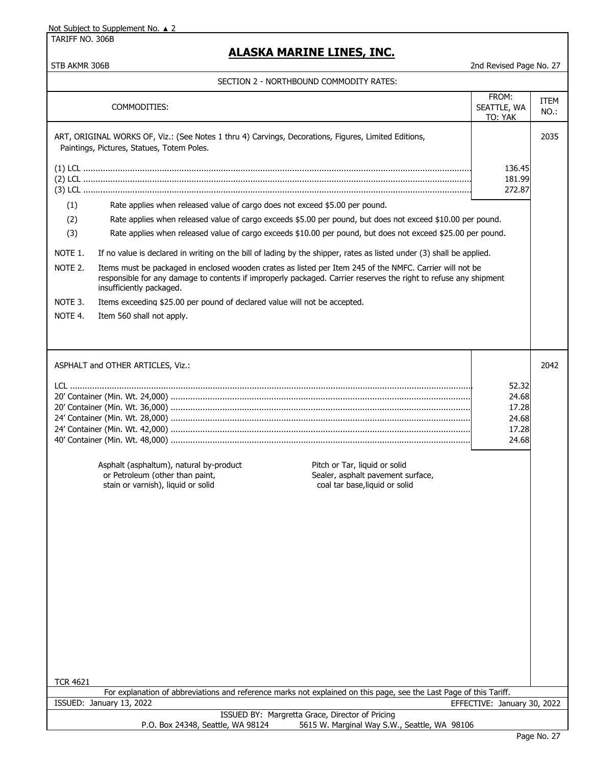TARIFF NO. 306B

# **ALASKA MARINE LINES, INC.**

STB AKMR 306B 2nd Revised Page No. 27

### SECTION 2 - NORTHBOUND COMMODITY RATES:

|                                                                                                                                                                                                                                                                     | COMMODITIES:                                                                                                                                                                                                             | FROM:<br>SEATTLE, WA<br>TO: YAK                    | ITEM<br>NO.: |
|---------------------------------------------------------------------------------------------------------------------------------------------------------------------------------------------------------------------------------------------------------------------|--------------------------------------------------------------------------------------------------------------------------------------------------------------------------------------------------------------------------|----------------------------------------------------|--------------|
|                                                                                                                                                                                                                                                                     | ART, ORIGINAL WORKS OF, Viz.: (See Notes 1 thru 4) Carvings, Decorations, Figures, Limited Editions,<br>Paintings, Pictures, Statues, Totem Poles.                                                                       |                                                    | 2035         |
| (1)                                                                                                                                                                                                                                                                 | Rate applies when released value of cargo does not exceed \$5.00 per pound.<br>Rate applies when released value of cargo exceeds \$5.00 per pound, but does not exceed \$10.00 per pound.                                | 136.45<br>181.99<br>272.87                         |              |
| (2)                                                                                                                                                                                                                                                                 |                                                                                                                                                                                                                          |                                                    |              |
| (3)                                                                                                                                                                                                                                                                 | Rate applies when released value of cargo exceeds \$10.00 per pound, but does not exceed \$25.00 per pound.                                                                                                              |                                                    |              |
| NOTE 1.                                                                                                                                                                                                                                                             | If no value is declared in writing on the bill of lading by the shipper, rates as listed under (3) shall be applied.                                                                                                     |                                                    |              |
| Items must be packaged in enclosed wooden crates as listed per Item 245 of the NMFC. Carrier will not be<br>NOTE 2.<br>responsible for any damage to contents if improperly packaged. Carrier reserves the right to refuse any shipment<br>insufficiently packaged. |                                                                                                                                                                                                                          |                                                    |              |
| NOTE 3.                                                                                                                                                                                                                                                             | Items exceeding \$25.00 per pound of declared value will not be accepted.                                                                                                                                                |                                                    |              |
| NOTE 4.                                                                                                                                                                                                                                                             | Item 560 shall not apply.                                                                                                                                                                                                |                                                    |              |
|                                                                                                                                                                                                                                                                     | ASPHALT and OTHER ARTICLES, Viz.:                                                                                                                                                                                        |                                                    | 2042         |
|                                                                                                                                                                                                                                                                     | Asphalt (asphaltum), natural by-product<br>Pitch or Tar, liquid or solid<br>or Petroleum (other than paint,<br>Sealer, asphalt pavement surface,<br>stain or varnish), liquid or solid<br>coal tar base. liquid or solid | 52.32<br>24.68<br>17.28<br>24.68<br>17.28<br>24.68 |              |
| <b>TCR 4621</b>                                                                                                                                                                                                                                                     | For explanation of abbreviations and reference marks not explained on this page, see the Last Page of this Tariff.                                                                                                       |                                                    |              |
|                                                                                                                                                                                                                                                                     | ISSUED: January 13, 2022                                                                                                                                                                                                 | EFFECTIVE: January 30, 2022                        |              |
| ISSUED BY: Margretta Grace, Director of Pricing<br>5615 W. Marginal Way S.W., Seattle, WA 98106<br>P.O. Box 24348, Seattle, WA 98124                                                                                                                                |                                                                                                                                                                                                                          |                                                    |              |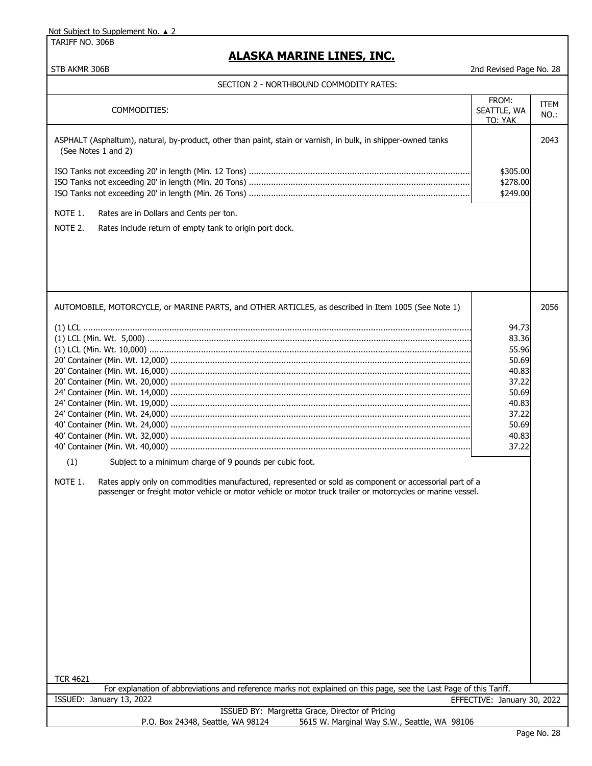TARIFF NO. 306B

# **ALASKA MARINE LINES, INC.**

STB AKMR 306B 2008 2008 2009 2008 2009 2008 2009 2008 2009 2008 2009 2008 2009 2008 2009 2008 2009 2008 2009 200

| SECTION 2 - NORTHBOUND COMMODITY RATES:                                                                                                                                                                                                                                                                                                                                                                    |                                                                                                          |              |
|------------------------------------------------------------------------------------------------------------------------------------------------------------------------------------------------------------------------------------------------------------------------------------------------------------------------------------------------------------------------------------------------------------|----------------------------------------------------------------------------------------------------------|--------------|
| COMMODITIES:                                                                                                                                                                                                                                                                                                                                                                                               | FROM:<br>SEATTLE, WA<br>TO: YAK                                                                          | ITEM<br>NO.: |
| ASPHALT (Asphaltum), natural, by-product, other than paint, stain or varnish, in bulk, in shipper-owned tanks<br>(See Notes 1 and 2)                                                                                                                                                                                                                                                                       |                                                                                                          | 2043         |
|                                                                                                                                                                                                                                                                                                                                                                                                            | \$305.00<br>\$278.00<br>\$249.00                                                                         |              |
| NOTE 1.<br>Rates are in Dollars and Cents per ton.<br>NOTE 2.<br>Rates include return of empty tank to origin port dock.                                                                                                                                                                                                                                                                                   |                                                                                                          |              |
|                                                                                                                                                                                                                                                                                                                                                                                                            |                                                                                                          |              |
| AUTOMOBILE, MOTORCYCLE, or MARINE PARTS, and OTHER ARTICLES, as described in Item 1005 (See Note 1)<br>(1)<br>Subject to a minimum charge of 9 pounds per cubic foot.<br>NOTE 1.<br>Rates apply only on commodities manufactured, represented or sold as component or accessorial part of a<br>passenger or freight motor vehicle or motor vehicle or motor truck trailer or motorcycles or marine vessel. | 94.73<br>83.36<br>55.96<br>50.69<br>40.83<br>37.22<br>50.69<br>40.83<br>37.22<br>50.69<br>40.83<br>37.22 | 2056         |
| <b>TCR 4621</b><br>For explanation of abbreviations and reference marks not explained on this page, see the Last Page of this Tariff.                                                                                                                                                                                                                                                                      |                                                                                                          |              |
| ISSUED: January 13, 2022                                                                                                                                                                                                                                                                                                                                                                                   | EFFECTIVE: January 30, 2022                                                                              |              |
| ISSUED BY: Margretta Grace, Director of Pricing<br>P.O. Box 24348, Seattle, WA 98124<br>5615 W. Marginal Way S.W., Seattle, WA 98106                                                                                                                                                                                                                                                                       |                                                                                                          |              |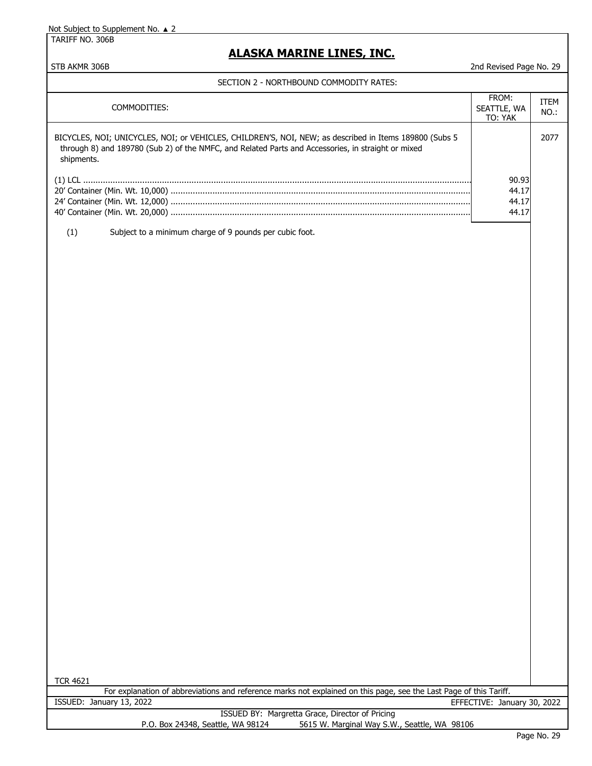TARIFF NO. 306B

# **ALASKA MARINE LINES, INC.**

STB AKMR 306B 2008 2nd Revised Page No. 29

| COMMODITIES:                                                                                                                                                                                                               | FROM:<br>SEATTLE, WA<br>TO: YAK | ITEM<br>NO.: |
|----------------------------------------------------------------------------------------------------------------------------------------------------------------------------------------------------------------------------|---------------------------------|--------------|
| BICYCLES, NOI; UNICYCLES, NOI; or VEHICLES, CHILDREN'S, NOI, NEW; as described in Items 189800 (Subs 5<br>through 8) and 189780 (Sub 2) of the NMFC, and Related Parts and Accessories, in straight or mixed<br>shipments. |                                 | 2077         |
|                                                                                                                                                                                                                            | 90.93                           |              |
|                                                                                                                                                                                                                            | 44.17                           |              |
|                                                                                                                                                                                                                            | 44.17                           |              |
|                                                                                                                                                                                                                            | 44.17                           |              |
| (1)<br>Subject to a minimum charge of 9 pounds per cubic foot.                                                                                                                                                             |                                 |              |
|                                                                                                                                                                                                                            |                                 |              |
|                                                                                                                                                                                                                            |                                 |              |
|                                                                                                                                                                                                                            |                                 |              |
|                                                                                                                                                                                                                            |                                 |              |
|                                                                                                                                                                                                                            |                                 |              |
|                                                                                                                                                                                                                            |                                 |              |
|                                                                                                                                                                                                                            |                                 |              |
|                                                                                                                                                                                                                            |                                 |              |
|                                                                                                                                                                                                                            |                                 |              |
|                                                                                                                                                                                                                            |                                 |              |
|                                                                                                                                                                                                                            |                                 |              |
|                                                                                                                                                                                                                            |                                 |              |
|                                                                                                                                                                                                                            |                                 |              |
|                                                                                                                                                                                                                            |                                 |              |
|                                                                                                                                                                                                                            |                                 |              |
|                                                                                                                                                                                                                            |                                 |              |
|                                                                                                                                                                                                                            |                                 |              |
|                                                                                                                                                                                                                            |                                 |              |
|                                                                                                                                                                                                                            |                                 |              |
|                                                                                                                                                                                                                            |                                 |              |
|                                                                                                                                                                                                                            |                                 |              |
|                                                                                                                                                                                                                            |                                 |              |
|                                                                                                                                                                                                                            |                                 |              |
|                                                                                                                                                                                                                            |                                 |              |
|                                                                                                                                                                                                                            |                                 |              |
|                                                                                                                                                                                                                            |                                 |              |
|                                                                                                                                                                                                                            |                                 |              |
|                                                                                                                                                                                                                            |                                 |              |
| <b>TCR 4621</b>                                                                                                                                                                                                            |                                 |              |
| For explanation of abbreviations and reference marks not explained on this page, see the Last Page of this Tariff.                                                                                                         |                                 |              |
| ISSUED: January 13, 2022<br>ISSUED BY: Margretta Grace, Director of Pricing                                                                                                                                                | EFFECTIVE: January 30, 2022     |              |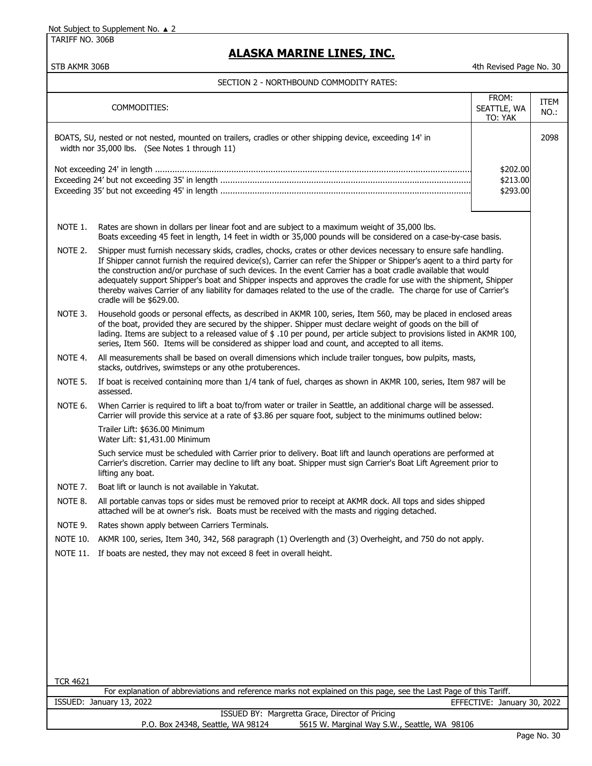TARIFF NO. 306B

## **ALASKA MARINE LINES, INC.**

STB AKMR 306B 4th Revised Page No. 30

#### SECTION 2 - NORTHBOUND COMMODITY RATES:

|                 | COMMODITIES:                                                                                                                                                                                                                                                                                                                                                                                                                                                                                                                                                                                                                            | FROM:<br>SEATTLE, WA<br>TO: YAK  | <b>ITEM</b><br>$NO.$ : |
|-----------------|-----------------------------------------------------------------------------------------------------------------------------------------------------------------------------------------------------------------------------------------------------------------------------------------------------------------------------------------------------------------------------------------------------------------------------------------------------------------------------------------------------------------------------------------------------------------------------------------------------------------------------------------|----------------------------------|------------------------|
|                 | BOATS, SU, nested or not nested, mounted on trailers, cradles or other shipping device, exceeding 14' in<br>width nor 35,000 lbs. (See Notes 1 through 11)                                                                                                                                                                                                                                                                                                                                                                                                                                                                              |                                  | 2098                   |
|                 |                                                                                                                                                                                                                                                                                                                                                                                                                                                                                                                                                                                                                                         | \$202.00<br>\$213.00<br>\$293.00 |                        |
| NOTE 1.         | Rates are shown in dollars per linear foot and are subject to a maximum weight of 35,000 lbs.<br>Boats exceeding 45 feet in length, 14 feet in width or 35,000 pounds will be considered on a case-by-case basis.                                                                                                                                                                                                                                                                                                                                                                                                                       |                                  |                        |
| NOTE 2.         | Shipper must furnish necessary skids, cradles, chocks, crates or other devices necessary to ensure safe handling.<br>If Shipper cannot furnish the required device(s), Carrier can refer the Shipper or Shipper's agent to a third party for<br>the construction and/or purchase of such devices. In the event Carrier has a boat cradle available that would<br>adequately support Shipper's boat and Shipper inspects and approves the cradle for use with the shipment, Shipper<br>thereby waives Carrier of any liability for damages related to the use of the cradle. The charge for use of Carrier's<br>cradle will be \$629.00. |                                  |                        |
| NOTE 3.         | Household goods or personal effects, as described in AKMR 100, series, Item 560, may be placed in enclosed areas<br>of the boat, provided they are secured by the shipper. Shipper must declare weight of goods on the bill of<br>lading. Items are subject to a released value of \$ .10 per pound, per article subject to provisions listed in AKMR 100,<br>series, Item 560. Items will be considered as shipper load and count, and accepted to all items.                                                                                                                                                                          |                                  |                        |
| NOTE 4.         | All measurements shall be based on overall dimensions which include trailer tongues, bow pulpits, masts,<br>stacks, outdrives, swimsteps or any othe protuberences.                                                                                                                                                                                                                                                                                                                                                                                                                                                                     |                                  |                        |
| NOTE 5.         | If boat is received containing more than 1/4 tank of fuel, charges as shown in AKMR 100, series, Item 987 will be<br>assessed.                                                                                                                                                                                                                                                                                                                                                                                                                                                                                                          |                                  |                        |
| NOTE 6.         | When Carrier is required to lift a boat to/from water or trailer in Seattle, an additional charge will be assessed.<br>Carrier will provide this service at a rate of \$3.86 per square foot, subject to the minimums outlined below:                                                                                                                                                                                                                                                                                                                                                                                                   |                                  |                        |
|                 | Trailer Lift: \$636.00 Minimum<br>Water Lift: \$1,431.00 Minimum                                                                                                                                                                                                                                                                                                                                                                                                                                                                                                                                                                        |                                  |                        |
|                 | Such service must be scheduled with Carrier prior to delivery. Boat lift and launch operations are performed at<br>Carrier's discretion. Carrier may decline to lift any boat. Shipper must sign Carrier's Boat Lift Agreement prior to<br>lifting any boat.                                                                                                                                                                                                                                                                                                                                                                            |                                  |                        |
| NOTE 7.         | Boat lift or launch is not available in Yakutat.                                                                                                                                                                                                                                                                                                                                                                                                                                                                                                                                                                                        |                                  |                        |
| NOTE 8.         | All portable canvas tops or sides must be removed prior to receipt at AKMR dock. All tops and sides shipped<br>attached will be at owner's risk. Boats must be received with the masts and rigging detached.                                                                                                                                                                                                                                                                                                                                                                                                                            |                                  |                        |
| NOTE 9.         | Rates shown apply between Carriers Terminals.                                                                                                                                                                                                                                                                                                                                                                                                                                                                                                                                                                                           |                                  |                        |
| <b>NOTE 10.</b> | AKMR 100, series, Item 340, 342, 568 paragraph (1) Overlength and (3) Overheight, and 750 do not apply.                                                                                                                                                                                                                                                                                                                                                                                                                                                                                                                                 |                                  |                        |
| <b>NOTE 11.</b> | If boats are nested, they may not exceed 8 feet in overall height.                                                                                                                                                                                                                                                                                                                                                                                                                                                                                                                                                                      |                                  |                        |
|                 |                                                                                                                                                                                                                                                                                                                                                                                                                                                                                                                                                                                                                                         |                                  |                        |
|                 |                                                                                                                                                                                                                                                                                                                                                                                                                                                                                                                                                                                                                                         |                                  |                        |
|                 |                                                                                                                                                                                                                                                                                                                                                                                                                                                                                                                                                                                                                                         |                                  |                        |
|                 |                                                                                                                                                                                                                                                                                                                                                                                                                                                                                                                                                                                                                                         |                                  |                        |
| <b>TCR 4621</b> |                                                                                                                                                                                                                                                                                                                                                                                                                                                                                                                                                                                                                                         |                                  |                        |
|                 | For explanation of abbreviations and reference marks not explained on this page, see the Last Page of this Tariff.<br>ISSUED: January 13, 2022                                                                                                                                                                                                                                                                                                                                                                                                                                                                                          | EFFECTIVE: January 30, 2022      |                        |
|                 | ISSUED BY: Margretta Grace, Director of Pricing                                                                                                                                                                                                                                                                                                                                                                                                                                                                                                                                                                                         |                                  |                        |
|                 | P.O. Box 24348, Seattle, WA 98124<br>5615 W. Marginal Way S.W., Seattle, WA 98106                                                                                                                                                                                                                                                                                                                                                                                                                                                                                                                                                       |                                  |                        |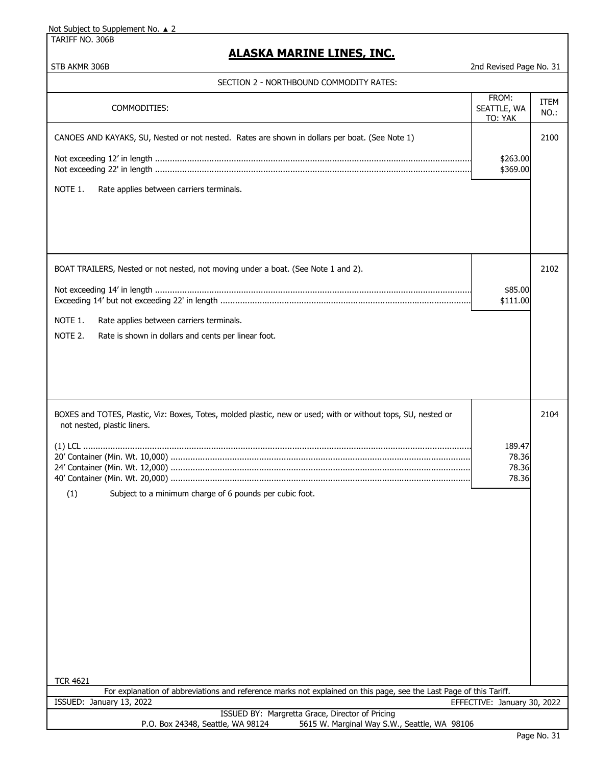TARIFF NO. 306B

## **ALASKA MARINE LINES, INC.**

STB AKMR 306B 2nd Revised Page No. 31

| SECTION 2 - NORTHBOUND COMMODITY RATES:                                                                                                                                                                                           |                                   |                     |
|-----------------------------------------------------------------------------------------------------------------------------------------------------------------------------------------------------------------------------------|-----------------------------------|---------------------|
| COMMODITIES:                                                                                                                                                                                                                      | FROM:<br>SEATTLE, WA<br>TO: YAK   | <b>ITEM</b><br>NO.: |
| CANOES AND KAYAKS, SU, Nested or not nested. Rates are shown in dollars per boat. (See Note 1)<br>NOTE 1.<br>Rate applies between carriers terminals.                                                                             | \$263.00<br>\$369.00              | 2100                |
| BOAT TRAILERS, Nested or not nested, not moving under a boat. (See Note 1 and 2).<br>NOTE 1.<br>Rate applies between carriers terminals.<br>NOTE 2.<br>Rate is shown in dollars and cents per linear foot.                        | \$85.00<br>\$111.00               | 2102                |
| BOXES and TOTES, Plastic, Viz: Boxes, Totes, molded plastic, new or used; with or without tops, SU, nested or<br>not nested, plastic liners.<br>(1)<br>Subject to a minimum charge of 6 pounds per cubic foot.<br><b>TCR 4621</b> | 189.47<br>78.36<br>78.36<br>78.36 | 2104                |
| For explanation of abbreviations and reference marks not explained on this page, see the Last Page of this Tariff.<br>ISSUED: January 13, 2022<br>EFFECTIVE: January 30, 2022                                                     |                                   |                     |
| ISSUED BY: Margretta Grace, Director of Pricing<br>P.O. Box 24348, Seattle, WA 98124<br>5615 W. Marginal Way S.W., Seattle, WA 98106                                                                                              |                                   |                     |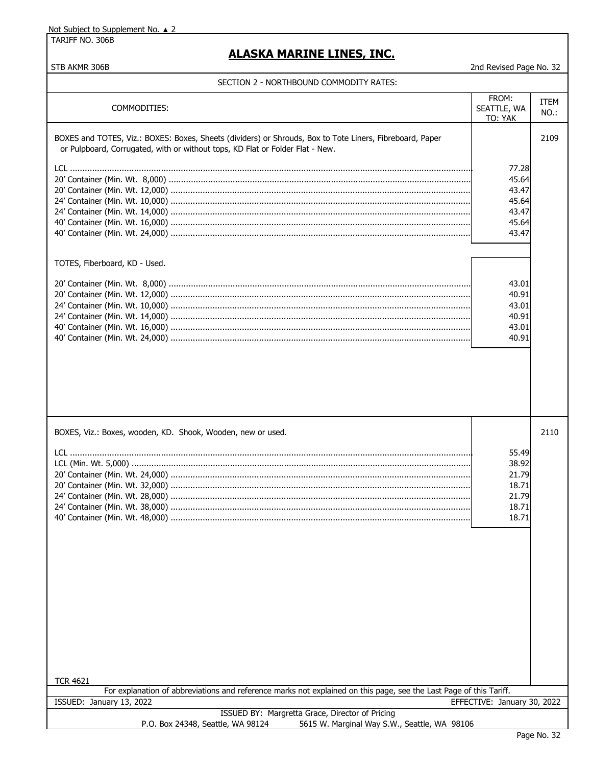TARIFF NO. 306B

STB AKMR 306B

# **ALASKA MARINE LINES, INC.**

2nd Revised Page No. 32

#### SECTION 2 - NORTHBOUND COMMODITY RATES:

| COMMODITIES:                                                                                                                                                                              | FROM:<br>SEATTLE, WA<br>TO: YAK | ITEM<br>NO.: |
|-------------------------------------------------------------------------------------------------------------------------------------------------------------------------------------------|---------------------------------|--------------|
| BOXES and TOTES, Viz.: BOXES: Boxes, Sheets (dividers) or Shrouds, Box to Tote Liners, Fibreboard, Paper<br>or Pulpboard, Corrugated, with or without tops, KD Flat or Folder Flat - New. |                                 | 2109         |
|                                                                                                                                                                                           | 77.28                           |              |
|                                                                                                                                                                                           | 45.64                           |              |
|                                                                                                                                                                                           | 43.47                           |              |
|                                                                                                                                                                                           | 45.64                           |              |
|                                                                                                                                                                                           | 43.47                           |              |
|                                                                                                                                                                                           | 45.64                           |              |
|                                                                                                                                                                                           | 43.47                           |              |
| TOTES, Fiberboard, KD - Used.                                                                                                                                                             |                                 |              |
|                                                                                                                                                                                           | 43.01                           |              |
|                                                                                                                                                                                           | 40.91                           |              |
|                                                                                                                                                                                           | 43.01                           |              |
|                                                                                                                                                                                           | 40.91                           |              |
|                                                                                                                                                                                           | 43.01                           |              |
|                                                                                                                                                                                           | 40.91                           |              |
|                                                                                                                                                                                           |                                 |              |
|                                                                                                                                                                                           |                                 |              |
| BOXES, Viz.: Boxes, wooden, KD. Shook, Wooden, new or used.                                                                                                                               |                                 | 2110         |
|                                                                                                                                                                                           | 55.49                           |              |
|                                                                                                                                                                                           | 38.92                           |              |
|                                                                                                                                                                                           | 21.79                           |              |
|                                                                                                                                                                                           | 18.71                           |              |
|                                                                                                                                                                                           | 21.79                           |              |
|                                                                                                                                                                                           | 18.71                           |              |
|                                                                                                                                                                                           | 18.71                           |              |
|                                                                                                                                                                                           |                                 |              |
|                                                                                                                                                                                           |                                 |              |
|                                                                                                                                                                                           |                                 |              |
|                                                                                                                                                                                           |                                 |              |
|                                                                                                                                                                                           |                                 |              |
|                                                                                                                                                                                           |                                 |              |
|                                                                                                                                                                                           |                                 |              |
|                                                                                                                                                                                           |                                 |              |
|                                                                                                                                                                                           |                                 |              |
|                                                                                                                                                                                           |                                 |              |
|                                                                                                                                                                                           |                                 |              |
|                                                                                                                                                                                           |                                 |              |
|                                                                                                                                                                                           |                                 |              |
| <b>TCR 4621</b>                                                                                                                                                                           |                                 |              |
| For explanation of abbreviations and reference marks not explained on this page, see the Last Page of this Tariff.                                                                        |                                 |              |
| ISSUED: January 13, 2022                                                                                                                                                                  | EFFECTIVE: January 30, 2022     |              |
| ISSUED BY: Margretta Grace, Director of Pricing                                                                                                                                           |                                 |              |
| 5615 W. Marginal Way S.W., Seattle, WA 98106<br>P.O. Box 24348, Seattle, WA 98124                                                                                                         |                                 |              |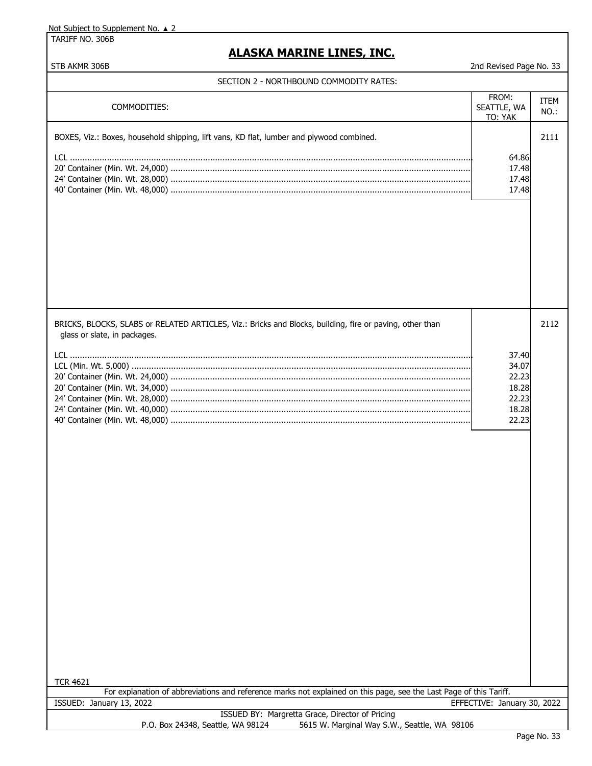TARIFF NO. 306B

# **ALASKA MARINE LINES, INC.**

| SECTION 2 - NORTHBOUND COMMODITY RATES: |  |
|-----------------------------------------|--|
|-----------------------------------------|--|

| COMMODITIES:                                                                                                                                                                                                                                                                      | FROM:<br>SEATTLE, WA<br>TO: YAK                             | <b>ITEM</b><br>$NO.$ : |
|-----------------------------------------------------------------------------------------------------------------------------------------------------------------------------------------------------------------------------------------------------------------------------------|-------------------------------------------------------------|------------------------|
| BOXES, Viz.: Boxes, household shipping, lift vans, KD flat, lumber and plywood combined.                                                                                                                                                                                          | 64.86<br>17.48<br>17.48<br>17.48                            | 2111                   |
| BRICKS, BLOCKS, SLABS or RELATED ARTICLES, Viz.: Bricks and Blocks, building, fire or paving, other than<br>glass or slate, in packages.<br><b>TCR 4621</b><br>For explanation of abbreviations and reference marks not explained on this page, see the Last Page of this Tariff. | 37.40<br>34.07<br>22.23<br>18.28<br>22.23<br>18.28<br>22.23 | 2112                   |
| ISSUED: January 13, 2022                                                                                                                                                                                                                                                          | EFFECTIVE: January 30, 2022                                 |                        |
|                                                                                                                                                                                                                                                                                   |                                                             |                        |
| ISSUED BY: Margretta Grace, Director of Pricing<br>5615 W. Marginal Way S.W., Seattle, WA 98106<br>P.O. Box 24348, Seattle, WA 98124                                                                                                                                              |                                                             |                        |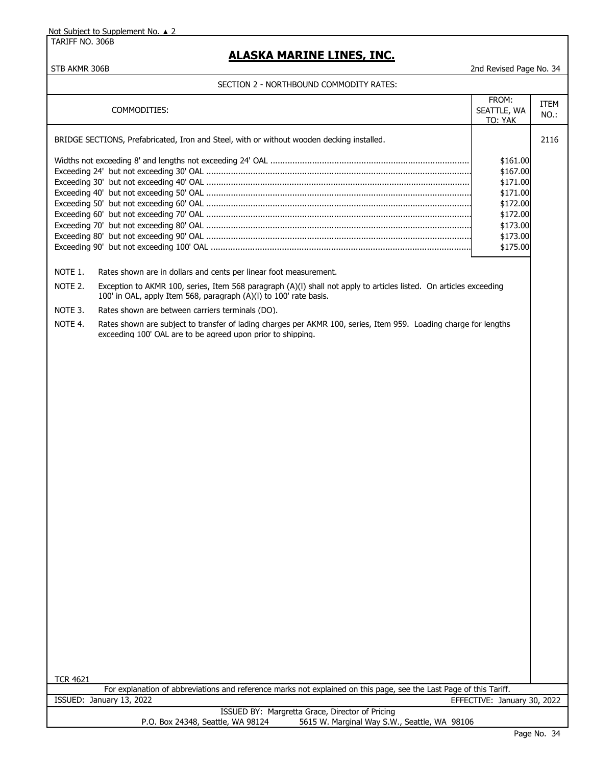TARIFF NO. 306B

# **ALASKA MARINE LINES, INC.**

| COMMODITIES:                                                                                                                                                                                       | FROM:<br>SEATTLE, WA<br>TO: YAK | ITEM<br>$NO.$ : |  |
|----------------------------------------------------------------------------------------------------------------------------------------------------------------------------------------------------|---------------------------------|-----------------|--|
| BRIDGE SECTIONS, Prefabricated, Iron and Steel, with or without wooden decking installed.                                                                                                          |                                 | 2116            |  |
|                                                                                                                                                                                                    | \$161.00                        |                 |  |
|                                                                                                                                                                                                    | \$167.00                        |                 |  |
|                                                                                                                                                                                                    | \$171.00                        |                 |  |
|                                                                                                                                                                                                    | \$171.00                        |                 |  |
|                                                                                                                                                                                                    | \$172.00                        |                 |  |
|                                                                                                                                                                                                    | \$172.00                        |                 |  |
|                                                                                                                                                                                                    | \$173.00                        |                 |  |
|                                                                                                                                                                                                    | \$173.00                        |                 |  |
|                                                                                                                                                                                                    | \$175.00                        |                 |  |
|                                                                                                                                                                                                    |                                 |                 |  |
| NOTE 1.<br>Rates shown are in dollars and cents per linear foot measurement.                                                                                                                       |                                 |                 |  |
| NOTE 2.<br>Exception to AKMR 100, series, Item 568 paragraph (A)(I) shall not apply to articles listed. On articles exceeding<br>100' in OAL, apply Item 568, paragraph (A)(I) to 100' rate basis. |                                 |                 |  |
| NOTE 3.<br>Rates shown are between carriers terminals (DO).                                                                                                                                        |                                 |                 |  |
| NOTE 4.<br>Rates shown are subject to transfer of lading charges per AKMR 100, series, Item 959. Loading charge for lengths<br>exceeding 100' OAL are to be agreed upon prior to shipping.         |                                 |                 |  |
|                                                                                                                                                                                                    |                                 |                 |  |
|                                                                                                                                                                                                    |                                 |                 |  |
|                                                                                                                                                                                                    |                                 |                 |  |
|                                                                                                                                                                                                    |                                 |                 |  |
|                                                                                                                                                                                                    |                                 |                 |  |
|                                                                                                                                                                                                    |                                 |                 |  |
|                                                                                                                                                                                                    |                                 |                 |  |
|                                                                                                                                                                                                    |                                 |                 |  |
|                                                                                                                                                                                                    |                                 |                 |  |
|                                                                                                                                                                                                    |                                 |                 |  |
|                                                                                                                                                                                                    |                                 |                 |  |
|                                                                                                                                                                                                    |                                 |                 |  |
|                                                                                                                                                                                                    |                                 |                 |  |
|                                                                                                                                                                                                    |                                 |                 |  |
|                                                                                                                                                                                                    |                                 |                 |  |
|                                                                                                                                                                                                    |                                 |                 |  |
|                                                                                                                                                                                                    |                                 |                 |  |
|                                                                                                                                                                                                    |                                 |                 |  |
|                                                                                                                                                                                                    |                                 |                 |  |
|                                                                                                                                                                                                    |                                 |                 |  |
|                                                                                                                                                                                                    |                                 |                 |  |
|                                                                                                                                                                                                    |                                 |                 |  |
|                                                                                                                                                                                                    |                                 |                 |  |
|                                                                                                                                                                                                    |                                 |                 |  |
|                                                                                                                                                                                                    |                                 |                 |  |
|                                                                                                                                                                                                    |                                 |                 |  |
|                                                                                                                                                                                                    |                                 |                 |  |
|                                                                                                                                                                                                    |                                 |                 |  |
|                                                                                                                                                                                                    |                                 |                 |  |
| <b>TCR 4621</b>                                                                                                                                                                                    |                                 |                 |  |
| For explanation of abbreviations and reference marks not explained on this page, see the Last Page of this Tariff.                                                                                 |                                 |                 |  |
| ISSUED: January 13, 2022                                                                                                                                                                           | EFFECTIVE: January 30, 2022     |                 |  |
| ISSUED BY: Margretta Grace, Director of Pricing<br>5615 W. Marginal Way S.W., Seattle, WA 98106<br>P.O. Box 24348, Seattle, WA 98124                                                               |                                 |                 |  |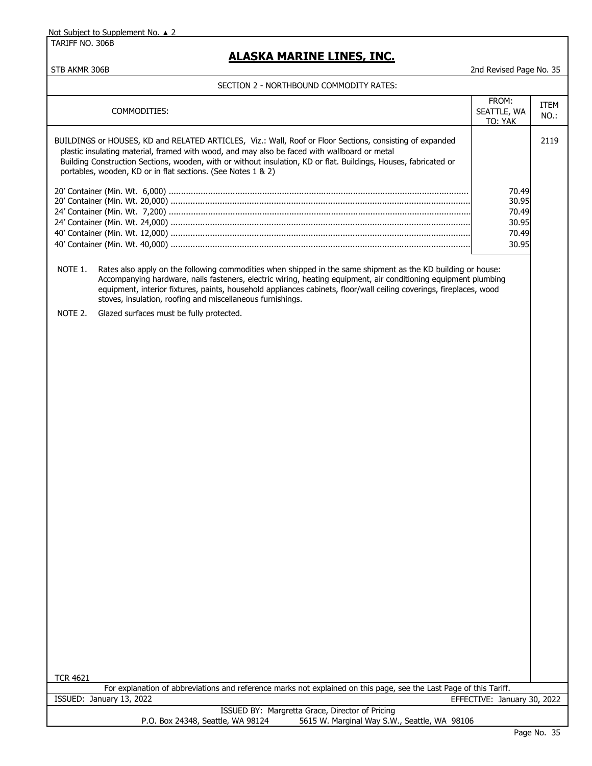TARIFF NO. 306B

## **ALASKA MARINE LINES, INC.**

STB AKMR 306B 2nd Revised Page No. 35

| COMMODITIES:                                                                                                                                                                                                                                                                                                                                                                                                                    | FROM:<br>SEATTLE, WA<br>TO: YAK                    | ITEM<br>NO.: |
|---------------------------------------------------------------------------------------------------------------------------------------------------------------------------------------------------------------------------------------------------------------------------------------------------------------------------------------------------------------------------------------------------------------------------------|----------------------------------------------------|--------------|
| BUILDINGS or HOUSES, KD and RELATED ARTICLES, Viz.: Wall, Roof or Floor Sections, consisting of expanded<br>plastic insulating material, framed with wood, and may also be faced with wallboard or metal<br>Building Construction Sections, wooden, with or without insulation, KD or flat. Buildings, Houses, fabricated or<br>portables, wooden, KD or in flat sections. (See Notes 1 & 2)                                    |                                                    | 2119         |
|                                                                                                                                                                                                                                                                                                                                                                                                                                 | 70.49<br>30.95<br>70.49<br>30.95<br>70.49<br>30.95 |              |
| NOTE 1.<br>Rates also apply on the following commodities when shipped in the same shipment as the KD building or house:<br>Accompanying hardware, nails fasteners, electric wiring, heating equipment, air conditioning equipment plumbing<br>equipment, interior fixtures, paints, household appliances cabinets, floor/wall ceiling coverings, fireplaces, wood<br>stoves, insulation, roofing and miscellaneous furnishings. |                                                    |              |
| Glazed surfaces must be fully protected.<br>NOTE 2.                                                                                                                                                                                                                                                                                                                                                                             |                                                    |              |
|                                                                                                                                                                                                                                                                                                                                                                                                                                 |                                                    |              |
|                                                                                                                                                                                                                                                                                                                                                                                                                                 |                                                    |              |
|                                                                                                                                                                                                                                                                                                                                                                                                                                 |                                                    |              |
|                                                                                                                                                                                                                                                                                                                                                                                                                                 |                                                    |              |
|                                                                                                                                                                                                                                                                                                                                                                                                                                 |                                                    |              |
|                                                                                                                                                                                                                                                                                                                                                                                                                                 |                                                    |              |
|                                                                                                                                                                                                                                                                                                                                                                                                                                 |                                                    |              |
|                                                                                                                                                                                                                                                                                                                                                                                                                                 |                                                    |              |
|                                                                                                                                                                                                                                                                                                                                                                                                                                 |                                                    |              |
|                                                                                                                                                                                                                                                                                                                                                                                                                                 |                                                    |              |
|                                                                                                                                                                                                                                                                                                                                                                                                                                 |                                                    |              |
|                                                                                                                                                                                                                                                                                                                                                                                                                                 |                                                    |              |
|                                                                                                                                                                                                                                                                                                                                                                                                                                 |                                                    |              |
|                                                                                                                                                                                                                                                                                                                                                                                                                                 |                                                    |              |
|                                                                                                                                                                                                                                                                                                                                                                                                                                 |                                                    |              |
|                                                                                                                                                                                                                                                                                                                                                                                                                                 |                                                    |              |
|                                                                                                                                                                                                                                                                                                                                                                                                                                 |                                                    |              |
| <b>TCR 4621</b><br>For explanation of abbreviations and reference marks not explained on this page, see the Last Page of this Tariff.                                                                                                                                                                                                                                                                                           |                                                    |              |
| ISSUED: January 13, 2022                                                                                                                                                                                                                                                                                                                                                                                                        | EFFECTIVE: January 30, 2022                        |              |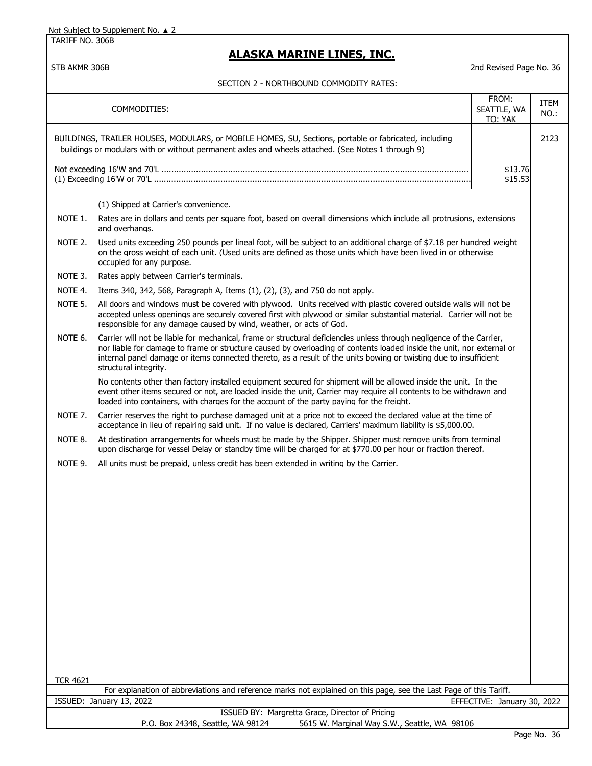TARIFF NO. 306B

## **ALASKA MARINE LINES, INC.**

STB AKMR 306B 2nd Revised Page No. 36

|                                                         | COMMODITIES:                                                                                                                                                                                                                                                                                                                                                                                 | FROM:<br>SEATTLE, WA<br>TO: YAK | ITEM<br>NO.: |
|---------------------------------------------------------|----------------------------------------------------------------------------------------------------------------------------------------------------------------------------------------------------------------------------------------------------------------------------------------------------------------------------------------------------------------------------------------------|---------------------------------|--------------|
|                                                         | BUILDINGS, TRAILER HOUSES, MODULARS, or MOBILE HOMES, SU, Sections, portable or fabricated, including<br>buildings or modulars with or without permanent axles and wheels attached. (See Notes 1 through 9)                                                                                                                                                                                  |                                 | 2123         |
|                                                         |                                                                                                                                                                                                                                                                                                                                                                                              | \$13.76<br>\$15.53              |              |
|                                                         | (1) Shipped at Carrier's convenience.                                                                                                                                                                                                                                                                                                                                                        |                                 |              |
| NOTE 1.                                                 |                                                                                                                                                                                                                                                                                                                                                                                              |                                 |              |
|                                                         | Rates are in dollars and cents per square foot, based on overall dimensions which include all protrusions, extensions<br>and overhangs.                                                                                                                                                                                                                                                      |                                 |              |
| NOTE 2.                                                 | Used units exceeding 250 pounds per lineal foot, will be subject to an additional charge of \$7.18 per hundred weight<br>on the gross weight of each unit. (Used units are defined as those units which have been lived in or otherwise<br>occupied for any purpose.                                                                                                                         |                                 |              |
| NOTE 3.                                                 | Rates apply between Carrier's terminals.                                                                                                                                                                                                                                                                                                                                                     |                                 |              |
| NOTE 4.                                                 | Items 340, 342, 568, Paragraph A, Items (1), (2), (3), and 750 do not apply.                                                                                                                                                                                                                                                                                                                 |                                 |              |
| NOTE 5.                                                 | All doors and windows must be covered with plywood. Units received with plastic covered outside walls will not be<br>accepted unless openings are securely covered first with plywood or similar substantial material. Carrier will not be<br>responsible for any damage caused by wind, weather, or acts of God.                                                                            |                                 |              |
| NOTE 6.                                                 | Carrier will not be liable for mechanical, frame or structural deficiencies unless through negligence of the Carrier,<br>nor liable for damage to frame or structure caused by overloading of contents loaded inside the unit, nor external or<br>internal panel damage or items connected thereto, as a result of the units bowing or twisting due to insufficient<br>structural integrity. |                                 |              |
|                                                         | No contents other than factory installed equipment secured for shipment will be allowed inside the unit. In the<br>event other items secured or not, are loaded inside the unit, Carrier may require all contents to be withdrawn and<br>loaded into containers, with charges for the account of the party paying for the freight.                                                           |                                 |              |
| NOTE 7.                                                 | Carrier reserves the right to purchase damaged unit at a price not to exceed the declared value at the time of<br>acceptance in lieu of repairing said unit. If no value is declared, Carriers' maximum liability is \$5,000.00.                                                                                                                                                             |                                 |              |
| NOTE 8.                                                 | At destination arrangements for wheels must be made by the Shipper. Shipper must remove units from terminal<br>upon discharge for vessel Delay or standby time will be charged for at \$770.00 per hour or fraction thereof.                                                                                                                                                                 |                                 |              |
| NOTE 9.                                                 | All units must be prepaid, unless credit has been extended in writing by the Carrier.                                                                                                                                                                                                                                                                                                        |                                 |              |
|                                                         |                                                                                                                                                                                                                                                                                                                                                                                              |                                 |              |
|                                                         |                                                                                                                                                                                                                                                                                                                                                                                              |                                 |              |
|                                                         |                                                                                                                                                                                                                                                                                                                                                                                              |                                 |              |
|                                                         |                                                                                                                                                                                                                                                                                                                                                                                              |                                 |              |
|                                                         |                                                                                                                                                                                                                                                                                                                                                                                              |                                 |              |
|                                                         |                                                                                                                                                                                                                                                                                                                                                                                              |                                 |              |
|                                                         |                                                                                                                                                                                                                                                                                                                                                                                              |                                 |              |
|                                                         |                                                                                                                                                                                                                                                                                                                                                                                              |                                 |              |
|                                                         |                                                                                                                                                                                                                                                                                                                                                                                              |                                 |              |
|                                                         |                                                                                                                                                                                                                                                                                                                                                                                              |                                 |              |
|                                                         |                                                                                                                                                                                                                                                                                                                                                                                              |                                 |              |
|                                                         |                                                                                                                                                                                                                                                                                                                                                                                              |                                 |              |
|                                                         |                                                                                                                                                                                                                                                                                                                                                                                              |                                 |              |
| <b>TCR 4621</b>                                         | For explanation of abbreviations and reference marks not explained on this page, see the Last Page of this Tariff.                                                                                                                                                                                                                                                                           |                                 |              |
| ISSUED: January 13, 2022<br>EFFECTIVE: January 30, 2022 |                                                                                                                                                                                                                                                                                                                                                                                              |                                 |              |
|                                                         | ISSUED BY: Margretta Grace, Director of Pricing                                                                                                                                                                                                                                                                                                                                              |                                 |              |
|                                                         | P.O. Box 24348, Seattle, WA 98124<br>5615 W. Marginal Way S.W., Seattle, WA 98106                                                                                                                                                                                                                                                                                                            |                                 |              |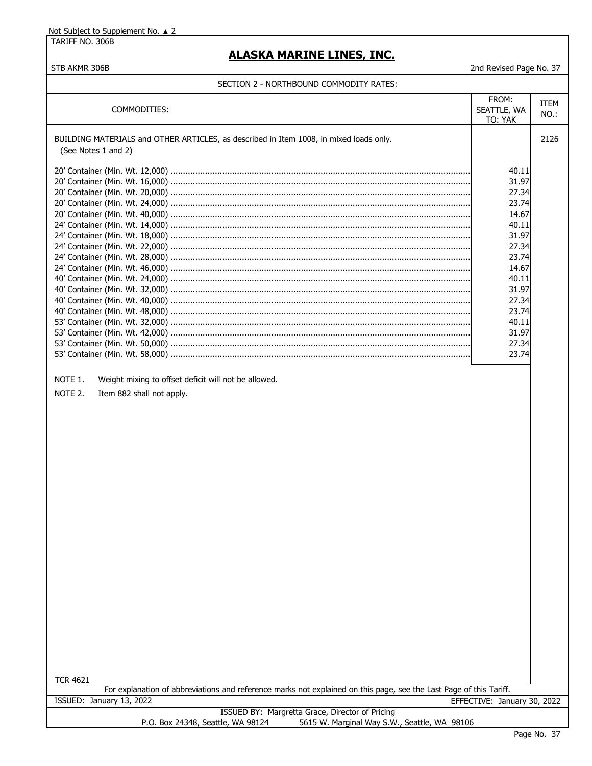TARIFF NO. 306B

STB AKMR 306B

# **ALASKA MARINE LINES, INC.**

2nd Revised Page No. 37

|                                                                                                                                      | FROM:                       | ITEM    |
|--------------------------------------------------------------------------------------------------------------------------------------|-----------------------------|---------|
| COMMODITIES:                                                                                                                         | SEATTLE, WA                 | $NO.$ : |
|                                                                                                                                      | TO: YAK                     |         |
| BUILDING MATERIALS and OTHER ARTICLES, as described in Item 1008, in mixed loads only.                                               |                             | 2126    |
| (See Notes 1 and 2)                                                                                                                  |                             |         |
|                                                                                                                                      |                             |         |
|                                                                                                                                      | 40.11                       |         |
|                                                                                                                                      | 31.97                       |         |
|                                                                                                                                      | 27.34                       |         |
|                                                                                                                                      | 23.74                       |         |
|                                                                                                                                      | 14.67                       |         |
|                                                                                                                                      | 40.11                       |         |
|                                                                                                                                      | 31.97                       |         |
|                                                                                                                                      | 27.34                       |         |
|                                                                                                                                      | 23.74                       |         |
|                                                                                                                                      | 14.67                       |         |
|                                                                                                                                      | 40.11                       |         |
|                                                                                                                                      | 31.97                       |         |
|                                                                                                                                      | 27.34                       |         |
|                                                                                                                                      | 23.74                       |         |
|                                                                                                                                      | 40.11                       |         |
|                                                                                                                                      | 31.97                       |         |
|                                                                                                                                      | 27.34                       |         |
|                                                                                                                                      | 23.74                       |         |
|                                                                                                                                      |                             |         |
|                                                                                                                                      |                             |         |
| NOTE 1.<br>Weight mixing to offset deficit will not be allowed.                                                                      |                             |         |
| NOTE 2.<br>Item 882 shall not apply.                                                                                                 |                             |         |
|                                                                                                                                      |                             |         |
|                                                                                                                                      |                             |         |
|                                                                                                                                      |                             |         |
|                                                                                                                                      |                             |         |
|                                                                                                                                      |                             |         |
|                                                                                                                                      |                             |         |
|                                                                                                                                      |                             |         |
|                                                                                                                                      |                             |         |
|                                                                                                                                      |                             |         |
|                                                                                                                                      |                             |         |
|                                                                                                                                      |                             |         |
|                                                                                                                                      |                             |         |
|                                                                                                                                      |                             |         |
|                                                                                                                                      |                             |         |
|                                                                                                                                      |                             |         |
|                                                                                                                                      |                             |         |
|                                                                                                                                      |                             |         |
|                                                                                                                                      |                             |         |
|                                                                                                                                      |                             |         |
|                                                                                                                                      |                             |         |
|                                                                                                                                      |                             |         |
|                                                                                                                                      |                             |         |
|                                                                                                                                      |                             |         |
|                                                                                                                                      |                             |         |
|                                                                                                                                      |                             |         |
|                                                                                                                                      |                             |         |
| <b>TCR 4621</b>                                                                                                                      |                             |         |
| For explanation of abbreviations and reference marks not explained on this page, see the Last Page of this Tariff.                   |                             |         |
| ISSUED: January 13, 2022                                                                                                             | EFFECTIVE: January 30, 2022 |         |
| ISSUED BY: Margretta Grace, Director of Pricing<br>5615 W. Marginal Way S.W., Seattle, WA 98106<br>P.O. Box 24348, Seattle, WA 98124 |                             |         |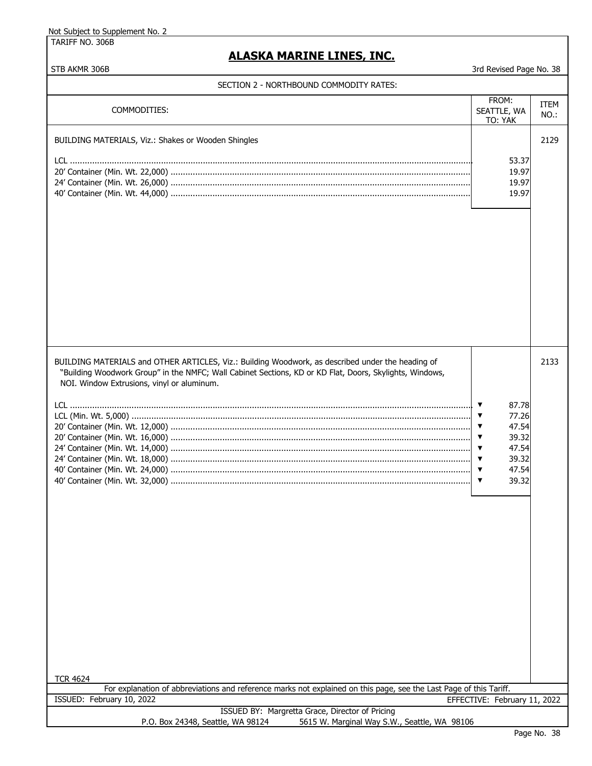TARIFF NO. 306B

# **ALASKA MARINE LINES, INC.**

| SECTION 2 - NORTHBOUND COMMODITY RATES:                                                                                                                                                                                                                                                                                                                                                                                          |                                                                                                                                        |                     |
|----------------------------------------------------------------------------------------------------------------------------------------------------------------------------------------------------------------------------------------------------------------------------------------------------------------------------------------------------------------------------------------------------------------------------------|----------------------------------------------------------------------------------------------------------------------------------------|---------------------|
| COMMODITIES:                                                                                                                                                                                                                                                                                                                                                                                                                     | FROM:<br>SEATTLE, WA<br>TO: YAK                                                                                                        | <b>ITEM</b><br>NO.: |
| BUILDING MATERIALS, Viz.: Shakes or Wooden Shingles                                                                                                                                                                                                                                                                                                                                                                              |                                                                                                                                        | 2129                |
|                                                                                                                                                                                                                                                                                                                                                                                                                                  | 53.37<br>19.97                                                                                                                         |                     |
|                                                                                                                                                                                                                                                                                                                                                                                                                                  | 19.97                                                                                                                                  |                     |
|                                                                                                                                                                                                                                                                                                                                                                                                                                  | 19.97                                                                                                                                  |                     |
| BUILDING MATERIALS and OTHER ARTICLES, Viz.: Building Woodwork, as described under the heading of<br>"Building Woodwork Group" in the NMFC; Wall Cabinet Sections, KD or KD Flat, Doors, Skylights, Windows,<br>NOI. Window Extrusions, vinyl or aluminum.<br><b>TCR 4624</b><br>For explanation of abbreviations and reference marks not explained on this page, see the Last Page of this Tariff.<br>ISSUED: February 10, 2022 | 87.78<br>77.26<br>47.54<br>39.32<br>47.54<br>▼<br>39.32<br>▼<br>47.54<br>$\blacktriangledown$<br>39.32<br>EFFECTIVE: February 11, 2022 | 2133                |
| ISSUED BY: Margretta Grace, Director of Pricing                                                                                                                                                                                                                                                                                                                                                                                  |                                                                                                                                        |                     |
| 5615 W. Marginal Way S.W., Seattle, WA 98106<br>P.O. Box 24348, Seattle, WA 98124                                                                                                                                                                                                                                                                                                                                                |                                                                                                                                        |                     |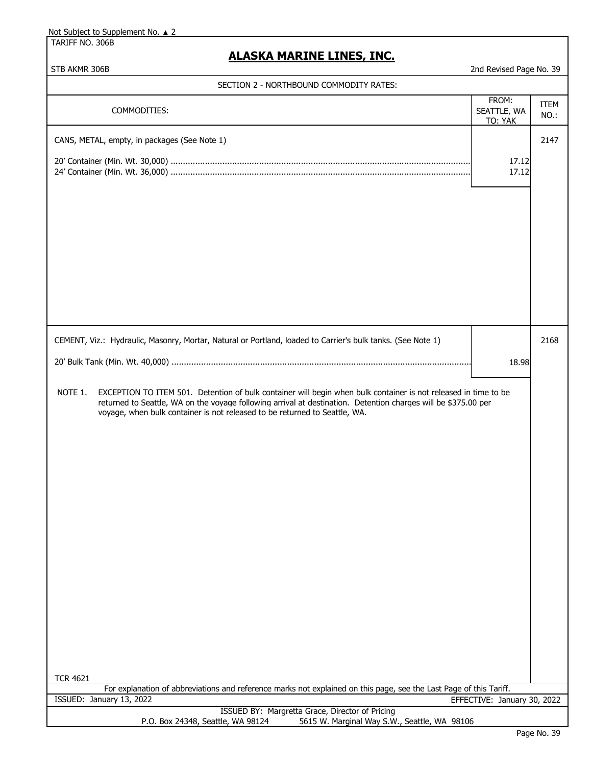TARIFF NO. 306B

# **ALASKA MARINE LINES, INC.**

| STB AKMR 306B                                                                                                                                                                                                                                                                                                                                 | 2nd Revised Page No. 39         |                     |
|-----------------------------------------------------------------------------------------------------------------------------------------------------------------------------------------------------------------------------------------------------------------------------------------------------------------------------------------------|---------------------------------|---------------------|
| SECTION 2 - NORTHBOUND COMMODITY RATES:                                                                                                                                                                                                                                                                                                       |                                 |                     |
| COMMODITIES:                                                                                                                                                                                                                                                                                                                                  | FROM:<br>SEATTLE, WA<br>TO: YAK | <b>ITEM</b><br>NO.: |
| CANS, METAL, empty, in packages (See Note 1)                                                                                                                                                                                                                                                                                                  |                                 | 2147                |
|                                                                                                                                                                                                                                                                                                                                               | 17.12<br>17.12                  |                     |
|                                                                                                                                                                                                                                                                                                                                               |                                 |                     |
| CEMENT, Viz.: Hydraulic, Masonry, Mortar, Natural or Portland, loaded to Carrier's bulk tanks. (See Note 1)                                                                                                                                                                                                                                   |                                 | 2168                |
|                                                                                                                                                                                                                                                                                                                                               | 18.98                           |                     |
| NOTE 1.<br>EXCEPTION TO ITEM 501. Detention of bulk container will begin when bulk container is not released in time to be<br>returned to Seattle, WA on the voyage following arrival at destination. Detention charges will be \$375.00 per<br>voyage, when bulk container is not released to be returned to Seattle, WA.<br><b>TCR 4621</b> |                                 |                     |
| For explanation of abbreviations and reference marks not explained on this page, see the Last Page of this Tariff.                                                                                                                                                                                                                            |                                 |                     |
| ISSUED: January 13, 2022<br>ISSUED BY: Margretta Grace, Director of Pricing                                                                                                                                                                                                                                                                   | EFFECTIVE: January 30, 2022     |                     |
| P.O. Box 24348, Seattle, WA 98124<br>5615 W. Marginal Way S.W., Seattle, WA 98106                                                                                                                                                                                                                                                             |                                 |                     |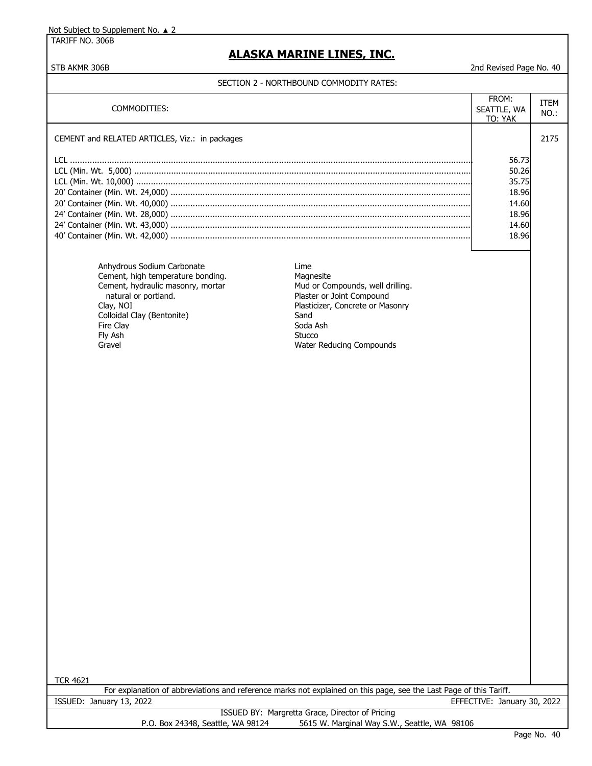TARIFF NO. 306B

# **ALASKA MARINE LINES, INC.**

### STB AKMR 306B 2nd Revised Page No. 40

|                                                |                                                                                                                    | FROM:                       |             |
|------------------------------------------------|--------------------------------------------------------------------------------------------------------------------|-----------------------------|-------------|
| COMMODITIES:                                   |                                                                                                                    | SEATTLE, WA                 | <b>ITEM</b> |
|                                                |                                                                                                                    | TO: YAK                     | $NO.$ :     |
|                                                |                                                                                                                    |                             |             |
| CEMENT and RELATED ARTICLES, Viz.: in packages |                                                                                                                    |                             | 2175        |
|                                                |                                                                                                                    |                             |             |
|                                                |                                                                                                                    | 56.73                       |             |
|                                                |                                                                                                                    | 50.26<br>35.75              |             |
|                                                |                                                                                                                    | 18.96                       |             |
|                                                |                                                                                                                    | 14.60                       |             |
|                                                |                                                                                                                    | 18.96                       |             |
|                                                |                                                                                                                    | 14.60                       |             |
|                                                |                                                                                                                    | 18.96                       |             |
|                                                |                                                                                                                    |                             |             |
|                                                |                                                                                                                    |                             |             |
| Anhydrous Sodium Carbonate                     | Lime                                                                                                               |                             |             |
| Cement, high temperature bonding.              | Magnesite                                                                                                          |                             |             |
| Cement, hydraulic masonry, mortar              | Mud or Compounds, well drilling.                                                                                   |                             |             |
| natural or portland.                           | Plaster or Joint Compound                                                                                          |                             |             |
| Clav, NOI<br>Colloidal Clay (Bentonite)        | Plasticizer, Concrete or Masonry<br>Sand                                                                           |                             |             |
| Fire Clay                                      | Soda Ash                                                                                                           |                             |             |
| Fly Ash                                        | Stucco                                                                                                             |                             |             |
| Gravel                                         | Water Reducing Compounds                                                                                           |                             |             |
|                                                |                                                                                                                    |                             |             |
|                                                |                                                                                                                    |                             |             |
|                                                |                                                                                                                    |                             |             |
|                                                |                                                                                                                    |                             |             |
|                                                |                                                                                                                    |                             |             |
|                                                |                                                                                                                    |                             |             |
|                                                |                                                                                                                    |                             |             |
|                                                |                                                                                                                    |                             |             |
|                                                |                                                                                                                    |                             |             |
|                                                |                                                                                                                    |                             |             |
|                                                |                                                                                                                    |                             |             |
|                                                |                                                                                                                    |                             |             |
|                                                |                                                                                                                    |                             |             |
|                                                |                                                                                                                    |                             |             |
|                                                |                                                                                                                    |                             |             |
|                                                |                                                                                                                    |                             |             |
|                                                |                                                                                                                    |                             |             |
|                                                |                                                                                                                    |                             |             |
|                                                |                                                                                                                    |                             |             |
|                                                |                                                                                                                    |                             |             |
|                                                |                                                                                                                    |                             |             |
|                                                |                                                                                                                    |                             |             |
|                                                |                                                                                                                    |                             |             |
|                                                |                                                                                                                    |                             |             |
|                                                |                                                                                                                    |                             |             |
|                                                |                                                                                                                    |                             |             |
|                                                |                                                                                                                    |                             |             |
|                                                |                                                                                                                    |                             |             |
|                                                |                                                                                                                    |                             |             |
| <b>TCR 4621</b>                                |                                                                                                                    |                             |             |
|                                                | For explanation of abbreviations and reference marks not explained on this page, see the Last Page of this Tariff. |                             |             |
| ISSUED: January 13, 2022                       |                                                                                                                    | EFFECTIVE: January 30, 2022 |             |
| P.O. Box 24348, Seattle, WA 98124              | ISSUED BY: Margretta Grace, Director of Pricing<br>5615 W. Marginal Way S.W., Seattle, WA 98106                    |                             |             |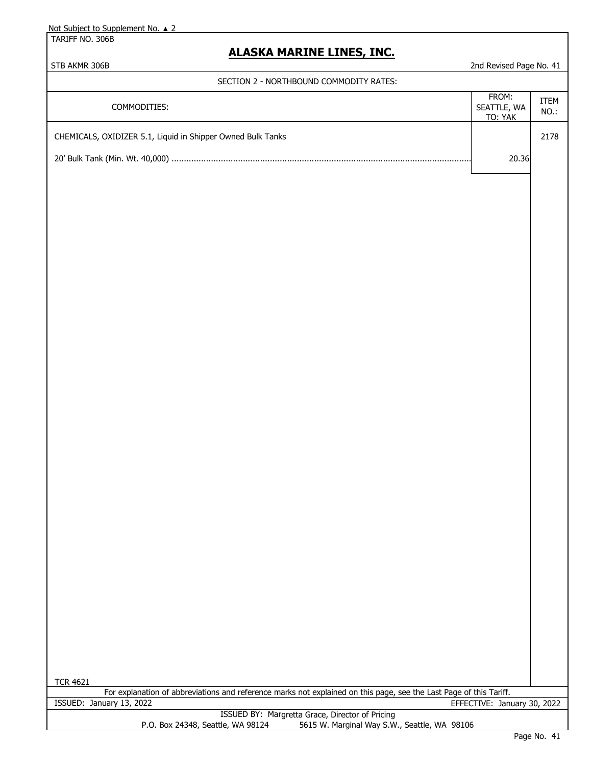TARIFF NO. 306B

## **ALASKA MARINE LINES, INC.**

### STB AKMR 306B 2nd Revised Page No. 41

#### SECTION 2 - NORTHBOUND COMMODITY RATES:

| COMMODITIES:                                                | FROM:<br>SEATTLE, WA<br>TO: YAK | <b>ITEM</b><br>NO.: |
|-------------------------------------------------------------|---------------------------------|---------------------|
| CHEMICALS, OXIDIZER 5.1, Liquid in Shipper Owned Bulk Tanks |                                 | 2178                |
|                                                             | 20.36                           |                     |
|                                                             |                                 |                     |

For explanation of abbreviations and reference marks not explained on this page, see the Last Page of this Tariff. ISSUED: January 13, 2022 EFFECTIVE: January 30, 2022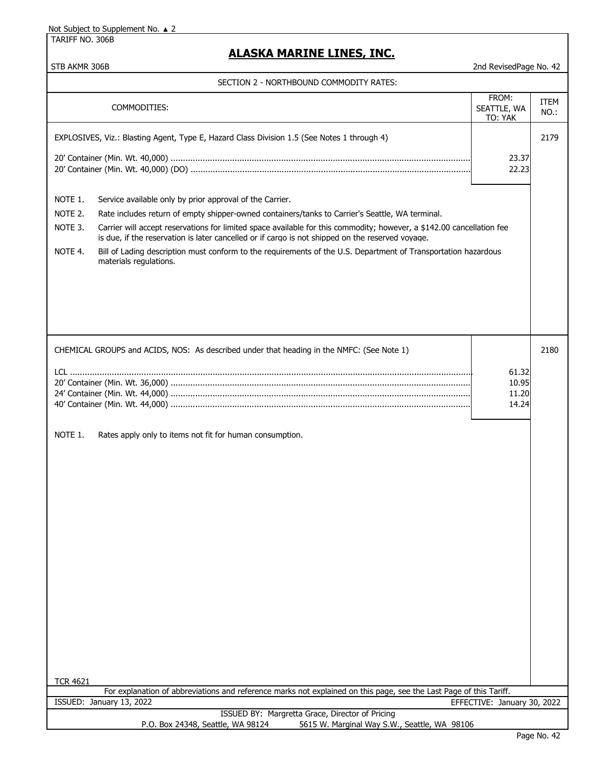TARIFF NO. 306B

## **ALASKA MARINE LINES, INC.**

| SECTION 2 - NORTHBOUND COMMODITY RATES: |
|-----------------------------------------|
|-----------------------------------------|

| 3LCTION Z " NORTHDOUND COPIPIODITT RATES                                                                                                                                                                                                                                                                                                                                                                                                                                                                                                                                         |                                  |                     |
|----------------------------------------------------------------------------------------------------------------------------------------------------------------------------------------------------------------------------------------------------------------------------------------------------------------------------------------------------------------------------------------------------------------------------------------------------------------------------------------------------------------------------------------------------------------------------------|----------------------------------|---------------------|
| COMMODITIES:                                                                                                                                                                                                                                                                                                                                                                                                                                                                                                                                                                     | FROM:<br>SEATTLE, WA<br>TO: YAK  | <b>ITEM</b><br>NO.: |
| EXPLOSIVES, Viz.: Blasting Agent, Type E, Hazard Class Division 1.5 (See Notes 1 through 4)                                                                                                                                                                                                                                                                                                                                                                                                                                                                                      | 23.37<br>22.23                   | 2179                |
| NOTE 1.<br>Service available only by prior approval of the Carrier.<br>NOTE 2.<br>Rate includes return of empty shipper-owned containers/tanks to Carrier's Seattle, WA terminal.<br>NOTE 3.<br>Carrier will accept reservations for limited space available for this commodity; however, a \$142.00 cancellation fee<br>is due, if the reservation is later cancelled or if cargo is not shipped on the reserved voyage.<br>NOTE 4.<br>Bill of Lading description must conform to the requirements of the U.S. Department of Transportation hazardous<br>materials regulations. |                                  |                     |
| CHEMICAL GROUPS and ACIDS, NOS: As described under that heading in the NMFC: (See Note 1)<br>NOTE 1.<br>Rates apply only to items not fit for human consumption.                                                                                                                                                                                                                                                                                                                                                                                                                 | 61.32<br>10.95<br>11.20<br>14.24 | 2180                |
| <b>TCR 4621</b><br>For explanation of abbreviations and reference marks not explained on this page, see the Last Page of this Tariff.                                                                                                                                                                                                                                                                                                                                                                                                                                            |                                  |                     |
| ISSUED: January 13, 2022                                                                                                                                                                                                                                                                                                                                                                                                                                                                                                                                                         | EFFECTIVE: January 30, 2022      |                     |
| ISSUED BY: Margretta Grace, Director of Pricing<br>5615 W. Marginal Way S.W., Seattle, WA 98106<br>P.O. Box 24348, Seattle, WA 98124                                                                                                                                                                                                                                                                                                                                                                                                                                             |                                  |                     |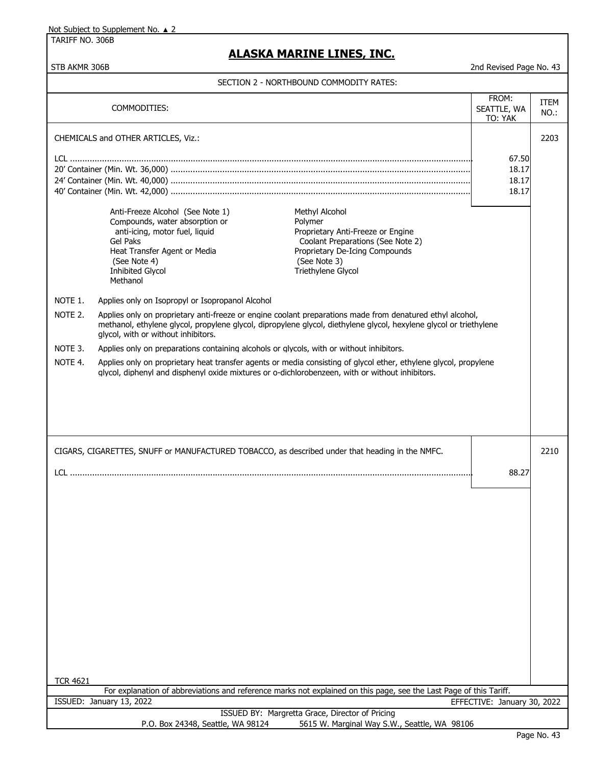TARIFF NO. 306B

# **ALASKA MARINE LINES, INC.**

STB AKMR 306B 2nd Revised Page No. 43

|                                                                                                                                                                                                                                | COMMODITIES:                                                                                                                                                                                                                                                                                                                                                                                          |                                                                                                                                                                                                                                                                                                                                                                                                                | FROM:<br>SEATTLE, WA<br>TO: YAK  | <b>ITEM</b><br>NO.: |
|--------------------------------------------------------------------------------------------------------------------------------------------------------------------------------------------------------------------------------|-------------------------------------------------------------------------------------------------------------------------------------------------------------------------------------------------------------------------------------------------------------------------------------------------------------------------------------------------------------------------------------------------------|----------------------------------------------------------------------------------------------------------------------------------------------------------------------------------------------------------------------------------------------------------------------------------------------------------------------------------------------------------------------------------------------------------------|----------------------------------|---------------------|
|                                                                                                                                                                                                                                | CHEMICALS and OTHER ARTICLES, Viz.:                                                                                                                                                                                                                                                                                                                                                                   |                                                                                                                                                                                                                                                                                                                                                                                                                |                                  | 2203                |
|                                                                                                                                                                                                                                |                                                                                                                                                                                                                                                                                                                                                                                                       |                                                                                                                                                                                                                                                                                                                                                                                                                | 67.50<br>18.17<br>18.17<br>18.17 |                     |
| NOTE 1.<br>NOTE 2.<br>NOTE 3.                                                                                                                                                                                                  | Anti-Freeze Alcohol (See Note 1)<br>Compounds, water absorption or<br>anti-icing, motor fuel, liquid<br><b>Gel Paks</b><br>Heat Transfer Agent or Media<br>(See Note 4)<br><b>Inhibited Glycol</b><br>Methanol<br>Applies only on Isopropyl or Isopropanol Alcohol<br>glycol, with or without inhibitors.<br>Applies only on preparations containing alcohols or glycols, with or without inhibitors. | Methyl Alcohol<br>Polymer<br>Proprietary Anti-Freeze or Engine<br>Coolant Preparations (See Note 2)<br>Proprietary De-Icing Compounds<br>(See Note 3)<br>Triethylene Glycol<br>Applies only on proprietary anti-freeze or engine coolant preparations made from denatured ethyl alcohol,<br>methanol, ethylene glycol, propylene glycol, dipropylene glycol, diethylene glycol, hexylene glycol or triethylene |                                  |                     |
| NOTE 4.<br>Applies only on proprietary heat transfer agents or media consisting of glycol ether, ethylene glycol, propylene<br>glycol, diphenyl and disphenyl oxide mixtures or o-dichlorobenzeen, with or without inhibitors. |                                                                                                                                                                                                                                                                                                                                                                                                       |                                                                                                                                                                                                                                                                                                                                                                                                                |                                  |                     |
| CIGARS, CIGARETTES, SNUFF or MANUFACTURED TOBACCO, as described under that heading in the NMFC.                                                                                                                                |                                                                                                                                                                                                                                                                                                                                                                                                       |                                                                                                                                                                                                                                                                                                                                                                                                                | 2210                             |                     |
| 88.27                                                                                                                                                                                                                          |                                                                                                                                                                                                                                                                                                                                                                                                       |                                                                                                                                                                                                                                                                                                                                                                                                                |                                  |                     |
|                                                                                                                                                                                                                                |                                                                                                                                                                                                                                                                                                                                                                                                       |                                                                                                                                                                                                                                                                                                                                                                                                                |                                  |                     |
|                                                                                                                                                                                                                                |                                                                                                                                                                                                                                                                                                                                                                                                       |                                                                                                                                                                                                                                                                                                                                                                                                                |                                  |                     |
| <b>TCR 4621</b>                                                                                                                                                                                                                |                                                                                                                                                                                                                                                                                                                                                                                                       |                                                                                                                                                                                                                                                                                                                                                                                                                |                                  |                     |
|                                                                                                                                                                                                                                | ISSUED: January 13, 2022                                                                                                                                                                                                                                                                                                                                                                              | For explanation of abbreviations and reference marks not explained on this page, see the Last Page of this Tariff.                                                                                                                                                                                                                                                                                             | EFFECTIVE: January 30, 2022      |                     |
|                                                                                                                                                                                                                                |                                                                                                                                                                                                                                                                                                                                                                                                       | ISSUED BY: Margretta Grace, Director of Pricing                                                                                                                                                                                                                                                                                                                                                                |                                  |                     |
|                                                                                                                                                                                                                                | P.O. Box 24348, Seattle, WA 98124                                                                                                                                                                                                                                                                                                                                                                     | 5615 W. Marginal Way S.W., Seattle, WA 98106                                                                                                                                                                                                                                                                                                                                                                   |                                  |                     |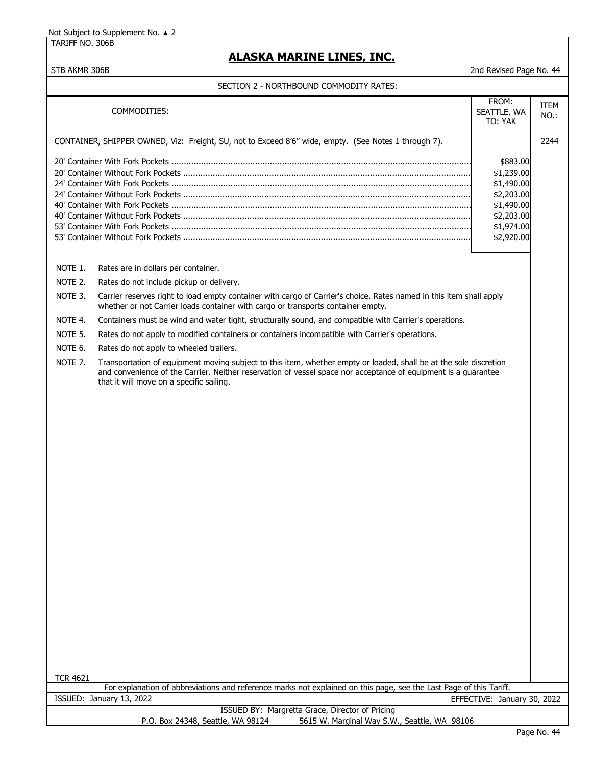TARIFF NO. 306B

# **ALASKA MARINE LINES, INC.**

### STB AKMR 306B 2nd Revised Page No. 44

|                     | COMMODITIES:                                                                                                                                                                                                                                                                    | FROM:<br>SEATTLE, WA<br>TO: YAK                                                                            | ITEM<br>NO.: |
|---------------------|---------------------------------------------------------------------------------------------------------------------------------------------------------------------------------------------------------------------------------------------------------------------------------|------------------------------------------------------------------------------------------------------------|--------------|
|                     | CONTAINER, SHIPPER OWNED, Viz: Freight, SU, not to Exceed 8'6" wide, empty. (See Notes 1 through 7).                                                                                                                                                                            |                                                                                                            | 2244         |
|                     |                                                                                                                                                                                                                                                                                 | \$883.00<br>\$1,239.00<br>\$1,490.00<br>\$2,203.00<br>\$1,490.00<br>\$2,203.00<br>\$1,974.00<br>\$2,920.00 |              |
| NOTE 1.             | Rates are in dollars per container.                                                                                                                                                                                                                                             |                                                                                                            |              |
| NOTE 2.             | Rates do not include pickup or delivery.                                                                                                                                                                                                                                        |                                                                                                            |              |
| NOTE 3.             | Carrier reserves right to load empty container with cargo of Carrier's choice. Rates named in this item shall apply<br>whether or not Carrier loads container with cargo or transports container empty.                                                                         |                                                                                                            |              |
| NOTE 4.             | Containers must be wind and water tight, structurally sound, and compatible with Carrier's operations.                                                                                                                                                                          |                                                                                                            |              |
| NOTE 5.             | Rates do not apply to modified containers or containers incompatible with Carrier's operations.                                                                                                                                                                                 |                                                                                                            |              |
| NOTE 6.             | Rates do not apply to wheeled trailers.                                                                                                                                                                                                                                         |                                                                                                            |              |
| NOTE <sub>7</sub> . | Transportation of equipment moving subject to this item, whether empty or loaded, shall be at the sole discretion<br>and convenience of the Carrier. Neither reservation of vessel space nor acceptance of equipment is a quarantee<br>that it will move on a specific sailing. |                                                                                                            |              |
| <b>TCR 4621</b>     | For explanation of abbreviations and reference marks not explained on this page, see the Last Page of this Tariff.                                                                                                                                                              |                                                                                                            |              |
|                     | ISSUED: January 13, 2022                                                                                                                                                                                                                                                        | EFFECTIVE: January 30, 2022                                                                                |              |
|                     | ISSUED BY: Margretta Grace, Director of Pricing<br>5615 W. Marginal Way S.W., Seattle, WA 98106<br>P.O. Box 24348, Seattle, WA 98124                                                                                                                                            |                                                                                                            |              |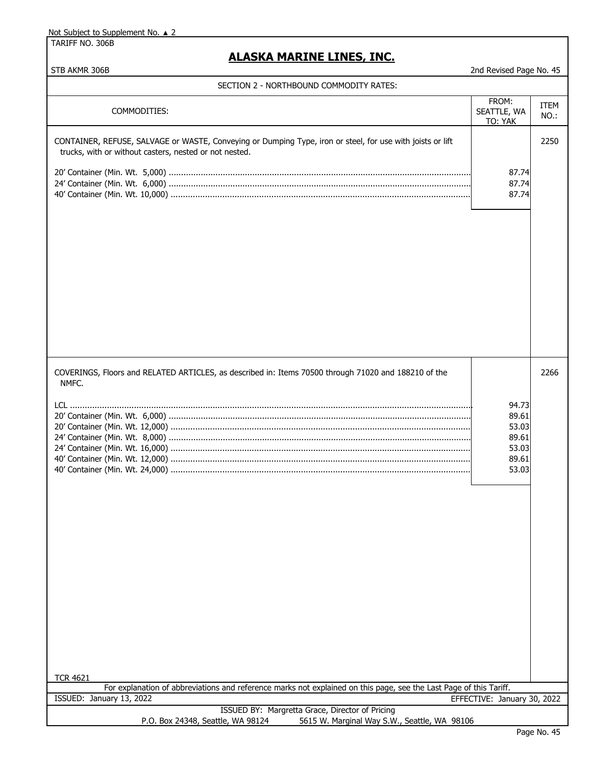TARIFF NO. 306B

# **ALASKA MARINE LINES, INC.**

|  | SECTION 2 - NORTHBOUND COMMODITY RATES: |
|--|-----------------------------------------|
|  |                                         |

| SECTION Z - NORTHBOUND COMMODITY RATES:                                                                                                                              |                                                             |                 |
|----------------------------------------------------------------------------------------------------------------------------------------------------------------------|-------------------------------------------------------------|-----------------|
| COMMODITIES:                                                                                                                                                         | FROM:<br>SEATTLE, WA<br>TO: YAK                             | ITEM<br>$NO.$ : |
| CONTAINER, REFUSE, SALVAGE or WASTE, Conveying or Dumping Type, iron or steel, for use with joists or lift<br>trucks, with or without casters, nested or not nested. | 87.74<br>87.74<br>87.74                                     | 2250            |
| COVERINGS, Floors and RELATED ARTICLES, as described in: Items 70500 through 71020 and 188210 of the<br>NMFC.<br><b>TCR 4621</b>                                     | 94.73<br>89.61<br>53.03<br>89.61<br>53.03<br>89.61<br>53.03 | 2266            |
| For explanation of abbreviations and reference marks not explained on this page, see the Last Page of this Tariff.<br>ISSUED: January 13, 2022                       |                                                             |                 |
| ISSUED BY: Margretta Grace, Director of Pricing                                                                                                                      | EFFECTIVE: January 30, 2022                                 |                 |
| 5615 W. Marginal Way S.W., Seattle, WA 98106<br>P.O. Box 24348, Seattle, WA 98124                                                                                    |                                                             |                 |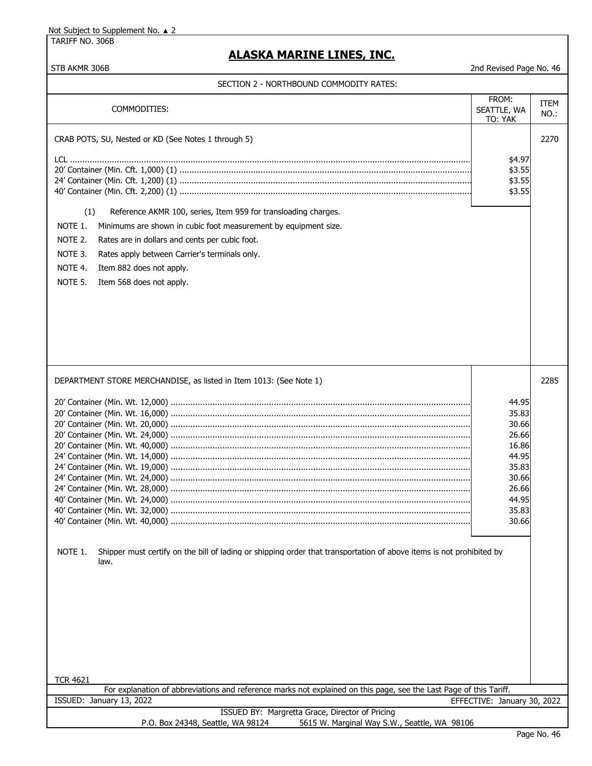TARIFF NO. 306B

# **ALASKA MARINE LINES, INC.**

| SECTION Z = NORTHDOUND COPIPIODITT NATES                                                                                                |                                 |                     |
|-----------------------------------------------------------------------------------------------------------------------------------------|---------------------------------|---------------------|
| COMMODITIES:                                                                                                                            | FROM:<br>SEATTLE, WA<br>TO: YAK | <b>ITEM</b><br>NO.: |
| CRAB POTS, SU, Nested or KD (See Notes 1 through 5)                                                                                     |                                 | 2270                |
|                                                                                                                                         | \$4.97                          |                     |
|                                                                                                                                         | \$3.55<br>\$3.55                |                     |
|                                                                                                                                         | \$3.55                          |                     |
|                                                                                                                                         |                                 |                     |
| (1)<br>Reference AKMR 100, series, Item 959 for transloading charges.                                                                   |                                 |                     |
| NOTE 1.<br>Minimums are shown in cubic foot measurement by equipment size.                                                              |                                 |                     |
| NOTE 2.<br>Rates are in dollars and cents per cubic foot.                                                                               |                                 |                     |
| NOTE 3.<br>Rates apply between Carrier's terminals only.                                                                                |                                 |                     |
| NOTE 4.<br>Item 882 does not apply.                                                                                                     |                                 |                     |
| NOTE 5.<br>Item 568 does not apply.                                                                                                     |                                 |                     |
|                                                                                                                                         |                                 |                     |
|                                                                                                                                         |                                 |                     |
|                                                                                                                                         |                                 |                     |
|                                                                                                                                         |                                 |                     |
|                                                                                                                                         |                                 |                     |
|                                                                                                                                         |                                 |                     |
|                                                                                                                                         |                                 |                     |
| DEPARTMENT STORE MERCHANDISE, as listed in Item 1013: (See Note 1)                                                                      |                                 | 2285                |
|                                                                                                                                         | 44.95                           |                     |
|                                                                                                                                         | 35.83                           |                     |
|                                                                                                                                         | 30.66                           |                     |
|                                                                                                                                         | 26.66                           |                     |
|                                                                                                                                         | 16.86                           |                     |
|                                                                                                                                         | 44.95<br>35.83                  |                     |
|                                                                                                                                         | 30.66                           |                     |
|                                                                                                                                         | 26.66                           |                     |
|                                                                                                                                         | 44.95                           |                     |
|                                                                                                                                         | 35.83                           |                     |
|                                                                                                                                         | 30.66                           |                     |
|                                                                                                                                         |                                 |                     |
| NOTE 1.<br>Shipper must certify on the bill of lading or shipping order that transportation of above items is not prohibited by<br>law. |                                 |                     |
|                                                                                                                                         |                                 |                     |
|                                                                                                                                         |                                 |                     |
|                                                                                                                                         |                                 |                     |
|                                                                                                                                         |                                 |                     |
|                                                                                                                                         |                                 |                     |
|                                                                                                                                         |                                 |                     |
|                                                                                                                                         |                                 |                     |
|                                                                                                                                         |                                 |                     |
| <b>TCR 4621</b>                                                                                                                         |                                 |                     |
| For explanation of abbreviations and reference marks not explained on this page, see the Last Page of this Tariff.                      |                                 |                     |
| ISSUED: January 13, 2022                                                                                                                | EFFECTIVE: January 30, 2022     |                     |
| ISSUED BY: Margretta Grace, Director of Pricing<br>P.O. Box 24348, Seattle, WA 98124<br>5615 W. Marginal Way S.W., Seattle, WA 98106    |                                 |                     |
|                                                                                                                                         |                                 |                     |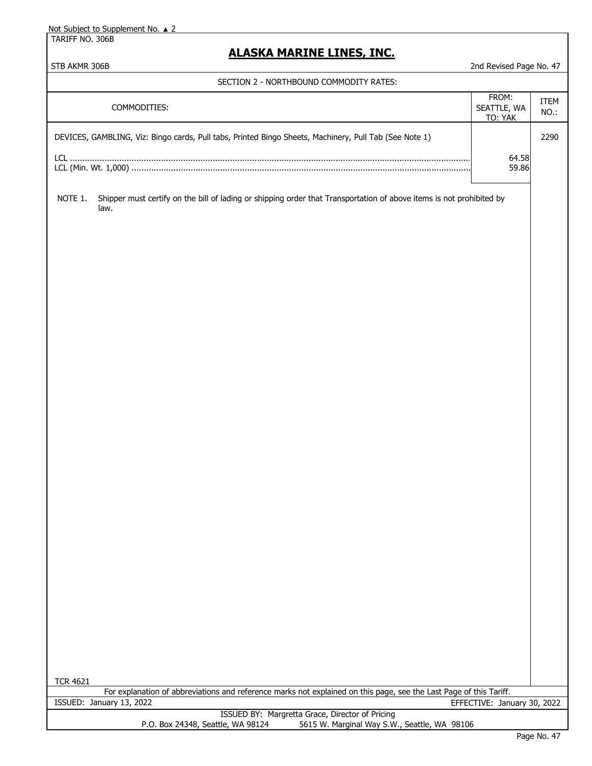TARIFF NO. 306B

## **ALASKA MARINE LINES, INC.**

STB AKMR 306B 2nd Revised Page No. 47

#### SECTION 2 - NORTHBOUND COMMODITY RATES:

| COMMODITIES:                                                                                           | FROM:<br>SEATTLE, WA<br>TO: YAK | <b>ITEM</b><br>$NO.$ : |
|--------------------------------------------------------------------------------------------------------|---------------------------------|------------------------|
| DEVICES, GAMBLING, Viz: Bingo cards, Pull tabs, Printed Bingo Sheets, Machinery, Pull Tab (See Note 1) |                                 | 2290                   |
|                                                                                                        | 64.58<br>59.86                  |                        |

NOTE 1. Shipper must certify on the bill of lading or shipping order that Transportation of above items is not prohibited by law.

TCR 4621

For explanation of abbreviations and reference marks not explained on this page, see the Last Page of this Tariff. ISSUED: January 13, 2022 EFFECTIVE: January 30, 2022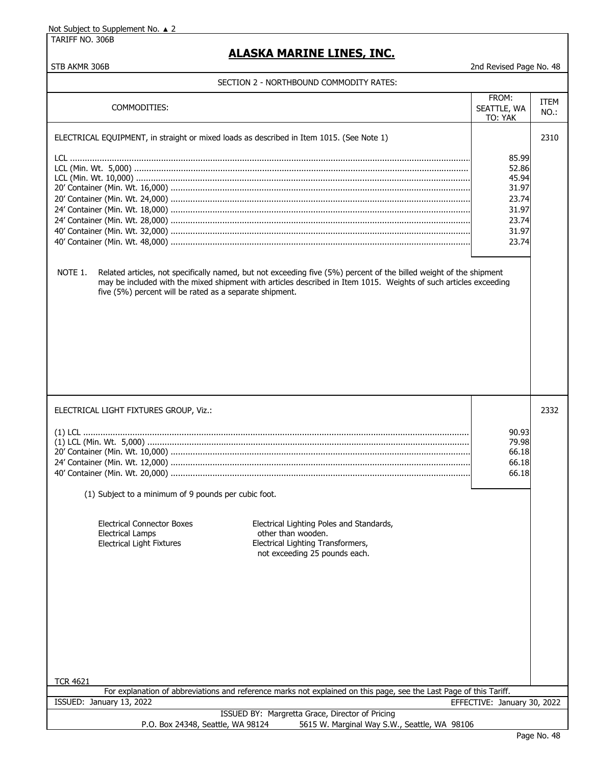TARIFF NO. 306B

## **ALASKA MARINE LINES, INC.**

| COMMODITIES:                                                                                                                                                                                                                                                                                                                                                                                             | FROM:<br>SEATTLE, WA<br>TO: YAK                                               | <b>ITEM</b><br>NO.: |
|----------------------------------------------------------------------------------------------------------------------------------------------------------------------------------------------------------------------------------------------------------------------------------------------------------------------------------------------------------------------------------------------------------|-------------------------------------------------------------------------------|---------------------|
| ELECTRICAL EQUIPMENT, in straight or mixed loads as described in Item 1015. (See Note 1)<br>NOTE 1.<br>Related articles, not specifically named, but not exceeding five (5%) percent of the billed weight of the shipment<br>may be included with the mixed shipment with articles described in Item 1015. Weights of such articles exceeding<br>five (5%) percent will be rated as a separate shipment. | 85.99<br>52.86<br>45.94<br>31.97<br>23.74<br>31.97<br>23.74<br>31.97<br>23.74 | 2310                |
| ELECTRICAL LIGHT FIXTURES GROUP, Viz.:<br>(1) Subject to a minimum of 9 pounds per cubic foot.                                                                                                                                                                                                                                                                                                           | 90.93<br>79.98<br>66.18<br>66.18<br>66.18                                     | 2332                |
| Electrical Lighting Poles and Standards,<br><b>Electrical Connector Boxes</b><br><b>Electrical Lamps</b><br>other than wooden.<br><b>Electrical Light Fixtures</b><br>Electrical Lighting Transformers,<br>not exceeding 25 pounds each.                                                                                                                                                                 |                                                                               |                     |
| <b>TCR 4621</b><br>For explanation of abbreviations and reference marks not explained on this page, see the Last Page of this Tariff.                                                                                                                                                                                                                                                                    |                                                                               |                     |
| ISSUED: January 13, 2022                                                                                                                                                                                                                                                                                                                                                                                 | EFFECTIVE: January 30, 2022                                                   |                     |
| ISSUED BY: Margretta Grace, Director of Pricing                                                                                                                                                                                                                                                                                                                                                          |                                                                               |                     |
| P.O. Box 24348, Seattle, WA 98124<br>5615 W. Marginal Way S.W., Seattle, WA 98106                                                                                                                                                                                                                                                                                                                        |                                                                               |                     |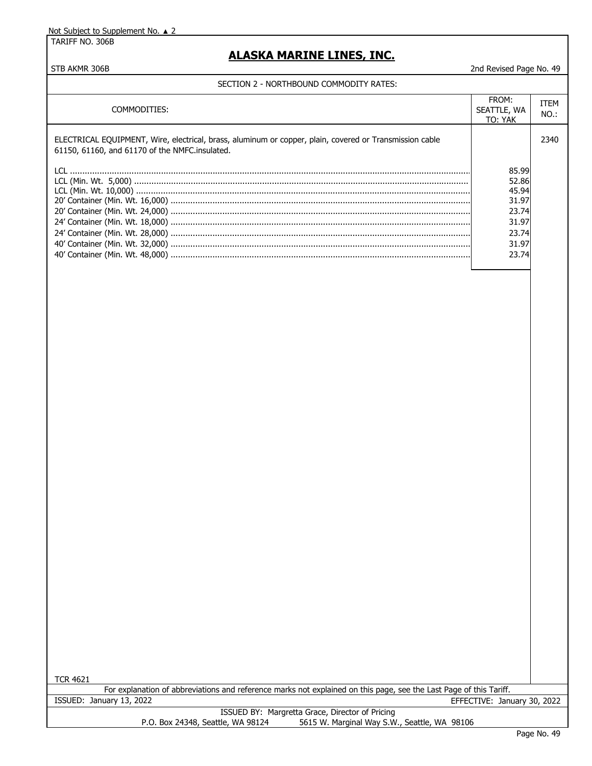TARIFF NO. 306B

## **ALASKA MARINE LINES, INC.**

STB AKMR 306B 2nd Revised Page No. 49

#### SECTION 2 - NORTHBOUND COMMODITY RATES:

| COMMODITIES:                                                                                                                                              | FROM:<br>SEATTLE, WA<br>TO: YAK                                               | ITEM<br>NO.: |
|-----------------------------------------------------------------------------------------------------------------------------------------------------------|-------------------------------------------------------------------------------|--------------|
| ELECTRICAL EQUIPMENT, Wire, electrical, brass, aluminum or copper, plain, covered or Transmission cable<br>61150, 61160, and 61170 of the NMFC.insulated. |                                                                               | 2340         |
|                                                                                                                                                           | 85.99<br>52.86<br>45.94<br>31.97<br>23.74<br>31.97<br>23.74<br>31.97<br>23.74 |              |

TCR 4621

For explanation of abbreviations and reference marks not explained on this page, see the Last Page of this Tariff. ISSUED: January 13, 2022 EFFECTIVE: January 30, 2022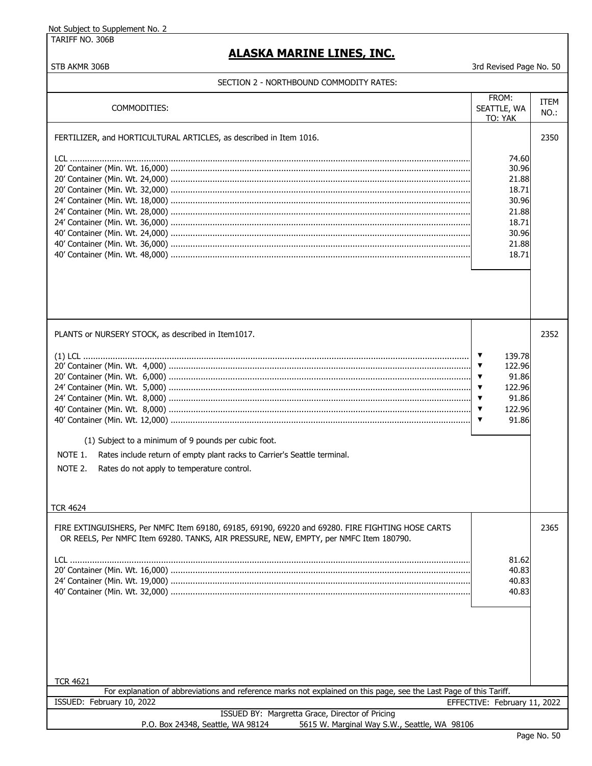TARIFF NO. 306B

## **ALASKA MARINE LINES, INC.**

STB AKMR 306B 3rd Revised Page No. 50

| COMMODITIES:                                                                                                                                                                                                                                                                  | FROM:<br>SEATTLE, WA<br>TO: YAK                                                                    | ITEM<br>NO.: |
|-------------------------------------------------------------------------------------------------------------------------------------------------------------------------------------------------------------------------------------------------------------------------------|----------------------------------------------------------------------------------------------------|--------------|
| FERTILIZER, and HORTICULTURAL ARTICLES, as described in Item 1016.                                                                                                                                                                                                            | 74.60<br>30.96<br>21.88<br>18.71<br>30.96<br>21.88<br>18.71<br>30.96<br>21.88<br>18.71             | 2350         |
| PLANTS or NURSERY STOCK, as described in Item1017.<br>(1) Subject to a minimum of 9 pounds per cubic foot.<br>NOTE 1.<br>Rates include return of empty plant racks to Carrier's Seattle terminal.<br>NOTE 2.<br>Rates do not apply to temperature control.<br><b>TCR 4624</b> | 139.78<br>▼<br>122.96<br>▼<br>91.86<br>▼<br>122.96<br>▼<br>▼<br>91.86<br>122.96<br>▼<br>91.86<br>▼ | 2352         |
| FIRE EXTINGUISHERS, Per NMFC Item 69180, 69185, 69190, 69220 and 69280. FIRE FIGHTING HOSE CARTS<br>OR REELS, Per NMFC Item 69280. TANKS, AIR PRESSURE, NEW, EMPTY, per NMFC Item 180790.                                                                                     | 81.62<br>40.83<br>40.83<br>40.83                                                                   | 2365         |
| <b>TCR 4621</b><br>For explanation of abbreviations and reference marks not explained on this page, see the Last Page of this Tariff.                                                                                                                                         |                                                                                                    |              |
| ISSUED: February 10, 2022                                                                                                                                                                                                                                                     | EFFECTIVE: February 11, 2022                                                                       |              |
| ISSUED BY: Margretta Grace, Director of Pricing<br>P.O. Box 24348, Seattle, WA 98124<br>5615 W. Marginal Way S.W., Seattle, WA 98106                                                                                                                                          |                                                                                                    |              |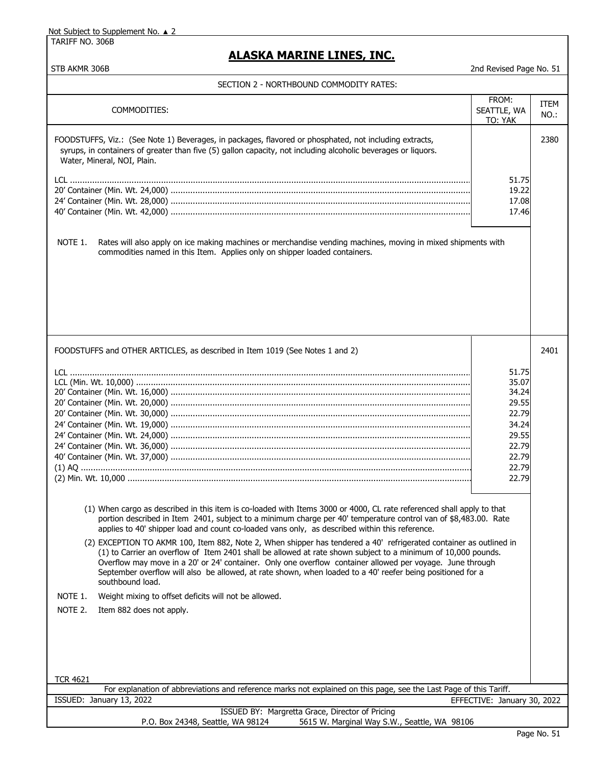TARIFF NO. 306B

# **ALASKA MARINE LINES, INC.**

| SECTION Z - NORTHBOUND COMMODITY RATES:                                                                                                                                                                                                                                                                                                                                                                                                                                                                                                                                                                                                                                                                                                                                                                                                                                                                                                     |                                 |                     |
|---------------------------------------------------------------------------------------------------------------------------------------------------------------------------------------------------------------------------------------------------------------------------------------------------------------------------------------------------------------------------------------------------------------------------------------------------------------------------------------------------------------------------------------------------------------------------------------------------------------------------------------------------------------------------------------------------------------------------------------------------------------------------------------------------------------------------------------------------------------------------------------------------------------------------------------------|---------------------------------|---------------------|
| COMMODITIES:                                                                                                                                                                                                                                                                                                                                                                                                                                                                                                                                                                                                                                                                                                                                                                                                                                                                                                                                | FROM:<br>SEATTLE, WA<br>TO: YAK | <b>ITEM</b><br>NO.: |
| FOODSTUFFS, Viz.: (See Note 1) Beverages, in packages, flavored or phosphated, not including extracts,<br>syrups, in containers of greater than five (5) gallon capacity, not including alcoholic beverages or liquors.<br>Water, Mineral, NOI, Plain.                                                                                                                                                                                                                                                                                                                                                                                                                                                                                                                                                                                                                                                                                      |                                 | 2380                |
|                                                                                                                                                                                                                                                                                                                                                                                                                                                                                                                                                                                                                                                                                                                                                                                                                                                                                                                                             | 51.75                           |                     |
|                                                                                                                                                                                                                                                                                                                                                                                                                                                                                                                                                                                                                                                                                                                                                                                                                                                                                                                                             | 19.22                           |                     |
|                                                                                                                                                                                                                                                                                                                                                                                                                                                                                                                                                                                                                                                                                                                                                                                                                                                                                                                                             | 17.08                           |                     |
|                                                                                                                                                                                                                                                                                                                                                                                                                                                                                                                                                                                                                                                                                                                                                                                                                                                                                                                                             | 17.46                           |                     |
| NOTE 1.<br>Rates will also apply on ice making machines or merchandise vending machines, moving in mixed shipments with<br>commodities named in this Item. Applies only on shipper loaded containers.                                                                                                                                                                                                                                                                                                                                                                                                                                                                                                                                                                                                                                                                                                                                       |                                 |                     |
| FOODSTUFFS and OTHER ARTICLES, as described in Item 1019 (See Notes 1 and 2)                                                                                                                                                                                                                                                                                                                                                                                                                                                                                                                                                                                                                                                                                                                                                                                                                                                                |                                 | 2401                |
|                                                                                                                                                                                                                                                                                                                                                                                                                                                                                                                                                                                                                                                                                                                                                                                                                                                                                                                                             | 51.75                           |                     |
|                                                                                                                                                                                                                                                                                                                                                                                                                                                                                                                                                                                                                                                                                                                                                                                                                                                                                                                                             | 35.07                           |                     |
|                                                                                                                                                                                                                                                                                                                                                                                                                                                                                                                                                                                                                                                                                                                                                                                                                                                                                                                                             | 34.24                           |                     |
|                                                                                                                                                                                                                                                                                                                                                                                                                                                                                                                                                                                                                                                                                                                                                                                                                                                                                                                                             | 29.55                           |                     |
|                                                                                                                                                                                                                                                                                                                                                                                                                                                                                                                                                                                                                                                                                                                                                                                                                                                                                                                                             | 22.79                           |                     |
|                                                                                                                                                                                                                                                                                                                                                                                                                                                                                                                                                                                                                                                                                                                                                                                                                                                                                                                                             | 34.24                           |                     |
|                                                                                                                                                                                                                                                                                                                                                                                                                                                                                                                                                                                                                                                                                                                                                                                                                                                                                                                                             | 29.55                           |                     |
|                                                                                                                                                                                                                                                                                                                                                                                                                                                                                                                                                                                                                                                                                                                                                                                                                                                                                                                                             | 22.79<br>22.79                  |                     |
|                                                                                                                                                                                                                                                                                                                                                                                                                                                                                                                                                                                                                                                                                                                                                                                                                                                                                                                                             | 22.79                           |                     |
|                                                                                                                                                                                                                                                                                                                                                                                                                                                                                                                                                                                                                                                                                                                                                                                                                                                                                                                                             | 22.79                           |                     |
| (1) When cargo as described in this item is co-loaded with Items 3000 or 4000, CL rate referenced shall apply to that<br>portion described in Item 2401, subject to a minimum charge per 40' temperature control van of \$8,483.00. Rate<br>applies to 40' shipper load and count co-loaded vans only, as described within this reference.<br>(2) EXCEPTION TO AKMR 100, Item 882, Note 2, When shipper has tendered a 40' refrigerated container as outlined in<br>(1) to Carrier an overflow of Item 2401 shall be allowed at rate shown subject to a minimum of 10,000 pounds.<br>Overflow may move in a 20' or 24' container. Only one overflow container allowed per voyage. June through<br>September overflow will also be allowed, at rate shown, when loaded to a 40' reefer being positioned for a<br>southbound load.<br>NOTE 1.<br>Weight mixing to offset deficits will not be allowed.<br>NOTE 2.<br>Item 882 does not apply. |                                 |                     |
| <b>TCR 4621</b><br>For explanation of abbreviations and reference marks not explained on this page, see the Last Page of this Tariff.                                                                                                                                                                                                                                                                                                                                                                                                                                                                                                                                                                                                                                                                                                                                                                                                       |                                 |                     |
| ISSUED: January 13, 2022                                                                                                                                                                                                                                                                                                                                                                                                                                                                                                                                                                                                                                                                                                                                                                                                                                                                                                                    | EFFECTIVE: January 30, 2022     |                     |
| ISSUED BY: Margretta Grace, Director of Pricing<br>P.O. Box 24348, Seattle, WA 98124<br>5615 W. Marginal Way S.W., Seattle, WA 98106                                                                                                                                                                                                                                                                                                                                                                                                                                                                                                                                                                                                                                                                                                                                                                                                        |                                 |                     |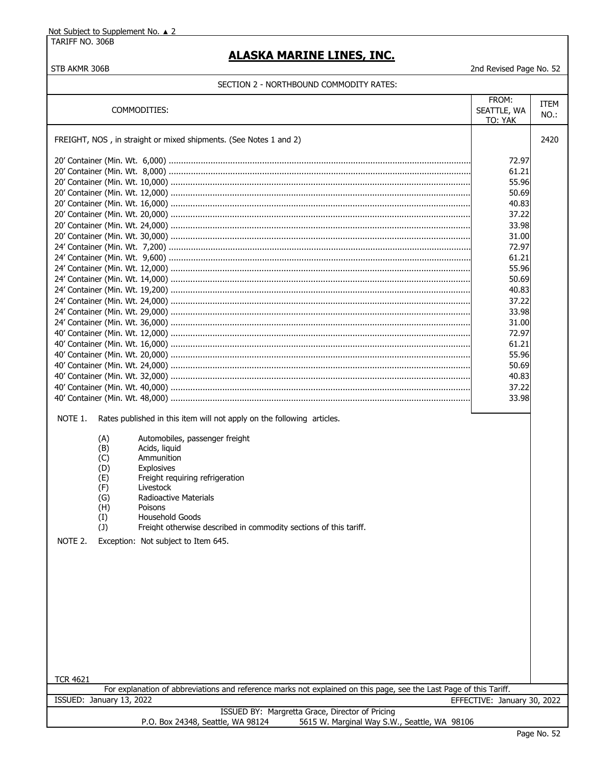TARIFF NO. 306B

# **ALASKA MARINE LINES, INC.**

STB AKMR 306B 2nd Revised Page No. 52

|                                                                                                                                                                                                                                                                                                                                                                                                                                                                             | FROM:                       | ITEM |
|-----------------------------------------------------------------------------------------------------------------------------------------------------------------------------------------------------------------------------------------------------------------------------------------------------------------------------------------------------------------------------------------------------------------------------------------------------------------------------|-----------------------------|------|
| COMMODITIES:                                                                                                                                                                                                                                                                                                                                                                                                                                                                | SEATTLE, WA                 | NO.: |
|                                                                                                                                                                                                                                                                                                                                                                                                                                                                             | TO: YAK                     |      |
|                                                                                                                                                                                                                                                                                                                                                                                                                                                                             |                             |      |
| FREIGHT, NOS, in straight or mixed shipments. (See Notes 1 and 2)                                                                                                                                                                                                                                                                                                                                                                                                           |                             | 2420 |
|                                                                                                                                                                                                                                                                                                                                                                                                                                                                             |                             |      |
|                                                                                                                                                                                                                                                                                                                                                                                                                                                                             | 72.97                       |      |
|                                                                                                                                                                                                                                                                                                                                                                                                                                                                             | 61.21                       |      |
|                                                                                                                                                                                                                                                                                                                                                                                                                                                                             | 55.96                       |      |
|                                                                                                                                                                                                                                                                                                                                                                                                                                                                             | 50.69                       |      |
|                                                                                                                                                                                                                                                                                                                                                                                                                                                                             | 40.83                       |      |
|                                                                                                                                                                                                                                                                                                                                                                                                                                                                             | 37.22                       |      |
|                                                                                                                                                                                                                                                                                                                                                                                                                                                                             | 33.98                       |      |
|                                                                                                                                                                                                                                                                                                                                                                                                                                                                             |                             |      |
|                                                                                                                                                                                                                                                                                                                                                                                                                                                                             | 31.00                       |      |
|                                                                                                                                                                                                                                                                                                                                                                                                                                                                             | 72.97                       |      |
|                                                                                                                                                                                                                                                                                                                                                                                                                                                                             | 61.21                       |      |
|                                                                                                                                                                                                                                                                                                                                                                                                                                                                             | 55.96                       |      |
|                                                                                                                                                                                                                                                                                                                                                                                                                                                                             | 50.69                       |      |
|                                                                                                                                                                                                                                                                                                                                                                                                                                                                             | 40.83                       |      |
|                                                                                                                                                                                                                                                                                                                                                                                                                                                                             | 37.22                       |      |
|                                                                                                                                                                                                                                                                                                                                                                                                                                                                             | 33.98                       |      |
|                                                                                                                                                                                                                                                                                                                                                                                                                                                                             | 31.00                       |      |
|                                                                                                                                                                                                                                                                                                                                                                                                                                                                             |                             |      |
|                                                                                                                                                                                                                                                                                                                                                                                                                                                                             | 72.97                       |      |
|                                                                                                                                                                                                                                                                                                                                                                                                                                                                             | 61.21                       |      |
|                                                                                                                                                                                                                                                                                                                                                                                                                                                                             | 55.96                       |      |
|                                                                                                                                                                                                                                                                                                                                                                                                                                                                             | 50.69                       |      |
|                                                                                                                                                                                                                                                                                                                                                                                                                                                                             | 40.83                       |      |
|                                                                                                                                                                                                                                                                                                                                                                                                                                                                             | 37.22                       |      |
|                                                                                                                                                                                                                                                                                                                                                                                                                                                                             | 33.98                       |      |
| NOTE 1.<br>Rates published in this item will not apply on the following articles.<br>Automobiles, passenger freight<br>(A)<br>Acids, liquid<br>(B)<br>Ammunition<br>(C)<br><b>Explosives</b><br>(D)<br>Freight requiring refrigeration<br>(E)<br>(F)<br>Livestock<br>(G)<br>Radioactive Materials<br>Poisons<br>(H)<br>Household Goods<br>(I)<br>(J)<br>Freight otherwise described in commodity sections of this tariff.<br>NOTE 2.<br>Exception: Not subject to Item 645. |                             |      |
|                                                                                                                                                                                                                                                                                                                                                                                                                                                                             |                             |      |
| <b>TCR 4621</b>                                                                                                                                                                                                                                                                                                                                                                                                                                                             |                             |      |
| For explanation of abbreviations and reference marks not explained on this page, see the Last Page of this Tariff.                                                                                                                                                                                                                                                                                                                                                          |                             |      |
| ISSUED: January 13, 2022                                                                                                                                                                                                                                                                                                                                                                                                                                                    | EFFECTIVE: January 30, 2022 |      |
| ISSUED BY: Margretta Grace, Director of Pricing                                                                                                                                                                                                                                                                                                                                                                                                                             |                             |      |
| P.O. Box 24348, Seattle, WA 98124<br>5615 W. Marginal Way S.W., Seattle, WA 98106                                                                                                                                                                                                                                                                                                                                                                                           |                             |      |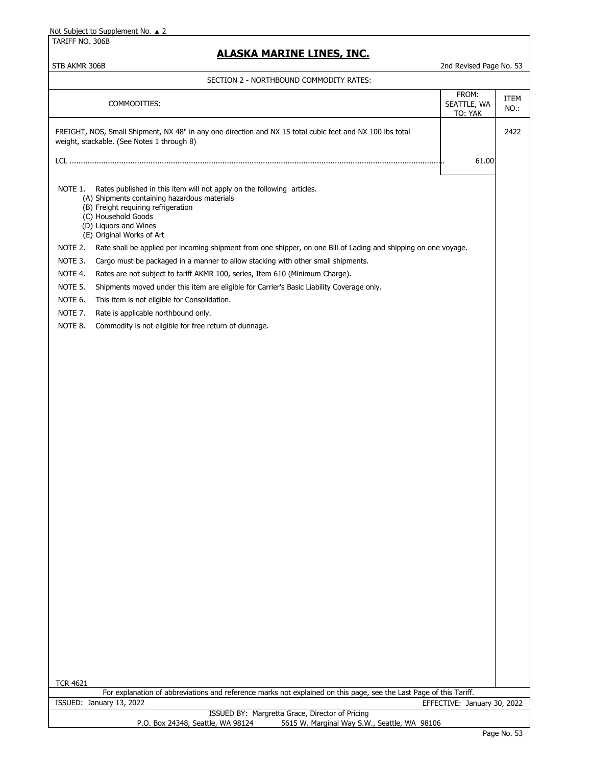TARIFF NO. 306B

## **ALASKA MARINE LINES, INC.**

#### STB AKMR 306B 2nd Revised Page No. 53

| SECTION 2 - NORTHBOUND COMMODITY RATES:                                                                                                                                                                                                                                                                                                                                                                                                                                                                                                                                                                                                                                                                                                                                                            |                                 |              |
|----------------------------------------------------------------------------------------------------------------------------------------------------------------------------------------------------------------------------------------------------------------------------------------------------------------------------------------------------------------------------------------------------------------------------------------------------------------------------------------------------------------------------------------------------------------------------------------------------------------------------------------------------------------------------------------------------------------------------------------------------------------------------------------------------|---------------------------------|--------------|
| COMMODITIES:                                                                                                                                                                                                                                                                                                                                                                                                                                                                                                                                                                                                                                                                                                                                                                                       | FROM:<br>SEATTLE, WA<br>TO: YAK | ITEM<br>NO.: |
| FREIGHT, NOS, Small Shipment, NX 48" in any one direction and NX 15 total cubic feet and NX 100 lbs total<br>weight, stackable. (See Notes 1 through 8)                                                                                                                                                                                                                                                                                                                                                                                                                                                                                                                                                                                                                                            |                                 | 2422         |
|                                                                                                                                                                                                                                                                                                                                                                                                                                                                                                                                                                                                                                                                                                                                                                                                    | 61.00                           |              |
| Rates published in this item will not apply on the following articles.<br>NOTE 1.<br>(A) Shipments containing hazardous materials<br>(B) Freight requiring refrigeration<br>(C) Household Goods<br>(D) Liquors and Wines<br>(E) Original Works of Art<br>NOTE 2.<br>Rate shall be applied per incoming shipment from one shipper, on one Bill of Lading and shipping on one voyage.<br>NOTE 3.<br>Cargo must be packaged in a manner to allow stacking with other small shipments.<br>NOTE 4.<br>Rates are not subject to tariff AKMR 100, series, Item 610 (Minimum Charge).<br>NOTE 5.<br>Shipments moved under this item are eligible for Carrier's Basic Liability Coverage only.<br>NOTE 6.<br>This item is not eligible for Consolidation.<br>NOTE 7.<br>Rate is applicable northbound only. |                                 |              |
| NOTE 8.<br>Commodity is not eligible for free return of dunnage.                                                                                                                                                                                                                                                                                                                                                                                                                                                                                                                                                                                                                                                                                                                                   |                                 |              |
|                                                                                                                                                                                                                                                                                                                                                                                                                                                                                                                                                                                                                                                                                                                                                                                                    |                                 |              |
| <b>TCR 4621</b><br>For explanation of abbreviations and reference marks not explained on this page, see the Last Page of this Tariff.                                                                                                                                                                                                                                                                                                                                                                                                                                                                                                                                                                                                                                                              |                                 |              |
| ISSUED: January 13, 2022<br>ISSUED BY: Margretta Grace, Director of Pricing                                                                                                                                                                                                                                                                                                                                                                                                                                                                                                                                                                                                                                                                                                                        | EFFECTIVE: January 30, 2022     |              |
| P.O. Box 24348, Seattle, WA 98124<br>5615 W. Marginal Way S.W., Seattle, WA 98106                                                                                                                                                                                                                                                                                                                                                                                                                                                                                                                                                                                                                                                                                                                  |                                 |              |

 $\Box$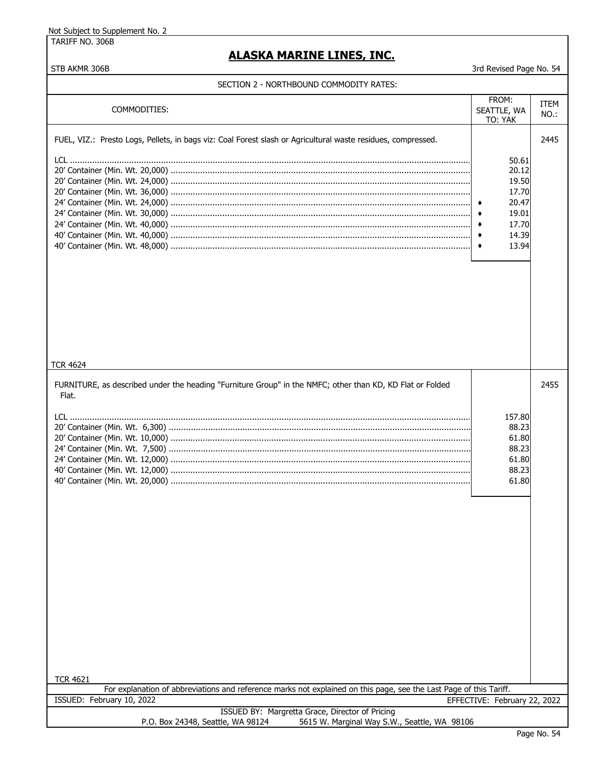TARIFF NO. 306B

# **ALASKA MARINE LINES, INC.**

| בבוראה בדוסטויוויוטט שווטטשורו האטור ב                                                                                                |                                                                                         |                 |
|---------------------------------------------------------------------------------------------------------------------------------------|-----------------------------------------------------------------------------------------|-----------------|
| COMMODITIES:                                                                                                                          | FROM:<br>SEATTLE, WA<br>TO: YAK                                                         | ITEM<br>$NO.$ : |
| FUEL, VIZ.: Presto Logs, Pellets, in bags viz: Coal Forest slash or Agricultural waste residues, compressed.<br><b>TCR 4624</b>       | 50.61<br>20.12<br>19.50<br>17.70<br>20.47<br>19.01<br>17.70<br>14.39<br>٠<br>13.94<br>۰ | 2445            |
| FURNITURE, as described under the heading "Furniture Group" in the NMFC; other than KD, KD Flat or Folded<br>Flat.                    | 157.80<br>88.23<br>61.80<br>88.23<br>61.80<br>88.23<br>61.80                            | 2455            |
| <b>TCR 4621</b><br>For explanation of abbreviations and reference marks not explained on this page, see the Last Page of this Tariff. |                                                                                         |                 |
| ISSUED: February 10, 2022                                                                                                             | EFFECTIVE: February 22, 2022                                                            |                 |
| ISSUED BY: Margretta Grace, Director of Pricing<br>P.O. Box 24348, Seattle, WA 98124<br>5615 W. Marginal Way S.W., Seattle, WA 98106  |                                                                                         |                 |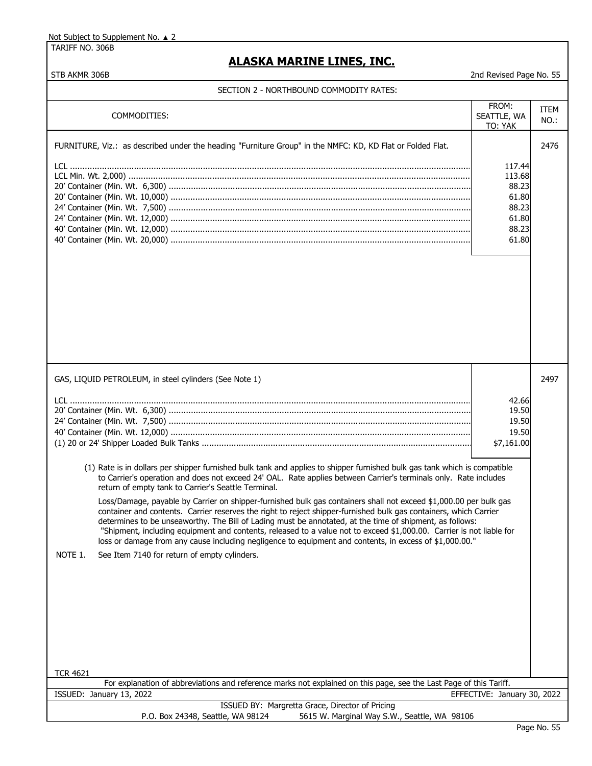TARIFF NO. 306B

## **ALASKA MARINE LINES, INC.**

| SECTION 2 - NORTHBOUND COMMODITY RATES:                                                                                                                                                                                                                                                                                                                                                                                                                                                                                                                                                                                                                                                                                                                                                                                                                                                                                                                                                                                               |                                                                        |                 |
|---------------------------------------------------------------------------------------------------------------------------------------------------------------------------------------------------------------------------------------------------------------------------------------------------------------------------------------------------------------------------------------------------------------------------------------------------------------------------------------------------------------------------------------------------------------------------------------------------------------------------------------------------------------------------------------------------------------------------------------------------------------------------------------------------------------------------------------------------------------------------------------------------------------------------------------------------------------------------------------------------------------------------------------|------------------------------------------------------------------------|-----------------|
| COMMODITIES:                                                                                                                                                                                                                                                                                                                                                                                                                                                                                                                                                                                                                                                                                                                                                                                                                                                                                                                                                                                                                          | FROM:<br>SEATTLE, WA<br>TO: YAK                                        | ITEM<br>$NO.$ : |
| FURNITURE, Viz.: as described under the heading "Furniture Group" in the NMFC: KD, KD Flat or Folded Flat.                                                                                                                                                                                                                                                                                                                                                                                                                                                                                                                                                                                                                                                                                                                                                                                                                                                                                                                            | 117.44<br>113.68<br>88.23<br>61.80<br>88.23<br>61.80<br>88.23<br>61.80 | 2476            |
| GAS, LIQUID PETROLEUM, in steel cylinders (See Note 1)<br>(1) Rate is in dollars per shipper furnished bulk tank and applies to shipper furnished bulk gas tank which is compatible<br>to Carrier's operation and does not exceed 24' OAL. Rate applies between Carrier's terminals only. Rate includes<br>return of empty tank to Carrier's Seattle Terminal.<br>Loss/Damage, payable by Carrier on shipper-furnished bulk gas containers shall not exceed \$1,000.00 per bulk gas<br>container and contents. Carrier reserves the right to reject shipper-furnished bulk gas containers, which Carrier<br>determines to be unseaworthy. The Bill of Lading must be annotated, at the time of shipment, as follows:<br>"Shipment, including equipment and contents, released to a value not to exceed \$1,000.00. Carrier is not liable for<br>loss or damage from any cause including negligence to equipment and contents, in excess of \$1,000.00."<br>NOTE 1.<br>See Item 7140 for return of empty cylinders.<br><b>TCR 4621</b> | 42.66<br>19.50<br>19.50<br>19.50<br>\$7,161.00                         | 2497            |
| For explanation of abbreviations and reference marks not explained on this page, see the Last Page of this Tariff.                                                                                                                                                                                                                                                                                                                                                                                                                                                                                                                                                                                                                                                                                                                                                                                                                                                                                                                    |                                                                        |                 |
| ISSUED: January 13, 2022                                                                                                                                                                                                                                                                                                                                                                                                                                                                                                                                                                                                                                                                                                                                                                                                                                                                                                                                                                                                              | EFFECTIVE: January 30, 2022                                            |                 |
| ISSUED BY: Margretta Grace, Director of Pricing<br>P.O. Box 24348, Seattle, WA 98124<br>5615 W. Marginal Way S.W., Seattle, WA 98106                                                                                                                                                                                                                                                                                                                                                                                                                                                                                                                                                                                                                                                                                                                                                                                                                                                                                                  |                                                                        |                 |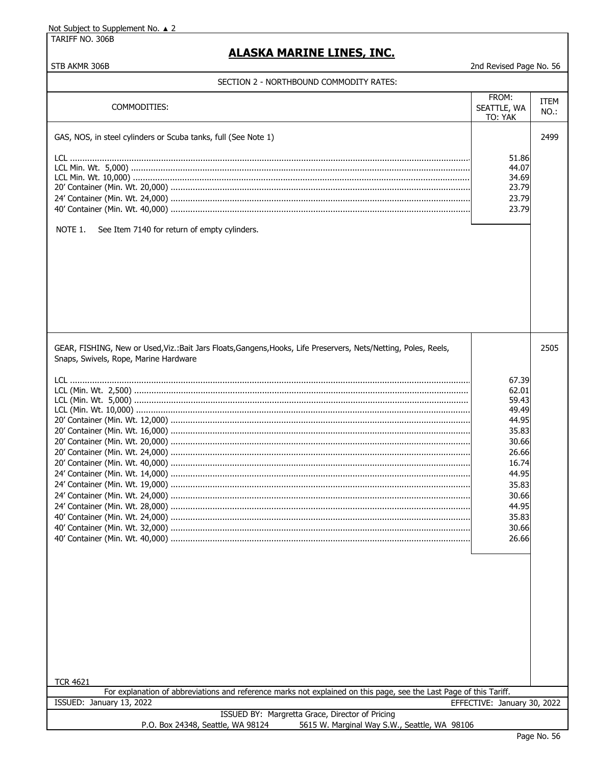TARIFF NO. 306B

STB AKMR 306B

# **ALASKA MARINE LINES, INC.**

2nd Revised Page No. 56

| COMMODITIES:                                                                                                                                              | FROM:<br>SEATTLE, WA<br>TO: YAK | ITEM<br>NO.: |
|-----------------------------------------------------------------------------------------------------------------------------------------------------------|---------------------------------|--------------|
| GAS, NOS, in steel cylinders or Scuba tanks, full (See Note 1)                                                                                            |                                 | 2499         |
|                                                                                                                                                           | 51.86                           |              |
|                                                                                                                                                           | 44.07                           |              |
|                                                                                                                                                           | 34.69                           |              |
|                                                                                                                                                           | 23.79                           |              |
|                                                                                                                                                           | 23.79                           |              |
|                                                                                                                                                           | 23.79                           |              |
| NOTE 1.<br>See Item 7140 for return of empty cylinders.                                                                                                   |                                 |              |
|                                                                                                                                                           |                                 |              |
| GEAR, FISHING, New or Used, Viz.: Bait Jars Floats, Gangens, Hooks, Life Preservers, Nets/Netting, Poles, Reels,<br>Snaps, Swivels, Rope, Marine Hardware |                                 | 2505         |
|                                                                                                                                                           |                                 |              |
|                                                                                                                                                           | 67.39                           |              |
|                                                                                                                                                           | 62.01                           |              |
|                                                                                                                                                           | 59.43                           |              |
|                                                                                                                                                           | 49.49                           |              |
|                                                                                                                                                           | 44.95                           |              |
|                                                                                                                                                           | 35.83                           |              |
|                                                                                                                                                           | 30.66                           |              |
|                                                                                                                                                           | 26.66                           |              |
|                                                                                                                                                           | 16.74<br>44.95                  |              |
|                                                                                                                                                           |                                 |              |
|                                                                                                                                                           | 35.83                           |              |
|                                                                                                                                                           | 30.66<br>44.95                  |              |
| 40' Container (Min. Wt. 24,000)                                                                                                                           | 35.83                           |              |
|                                                                                                                                                           | 30.66                           |              |
|                                                                                                                                                           | 26.66                           |              |
|                                                                                                                                                           |                                 |              |
| <b>TCR 4621</b>                                                                                                                                           |                                 |              |
| For explanation of abbreviations and reference marks not explained on this page, see the Last Page of this Tariff.                                        |                                 |              |
| ISSUED: January 13, 2022                                                                                                                                  | EFFECTIVE: January 30, 2022     |              |
| ISSUED BY: Margretta Grace, Director of Pricing<br>5615 W. Marginal Way S.W., Seattle, WA 98106<br>P.O. Box 24348, Seattle, WA 98124                      |                                 | Dage No. 56  |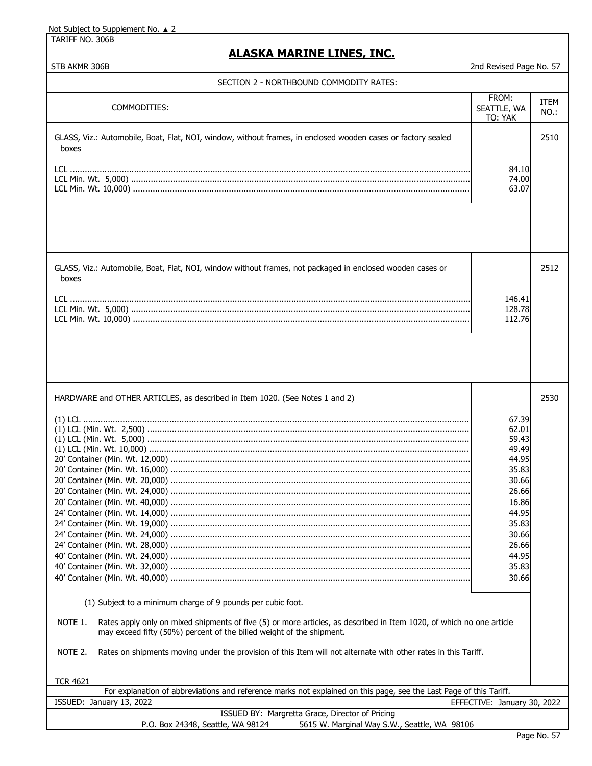TARIFF NO. 306B

## **ALASKA MARINE LINES, INC.**

| SECTION 2 - NORTHBOUND COMMODITY RATES: |  |
|-----------------------------------------|--|
|-----------------------------------------|--|

|                                                                                                                                      | FROM:                       | <b>ITEM</b> |
|--------------------------------------------------------------------------------------------------------------------------------------|-----------------------------|-------------|
| COMMODITIES:                                                                                                                         | SEATTLE, WA                 | NO.:        |
|                                                                                                                                      | TO: YAK                     |             |
|                                                                                                                                      |                             |             |
| GLASS, Viz.: Automobile, Boat, Flat, NOI, window, without frames, in enclosed wooden cases or factory sealed                         |                             | 2510        |
| boxes                                                                                                                                |                             |             |
|                                                                                                                                      |                             |             |
|                                                                                                                                      | 84.10                       |             |
|                                                                                                                                      | 74.00                       |             |
|                                                                                                                                      | 63.07                       |             |
|                                                                                                                                      |                             |             |
|                                                                                                                                      |                             |             |
|                                                                                                                                      |                             |             |
|                                                                                                                                      |                             |             |
|                                                                                                                                      |                             |             |
|                                                                                                                                      |                             |             |
| GLASS, Viz.: Automobile, Boat, Flat, NOI, window without frames, not packaged in enclosed wooden cases or                            |                             | 2512        |
| boxes                                                                                                                                |                             |             |
|                                                                                                                                      |                             |             |
|                                                                                                                                      | 146.41                      |             |
|                                                                                                                                      | 128.78                      |             |
|                                                                                                                                      |                             |             |
|                                                                                                                                      | 112.76                      |             |
|                                                                                                                                      |                             |             |
|                                                                                                                                      |                             |             |
|                                                                                                                                      |                             |             |
|                                                                                                                                      |                             |             |
|                                                                                                                                      |                             |             |
|                                                                                                                                      |                             |             |
| HARDWARE and OTHER ARTICLES, as described in Item 1020. (See Notes 1 and 2)                                                          |                             | 2530        |
|                                                                                                                                      |                             |             |
|                                                                                                                                      | 67.39                       |             |
|                                                                                                                                      | 62.01                       |             |
|                                                                                                                                      | 59.43                       |             |
|                                                                                                                                      | 49.49                       |             |
|                                                                                                                                      | 44.95                       |             |
|                                                                                                                                      | 35.83                       |             |
|                                                                                                                                      | 30.66                       |             |
|                                                                                                                                      | 26.66                       |             |
|                                                                                                                                      | 16.86                       |             |
|                                                                                                                                      | 44.95                       |             |
|                                                                                                                                      |                             |             |
|                                                                                                                                      | 35.83                       |             |
|                                                                                                                                      | 30.66                       |             |
|                                                                                                                                      | 26.66                       |             |
|                                                                                                                                      | 44.95                       |             |
|                                                                                                                                      | 35.83                       |             |
|                                                                                                                                      | 30.66                       |             |
|                                                                                                                                      |                             |             |
| (1) Subject to a minimum charge of 9 pounds per cubic foot.                                                                          |                             |             |
|                                                                                                                                      |                             |             |
| NOTE 1.<br>Rates apply only on mixed shipments of five (5) or more articles, as described in Item 1020, of which no one article      |                             |             |
| may exceed fifty (50%) percent of the billed weight of the shipment.                                                                 |                             |             |
|                                                                                                                                      |                             |             |
| NOTE 2.<br>Rates on shipments moving under the provision of this Item will not alternate with other rates in this Tariff.            |                             |             |
|                                                                                                                                      |                             |             |
|                                                                                                                                      |                             |             |
| <b>TCR 4621</b>                                                                                                                      |                             |             |
| For explanation of abbreviations and reference marks not explained on this page, see the Last Page of this Tariff.                   |                             |             |
| ISSUED: January 13, 2022                                                                                                             | EFFECTIVE: January 30, 2022 |             |
|                                                                                                                                      |                             |             |
| ISSUED BY: Margretta Grace, Director of Pricing<br>5615 W. Marginal Way S.W., Seattle, WA 98106<br>P.O. Box 24348, Seattle, WA 98124 |                             |             |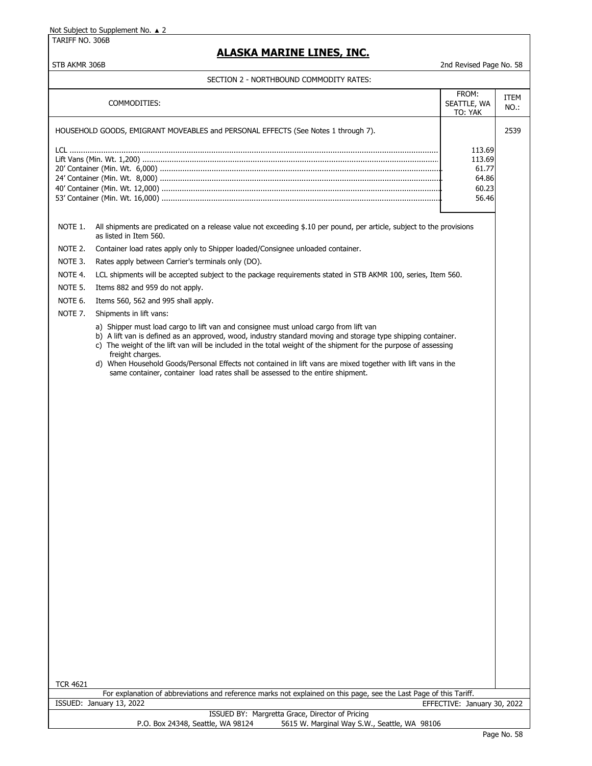TARIFF NO. 306B

## **ALASKA MARINE LINES, INC.**

### STB AKMR 306B 2nd Revised Page No. 58

|                     | COMMODITIES:                                                                                                                                                                                         | FROM:<br>SEATTLE, WA<br>TO: YAK | ITEM<br>NO.: |
|---------------------|------------------------------------------------------------------------------------------------------------------------------------------------------------------------------------------------------|---------------------------------|--------------|
|                     | HOUSEHOLD GOODS, EMIGRANT MOVEABLES and PERSONAL EFFECTS (See Notes 1 through 7).                                                                                                                    |                                 | 2539         |
|                     |                                                                                                                                                                                                      |                                 |              |
|                     |                                                                                                                                                                                                      | 113.69<br>113.69                |              |
|                     |                                                                                                                                                                                                      | 61.77                           |              |
|                     |                                                                                                                                                                                                      | 64.86                           |              |
|                     |                                                                                                                                                                                                      | 60.23                           |              |
|                     |                                                                                                                                                                                                      | 56.46                           |              |
| NOTE 1.             | All shipments are predicated on a release value not exceeding \$.10 per pound, per article, subject to the provisions<br>as listed in Item 560.                                                      |                                 |              |
| NOTE 2.             | Container load rates apply only to Shipper loaded/Consignee unloaded container.                                                                                                                      |                                 |              |
| NOTE 3.             | Rates apply between Carrier's terminals only (DO).                                                                                                                                                   |                                 |              |
| NOTE 4.             | LCL shipments will be accepted subject to the package requirements stated in STB AKMR 100, series, Item 560.                                                                                         |                                 |              |
| NOTE 5.             | Items 882 and 959 do not apply.                                                                                                                                                                      |                                 |              |
| NOTE 6.             | Items 560, 562 and 995 shall apply.                                                                                                                                                                  |                                 |              |
| NOTE <sub>7</sub> . | Shipments in lift vans:                                                                                                                                                                              |                                 |              |
|                     | a) Shipper must load cargo to lift van and consignee must unload cargo from lift van<br>b) A lift van is defined as an approved, wood, industry standard moving and storage type shipping container. |                                 |              |
|                     | c) The weight of the lift van will be included in the total weight of the shipment for the purpose of assessing<br>freight charges.                                                                  |                                 |              |
|                     | d) When Household Goods/Personal Effects not contained in lift vans are mixed together with lift vans in the<br>same container, container load rates shall be assessed to the entire shipment.       |                                 |              |
|                     |                                                                                                                                                                                                      |                                 |              |
|                     |                                                                                                                                                                                                      |                                 |              |
|                     |                                                                                                                                                                                                      |                                 |              |
|                     |                                                                                                                                                                                                      |                                 |              |
|                     |                                                                                                                                                                                                      |                                 |              |
|                     |                                                                                                                                                                                                      |                                 |              |
|                     |                                                                                                                                                                                                      |                                 |              |
|                     |                                                                                                                                                                                                      |                                 |              |
|                     |                                                                                                                                                                                                      |                                 |              |
|                     |                                                                                                                                                                                                      |                                 |              |
|                     |                                                                                                                                                                                                      |                                 |              |
|                     |                                                                                                                                                                                                      |                                 |              |
|                     |                                                                                                                                                                                                      |                                 |              |
|                     |                                                                                                                                                                                                      |                                 |              |
|                     |                                                                                                                                                                                                      |                                 |              |
|                     |                                                                                                                                                                                                      |                                 |              |
|                     |                                                                                                                                                                                                      |                                 |              |
|                     |                                                                                                                                                                                                      |                                 |              |
|                     |                                                                                                                                                                                                      |                                 |              |
|                     |                                                                                                                                                                                                      |                                 |              |
|                     |                                                                                                                                                                                                      |                                 |              |
|                     |                                                                                                                                                                                                      |                                 |              |
|                     |                                                                                                                                                                                                      |                                 |              |
|                     |                                                                                                                                                                                                      |                                 |              |
|                     |                                                                                                                                                                                                      |                                 |              |
| <b>TCR 4621</b>     |                                                                                                                                                                                                      |                                 |              |
|                     | For explanation of abbreviations and reference marks not explained on this page, see the Last Page of this Tariff.<br>ISSUED: January 13, 2022                                                       | EFFECTIVE: January 30, 2022     |              |
|                     | ISSUED BY: Margretta Grace, Director of Pricing                                                                                                                                                      |                                 |              |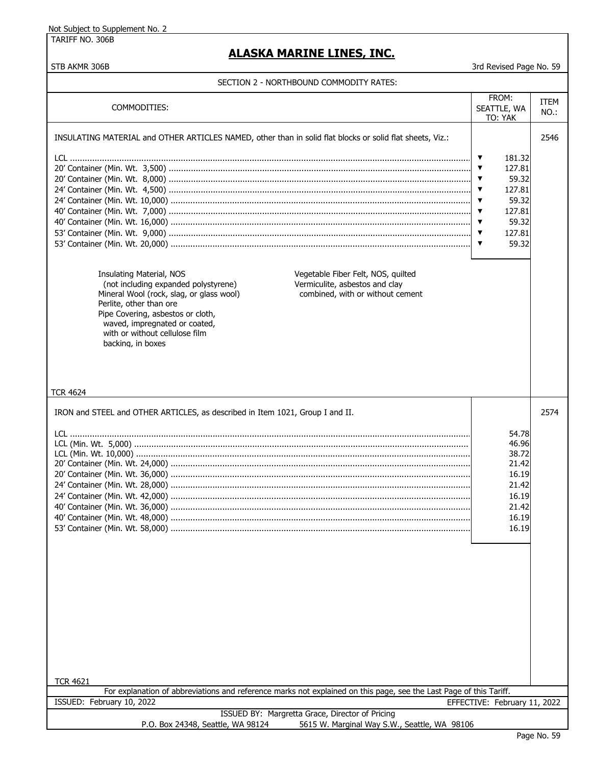TARIFF NO. 306B

## **ALASKA MARINE LINES, INC.**

STB AKMR 306B 3rd Revised Page No. 59

| COMMODITIES:                                                                                                                                                                                                                                                                                                                                                                                                                                                                                                     | FROM:<br>SEATTLE, WA<br>TO: YAK                                                                                                                                                                                                | ITEM<br>NO.: |
|------------------------------------------------------------------------------------------------------------------------------------------------------------------------------------------------------------------------------------------------------------------------------------------------------------------------------------------------------------------------------------------------------------------------------------------------------------------------------------------------------------------|--------------------------------------------------------------------------------------------------------------------------------------------------------------------------------------------------------------------------------|--------------|
| INSULATING MATERIAL and OTHER ARTICLES NAMED, other than in solid flat blocks or solid flat sheets, Viz.:<br>Vegetable Fiber Felt, NOS, quilted<br>Insulating Material, NOS<br>(not including expanded polystyrene)<br>Vermiculite, asbestos and clay<br>combined, with or without cement<br>Mineral Wool (rock, slag, or glass wool)<br>Perlite, other than ore<br>Pipe Covering, asbestos or cloth,<br>waved, impregnated or coated,<br>with or without cellulose film<br>backing, in boxes<br><b>TCR 4624</b> | ▼<br>181.32<br>127.81<br>▼<br>59.32<br>▼<br>127.81<br>▼<br>59.32<br>$\blacktriangledown$<br>127.81<br>$\blacktriangledown$<br>59.32<br>$\blacktriangledown$<br>127.81<br>$\blacktriangledown$<br>59.32<br>$\blacktriangledown$ | 2546         |
| IRON and STEEL and OTHER ARTICLES, as described in Item 1021, Group I and II.<br><b>TCR 4621</b>                                                                                                                                                                                                                                                                                                                                                                                                                 | 54.78<br>46.96<br>38.72<br>21.42<br>16.19<br>21.42<br>16.19<br>21.42<br>16.19<br>16.19                                                                                                                                         | 2574         |
| For explanation of abbreviations and reference marks not explained on this page, see the Last Page of this Tariff.                                                                                                                                                                                                                                                                                                                                                                                               |                                                                                                                                                                                                                                |              |
| ISSUED: February 10, 2022                                                                                                                                                                                                                                                                                                                                                                                                                                                                                        | EFFECTIVE: February 11, 2022                                                                                                                                                                                                   |              |
| ISSUED BY: Margretta Grace, Director of Pricing<br>5615 W. Marginal Way S.W., Seattle, WA 98106<br>P.O. Box 24348, Seattle, WA 98124                                                                                                                                                                                                                                                                                                                                                                             |                                                                                                                                                                                                                                |              |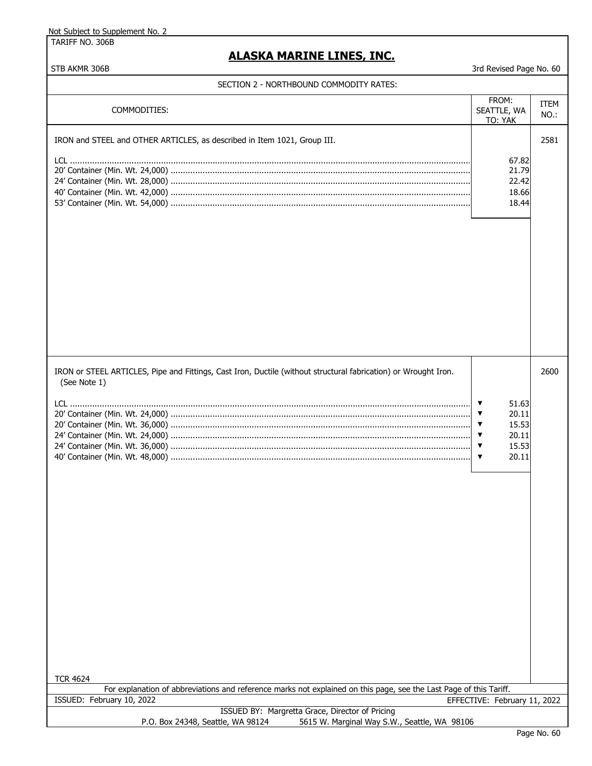TARIFF NO. 306B

| <b>ALASKA MARINE LINES, INC.</b>                                                                                                      |                                                                                                                                                                                 |                     |
|---------------------------------------------------------------------------------------------------------------------------------------|---------------------------------------------------------------------------------------------------------------------------------------------------------------------------------|---------------------|
| STB AKMR 306B<br>SECTION 2 - NORTHBOUND COMMODITY RATES:                                                                              | 3rd Revised Page No. 60                                                                                                                                                         |                     |
| COMMODITIES:                                                                                                                          | FROM:<br>SEATTLE, WA<br>TO: YAK                                                                                                                                                 | <b>ITEM</b><br>NO.: |
| IRON and STEEL and OTHER ARTICLES, as described in Item 1021, Group III.                                                              | 67.82<br>21.79<br>22.42<br>18.66<br>18.44                                                                                                                                       | 2581                |
| IRON or STEEL ARTICLES, Pipe and Fittings, Cast Iron, Ductile (without structural fabrication) or Wrought Iron.<br>(See Note 1)       | $\blacktriangledown$<br>51.63<br>$\blacktriangledown$<br>20.11<br>$\blacktriangledown$<br>15.53<br>20.11<br>▼<br>15.53<br>$\blacktriangledown$<br>20.11<br>$\blacktriangledown$ | 2600                |
| <b>TCR 4624</b><br>For explanation of abbreviations and reference marks not explained on this page, see the Last Page of this Tariff. |                                                                                                                                                                                 |                     |
| ISSUED: February 10, 2022                                                                                                             | EFFECTIVE: February 11, 2022                                                                                                                                                    |                     |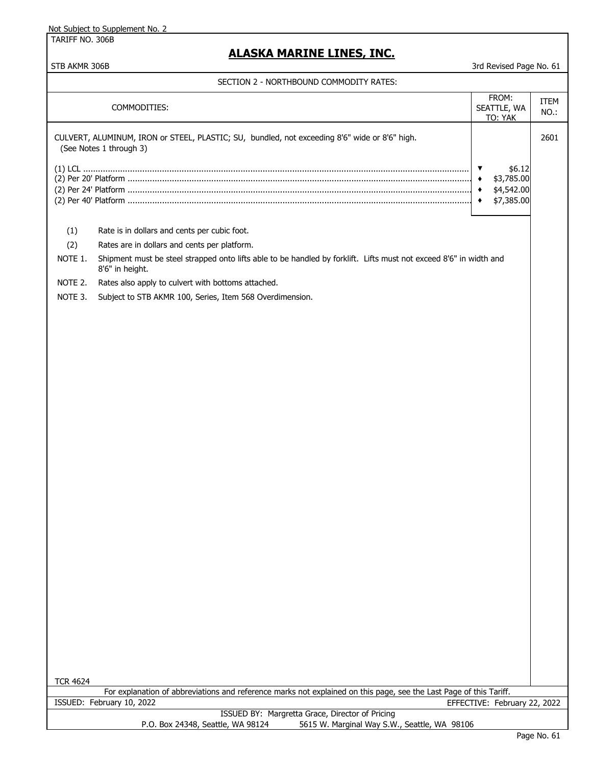TARIFF NO. 306B

## **ALASKA MARINE LINES, INC.**

STB AKMR 306B 3rd Revised Page No. 61

|                 | COMMODITIES:                                                                                                                                    | FROM:<br>SEATTLE, WA<br>TO: YAK                                         | <b>ITEM</b><br>$NO.$ : |
|-----------------|-------------------------------------------------------------------------------------------------------------------------------------------------|-------------------------------------------------------------------------|------------------------|
|                 | CULVERT, ALUMINUM, IRON or STEEL, PLASTIC; SU, bundled, not exceeding 8'6" wide or 8'6" high.<br>(See Notes 1 through 3)                        |                                                                         | 2601                   |
|                 |                                                                                                                                                 | \$6.12<br>V<br>\$3,785.00<br>٠<br>\$4,542.00<br>\$7,385.00<br>$\bullet$ |                        |
| (1)             | Rate is in dollars and cents per cubic foot.                                                                                                    |                                                                         |                        |
| (2)             | Rates are in dollars and cents per platform.                                                                                                    |                                                                         |                        |
| NOTE 1.         | Shipment must be steel strapped onto lifts able to be handled by forklift. Lifts must not exceed 8'6" in width and<br>8'6" in height.           |                                                                         |                        |
| NOTE 2.         | Rates also apply to culvert with bottoms attached.                                                                                              |                                                                         |                        |
| NOTE 3.         | Subject to STB AKMR 100, Series, Item 568 Overdimension.                                                                                        |                                                                         |                        |
| <b>TCR 4624</b> |                                                                                                                                                 |                                                                         |                        |
|                 | For explanation of abbreviations and reference marks not explained on this page, see the Last Page of this Tariff.<br>ISSUED: February 10, 2022 | EFFECTIVE: February 22, 2022                                            |                        |
|                 | ISSUED BY: Margretta Grace, Director of Pricing<br>P.O. Box 24348, Seattle, WA 98124<br>5615 W. Marginal Way S.W., Seattle, WA 98106            |                                                                         |                        |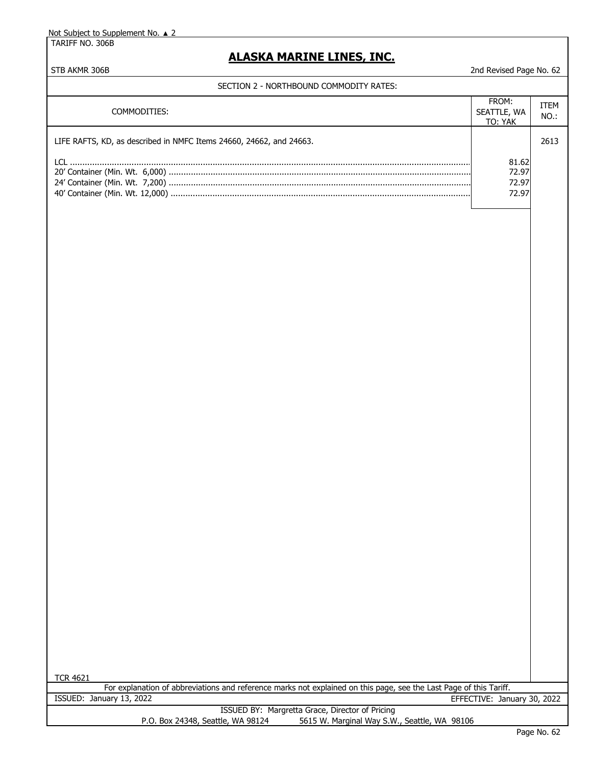TARIFF NO. 306B

## **ALASKA MARINE LINES, INC.**

#### STB AKMR 306B 2nd Revised Page No. 62

#### SECTION 2 - NORTHBOUND COMMODITY RATES:

| COMMODITIES:                                                        | FROM:<br>SEATTLE, WA<br>TO: YAK | ITEM<br>$NO.$ : |
|---------------------------------------------------------------------|---------------------------------|-----------------|
| LIFE RAFTS, KD, as described in NMFC Items 24660, 24662, and 24663. |                                 | 2613            |
|                                                                     | 81.62<br>72.97<br>72.97         |                 |
|                                                                     | 72.97                           |                 |

| 4621<br>TCR. |
|--------------|
|--------------|

For explanation of abbreviations and reference marks not explained on this page, see the Last Page of this Tariff. ISSUED: January 13, 2022 EFFECTIVE: January 30, 2022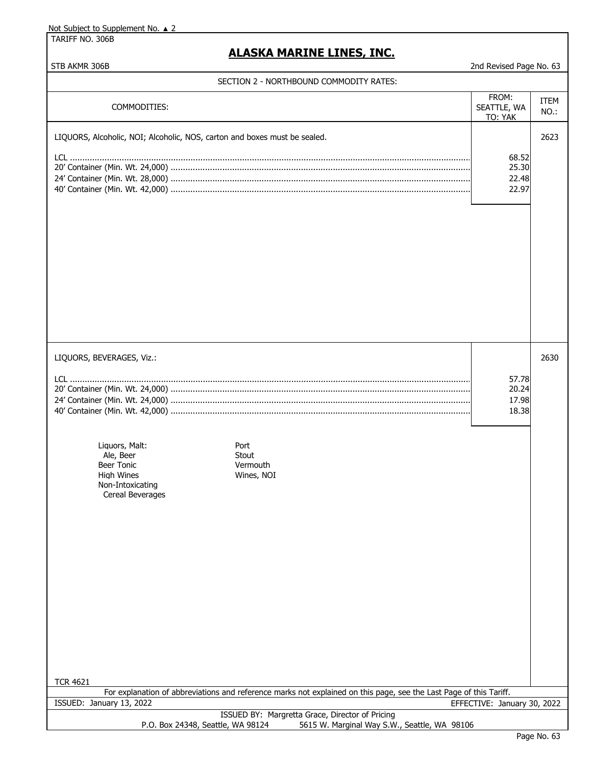TARIFF NO. 306B

# **ALASKA MARINE LINES, INC.**

| SECTION Z - NORTHBOUND COMMODITY RATES:                                                                                                                                               |                                  |              |
|---------------------------------------------------------------------------------------------------------------------------------------------------------------------------------------|----------------------------------|--------------|
| COMMODITIES:                                                                                                                                                                          | FROM:<br>SEATTLE, WA<br>TO: YAK  | ITEM<br>NO.: |
| LIQUORS, Alcoholic, NOI; Alcoholic, NOS, carton and boxes must be sealed.                                                                                                             | 68.52<br>25.30<br>22.48<br>22.97 | 2623         |
| LIQUORS, BEVERAGES, Viz.:<br>Liquors, Malt:<br>Port<br>Ale, Beer<br>Stout<br><b>Beer Tonic</b><br>Vermouth<br><b>High Wines</b><br>Wines, NOI<br>Non-Intoxicating<br>Cereal Beverages | 57.78<br>20.24<br>17.98<br>18.38 | 2630         |
| <b>TCR 4621</b><br>For explanation of abbreviations and reference marks not explained on this page, see the Last Page of this Tariff.                                                 |                                  |              |
| ISSUED: January 13, 2022                                                                                                                                                              | EFFECTIVE: January 30, 2022      |              |
| ISSUED BY: Margretta Grace, Director of Pricing<br>P.O. Box 24348, Seattle, WA 98124<br>5615 W. Marginal Way S.W., Seattle, WA 98106                                                  |                                  |              |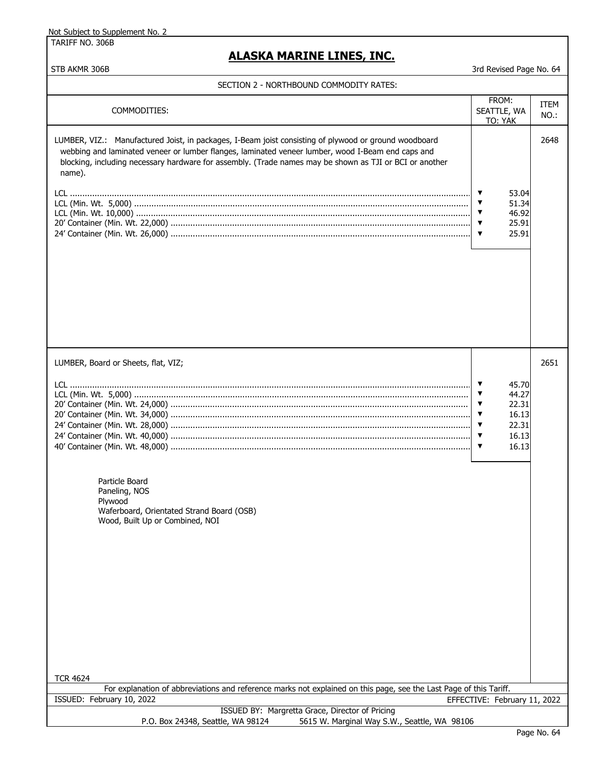TARIFF NO. 306B

## **ALASKA MARINE LINES, INC.**

| 3rd Revised Page No. 64<br>STB AKMR 306B                                                                                                                                                                                                                                                                                        |                                           |              |
|---------------------------------------------------------------------------------------------------------------------------------------------------------------------------------------------------------------------------------------------------------------------------------------------------------------------------------|-------------------------------------------|--------------|
| SECTION 2 - NORTHBOUND COMMODITY RATES:                                                                                                                                                                                                                                                                                         |                                           |              |
| COMMODITIES:                                                                                                                                                                                                                                                                                                                    | FROM:<br>SEATTLE, WA<br>TO: YAK           | ITEM<br>NO.: |
| LUMBER, VIZ.: Manufactured Joist, in packages, I-Beam joist consisting of plywood or ground woodboard<br>webbing and laminated veneer or lumber flanges, laminated veneer lumber, wood I-Beam end caps and<br>blocking, including necessary hardware for assembly. (Trade names may be shown as TJI or BCI or another<br>name). | 53.04<br>51.34<br>46.92<br>25.91<br>25.91 | 2648         |

| LUMBER, Board or Sheets, flat, VIZ;                                                                                |                               | 2651 |
|--------------------------------------------------------------------------------------------------------------------|-------------------------------|------|
|                                                                                                                    | ▼<br>45.70                    |      |
|                                                                                                                    | ▼<br>44.27                    |      |
|                                                                                                                    | 22.31<br>▼                    |      |
|                                                                                                                    | 16.13<br>▼                    |      |
|                                                                                                                    | 22.31<br>▼                    |      |
|                                                                                                                    | 16.13<br>▼                    |      |
|                                                                                                                    | 16.13<br>$\blacktriangledown$ |      |
|                                                                                                                    |                               |      |
| Particle Board<br>Paneling, NOS<br>Plywood                                                                         |                               |      |
| Waferboard, Orientated Strand Board (OSB)                                                                          |                               |      |
| Wood, Built Up or Combined, NOI                                                                                    |                               |      |
|                                                                                                                    |                               |      |
|                                                                                                                    |                               |      |
|                                                                                                                    |                               |      |
|                                                                                                                    |                               |      |
|                                                                                                                    |                               |      |
|                                                                                                                    |                               |      |
|                                                                                                                    |                               |      |
|                                                                                                                    |                               |      |
|                                                                                                                    |                               |      |
|                                                                                                                    |                               |      |
|                                                                                                                    |                               |      |
|                                                                                                                    |                               |      |
|                                                                                                                    |                               |      |
| <b>TCR 4624</b>                                                                                                    |                               |      |
| For explanation of abbreviations and reference marks not explained on this page, see the Last Page of this Tariff. |                               |      |
| ISSUED: February 10, 2022                                                                                          | EFFECTIVE: February 11, 2022  |      |
| ISSUED BY: Margretta Grace, Director of Pricing                                                                    |                               |      |
| P.O. Box 24348, Seattle, WA 98124<br>5615 W. Marginal Way S.W., Seattle, WA 98106                                  |                               |      |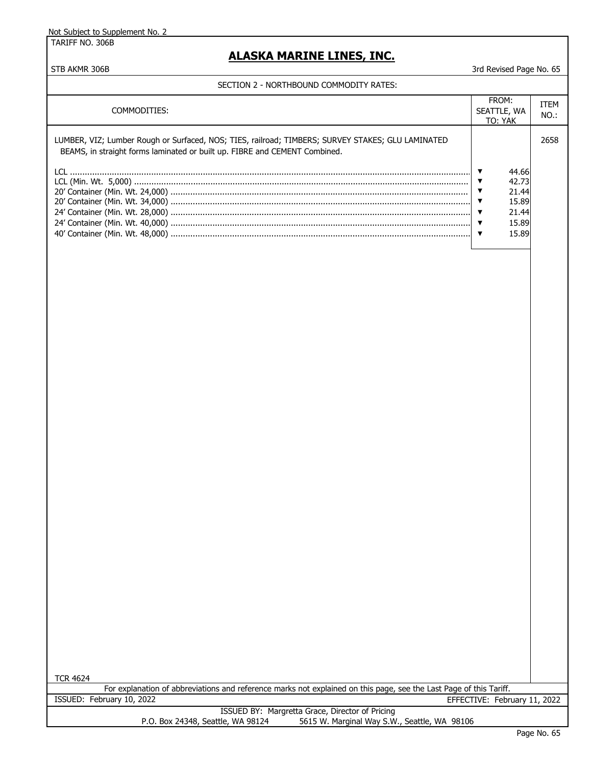TARIFF NO. 306B

## **ALASKA MARINE LINES, INC.**

STB AKMR 306B 3rd Revised Page No. 65

SECTION 2 - NORTHBOUND COMMODITY RATES:

| COMMODITIES:                                                                                                                                                                    | FROM:<br>SEATTLE, WA<br>TO: YAK                             | ITEM<br>NO.: |
|---------------------------------------------------------------------------------------------------------------------------------------------------------------------------------|-------------------------------------------------------------|--------------|
| LUMBER, VIZ; Lumber Rough or Surfaced, NOS; TIES, railroad; TIMBERS; SURVEY STAKES; GLU LAMINATED<br>BEAMS, in straight forms laminated or built up. FIBRE and CEMENT Combined. |                                                             | 2658         |
|                                                                                                                                                                                 | 44.66<br>42.73<br>21.44<br>15.89<br>21.44<br>15.89<br>15.89 |              |

| ⊿<br>CR.<br>Г<br>462 |  |
|----------------------|--|
|----------------------|--|

For explanation of abbreviations and reference marks not explained on this page, see the Last Page of this Tariff. ISSUED: February 10, 2022 EFFECTIVE: February 11, 2022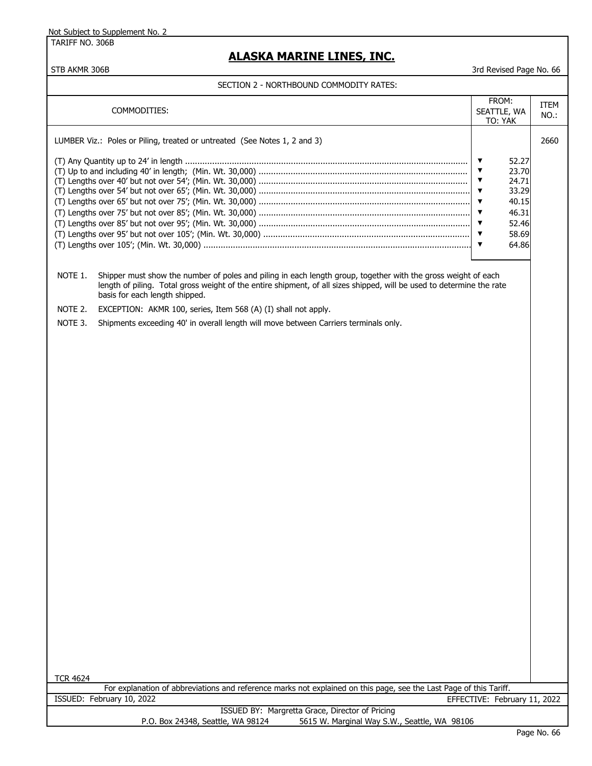TARIFF NO. 306B

## **ALASKA MARINE LINES, INC.**

#### STB AKMR 306B 3rd Revised Page No. 66

#### SECTION 2 - NORTHBOUND COMMODITY RATES:

| COMMODITIES:                                                              | FROM:<br>SEATTLE, WA<br>TO: YAK                                                                          | ITEM<br>$NO.$ : |
|---------------------------------------------------------------------------|----------------------------------------------------------------------------------------------------------|-----------------|
| LUMBER Viz.: Poles or Piling, treated or untreated (See Notes 1, 2 and 3) |                                                                                                          | 2660            |
|                                                                           | 52.27<br>23.70<br>$\overline{\mathbf{v}}$<br>24.71<br>33.29<br>40.15<br>46.31<br>52.46<br>58.69<br>64.86 |                 |

NOTE 1. Shipper must show the number of poles and piling in each length group, together with the gross weight of each length of piling. Total gross weight of the entire shipment, of all sizes shipped, will be used to determine the rate basis for each length shipped.

NOTE 2. EXCEPTION: AKMR 100, series, Item 568 (A) (I) shall not apply.

NOTE 3. Shipments exceeding 40' in overall length will move between Carriers terminals only.

TCR 4624

For explanation of abbreviations and reference marks not explained on this page, see the Last Page of this Tariff. ISSUED: February 10, 2022 EFFECTIVE: February 11, 2022

|                                   | ISSUED BY: Margretta Grace, Director of Pricing |  |
|-----------------------------------|-------------------------------------------------|--|
| P.O. Box 24348, Seattle, WA 98124 | 5615 W. Marginal Way S.W., Seattle, WA 98106    |  |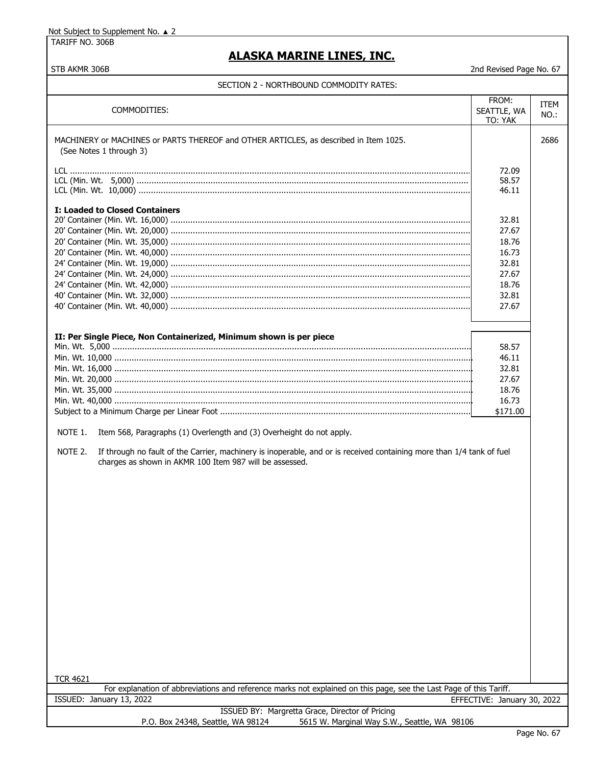TARIFF NO. 306B

# **ALASKA MARINE LINES, INC.**

STB AKMR 306B 2nd Revised Page No. 67

| COMMODITIES:                                                                                                                                                                                                                                                                   | FROM:<br>SEATTLE, WA<br>TO: YAK | ITEM<br>NO.: |
|--------------------------------------------------------------------------------------------------------------------------------------------------------------------------------------------------------------------------------------------------------------------------------|---------------------------------|--------------|
| MACHINERY or MACHINES or PARTS THEREOF and OTHER ARTICLES, as described in Item 1025.<br>(See Notes 1 through 3)                                                                                                                                                               |                                 | 2686         |
|                                                                                                                                                                                                                                                                                | 72.09<br>58.57<br>46.11         |              |
| <b>I: Loaded to Closed Containers</b>                                                                                                                                                                                                                                          | 32.81                           |              |
|                                                                                                                                                                                                                                                                                | 27.67                           |              |
|                                                                                                                                                                                                                                                                                | 18.76                           |              |
|                                                                                                                                                                                                                                                                                | 16.73                           |              |
|                                                                                                                                                                                                                                                                                | 32.81                           |              |
|                                                                                                                                                                                                                                                                                | 27.67                           |              |
|                                                                                                                                                                                                                                                                                | 18.76                           |              |
|                                                                                                                                                                                                                                                                                | 32.81                           |              |
|                                                                                                                                                                                                                                                                                | 27.67                           |              |
|                                                                                                                                                                                                                                                                                |                                 |              |
| II: Per Single Piece, Non Containerized, Minimum shown is per piece                                                                                                                                                                                                            |                                 |              |
|                                                                                                                                                                                                                                                                                | 58.57                           |              |
|                                                                                                                                                                                                                                                                                | 46.11                           |              |
|                                                                                                                                                                                                                                                                                | 32.81                           |              |
|                                                                                                                                                                                                                                                                                | 27.67                           |              |
|                                                                                                                                                                                                                                                                                | 18.76                           |              |
|                                                                                                                                                                                                                                                                                | 16.73                           |              |
|                                                                                                                                                                                                                                                                                | \$171.00                        |              |
| NOTE 1.<br>Item 568, Paragraphs (1) Overlength and (3) Overheight do not apply.<br>NOTE 2.<br>If through no fault of the Carrier, machinery is inoperable, and or is received containing more than 1/4 tank of fuel<br>charges as shown in AKMR 100 Item 987 will be assessed. |                                 |              |
| <b>TCR 4621</b>                                                                                                                                                                                                                                                                |                                 |              |
| For explanation of abbreviations and reference marks not explained on this page, see the Last Page of this Tariff.                                                                                                                                                             |                                 |              |
| ISSUED: January 13, 2022                                                                                                                                                                                                                                                       | EFFECTIVE: January 30, 2022     |              |
| ISSUED BY: Margretta Grace, Director of Pricing<br>P.O. Box 24348, Seattle, WA 98124<br>5615 W. Marginal Way S.W., Seattle, WA 98106                                                                                                                                           |                                 |              |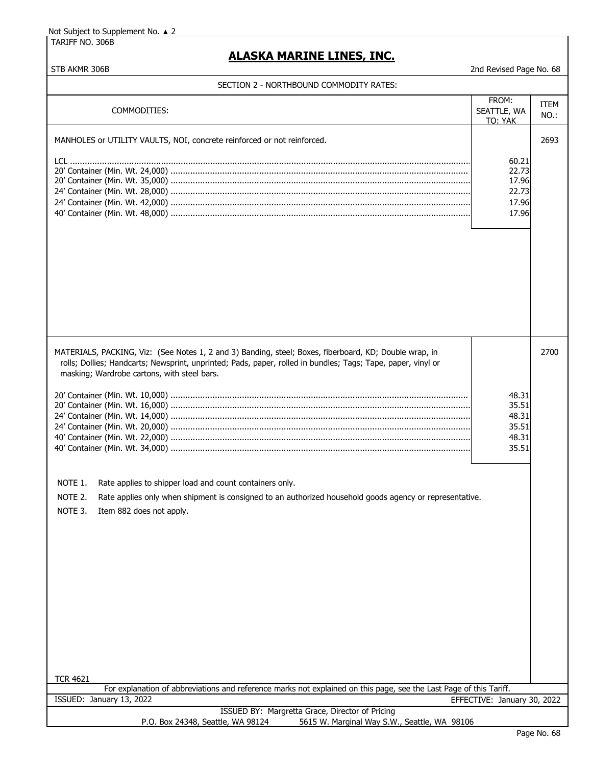TARIFF NO. 306B

# **ALASKA MARINE LINES, INC.**

| STB AKMR 306B                                                                                                                                                                                                                                                                                                                                                                                  | 2nd Revised Page No. 68                            |              |  |  |
|------------------------------------------------------------------------------------------------------------------------------------------------------------------------------------------------------------------------------------------------------------------------------------------------------------------------------------------------------------------------------------------------|----------------------------------------------------|--------------|--|--|
| SECTION 2 - NORTHBOUND COMMODITY RATES:                                                                                                                                                                                                                                                                                                                                                        |                                                    |              |  |  |
| COMMODITIES:                                                                                                                                                                                                                                                                                                                                                                                   | FROM:<br>SEATTLE, WA<br>TO: YAK                    | ITEM<br>NO.: |  |  |
| MANHOLES or UTILITY VAULTS, NOI, concrete reinforced or not reinforced.                                                                                                                                                                                                                                                                                                                        |                                                    | 2693         |  |  |
|                                                                                                                                                                                                                                                                                                                                                                                                | 60.21<br>22.73<br>17.96<br>22.73<br>17.96<br>17.96 |              |  |  |
| MATERIALS, PACKING, Viz: (See Notes 1, 2 and 3) Banding, steel; Boxes, fiberboard, KD; Double wrap, in                                                                                                                                                                                                                                                                                         |                                                    | 2700         |  |  |
| rolls; Dollies; Handcarts; Newsprint, unprinted; Pads, paper, rolled in bundles; Tags; Tape, paper, vinyl or<br>masking; Wardrobe cartons, with steel bars.<br>NOTE 1.<br>Rate applies to shipper load and count containers only.<br>NOTE 2.<br>Rate applies only when shipment is consigned to an authorized household goods agency or representative.<br>NOTE 3.<br>Item 882 does not apply. | 48.31<br>35.51<br>48.31<br>35.51<br>48.31<br>35.51 |              |  |  |
| <b>TCR 4621</b>                                                                                                                                                                                                                                                                                                                                                                                |                                                    |              |  |  |
| For explanation of abbreviations and reference marks not explained on this page, see the Last Page of this Tariff.                                                                                                                                                                                                                                                                             |                                                    |              |  |  |
| ISSUED: January 13, 2022                                                                                                                                                                                                                                                                                                                                                                       | EFFECTIVE: January 30, 2022                        |              |  |  |
| ISSUED BY: Margretta Grace, Director of Pricing<br>P.O. Box 24348, Seattle, WA 98124<br>5615 W. Marginal Way S.W., Seattle, WA 98106                                                                                                                                                                                                                                                           |                                                    |              |  |  |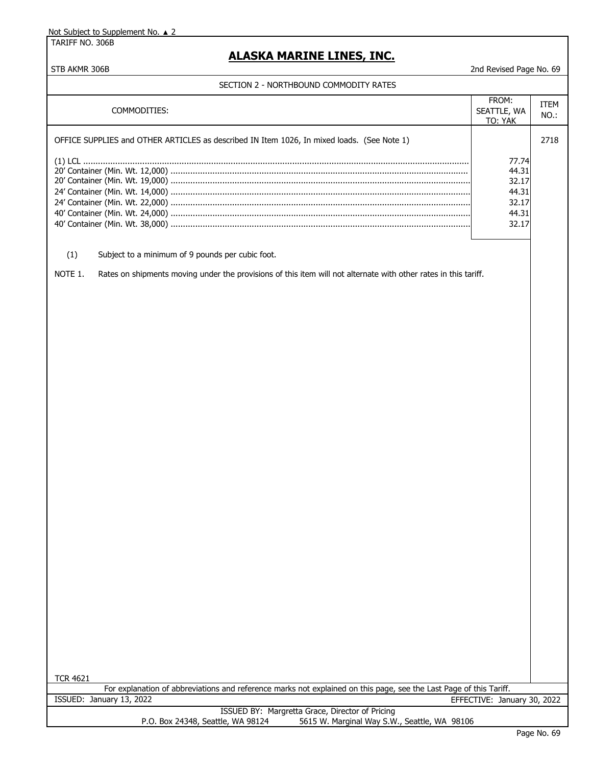TARIFF NO. 306B

## **ALASKA MARINE LINES, INC.**

#### STB AKMR 306B 2nd Revised Page No. 69

#### SECTION 2 - NORTHBOUND COMMODITY RATES

| <b>SECTION 2 - NONTHDOUND COMMODITI INATE.</b> |                                                                                                                                                |                                                             |                 |
|------------------------------------------------|------------------------------------------------------------------------------------------------------------------------------------------------|-------------------------------------------------------------|-----------------|
|                                                | COMMODITIES:                                                                                                                                   | FROM:<br>SEATTLE, WA<br>TO: YAK                             | ITEM<br>$NO.$ : |
|                                                | OFFICE SUPPLIES and OTHER ARTICLES as described IN Item 1026, In mixed loads. (See Note 1)                                                     | 77.74<br>44.31<br>32.17<br>44.31<br>32.17<br>44.31<br>32.17 | 2718            |
| (1)                                            | Subject to a minimum of 9 pounds per cubic foot.                                                                                               |                                                             |                 |
| NOTE 1.                                        | Rates on shipments moving under the provisions of this item will not alternate with other rates in this tariff.                                |                                                             |                 |
| <b>TCR 4621</b>                                |                                                                                                                                                |                                                             |                 |
|                                                | For explanation of abbreviations and reference marks not explained on this page, see the Last Page of this Tariff.<br>ISSUED: January 13, 2022 | EFFECTIVE: January 30, 2022                                 |                 |
|                                                | ISSUED BY: Margretta Grace, Director of Pricing<br>P.O. Box 24348, Seattle, WA 98124<br>5615 W. Marginal Way S.W., Seattle, WA 98106           |                                                             |                 |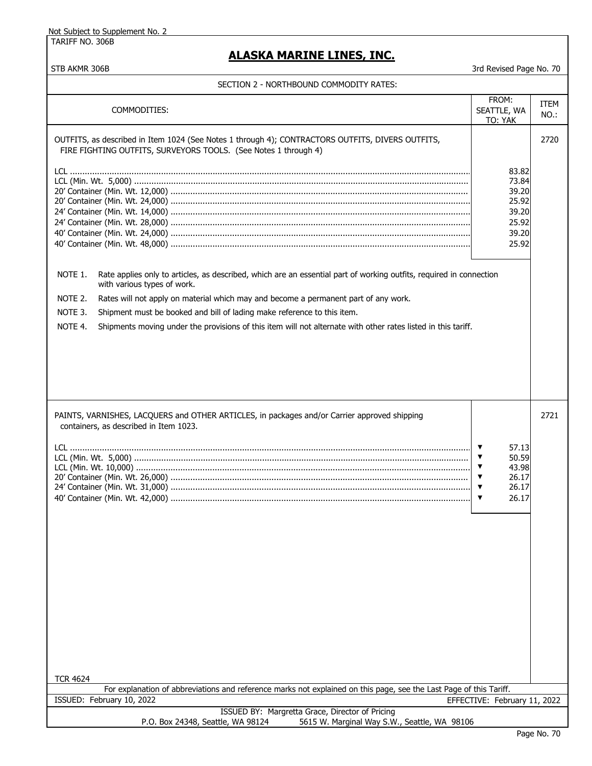TARIFF NO. 306B

## **ALASKA MARINE LINES, INC.**

| COMMODITIES:                                                                                                                                                                                                                                                                                          | FROM:<br>SEATTLE, WA<br>TO: YAK                                                                                                                              | ITEM<br>$NO.$ : |
|-------------------------------------------------------------------------------------------------------------------------------------------------------------------------------------------------------------------------------------------------------------------------------------------------------|--------------------------------------------------------------------------------------------------------------------------------------------------------------|-----------------|
| OUTFITS, as described in Item 1024 (See Notes 1 through 4); CONTRACTORS OUTFITS, DIVERS OUTFITS,<br>FIRE FIGHTING OUTFITS, SURVEYORS TOOLS. (See Notes 1 through 4)<br>NOTE 1.<br>Rate applies only to articles, as described, which are an essential part of working outfits, required in connection | 83.82<br>73.84<br>39.20<br>25.92<br>39.20<br>25.92<br>39.20<br>25.92                                                                                         | 2720            |
| with various types of work.                                                                                                                                                                                                                                                                           |                                                                                                                                                              |                 |
| NOTE 2.<br>Rates will not apply on material which may and become a permanent part of any work.                                                                                                                                                                                                        |                                                                                                                                                              |                 |
| NOTE 3.<br>Shipment must be booked and bill of lading make reference to this item.                                                                                                                                                                                                                    |                                                                                                                                                              |                 |
| NOTE 4.<br>Shipments moving under the provisions of this item will not alternate with other rates listed in this tariff.                                                                                                                                                                              |                                                                                                                                                              |                 |
|                                                                                                                                                                                                                                                                                                       |                                                                                                                                                              |                 |
| PAINTS, VARNISHES, LACQUERS and OTHER ARTICLES, in packages and/or Carrier approved shipping<br>containers, as described in Item 1023.                                                                                                                                                                |                                                                                                                                                              | 2721            |
| <b>TCR 4624</b>                                                                                                                                                                                                                                                                                       | ▼<br>57.13<br>$\blacktriangledown$<br>50.59<br>$\blacktriangledown$<br>43.98<br>26.17<br>▼<br>$\blacktriangledown$<br>26.17<br>26.17<br>$\blacktriangledown$ |                 |
| For explanation of abbreviations and reference marks not explained on this page, see the Last Page of this Tariff.<br>ISSUED: February 10, 2022<br>EFFECTIVE: February 11, 2022                                                                                                                       |                                                                                                                                                              |                 |
| ISSUED BY: Margretta Grace, Director of Pricing                                                                                                                                                                                                                                                       |                                                                                                                                                              |                 |
| 5615 W. Marginal Way S.W., Seattle, WA 98106<br>P.O. Box 24348, Seattle, WA 98124                                                                                                                                                                                                                     |                                                                                                                                                              |                 |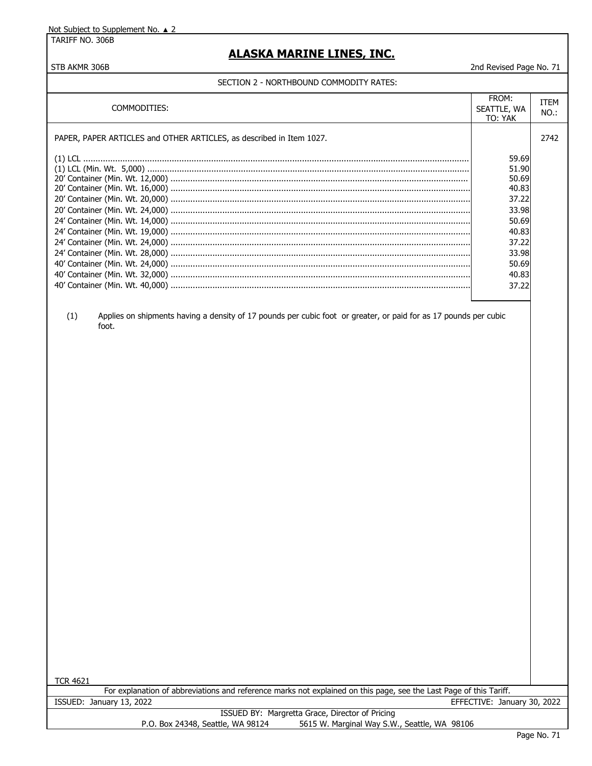TARIFF NO. 306B

## **ALASKA MARINE LINES, INC.**

#### STB AKMR 306B 2nd Revised Page No. 71

#### SECTION 2 - NORTHBOUND COMMODITY RATES:

| COMMODITIES:                                                                                          | FROM:<br>SEATTLE, WA<br>TO: YAK                                                                                   | ITEM<br>$NO.$ : |
|-------------------------------------------------------------------------------------------------------|-------------------------------------------------------------------------------------------------------------------|-----------------|
| PAPER, PAPER ARTICLES and OTHER ARTICLES, as described in Item 1027.                                  |                                                                                                                   | 2742            |
| 24' Container (Min. Wt. 19,000)<br>24' Container (Min. Wt. 24,000)<br>24' Container (Min. Wt. 28,000) | 59.69<br>51.90<br>50.69<br>40.83<br>37.22<br>33.98<br>50.69<br>40.83<br>37.22<br>33.98<br>50.69<br>40.83<br>37.22 |                 |

(1) Applies on shipments having a density of 17 pounds per cubic foot or greater, or paid for as 17 pounds per cubic foot.

TCR 4621

For explanation of abbreviations and reference marks not explained on this page, see the Last Page of this Tariff. ISSUED: January 13, 2022 EFFECTIVE: January 30, 2022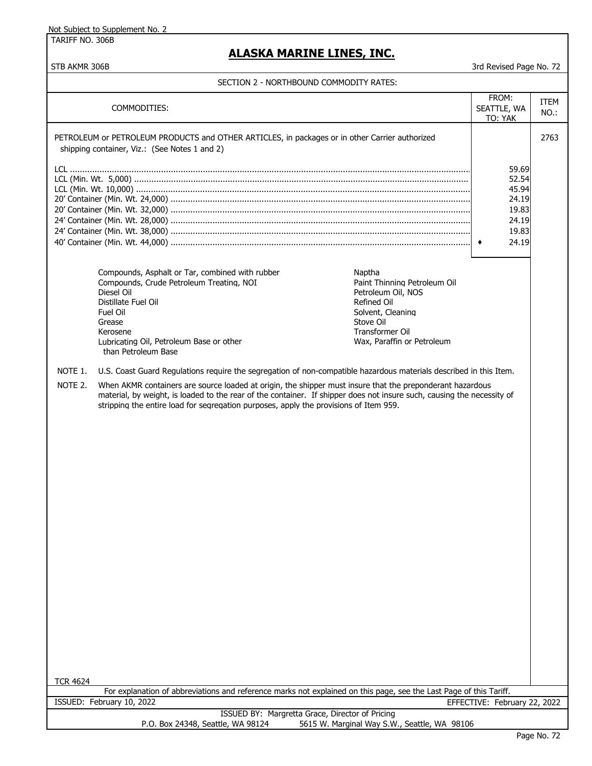TARIFF NO. 306B

## **ALASKA MARINE LINES, INC.**

STB AKMR 306B 3rd Revised Page No. 72

#### SECTION 2 - NORTHBOUND COMMODITY RATES:

|                    | COMMODITIES:                                                                                                                                                                                                                                                                                                                                                                                                                                                                                                                                                                                                                                                                                                                                                                                                                                                  | FROM:<br>SEATTLE, WA<br>TO: YAK                                           | ITEM<br>NO.: |
|--------------------|---------------------------------------------------------------------------------------------------------------------------------------------------------------------------------------------------------------------------------------------------------------------------------------------------------------------------------------------------------------------------------------------------------------------------------------------------------------------------------------------------------------------------------------------------------------------------------------------------------------------------------------------------------------------------------------------------------------------------------------------------------------------------------------------------------------------------------------------------------------|---------------------------------------------------------------------------|--------------|
|                    | PETROLEUM or PETROLEUM PRODUCTS and OTHER ARTICLES, in packages or in other Carrier authorized<br>shipping container, Viz.: (See Notes 1 and 2)                                                                                                                                                                                                                                                                                                                                                                                                                                                                                                                                                                                                                                                                                                               |                                                                           | 2763         |
|                    |                                                                                                                                                                                                                                                                                                                                                                                                                                                                                                                                                                                                                                                                                                                                                                                                                                                               | 59.69<br>52.54<br>45.94<br>24.19<br>19.83<br>24.19<br>19.83<br>24.19<br>٠ |              |
| NOTE 1.<br>NOTE 2. | Compounds, Asphalt or Tar, combined with rubber<br>Naptha<br>Compounds, Crude Petroleum Treating, NOI<br>Paint Thinning Petroleum Oil<br>Diesel Oil<br>Petroleum Oil, NOS<br>Distillate Fuel Oil<br>Refined Oil<br>Fuel Oil<br>Solvent, Cleaning<br>Stove Oil<br>Grease<br>Transformer Oil<br>Kerosene<br>Lubricating Oil, Petroleum Base or other<br>Wax, Paraffin or Petroleum<br>than Petroleum Base<br>U.S. Coast Guard Regulations require the segregation of non-compatible hazardous materials described in this Item.<br>When AKMR containers are source loaded at origin, the shipper must insure that the preponderant hazardous<br>material, by weight, is loaded to the rear of the container. If shipper does not insure such, causing the necessity of<br>stripping the entire load for segregation purposes, apply the provisions of Item 959. |                                                                           |              |
| <b>TCR 4624</b>    |                                                                                                                                                                                                                                                                                                                                                                                                                                                                                                                                                                                                                                                                                                                                                                                                                                                               |                                                                           |              |
|                    | For explanation of abbreviations and reference marks not explained on this page, see the Last Page of this Tariff.                                                                                                                                                                                                                                                                                                                                                                                                                                                                                                                                                                                                                                                                                                                                            |                                                                           |              |
|                    | ISSUED: February 10, 2022                                                                                                                                                                                                                                                                                                                                                                                                                                                                                                                                                                                                                                                                                                                                                                                                                                     | EFFECTIVE: February 22, 2022                                              |              |
|                    | ISSUED BY: Margretta Grace, Director of Pricing<br>P.O. Box 24348, Seattle, WA 98124<br>5615 W. Marginal Way S.W., Seattle, WA 98106                                                                                                                                                                                                                                                                                                                                                                                                                                                                                                                                                                                                                                                                                                                          |                                                                           |              |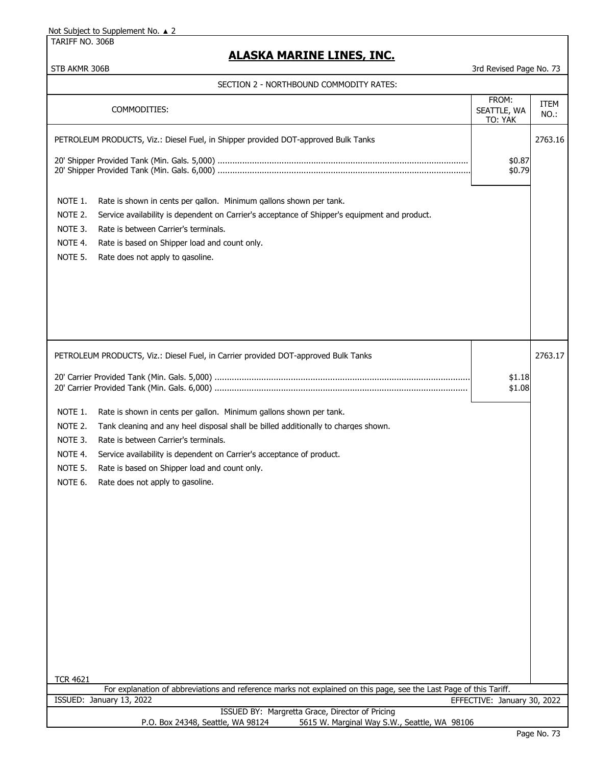TARIFF NO. 306B

## **ALASKA MARINE LINES, INC.**

| SECTION 2 - NORTHBOUND COMMODITY RATES:                                                                                                                                                                                                                                                                                                                                                                                                                                                                                |                                 |                        |
|------------------------------------------------------------------------------------------------------------------------------------------------------------------------------------------------------------------------------------------------------------------------------------------------------------------------------------------------------------------------------------------------------------------------------------------------------------------------------------------------------------------------|---------------------------------|------------------------|
| COMMODITIES:                                                                                                                                                                                                                                                                                                                                                                                                                                                                                                           | FROM:<br>SEATTLE, WA<br>TO: YAK | <b>ITEM</b><br>$NO.$ : |
| PETROLEUM PRODUCTS, Viz.: Diesel Fuel, in Shipper provided DOT-approved Bulk Tanks                                                                                                                                                                                                                                                                                                                                                                                                                                     | \$0.87<br>\$0.79                | 2763.16                |
| NOTE 1.<br>Rate is shown in cents per gallon. Minimum gallons shown per tank.<br>NOTE 2.<br>Service availability is dependent on Carrier's acceptance of Shipper's equipment and product.<br>NOTE 3.<br>Rate is between Carrier's terminals.<br>NOTE 4.<br>Rate is based on Shipper load and count only.<br>NOTE 5.<br>Rate does not apply to gasoline.                                                                                                                                                                |                                 |                        |
| PETROLEUM PRODUCTS, Viz.: Diesel Fuel, in Carrier provided DOT-approved Bulk Tanks<br>NOTE 1.<br>Rate is shown in cents per gallon. Minimum gallons shown per tank.<br>NOTE 2.<br>Tank cleaning and any heel disposal shall be billed additionally to charges shown.<br>NOTE 3.<br>Rate is between Carrier's terminals.<br>NOTE 4.<br>Service availability is dependent on Carrier's acceptance of product.<br>NOTE 5.<br>Rate is based on Shipper load and count only.<br>NOTE 6.<br>Rate does not apply to gasoline. | \$1.18<br>\$1.08                | 2763.17                |
| <b>TCR 4621</b><br>For explanation of abbreviations and reference marks not explained on this page, see the Last Page of this Tariff.                                                                                                                                                                                                                                                                                                                                                                                  |                                 |                        |
| ISSUED: January 13, 2022<br>ISSUED BY: Margretta Grace, Director of Pricing<br>5615 W. Marginal Way S.W., Seattle, WA 98106<br>P.O. Box 24348, Seattle, WA 98124                                                                                                                                                                                                                                                                                                                                                       | EFFECTIVE: January 30, 2022     |                        |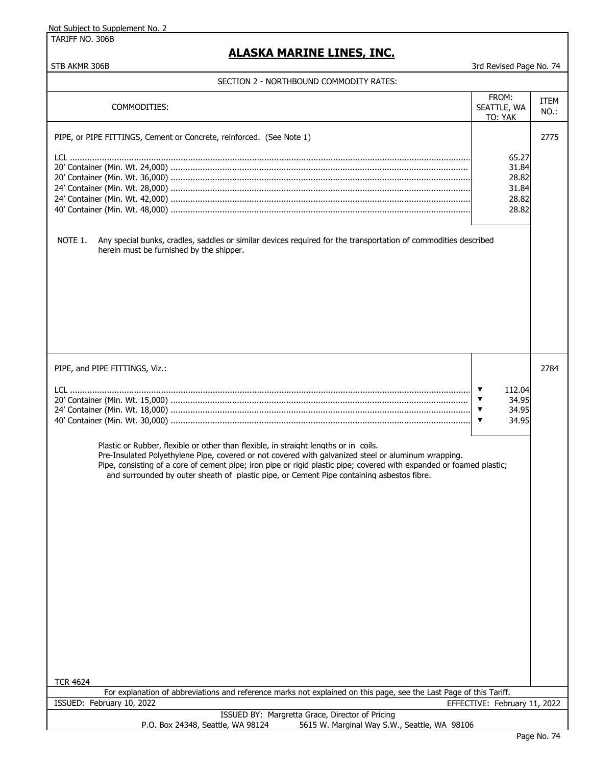TARIFF NO. 306B

## **ALASKA MARINE LINES, INC.**

| SECTION Z = NORTHBOUND COPIPIODITT RATES                                                                                                                                                                                                                                                                                                                                                                         |                                                                                             |                 |
|------------------------------------------------------------------------------------------------------------------------------------------------------------------------------------------------------------------------------------------------------------------------------------------------------------------------------------------------------------------------------------------------------------------|---------------------------------------------------------------------------------------------|-----------------|
| COMMODITIES:                                                                                                                                                                                                                                                                                                                                                                                                     | FROM:<br>SEATTLE, WA<br>TO: YAK                                                             | ITEM<br>$NO.$ : |
| PIPE, or PIPE FITTINGS, Cement or Concrete, reinforced. (See Note 1)                                                                                                                                                                                                                                                                                                                                             |                                                                                             | 2775            |
|                                                                                                                                                                                                                                                                                                                                                                                                                  | 65.27<br>31.84<br>28.82<br>31.84<br>28.82<br>28.82                                          |                 |
| NOTE 1.<br>Any special bunks, cradles, saddles or similar devices required for the transportation of commodities described<br>herein must be furnished by the shipper.                                                                                                                                                                                                                                           |                                                                                             |                 |
| PIPE, and PIPE FITTINGS, Viz.:                                                                                                                                                                                                                                                                                                                                                                                   |                                                                                             | 2784            |
|                                                                                                                                                                                                                                                                                                                                                                                                                  | $\blacktriangledown$<br>112.04<br>34.95<br>▼<br>34.95<br>$\blacktriangledown$<br>34.95<br>▼ |                 |
| Plastic or Rubber, flexible or other than flexible, in straight lengths or in coils.<br>Pre-Insulated Polyethylene Pipe, covered or not covered with galvanized steel or aluminum wrapping.<br>Pipe, consisting of a core of cement pipe; iron pipe or rigid plastic pipe; covered with expanded or foamed plastic;<br>and surrounded by outer sheath of plastic pipe, or Cement Pipe containing asbestos fibre. |                                                                                             |                 |
| <b>TCR 4624</b>                                                                                                                                                                                                                                                                                                                                                                                                  |                                                                                             |                 |
| For explanation of abbreviations and reference marks not explained on this page, see the Last Page of this Tariff.                                                                                                                                                                                                                                                                                               |                                                                                             |                 |
| ISSUED: February 10, 2022<br>ISSUED BY: Margretta Grace, Director of Pricing                                                                                                                                                                                                                                                                                                                                     | EFFECTIVE: February 11, 2022                                                                |                 |
| 5615 W. Marginal Way S.W., Seattle, WA 98106<br>P.O. Box 24348, Seattle, WA 98124                                                                                                                                                                                                                                                                                                                                |                                                                                             |                 |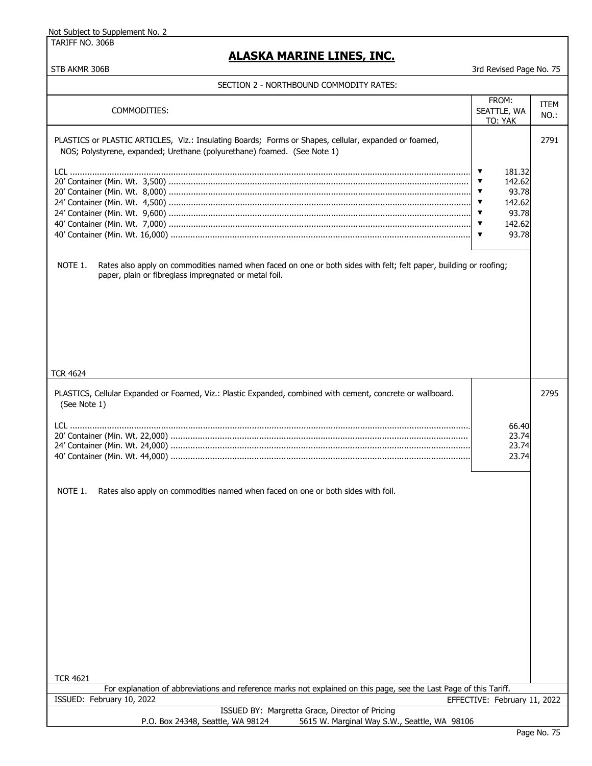| <u>ALASKA MARINE LINES, INC.</u><br>STB AKMR 306B<br>3rd Revised Page No. 75<br>SECTION 2 - NORTHBOUND COMMODITY RATES:<br>FROM:<br>ITEM<br>COMMODITIES:<br>SEATTLE, WA<br>NO.:<br>TO: YAK<br>PLASTICS or PLASTIC ARTICLES, Viz.: Insulating Boards; Forms or Shapes, cellular, expanded or foamed,<br>2791<br>NOS; Polystyrene, expanded; Urethane (polyurethane) foamed. (See Note 1)<br>181.32<br>▼<br>142.62<br>93.78<br>$\blacktriangledown$<br>142.62<br>93.78<br>$\blacktriangledown$<br>142.62<br>▼<br>93.78<br>NOTE 1.<br>Rates also apply on commodities named when faced on one or both sides with felt; felt paper, building or roofing;<br>paper, plain or fibreglass impregnated or metal foil.<br>PLASTICS, Cellular Expanded or Foamed, Viz.: Plastic Expanded, combined with cement, concrete or wallboard.<br>2795<br>(See Note 1)<br>66.40<br>23.74<br>23.74<br>23.74<br>NOTE 1.<br>Rates also apply on commodities named when faced on one or both sides with foil.<br><b>TCR 4621</b><br>For explanation of abbreviations and reference marks not explained on this page, see the Last Page of this Tariff.<br>EFFECTIVE: February 11, 2022 | <u>Not Subject to Supplement No. 2</u><br>TARIFF NO. 306B |  |  |
|------------------------------------------------------------------------------------------------------------------------------------------------------------------------------------------------------------------------------------------------------------------------------------------------------------------------------------------------------------------------------------------------------------------------------------------------------------------------------------------------------------------------------------------------------------------------------------------------------------------------------------------------------------------------------------------------------------------------------------------------------------------------------------------------------------------------------------------------------------------------------------------------------------------------------------------------------------------------------------------------------------------------------------------------------------------------------------------------------------------------------------------------------------------|-----------------------------------------------------------|--|--|
|                                                                                                                                                                                                                                                                                                                                                                                                                                                                                                                                                                                                                                                                                                                                                                                                                                                                                                                                                                                                                                                                                                                                                                  |                                                           |  |  |
|                                                                                                                                                                                                                                                                                                                                                                                                                                                                                                                                                                                                                                                                                                                                                                                                                                                                                                                                                                                                                                                                                                                                                                  |                                                           |  |  |
|                                                                                                                                                                                                                                                                                                                                                                                                                                                                                                                                                                                                                                                                                                                                                                                                                                                                                                                                                                                                                                                                                                                                                                  |                                                           |  |  |
|                                                                                                                                                                                                                                                                                                                                                                                                                                                                                                                                                                                                                                                                                                                                                                                                                                                                                                                                                                                                                                                                                                                                                                  |                                                           |  |  |
|                                                                                                                                                                                                                                                                                                                                                                                                                                                                                                                                                                                                                                                                                                                                                                                                                                                                                                                                                                                                                                                                                                                                                                  |                                                           |  |  |
|                                                                                                                                                                                                                                                                                                                                                                                                                                                                                                                                                                                                                                                                                                                                                                                                                                                                                                                                                                                                                                                                                                                                                                  |                                                           |  |  |
|                                                                                                                                                                                                                                                                                                                                                                                                                                                                                                                                                                                                                                                                                                                                                                                                                                                                                                                                                                                                                                                                                                                                                                  |                                                           |  |  |
|                                                                                                                                                                                                                                                                                                                                                                                                                                                                                                                                                                                                                                                                                                                                                                                                                                                                                                                                                                                                                                                                                                                                                                  | <b>TCR 4624</b>                                           |  |  |
|                                                                                                                                                                                                                                                                                                                                                                                                                                                                                                                                                                                                                                                                                                                                                                                                                                                                                                                                                                                                                                                                                                                                                                  |                                                           |  |  |
|                                                                                                                                                                                                                                                                                                                                                                                                                                                                                                                                                                                                                                                                                                                                                                                                                                                                                                                                                                                                                                                                                                                                                                  |                                                           |  |  |
|                                                                                                                                                                                                                                                                                                                                                                                                                                                                                                                                                                                                                                                                                                                                                                                                                                                                                                                                                                                                                                                                                                                                                                  |                                                           |  |  |
|                                                                                                                                                                                                                                                                                                                                                                                                                                                                                                                                                                                                                                                                                                                                                                                                                                                                                                                                                                                                                                                                                                                                                                  |                                                           |  |  |
|                                                                                                                                                                                                                                                                                                                                                                                                                                                                                                                                                                                                                                                                                                                                                                                                                                                                                                                                                                                                                                                                                                                                                                  |                                                           |  |  |
|                                                                                                                                                                                                                                                                                                                                                                                                                                                                                                                                                                                                                                                                                                                                                                                                                                                                                                                                                                                                                                                                                                                                                                  |                                                           |  |  |
|                                                                                                                                                                                                                                                                                                                                                                                                                                                                                                                                                                                                                                                                                                                                                                                                                                                                                                                                                                                                                                                                                                                                                                  | ISSUED: February 10, 2022                                 |  |  |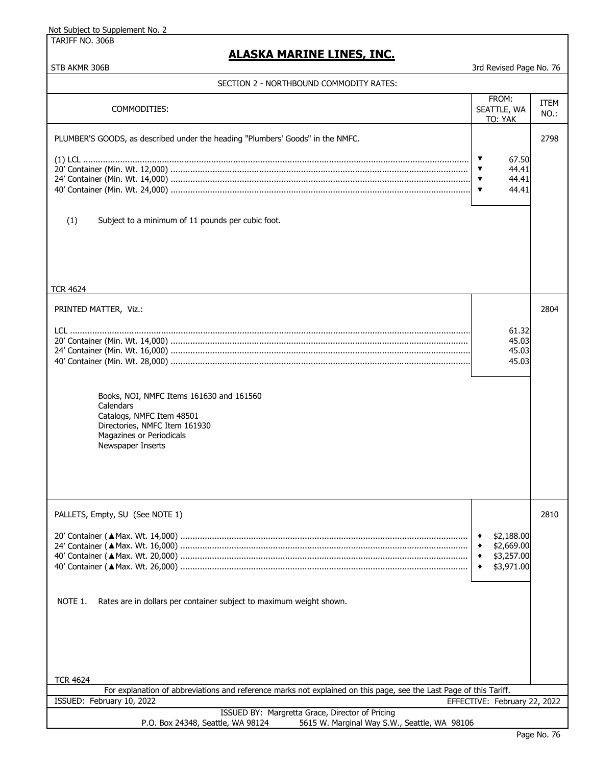TARIFF NO. 306B

| STB AKMR 306B                                                                                                                                                        | 3rd Revised Page No. 76                                                                    |              |
|----------------------------------------------------------------------------------------------------------------------------------------------------------------------|--------------------------------------------------------------------------------------------|--------------|
| SECTION 2 - NORTHBOUND COMMODITY RATES:                                                                                                                              |                                                                                            |              |
| COMMODITIES:                                                                                                                                                         | FROM:<br>SEATTLE, WA<br>TO: YAK                                                            | ITEM<br>NO.: |
| PLUMBER'S GOODS, as described under the heading "Plumbers' Goods" in the NMFC.                                                                                       |                                                                                            | 2798         |
|                                                                                                                                                                      | ▼<br>67.50<br>$\blacktriangledown$<br>44.41<br>44.41<br>▼<br>44.41<br>$\blacktriangledown$ |              |
| (1)<br>Subject to a minimum of 11 pounds per cubic foot.                                                                                                             |                                                                                            |              |
| <b>TCR 4624</b>                                                                                                                                                      |                                                                                            |              |
| PRINTED MATTER, Viz.:                                                                                                                                                |                                                                                            | 2804         |
|                                                                                                                                                                      | 61.32<br>45.03<br>45.03<br>45.03                                                           |              |
| Books, NOI, NMFC Items 161630 and 161560<br>Calendars<br>Catalogs, NMFC Item 48501<br>Directories, NMFC Item 161930<br>Magazines or Periodicals<br>Newspaper Inserts |                                                                                            |              |
|                                                                                                                                                                      |                                                                                            |              |
| PALLETS, Empty, SU (See NOTE 1)                                                                                                                                      | \$2,188.00<br>\$2,669.00<br>٠<br>\$3,257.00<br>٠<br>\$3,971.00<br>٠                        | 2810         |
| NOTE 1.<br>Rates are in dollars per container subject to maximum weight shown.                                                                                       |                                                                                            |              |
| <b>TCR 4624</b>                                                                                                                                                      |                                                                                            |              |
| For explanation of abbreviations and reference marks not explained on this page, see the Last Page of this Tariff.<br>ISSUED: February 10, 2022                      | EFFECTIVE: February 22, 2022                                                               |              |
| ISSUED BY: Margretta Grace, Director of Pricing<br>P.O. Box 24348, Seattle, WA 98124<br>5615 W. Marginal Way S.W., Seattle, WA 98106                                 |                                                                                            |              |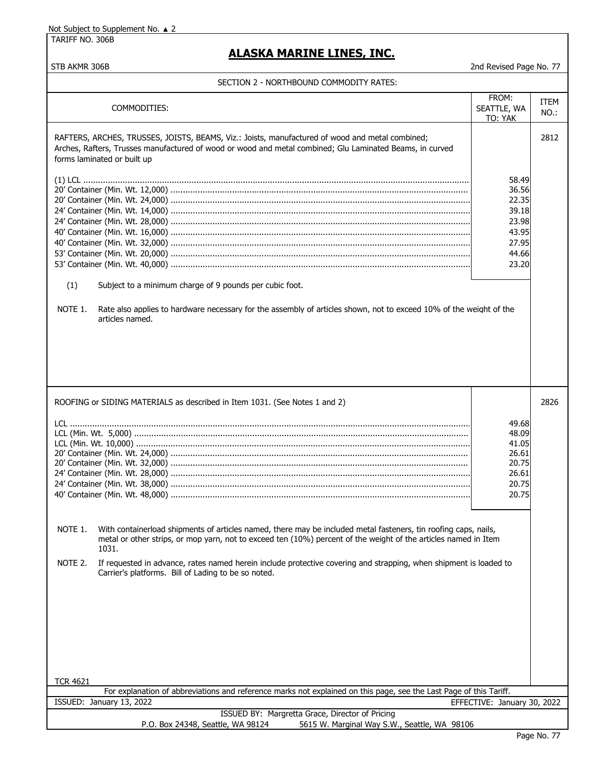TARIFF NO. 306B

### **ALASKA MARINE LINES, INC.**

STB AKMR 306B 2nd Revised Page No. 77

#### SECTION 2 - NORTHBOUND COMMODITY RATES:

| COMMODITIES:                                                                                                                                                                                                                                           | FROM:<br>SEATTLE, WA<br>TO: YAK                                               | ITEM<br>NO.: |
|--------------------------------------------------------------------------------------------------------------------------------------------------------------------------------------------------------------------------------------------------------|-------------------------------------------------------------------------------|--------------|
| RAFTERS, ARCHES, TRUSSES, JOISTS, BEAMS, Viz.: Joists, manufactured of wood and metal combined;<br>Arches, Rafters, Trusses manufactured of wood or wood and metal combined; Glu Laminated Beams, in curved<br>forms laminated or built up             |                                                                               | 2812         |
| (1)<br>Subject to a minimum charge of 9 pounds per cubic foot.<br>NOTE 1.<br>Rate also applies to hardware necessary for the assembly of articles shown, not to exceed 10% of the weight of the<br>articles named.                                     | 58.49<br>36.56<br>22.35<br>39.18<br>23.98<br>43.95<br>27.95<br>44.66<br>23.20 |              |
| ROOFING or SIDING MATERIALS as described in Item 1031. (See Notes 1 and 2)                                                                                                                                                                             |                                                                               | 2826         |
|                                                                                                                                                                                                                                                        | 49.68<br>48.09<br>41.05<br>26.61<br>20.75<br>26.61<br>20.75<br>20.75          |              |
| NOTE 1.<br>With containerload shipments of articles named, there may be included metal fasteners, tin roofing caps, nails,<br>metal or other strips, or mop yarn, not to exceed ten (10%) percent of the weight of the articles named in Item<br>1031. |                                                                               |              |
| NOTE 2.<br>If requested in advance, rates named herein include protective covering and strapping, when shipment is loaded to<br>Carrier's platforms. Bill of Lading to be so noted.                                                                    |                                                                               |              |
| <b>TCR 4621</b><br>For explanation of abbreviations and reference marks not explained on this page, see the Last Page of this Tariff.                                                                                                                  |                                                                               |              |
| ISSUED: January 13, 2022<br>EFFECTIVE: January 30, 2022                                                                                                                                                                                                |                                                                               |              |
| ISSUED BY: Margretta Grace, Director of Pricing<br>P.O. Box 24348, Seattle, WA 98124<br>5615 W. Marginal Way S.W., Seattle, WA 98106                                                                                                                   |                                                                               |              |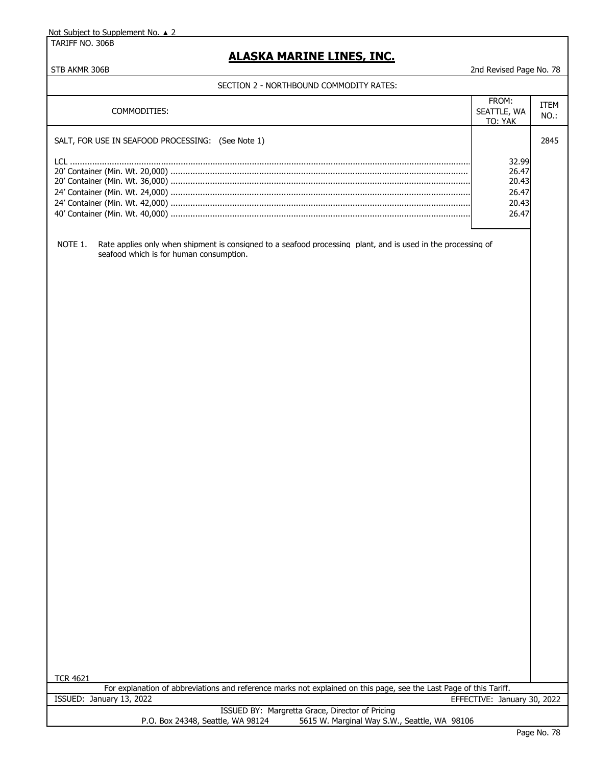TARIFF NO. 306B

## **ALASKA MARINE LINES, INC.**

#### STB AKMR 306B 2nd Revised Page No. 78

#### SECTION 2 - NORTHBOUND COMMODITY RATES:

| COMMODITIES:                                                                                                                                                       | FROM:<br>SEATTLE, WA<br>TO: YAK                    | <b>ITEM</b><br>$NO.$ : |
|--------------------------------------------------------------------------------------------------------------------------------------------------------------------|----------------------------------------------------|------------------------|
| SALT, FOR USE IN SEAFOOD PROCESSING: (See Note 1)                                                                                                                  |                                                    | 2845                   |
|                                                                                                                                                                    | 32.99<br>26.47<br>20.43<br>26.47<br>20.43<br>26.47 |                        |
| NOTE 1.<br>Rate applies only when shipment is consigned to a seafood processing plant, and is used in the processing of<br>seafood which is for human consumption. |                                                    |                        |
|                                                                                                                                                                    |                                                    |                        |
|                                                                                                                                                                    |                                                    |                        |
|                                                                                                                                                                    |                                                    |                        |
|                                                                                                                                                                    |                                                    |                        |
|                                                                                                                                                                    |                                                    |                        |
|                                                                                                                                                                    |                                                    |                        |
|                                                                                                                                                                    |                                                    |                        |
|                                                                                                                                                                    |                                                    |                        |
|                                                                                                                                                                    |                                                    |                        |
|                                                                                                                                                                    |                                                    |                        |
|                                                                                                                                                                    |                                                    |                        |
|                                                                                                                                                                    |                                                    |                        |
| <b>TCR 4621</b>                                                                                                                                                    |                                                    |                        |
| For explanation of abbreviations and reference marks not explained on this page, see the Last Page of this Tariff.                                                 |                                                    |                        |
| ISSUED: January 13, 2022<br>ISSUED BY: Margretta Grace, Director of Pricing                                                                                        | EFFECTIVE: January 30, 2022                        |                        |
| P.O. Box 24348, Seattle, WA 98124<br>5615 W. Marginal Way S.W., Seattle, WA 98106                                                                                  |                                                    |                        |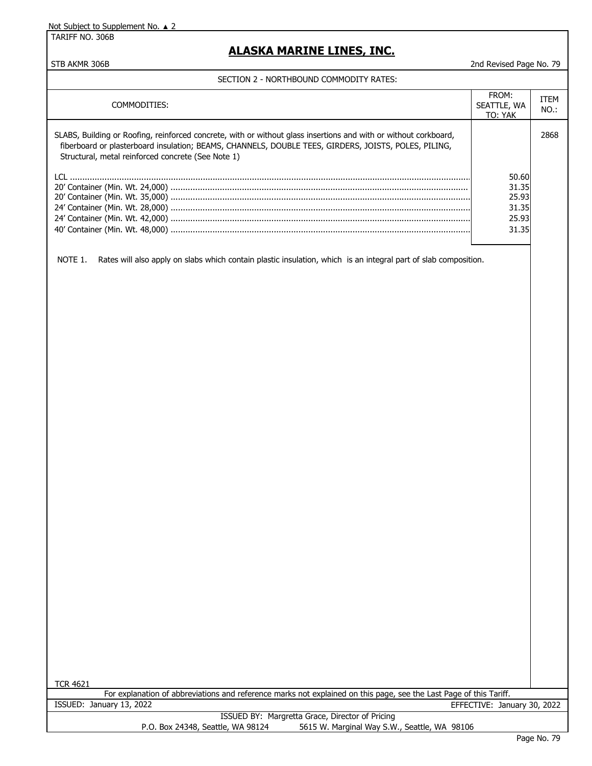TARIFF NO. 306B

### **ALASKA MARINE LINES, INC.**

#### STB AKMR 306B 2nd Revised Page No. 79

#### SECTION 2 - NORTHBOUND COMMODITY RATES:

| COMMODITIES:                                                                                                                                                                                                                                                                   | FROM:<br>SEATTLE, WA<br>TO: YAK                    | <b>ITEM</b><br>NO.: |
|--------------------------------------------------------------------------------------------------------------------------------------------------------------------------------------------------------------------------------------------------------------------------------|----------------------------------------------------|---------------------|
| SLABS, Building or Roofing, reinforced concrete, with or without glass insertions and with or without corkboard,<br>fiberboard or plasterboard insulation; BEAMS, CHANNELS, DOUBLE TEES, GIRDERS, JOISTS, POLES, PILING,<br>Structural, metal reinforced concrete (See Note 1) |                                                    | 2868                |
|                                                                                                                                                                                                                                                                                | 50.60<br>31.35<br>25.93<br>31.35<br>25.93<br>31.35 |                     |

NOTE 1. Rates will also apply on slabs which contain plastic insulation, which is an integral part of slab composition.

TCR 4621

|                          | For explanation of abbreviations and reference marks not explained on this page, see the Last Page of this Tariff. |                             |  |
|--------------------------|--------------------------------------------------------------------------------------------------------------------|-----------------------------|--|
| ISSUED: January 13, 2022 |                                                                                                                    | EFFECTIVE: January 30, 2022 |  |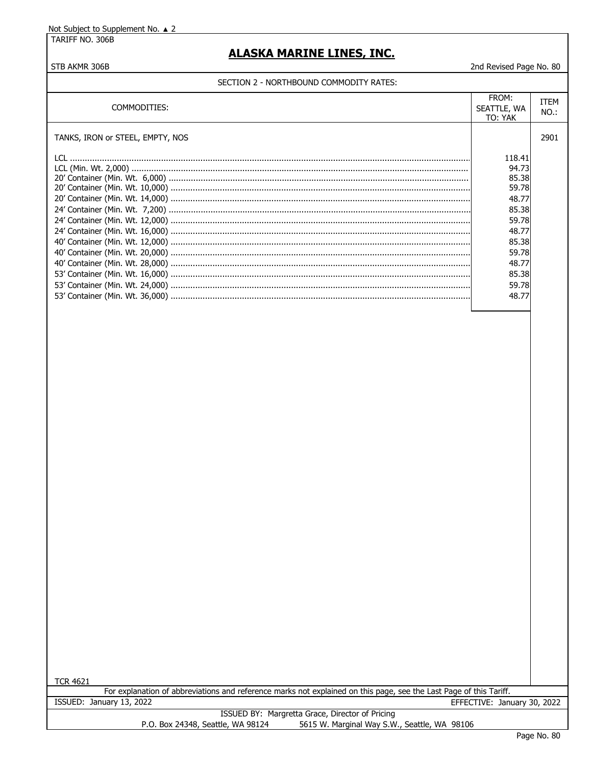TARIFF NO. 306B

STB AKMR 306B

### **ALASKA MARINE LINES, INC.**

2nd Revised Page No. 80

#### SECTION 2 - NORTHBOUND COMMODITY RATES:

| COMMODITIES:                     | FROM:<br>SEATTLE, WA<br>TO: YAK                                                                                             | ITEM<br>NO.: |
|----------------------------------|-----------------------------------------------------------------------------------------------------------------------------|--------------|
| TANKS, IRON or STEEL, EMPTY, NOS |                                                                                                                             | 2901         |
|                                  | 118.41<br>94.73<br>85.38<br>59.78<br>48.77<br>85.38<br>59.78<br>48.77<br>85.38<br>59.78<br>48.77<br>85.38<br>59.78<br>48.77 |              |

**TCR 4621** 

For explanation of abbreviations and reference marks not explained on this page, see the Last Page of this Tariff. ISSUED: January 13, 2022 EFFECTIVE: January 30, 2022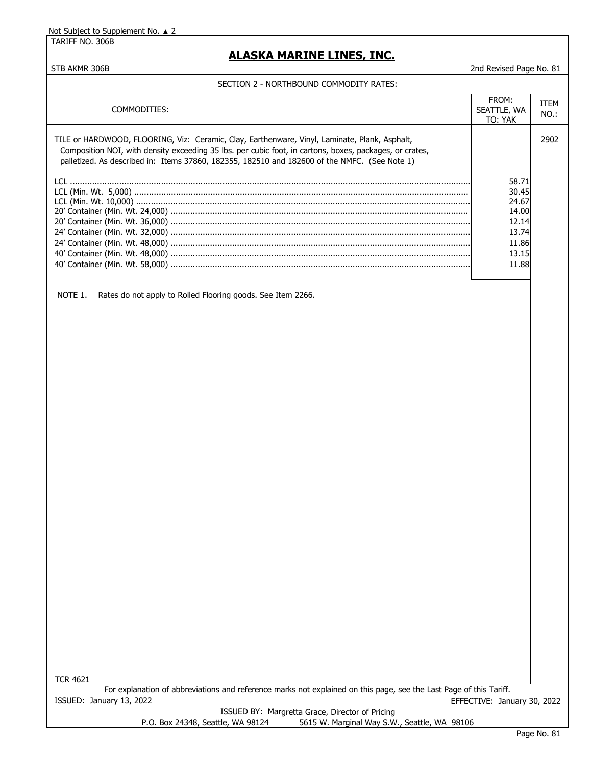TARIFF NO. 306B

### **ALASKA MARINE LINES, INC.**

STB AKMR 306B 2nd Revised Page No. 81

#### SECTION 2 - NORTHBOUND COMMODITY RATES:

| COMMODITIES:                                                                                                                                                                                                                                                                                              | FROM:<br>SEATTLE, WA<br>TO: YAK                                               | <b>ITEM</b><br>NO.: |
|-----------------------------------------------------------------------------------------------------------------------------------------------------------------------------------------------------------------------------------------------------------------------------------------------------------|-------------------------------------------------------------------------------|---------------------|
| TILE or HARDWOOD, FLOORING, Viz: Ceramic, Clay, Earthenware, Vinyl, Laminate, Plank, Asphalt,<br>Composition NOI, with density exceeding 35 lbs. per cubic foot, in cartons, boxes, packages, or crates,<br>palletized. As described in: Items 37860, 182355, 182510 and 182600 of the NMFC. (See Note 1) |                                                                               | 2902                |
|                                                                                                                                                                                                                                                                                                           | 58.71<br>30.45<br>24.67<br>14.00<br>12.14<br>13.74<br>11.86<br>13.15<br>11.88 |                     |

NOTE 1. Rates do not apply to Rolled Flooring goods. See Item 2266.

TCR 4621

ISSUED: January 13, 2022 EFFECTIVE: January 30, 2022 For explanation of abbreviations and reference marks not explained on this page, see the Last Page of this Tariff.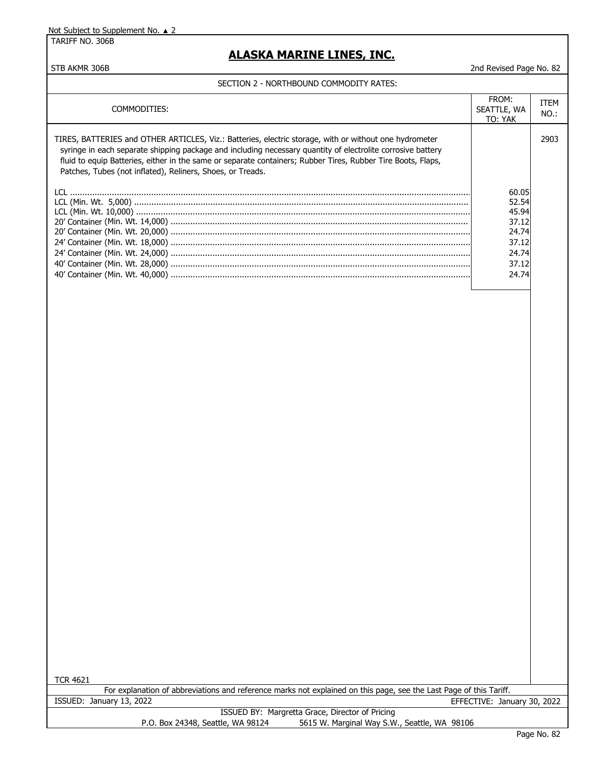TARIFF NO. 306B

### **ALASKA MARINE LINES, INC.**

STB AKMR 306B 2nd Revised Page No. 82

#### SECTION 2 - NORTHBOUND COMMODITY RATES:

| COMMODITIES:                                                                                                                                                                                                                                                                                                                                                                                        | FROM:<br>SEATTLE, WA<br>TO: YAK                                               | ITEM<br>NO.: |
|-----------------------------------------------------------------------------------------------------------------------------------------------------------------------------------------------------------------------------------------------------------------------------------------------------------------------------------------------------------------------------------------------------|-------------------------------------------------------------------------------|--------------|
| TIRES, BATTERIES and OTHER ARTICLES, Viz.: Batteries, electric storage, with or without one hydrometer<br>syringe in each separate shipping package and including necessary quantity of electrolite corrosive battery<br>fluid to equip Batteries, either in the same or separate containers; Rubber Tires, Rubber Tire Boots, Flaps,<br>Patches, Tubes (not inflated), Reliners, Shoes, or Treads. |                                                                               | 2903         |
|                                                                                                                                                                                                                                                                                                                                                                                                     | 60.05<br>52.54<br>45.94<br>37.12<br>24.74<br>37.12<br>24.74<br>37.12<br>24.74 |              |

TCR 4621

For explanation of abbreviations and reference marks not explained on this page, see the Last Page of this Tariff. ISSUED: January 13, 2022 EFFECTIVE: January 30, 2022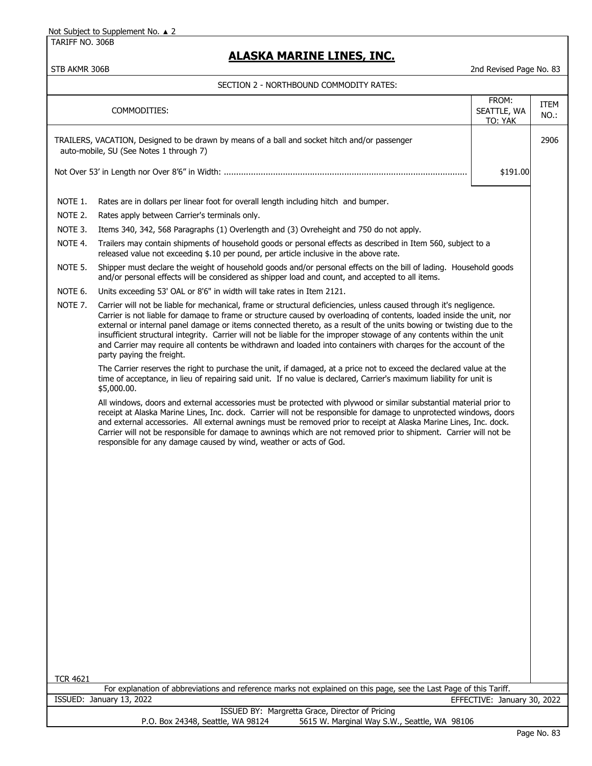TARIFF NO. 306B

## **ALASKA MARINE LINES, INC.**

| SECTION 2 - NORTHBOUND COMMODITY RATES:                                                                                              |                                                                                                                                                                                                                                                                                                                                                                                                                                                                                                                                                                                                                                                                                                                                                                                                                                                                                                                                                                                                                                                                                                                                                                                                                                                                                                                                                                                                                                                                                                                                                                                                                                                                                                                                                                                                                                                                                                                                                                                                                                                                                                                                                                                                                              |                                 |              |  |  |
|--------------------------------------------------------------------------------------------------------------------------------------|------------------------------------------------------------------------------------------------------------------------------------------------------------------------------------------------------------------------------------------------------------------------------------------------------------------------------------------------------------------------------------------------------------------------------------------------------------------------------------------------------------------------------------------------------------------------------------------------------------------------------------------------------------------------------------------------------------------------------------------------------------------------------------------------------------------------------------------------------------------------------------------------------------------------------------------------------------------------------------------------------------------------------------------------------------------------------------------------------------------------------------------------------------------------------------------------------------------------------------------------------------------------------------------------------------------------------------------------------------------------------------------------------------------------------------------------------------------------------------------------------------------------------------------------------------------------------------------------------------------------------------------------------------------------------------------------------------------------------------------------------------------------------------------------------------------------------------------------------------------------------------------------------------------------------------------------------------------------------------------------------------------------------------------------------------------------------------------------------------------------------------------------------------------------------------------------------------------------------|---------------------------------|--------------|--|--|
|                                                                                                                                      | COMMODITIES:                                                                                                                                                                                                                                                                                                                                                                                                                                                                                                                                                                                                                                                                                                                                                                                                                                                                                                                                                                                                                                                                                                                                                                                                                                                                                                                                                                                                                                                                                                                                                                                                                                                                                                                                                                                                                                                                                                                                                                                                                                                                                                                                                                                                                 | FROM:<br>SEATTLE, WA<br>TO: YAK | ITEM<br>NO.: |  |  |
|                                                                                                                                      | TRAILERS, VACATION, Designed to be drawn by means of a ball and socket hitch and/or passenger<br>auto-mobile, SU (See Notes 1 through 7)                                                                                                                                                                                                                                                                                                                                                                                                                                                                                                                                                                                                                                                                                                                                                                                                                                                                                                                                                                                                                                                                                                                                                                                                                                                                                                                                                                                                                                                                                                                                                                                                                                                                                                                                                                                                                                                                                                                                                                                                                                                                                     |                                 | 2906         |  |  |
|                                                                                                                                      |                                                                                                                                                                                                                                                                                                                                                                                                                                                                                                                                                                                                                                                                                                                                                                                                                                                                                                                                                                                                                                                                                                                                                                                                                                                                                                                                                                                                                                                                                                                                                                                                                                                                                                                                                                                                                                                                                                                                                                                                                                                                                                                                                                                                                              | \$191.00                        |              |  |  |
| NOTE 1.<br>NOTE 2.<br>NOTE 3.<br>NOTE 4.<br>NOTE 5.<br>NOTE 6.<br>NOTE 7.                                                            | Rates are in dollars per linear foot for overall length including hitch and bumper.<br>Rates apply between Carrier's terminals only.<br>Items 340, 342, 568 Paragraphs (1) Overlength and (3) Ovreheight and 750 do not apply.<br>Trailers may contain shipments of household goods or personal effects as described in Item 560, subject to a<br>released value not exceeding \$.10 per pound, per article inclusive in the above rate.<br>Shipper must declare the weight of household goods and/or personal effects on the bill of lading. Household goods<br>and/or personal effects will be considered as shipper load and count, and accepted to all items.<br>Units exceeding 53' OAL or 8'6" in width will take rates in Item 2121.<br>Carrier will not be liable for mechanical, frame or structural deficiencies, unless caused through it's negligence.<br>Carrier is not liable for damage to frame or structure caused by overloading of contents, loaded inside the unit, nor<br>external or internal panel damage or items connected thereto, as a result of the units bowing or twisting due to the<br>insufficient structural integrity. Carrier will not be liable for the improper stowage of any contents within the unit<br>and Carrier may require all contents be withdrawn and loaded into containers with charges for the account of the<br>party paying the freight.<br>The Carrier reserves the right to purchase the unit, if damaged, at a price not to exceed the declared value at the<br>time of acceptance, in lieu of repairing said unit. If no value is declared, Carrier's maximum liability for unit is<br>\$5,000.00.<br>All windows, doors and external accessories must be protected with plywood or similar substantial material prior to<br>receipt at Alaska Marine Lines, Inc. dock. Carrier will not be responsible for damage to unprotected windows, doors<br>and external accessories. All external awnings must be removed prior to receipt at Alaska Marine Lines, Inc. dock.<br>Carrier will not be responsible for damage to awnings which are not removed prior to shipment. Carrier will not be<br>responsible for any damage caused by wind, weather or acts of God. |                                 |              |  |  |
| <b>TCR 4621</b>                                                                                                                      |                                                                                                                                                                                                                                                                                                                                                                                                                                                                                                                                                                                                                                                                                                                                                                                                                                                                                                                                                                                                                                                                                                                                                                                                                                                                                                                                                                                                                                                                                                                                                                                                                                                                                                                                                                                                                                                                                                                                                                                                                                                                                                                                                                                                                              |                                 |              |  |  |
| For explanation of abbreviations and reference marks not explained on this page, see the Last Page of this Tariff.                   |                                                                                                                                                                                                                                                                                                                                                                                                                                                                                                                                                                                                                                                                                                                                                                                                                                                                                                                                                                                                                                                                                                                                                                                                                                                                                                                                                                                                                                                                                                                                                                                                                                                                                                                                                                                                                                                                                                                                                                                                                                                                                                                                                                                                                              |                                 |              |  |  |
| ISSUED: January 13, 2022<br>EFFECTIVE: January 30, 2022                                                                              |                                                                                                                                                                                                                                                                                                                                                                                                                                                                                                                                                                                                                                                                                                                                                                                                                                                                                                                                                                                                                                                                                                                                                                                                                                                                                                                                                                                                                                                                                                                                                                                                                                                                                                                                                                                                                                                                                                                                                                                                                                                                                                                                                                                                                              |                                 |              |  |  |
| ISSUED BY: Margretta Grace, Director of Pricing<br>P.O. Box 24348, Seattle, WA 98124<br>5615 W. Marginal Way S.W., Seattle, WA 98106 |                                                                                                                                                                                                                                                                                                                                                                                                                                                                                                                                                                                                                                                                                                                                                                                                                                                                                                                                                                                                                                                                                                                                                                                                                                                                                                                                                                                                                                                                                                                                                                                                                                                                                                                                                                                                                                                                                                                                                                                                                                                                                                                                                                                                                              |                                 |              |  |  |
| Page No. 83                                                                                                                          |                                                                                                                                                                                                                                                                                                                                                                                                                                                                                                                                                                                                                                                                                                                                                                                                                                                                                                                                                                                                                                                                                                                                                                                                                                                                                                                                                                                                                                                                                                                                                                                                                                                                                                                                                                                                                                                                                                                                                                                                                                                                                                                                                                                                                              |                                 |              |  |  |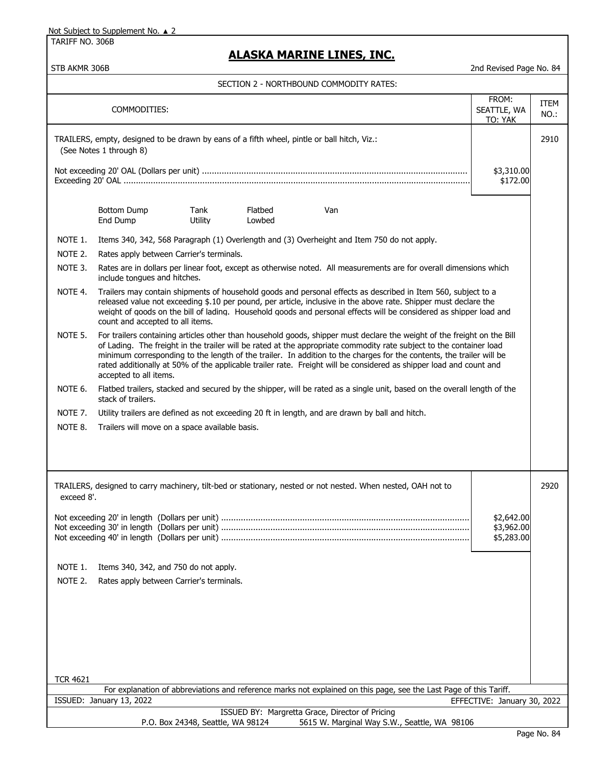TARIFF NO. 306B

## **ALASKA MARINE LINES, INC.**

|                                                         | FROM:<br>COMMODITIES:<br>SEATTLE, WA<br>TO: YAK                                                                                                                                                                                                                                                                                                                                                                                                                                                                        |                                   |                   |                                                                                                                                                                                                                                                                                                                                                         |                                        | ITEM<br>NO.: |
|---------------------------------------------------------|------------------------------------------------------------------------------------------------------------------------------------------------------------------------------------------------------------------------------------------------------------------------------------------------------------------------------------------------------------------------------------------------------------------------------------------------------------------------------------------------------------------------|-----------------------------------|-------------------|---------------------------------------------------------------------------------------------------------------------------------------------------------------------------------------------------------------------------------------------------------------------------------------------------------------------------------------------------------|----------------------------------------|--------------|
|                                                         | TRAILERS, empty, designed to be drawn by eans of a fifth wheel, pintle or ball hitch, Viz.:<br>(See Notes 1 through 8)                                                                                                                                                                                                                                                                                                                                                                                                 |                                   |                   | 2910                                                                                                                                                                                                                                                                                                                                                    |                                        |              |
|                                                         |                                                                                                                                                                                                                                                                                                                                                                                                                                                                                                                        |                                   |                   |                                                                                                                                                                                                                                                                                                                                                         | \$3,310.00<br>\$172.00                 |              |
|                                                         | Bottom Dump<br>End Dump                                                                                                                                                                                                                                                                                                                                                                                                                                                                                                | Tank<br>Utility                   | Flatbed<br>Lowbed | Van                                                                                                                                                                                                                                                                                                                                                     |                                        |              |
| NOTE 1.                                                 |                                                                                                                                                                                                                                                                                                                                                                                                                                                                                                                        |                                   |                   | Items 340, 342, 568 Paragraph (1) Overlength and (3) Overheight and Item 750 do not apply.                                                                                                                                                                                                                                                              |                                        |              |
| NOTE 2.                                                 | Rates apply between Carrier's terminals.                                                                                                                                                                                                                                                                                                                                                                                                                                                                               |                                   |                   |                                                                                                                                                                                                                                                                                                                                                         |                                        |              |
| NOTE 3.                                                 | include tonques and hitches.                                                                                                                                                                                                                                                                                                                                                                                                                                                                                           |                                   |                   | Rates are in dollars per linear foot, except as otherwise noted. All measurements are for overall dimensions which                                                                                                                                                                                                                                      |                                        |              |
| NOTE 4.                                                 | count and accepted to all items.                                                                                                                                                                                                                                                                                                                                                                                                                                                                                       |                                   |                   | Trailers may contain shipments of household goods and personal effects as described in Item 560, subject to a<br>released value not exceeding \$.10 per pound, per article, inclusive in the above rate. Shipper must declare the<br>weight of goods on the bill of lading. Household goods and personal effects will be considered as shipper load and |                                        |              |
| NOTE 5.                                                 | For trailers containing articles other than household goods, shipper must declare the weight of the freight on the Bill<br>of Lading. The freight in the trailer will be rated at the appropriate commodity rate subject to the container load<br>minimum corresponding to the length of the trailer. In addition to the charges for the contents, the trailer will be<br>rated additionally at 50% of the applicable trailer rate. Freight will be considered as shipper load and count and<br>accepted to all items. |                                   |                   |                                                                                                                                                                                                                                                                                                                                                         |                                        |              |
| NOTE 6.                                                 | stack of trailers.                                                                                                                                                                                                                                                                                                                                                                                                                                                                                                     |                                   |                   | Flatbed trailers, stacked and secured by the shipper, will be rated as a single unit, based on the overall length of the                                                                                                                                                                                                                                |                                        |              |
| NOTE 7.                                                 | Utility trailers are defined as not exceeding 20 ft in length, and are drawn by ball and hitch.                                                                                                                                                                                                                                                                                                                                                                                                                        |                                   |                   |                                                                                                                                                                                                                                                                                                                                                         |                                        |              |
| NOTE 8.                                                 | Trailers will move on a space available basis.                                                                                                                                                                                                                                                                                                                                                                                                                                                                         |                                   |                   |                                                                                                                                                                                                                                                                                                                                                         |                                        |              |
|                                                         |                                                                                                                                                                                                                                                                                                                                                                                                                                                                                                                        |                                   |                   |                                                                                                                                                                                                                                                                                                                                                         |                                        |              |
|                                                         |                                                                                                                                                                                                                                                                                                                                                                                                                                                                                                                        |                                   |                   | TRAILERS, designed to carry machinery, tilt-bed or stationary, nested or not nested. When nested, OAH not to                                                                                                                                                                                                                                            |                                        | 2920         |
| exceed 8'.                                              |                                                                                                                                                                                                                                                                                                                                                                                                                                                                                                                        |                                   |                   |                                                                                                                                                                                                                                                                                                                                                         |                                        |              |
|                                                         |                                                                                                                                                                                                                                                                                                                                                                                                                                                                                                                        |                                   |                   |                                                                                                                                                                                                                                                                                                                                                         | \$2,642.00<br>\$3,962.00<br>\$5,283.00 |              |
| NOTE 1.                                                 | Items 340, 342, and 750 do not apply.                                                                                                                                                                                                                                                                                                                                                                                                                                                                                  |                                   |                   |                                                                                                                                                                                                                                                                                                                                                         |                                        |              |
| NOTE 2.                                                 | Rates apply between Carrier's terminals.                                                                                                                                                                                                                                                                                                                                                                                                                                                                               |                                   |                   |                                                                                                                                                                                                                                                                                                                                                         |                                        |              |
|                                                         |                                                                                                                                                                                                                                                                                                                                                                                                                                                                                                                        |                                   |                   |                                                                                                                                                                                                                                                                                                                                                         |                                        |              |
|                                                         |                                                                                                                                                                                                                                                                                                                                                                                                                                                                                                                        |                                   |                   |                                                                                                                                                                                                                                                                                                                                                         |                                        |              |
|                                                         |                                                                                                                                                                                                                                                                                                                                                                                                                                                                                                                        |                                   |                   |                                                                                                                                                                                                                                                                                                                                                         |                                        |              |
|                                                         |                                                                                                                                                                                                                                                                                                                                                                                                                                                                                                                        |                                   |                   |                                                                                                                                                                                                                                                                                                                                                         |                                        |              |
|                                                         |                                                                                                                                                                                                                                                                                                                                                                                                                                                                                                                        |                                   |                   |                                                                                                                                                                                                                                                                                                                                                         |                                        |              |
| <b>TCR 4621</b>                                         |                                                                                                                                                                                                                                                                                                                                                                                                                                                                                                                        |                                   |                   |                                                                                                                                                                                                                                                                                                                                                         |                                        |              |
|                                                         |                                                                                                                                                                                                                                                                                                                                                                                                                                                                                                                        |                                   |                   | For explanation of abbreviations and reference marks not explained on this page, see the Last Page of this Tariff.                                                                                                                                                                                                                                      |                                        |              |
| ISSUED: January 13, 2022<br>EFFECTIVE: January 30, 2022 |                                                                                                                                                                                                                                                                                                                                                                                                                                                                                                                        |                                   |                   |                                                                                                                                                                                                                                                                                                                                                         |                                        |              |
|                                                         |                                                                                                                                                                                                                                                                                                                                                                                                                                                                                                                        | P.O. Box 24348, Seattle, WA 98124 |                   | ISSUED BY: Margretta Grace, Director of Pricing<br>5615 W. Marginal Way S.W., Seattle, WA 98106                                                                                                                                                                                                                                                         |                                        |              |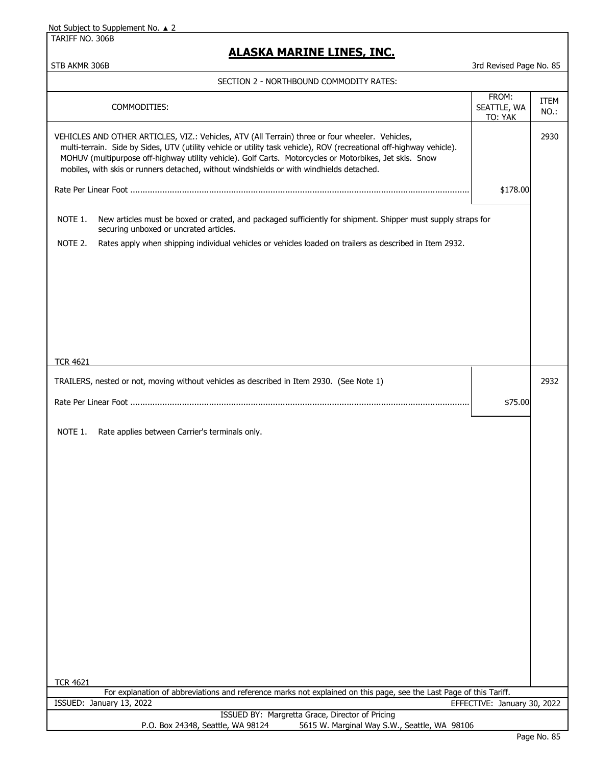TARIFF NO. 306B

### **ALASKA MARINE LINES, INC.**

STB AKMR 306B 3rd Revised Page No. 85

#### SECTION 2 - NORTHBOUND COMMODITY RATES:

| FROM:<br>COMMODITIES:<br>SEATTLE, WA<br>TO: YAK                                                                                                                                                                                                                                                                                                                                                                                |          |      |  |  |
|--------------------------------------------------------------------------------------------------------------------------------------------------------------------------------------------------------------------------------------------------------------------------------------------------------------------------------------------------------------------------------------------------------------------------------|----------|------|--|--|
| VEHICLES AND OTHER ARTICLES, VIZ.: Vehicles, ATV (All Terrain) three or four wheeler. Vehicles,<br>multi-terrain. Side by Sides, UTV (utility vehicle or utility task vehicle), ROV (recreational off-highway vehicle).<br>MOHUV (multipurpose off-highway utility vehicle). Golf Carts. Motorcycles or Motorbikes, Jet skis. Snow<br>mobiles, with skis or runners detached, without windshields or with windhields detached. |          |      |  |  |
|                                                                                                                                                                                                                                                                                                                                                                                                                                | \$178.00 |      |  |  |
| NOTE 1.<br>New articles must be boxed or crated, and packaged sufficiently for shipment. Shipper must supply straps for<br>securing unboxed or uncrated articles.                                                                                                                                                                                                                                                              |          |      |  |  |
| NOTE 2.<br>Rates apply when shipping individual vehicles or vehicles loaded on trailers as described in Item 2932.                                                                                                                                                                                                                                                                                                             |          |      |  |  |
|                                                                                                                                                                                                                                                                                                                                                                                                                                |          |      |  |  |
|                                                                                                                                                                                                                                                                                                                                                                                                                                |          |      |  |  |
|                                                                                                                                                                                                                                                                                                                                                                                                                                |          |      |  |  |
| <b>TCR 4621</b>                                                                                                                                                                                                                                                                                                                                                                                                                |          |      |  |  |
| TRAILERS, nested or not, moving without vehicles as described in Item 2930. (See Note 1)                                                                                                                                                                                                                                                                                                                                       |          | 2932 |  |  |
| \$75.00                                                                                                                                                                                                                                                                                                                                                                                                                        |          |      |  |  |
| NOTE 1.<br>Rate applies between Carrier's terminals only.                                                                                                                                                                                                                                                                                                                                                                      |          |      |  |  |
|                                                                                                                                                                                                                                                                                                                                                                                                                                |          |      |  |  |
|                                                                                                                                                                                                                                                                                                                                                                                                                                |          |      |  |  |
|                                                                                                                                                                                                                                                                                                                                                                                                                                |          |      |  |  |
|                                                                                                                                                                                                                                                                                                                                                                                                                                |          |      |  |  |
|                                                                                                                                                                                                                                                                                                                                                                                                                                |          |      |  |  |
|                                                                                                                                                                                                                                                                                                                                                                                                                                |          |      |  |  |
|                                                                                                                                                                                                                                                                                                                                                                                                                                |          |      |  |  |
|                                                                                                                                                                                                                                                                                                                                                                                                                                |          |      |  |  |
|                                                                                                                                                                                                                                                                                                                                                                                                                                |          |      |  |  |
| <b>TCR 4621</b>                                                                                                                                                                                                                                                                                                                                                                                                                |          |      |  |  |
| For explanation of abbreviations and reference marks not explained on this page, see the Last Page of this Tariff.<br>ISSUED: January 13, 2022<br>EFFECTIVE: January 30, 2022                                                                                                                                                                                                                                                  |          |      |  |  |
| ISSUED BY: Margretta Grace, Director of Pricing<br>P.O. Box 24348, Seattle, WA 98124<br>5615 W. Marginal Way S.W., Seattle, WA 98106                                                                                                                                                                                                                                                                                           |          |      |  |  |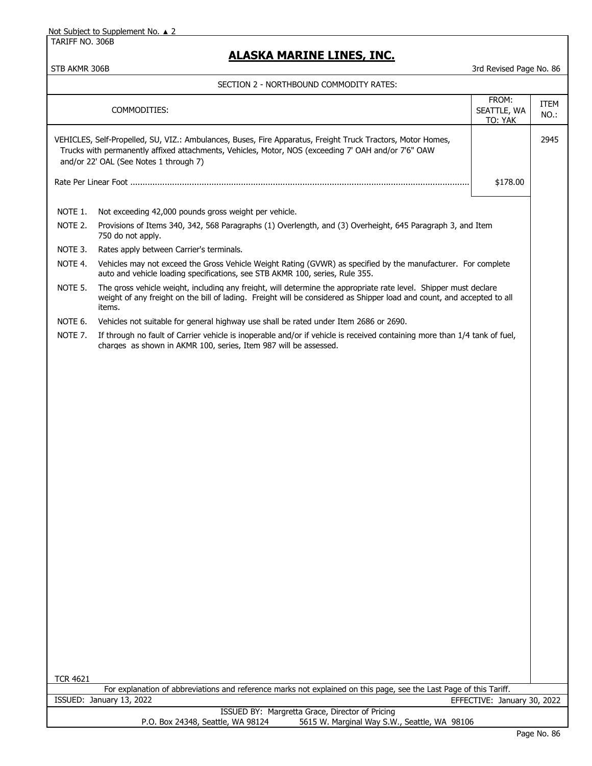TARIFF NO. 306B

## **ALASKA MARINE LINES, INC.**

|                 | COMMODITIES:                                                                                                                                                                                                                                                 | FROM:<br>SEATTLE, WA<br>TO: YAK | <b>ITEM</b><br>NO.: |
|-----------------|--------------------------------------------------------------------------------------------------------------------------------------------------------------------------------------------------------------------------------------------------------------|---------------------------------|---------------------|
|                 | VEHICLES, Self-Propelled, SU, VIZ.: Ambulances, Buses, Fire Apparatus, Freight Truck Tractors, Motor Homes,<br>Trucks with permanently affixed attachments, Vehicles, Motor, NOS (exceeding 7' OAH and/or 7'6" OAW<br>and/or 22' OAL (See Notes 1 through 7) |                                 | 2945                |
|                 |                                                                                                                                                                                                                                                              | \$178.00                        |                     |
| NOTE 1.         | Not exceeding 42,000 pounds gross weight per vehicle.                                                                                                                                                                                                        |                                 |                     |
| NOTE 2.         | Provisions of Items 340, 342, 568 Paragraphs (1) Overlength, and (3) Overheight, 645 Paragraph 3, and Item<br>750 do not apply.                                                                                                                              |                                 |                     |
| NOTE 3.         | Rates apply between Carrier's terminals.                                                                                                                                                                                                                     |                                 |                     |
| NOTE 4.         | Vehicles may not exceed the Gross Vehicle Weight Rating (GVWR) as specified by the manufacturer. For complete<br>auto and vehicle loading specifications, see STB AKMR 100, series, Rule 355.                                                                |                                 |                     |
| NOTE 5.         | The gross vehicle weight, including any freight, will determine the appropriate rate level. Shipper must declare<br>weight of any freight on the bill of lading. Freight will be considered as Shipper load and count, and accepted to all<br>items.         |                                 |                     |
| NOTE 6.         | Vehicles not suitable for general highway use shall be rated under Item 2686 or 2690.                                                                                                                                                                        |                                 |                     |
| NOTE 7.         | If through no fault of Carrier vehicle is inoperable and/or if vehicle is received containing more than 1/4 tank of fuel,<br>charges as shown in AKMR 100, series, Item 987 will be assessed.                                                                |                                 |                     |
|                 |                                                                                                                                                                                                                                                              |                                 |                     |
| <b>TCR 4621</b> |                                                                                                                                                                                                                                                              |                                 |                     |
|                 | For explanation of abbreviations and reference marks not explained on this page, see the Last Page of this Tariff.<br>ISSUED: January 13, 2022                                                                                                               | EFFECTIVE: January 30, 2022     |                     |
|                 | ISSUED BY: Margretta Grace, Director of Pricing                                                                                                                                                                                                              |                                 |                     |
|                 | P.O. Box 24348, Seattle, WA 98124<br>5615 W. Marginal Way S.W., Seattle, WA 98106                                                                                                                                                                            |                                 |                     |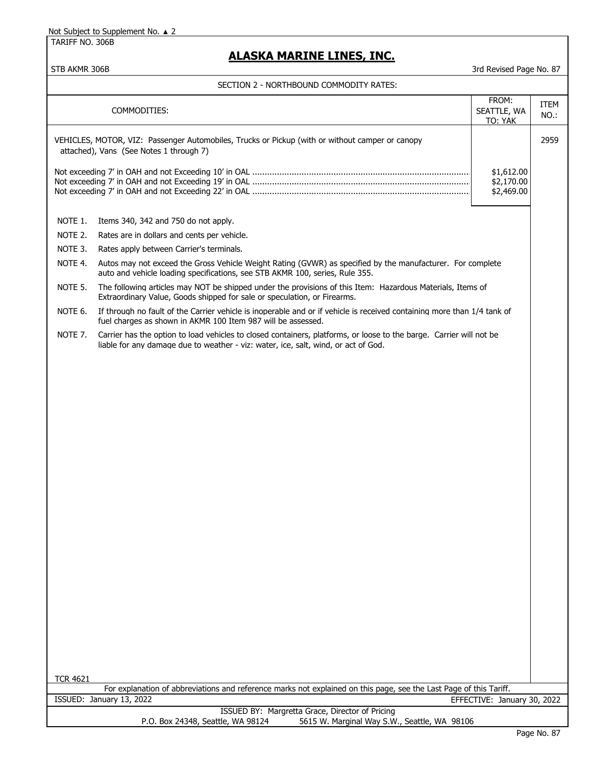TARIFF NO. 306B

 $\mathbf l$ 

## **ALASKA MARINE LINES, INC.**

| SECTION 2 - NORTHBOUND COMMODITY RATES: |  |
|-----------------------------------------|--|
|                                         |  |

|                                                                                                                                       |                                                                                                                                                                                                           | FROM:                                  |                     |
|---------------------------------------------------------------------------------------------------------------------------------------|-----------------------------------------------------------------------------------------------------------------------------------------------------------------------------------------------------------|----------------------------------------|---------------------|
|                                                                                                                                       | COMMODITIES:                                                                                                                                                                                              | SEATTLE, WA                            | <b>ITEM</b><br>NO.: |
|                                                                                                                                       |                                                                                                                                                                                                           | TO: YAK                                |                     |
|                                                                                                                                       | VEHICLES, MOTOR, VIZ: Passenger Automobiles, Trucks or Pickup (with or without camper or canopy<br>attached), Vans (See Notes 1 through 7)                                                                |                                        | 2959                |
|                                                                                                                                       |                                                                                                                                                                                                           | \$1,612.00<br>\$2,170.00<br>\$2,469.00 |                     |
| NOTE 1.                                                                                                                               | Items 340, 342 and 750 do not apply.                                                                                                                                                                      |                                        |                     |
| NOTE 2.                                                                                                                               | Rates are in dollars and cents per vehicle.                                                                                                                                                               |                                        |                     |
| NOTE 3.                                                                                                                               | Rates apply between Carrier's terminals.                                                                                                                                                                  |                                        |                     |
| NOTE 4.                                                                                                                               | Autos may not exceed the Gross Vehicle Weight Rating (GVWR) as specified by the manufacturer. For complete<br>auto and vehicle loading specifications, see STB AKMR 100, series, Rule 355.                |                                        |                     |
| NOTE 5.                                                                                                                               | The following articles may NOT be shipped under the provisions of this Item: Hazardous Materials, Items of<br>Extraordinary Value, Goods shipped for sale or speculation, or Firearms.                    |                                        |                     |
| NOTE 6.                                                                                                                               | If through no fault of the Carrier vehicle is inoperable and or if vehicle is received containing more than 1/4 tank of<br>fuel charges as shown in AKMR 100 Item 987 will be assessed.                   |                                        |                     |
| NOTE 7.                                                                                                                               | Carrier has the option to load vehicles to closed containers, platforms, or loose to the barge. Carrier will not be<br>liable for any damage due to weather - viz: water, ice, salt, wind, or act of God. |                                        |                     |
|                                                                                                                                       |                                                                                                                                                                                                           |                                        |                     |
|                                                                                                                                       |                                                                                                                                                                                                           |                                        |                     |
| <b>TCR 4621</b><br>For explanation of abbreviations and reference marks not explained on this page, see the Last Page of this Tariff. |                                                                                                                                                                                                           |                                        |                     |
| ISSUED: January 13, 2022<br>EFFECTIVE: January 30, 2022                                                                               |                                                                                                                                                                                                           |                                        |                     |
| ISSUED BY: Margretta Grace, Director of Pricing<br>P.O. Box 24348, Seattle, WA 98124<br>5615 W. Marginal Way S.W., Seattle, WA 98106  |                                                                                                                                                                                                           |                                        |                     |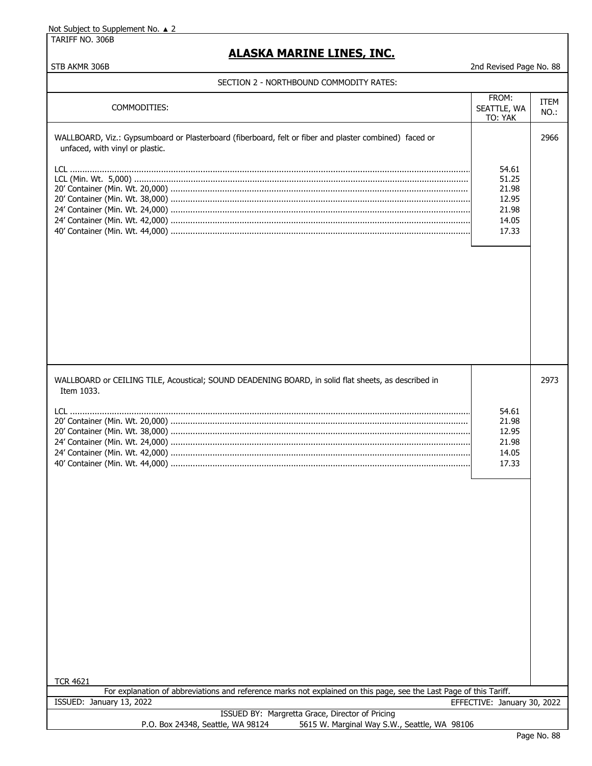TARIFF NO. 306B

### **ALASKA MARINE LINES, INC.**

STB AKMR 306B 2nd Revised Page No. 88

#### SECTION 2 - NORTHBOUND COMMODITY RATES:

| COMMODITIES:                                                                                                                              | FROM:<br>SEATTLE, WA<br>TO: YAK                             | ITEM<br>NO.: |  |
|-------------------------------------------------------------------------------------------------------------------------------------------|-------------------------------------------------------------|--------------|--|
| WALLBOARD, Viz.: Gypsumboard or Plasterboard (fiberboard, felt or fiber and plaster combined) faced or<br>unfaced, with vinyl or plastic. | 54.61<br>51.25<br>21.98<br>12.95<br>21.98<br>14.05<br>17.33 | 2966         |  |
| WALLBOARD or CEILING TILE, Acoustical; SOUND DEADENING BOARD, in solid flat sheets, as described in<br>Item 1033.                         | 54.61<br>21.98<br>12.95<br>21.98<br>14.05<br>17.33          | 2973         |  |
| <b>TCR 4621</b><br>For explanation of abbreviations and reference marks not explained on this page, see the Last Page of this Tariff.     |                                                             |              |  |
| ISSUED: January 13, 2022<br>EFFECTIVE: January 30, 2022<br>ISSUED BY: Margretta Grace, Director of Pricing                                |                                                             |              |  |
| 5615 W. Marginal Way S.W., Seattle, WA 98106<br>P.O. Box 24348, Seattle, WA 98124                                                         |                                                             |              |  |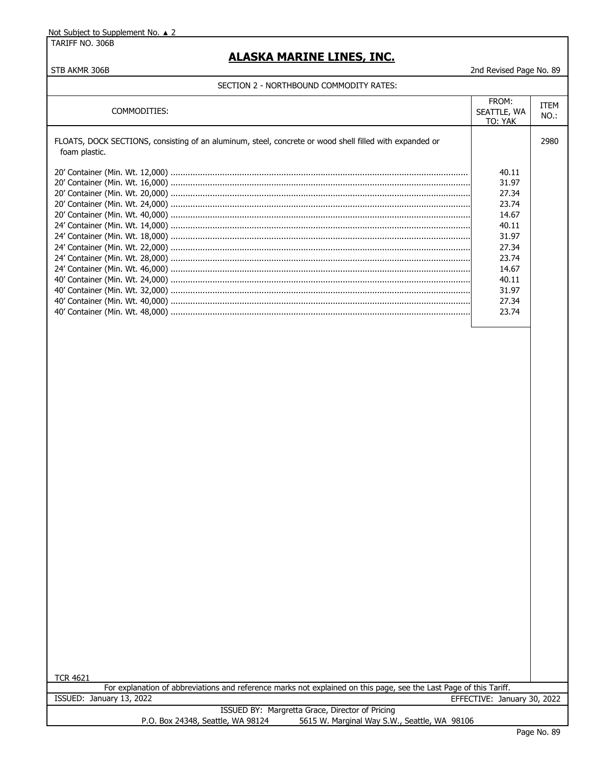TARIFF NO. 306B

### **ALASKA MARINE LINES, INC.**

#### STB AKMR 306B 2nd Revised Page No. 89

#### SECTION 2 - NORTHBOUND COMMODITY RATES:

| COMMODITIES:                                                                                                             | FROM:<br>SEATTLE, WA<br><b>TO: YAK</b>                                                                   | ITEM<br>$NO.$ : |
|--------------------------------------------------------------------------------------------------------------------------|----------------------------------------------------------------------------------------------------------|-----------------|
| FLOATS, DOCK SECTIONS, consisting of an aluminum, steel, concrete or wood shell filled with expanded or<br>foam plastic. |                                                                                                          | 2980            |
|                                                                                                                          | 40.11<br>31.97<br>27.34<br>23.74<br>14.67<br>40.11<br>31.97<br>27.34<br>23.74<br>14.67<br>40.11<br>31.97 |                 |
|                                                                                                                          | 27.34<br>23.74                                                                                           |                 |

TCR 4621

For explanation of abbreviations and reference marks not explained on this page, see the Last Page of this Tariff. ISSUED: January 13, 2022 EFFECTIVE: January 30, 2022

|                                   | ISSUED BY: Margretta Grace, Director of Pricing |
|-----------------------------------|-------------------------------------------------|
| P.O. Box 24348, Seattle, WA 98124 | 5615 W. Marginal Way S.W., Seattle, WA 98106    |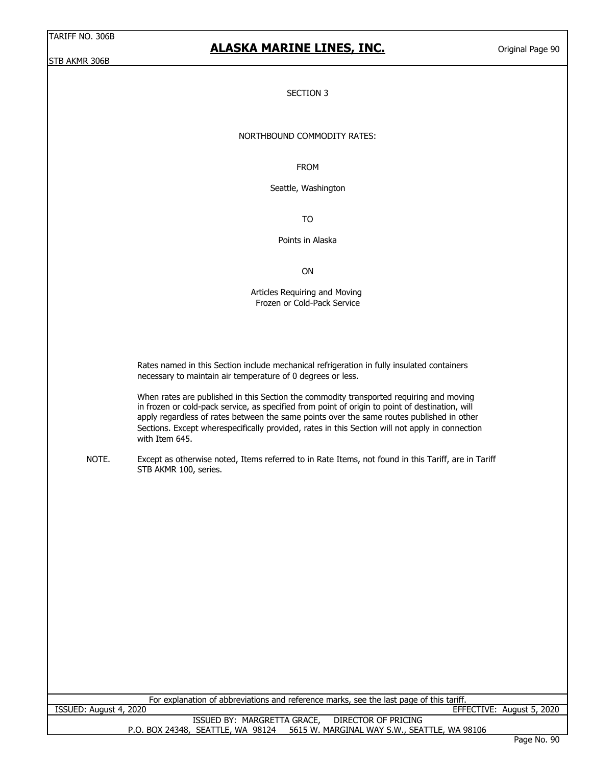### **ALASKA MARINE LINES, INC.**

Original Page 90

#### SECTION 3

#### NORTHBOUND COMMODITY RATES:

FROM

Seattle, Washington

TO

Points in Alaska

ON

Articles Requiring and Moving Frozen or Cold-Pack Service

 Rates named in this Section include mechanical refrigeration in fully insulated containers necessary to maintain air temperature of 0 degrees or less.

 When rates are published in this Section the commodity transported requiring and moving in frozen or cold-pack service, as specified from point of origin to point of destination, will apply regardless of rates between the same points over the same routes published in other Sections. Except wherespecifically provided, rates in this Section will not apply in connection with Item 645.

NOTE. Except as otherwise noted, Items referred to in Rate Items, not found in this Tariff, are in Tariff STB AKMR 100, series.

| For explanation of abbreviations and reference marks, see the last page of this tariff. |                           |
|-----------------------------------------------------------------------------------------|---------------------------|
| ISSUED: August 4, 2020                                                                  | EFFECTIVE: August 5, 2020 |
| ISSUED BY: MARGRETTA GRACE,<br>DIRECTOR OF PRICING                                      |                           |
| 5615 W. MARGINAL WAY S.W., SEATTLE, WA 98106<br>P.O. BOX 24348, SEATTLE, WA 98124       |                           |
|                                                                                         | $D2 \cap N2 \cap N$       |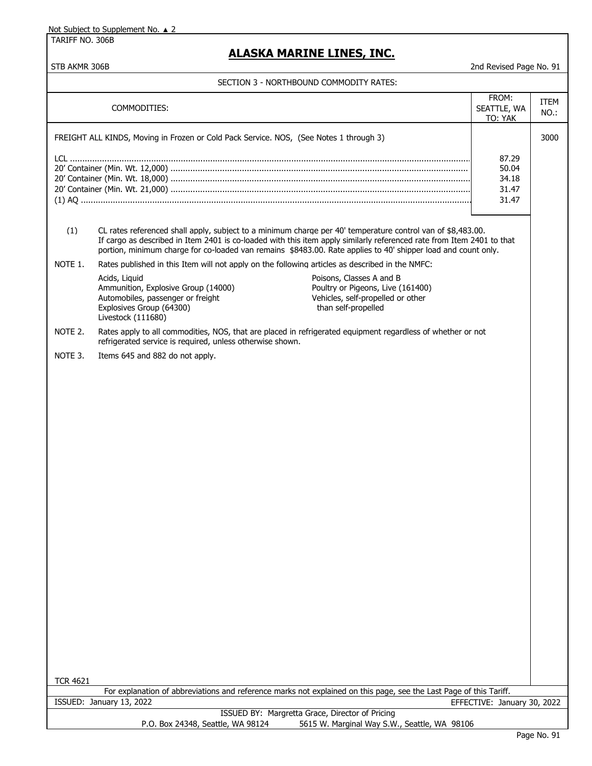TARIFF NO. 306B

## **ALASKA MARINE LINES, INC.**

|  |  |  | SECTION 3 - NORTHBOUND COMMODITY RATES: |
|--|--|--|-----------------------------------------|
|--|--|--|-----------------------------------------|

| FROM:                                                                                                                                                                                                                                                                                                                                                        |                 |  |
|--------------------------------------------------------------------------------------------------------------------------------------------------------------------------------------------------------------------------------------------------------------------------------------------------------------------------------------------------------------|-----------------|--|
| COMMODITIES:<br>SEATTLE, WA<br>TO: YAK                                                                                                                                                                                                                                                                                                                       | ITEM<br>$NO.$ : |  |
| FREIGHT ALL KINDS, Moving in Frozen or Cold Pack Service. NOS, (See Notes 1 through 3)                                                                                                                                                                                                                                                                       | 3000            |  |
| 87.29<br>50.04<br>34.18<br>31.47                                                                                                                                                                                                                                                                                                                             |                 |  |
| 31.47                                                                                                                                                                                                                                                                                                                                                        |                 |  |
| (1)<br>CL rates referenced shall apply, subject to a minimum charge per 40' temperature control van of \$8,483.00.<br>If cargo as described in Item 2401 is co-loaded with this item apply similarly referenced rate from Item 2401 to that<br>portion, minimum charge for co-loaded van remains \$8483.00. Rate applies to 40' shipper load and count only. |                 |  |
| NOTE 1.<br>Rates published in this Item will not apply on the following articles as described in the NMFC:                                                                                                                                                                                                                                                   |                 |  |
| Poisons, Classes A and B<br>Acids, Liquid<br>Ammunition, Explosive Group (14000)<br>Poultry or Pigeons, Live (161400)<br>Vehicles, self-propelled or other<br>Automobiles, passenger or freight<br>than self-propelled<br>Explosives Group (64300)<br>Livestock (111680)                                                                                     |                 |  |
| NOTE 2.<br>Rates apply to all commodities, NOS, that are placed in refrigerated equipment regardless of whether or not<br>refrigerated service is required, unless otherwise shown.                                                                                                                                                                          |                 |  |
| NOTE 3.<br>Items 645 and 882 do not apply.                                                                                                                                                                                                                                                                                                                   |                 |  |
|                                                                                                                                                                                                                                                                                                                                                              |                 |  |
|                                                                                                                                                                                                                                                                                                                                                              |                 |  |
|                                                                                                                                                                                                                                                                                                                                                              |                 |  |
|                                                                                                                                                                                                                                                                                                                                                              |                 |  |
|                                                                                                                                                                                                                                                                                                                                                              |                 |  |
|                                                                                                                                                                                                                                                                                                                                                              |                 |  |
|                                                                                                                                                                                                                                                                                                                                                              |                 |  |
|                                                                                                                                                                                                                                                                                                                                                              |                 |  |
|                                                                                                                                                                                                                                                                                                                                                              |                 |  |
|                                                                                                                                                                                                                                                                                                                                                              |                 |  |
|                                                                                                                                                                                                                                                                                                                                                              |                 |  |
|                                                                                                                                                                                                                                                                                                                                                              |                 |  |
|                                                                                                                                                                                                                                                                                                                                                              |                 |  |
|                                                                                                                                                                                                                                                                                                                                                              |                 |  |
|                                                                                                                                                                                                                                                                                                                                                              |                 |  |
|                                                                                                                                                                                                                                                                                                                                                              |                 |  |
|                                                                                                                                                                                                                                                                                                                                                              |                 |  |
|                                                                                                                                                                                                                                                                                                                                                              |                 |  |
|                                                                                                                                                                                                                                                                                                                                                              |                 |  |
| <b>TCR 4621</b><br>For explanation of abbreviations and reference marks not explained on this page, see the Last Page of this Tariff.                                                                                                                                                                                                                        |                 |  |
| ISSUED: January 13, 2022<br>EFFECTIVE: January 30, 2022                                                                                                                                                                                                                                                                                                      |                 |  |
| ISSUED BY: Margretta Grace, Director of Pricing<br>P.O. Box 24348, Seattle, WA 98124<br>5615 W. Marginal Way S.W., Seattle, WA 98106                                                                                                                                                                                                                         |                 |  |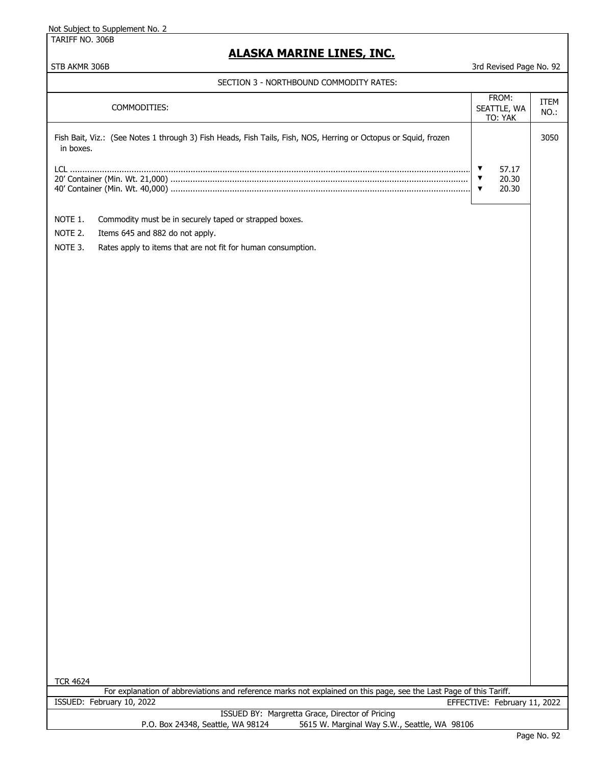TARIFF NO. 306B

### **ALASKA MARINE LINES, INC.**

| COMMODITIES:                                                                                                                 | FROM:<br>SEATTLE, WA<br>TO: YAK                         | <b>ITEM</b><br>NO.: |
|------------------------------------------------------------------------------------------------------------------------------|---------------------------------------------------------|---------------------|
| Fish Bait, Viz.: (See Notes 1 through 3) Fish Heads, Fish Tails, Fish, NOS, Herring or Octopus or Squid, frozen<br>in boxes. |                                                         | 3050                |
|                                                                                                                              | 57.17<br>▼<br>20.30<br>$\overline{\mathbf{v}}$<br>20.30 |                     |
| NOTE 1.<br>Commodity must be in securely taped or strapped boxes.                                                            |                                                         |                     |
| NOTE 2.<br>Items 645 and 882 do not apply.                                                                                   |                                                         |                     |
| NOTE 3.<br>Rates apply to items that are not fit for human consumption.                                                      |                                                         |                     |
|                                                                                                                              |                                                         |                     |
|                                                                                                                              |                                                         |                     |
|                                                                                                                              |                                                         |                     |
|                                                                                                                              |                                                         |                     |
|                                                                                                                              |                                                         |                     |
|                                                                                                                              |                                                         |                     |
|                                                                                                                              |                                                         |                     |
|                                                                                                                              |                                                         |                     |
|                                                                                                                              |                                                         |                     |
|                                                                                                                              |                                                         |                     |
| <b>TCR 4624</b>                                                                                                              |                                                         |                     |
| For explanation of abbreviations and reference marks not explained on this page, see the Last Page of this Tariff.           |                                                         |                     |
|                                                                                                                              |                                                         |                     |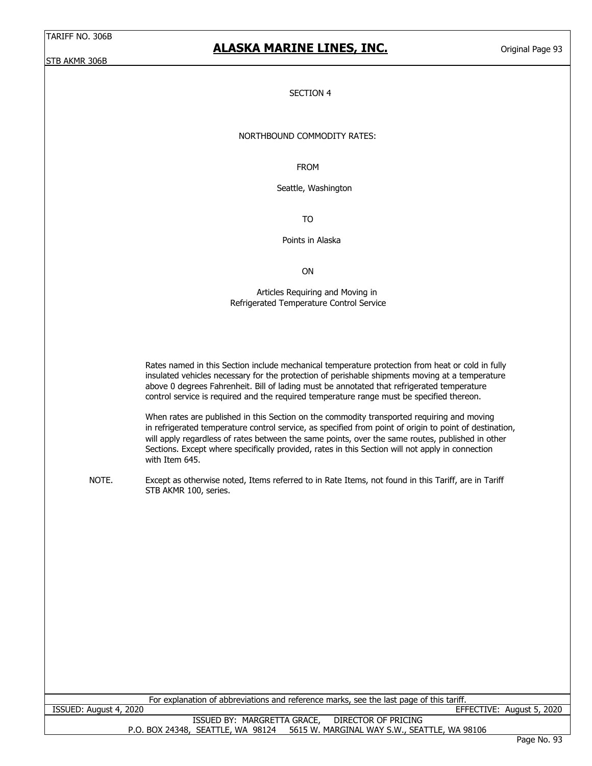### **ALASKA MARINE LINES, INC.**

Original Page 93

#### SECTION 4

#### NORTHBOUND COMMODITY RATES:

FROM

Seattle, Washington

TO

Points in Alaska

ON

 Articles Requiring and Moving in Refrigerated Temperature Control Service

 Rates named in this Section include mechanical temperature protection from heat or cold in fully insulated vehicles necessary for the protection of perishable shipments moving at a temperature above 0 degrees Fahrenheit. Bill of lading must be annotated that refrigerated temperature control service is required and the required temperature range must be specified thereon.

 When rates are published in this Section on the commodity transported requiring and moving in refrigerated temperature control service, as specified from point of origin to point of destination, will apply regardless of rates between the same points, over the same routes, published in other Sections. Except where specifically provided, rates in this Section will not apply in connection with Item 645.

NOTE. Except as otherwise noted, Items referred to in Rate Items, not found in this Tariff, are in Tariff STB AKMR 100, series.

| For explanation of abbreviations and reference marks, see the last page of this tariff. |                                   |  |  |
|-----------------------------------------------------------------------------------------|-----------------------------------|--|--|
| ISSUED: August 4, 2020                                                                  | EFFECTIVE: August 5, 2020         |  |  |
| ISSUED BY: MARGRETTA GRACE, DIRECTOR OF PRICING                                         |                                   |  |  |
| 5615 W. MARGINAL WAY S.W., SEATTLE, WA 98106<br>P.O. BOX 24348, SEATTLE, WA 98124       |                                   |  |  |
|                                                                                         | $R_{\text{max}}$ $R_{\text{max}}$ |  |  |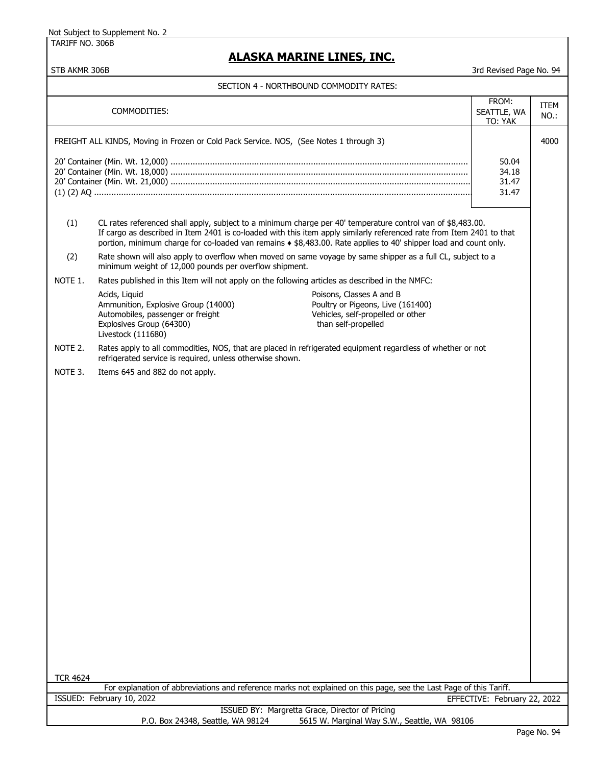TARIFF NO. 306B

## **ALASKA MARINE LINES, INC.**

|                                                                                                                    |                                                                                                                                                                                                                                                                                                                                                            | FROM:                        | ITEM |
|--------------------------------------------------------------------------------------------------------------------|------------------------------------------------------------------------------------------------------------------------------------------------------------------------------------------------------------------------------------------------------------------------------------------------------------------------------------------------------------|------------------------------|------|
|                                                                                                                    | COMMODITIES:                                                                                                                                                                                                                                                                                                                                               | SEATTLE, WA                  | NO.: |
|                                                                                                                    |                                                                                                                                                                                                                                                                                                                                                            | TO: YAK                      |      |
|                                                                                                                    | FREIGHT ALL KINDS, Moving in Frozen or Cold Pack Service. NOS, (See Notes 1 through 3)                                                                                                                                                                                                                                                                     |                              | 4000 |
|                                                                                                                    |                                                                                                                                                                                                                                                                                                                                                            | 50.04                        |      |
|                                                                                                                    |                                                                                                                                                                                                                                                                                                                                                            | 34.18                        |      |
|                                                                                                                    |                                                                                                                                                                                                                                                                                                                                                            | 31.47                        |      |
|                                                                                                                    |                                                                                                                                                                                                                                                                                                                                                            | 31.47                        |      |
|                                                                                                                    |                                                                                                                                                                                                                                                                                                                                                            |                              |      |
| (1)                                                                                                                | CL rates referenced shall apply, subject to a minimum charge per 40' temperature control van of \$8,483.00.<br>If cargo as described in Item 2401 is co-loaded with this item apply similarly referenced rate from Item 2401 to that<br>portion, minimum charge for co-loaded van remains $*$ \$8,483.00. Rate applies to 40' shipper load and count only. |                              |      |
| (2)                                                                                                                | Rate shown will also apply to overflow when moved on same voyage by same shipper as a full CL, subject to a<br>minimum weight of 12,000 pounds per overflow shipment.                                                                                                                                                                                      |                              |      |
| NOTE 1.                                                                                                            | Rates published in this Item will not apply on the following articles as described in the NMFC:                                                                                                                                                                                                                                                            |                              |      |
|                                                                                                                    | Acids, Liquid<br>Poisons, Classes A and B                                                                                                                                                                                                                                                                                                                  |                              |      |
|                                                                                                                    | Ammunition, Explosive Group (14000)<br>Poultry or Pigeons, Live (161400)<br>Vehicles, self-propelled or other<br>Automobiles, passenger or freight<br>than self-propelled<br>Explosives Group (64300)                                                                                                                                                      |                              |      |
| NOTE 2.                                                                                                            | Livestock (111680)<br>Rates apply to all commodities, NOS, that are placed in refrigerated equipment regardless of whether or not                                                                                                                                                                                                                          |                              |      |
| NOTE 3.                                                                                                            | refrigerated service is required, unless otherwise shown.<br>Items 645 and 882 do not apply.                                                                                                                                                                                                                                                               |                              |      |
|                                                                                                                    |                                                                                                                                                                                                                                                                                                                                                            |                              |      |
|                                                                                                                    |                                                                                                                                                                                                                                                                                                                                                            |                              |      |
|                                                                                                                    |                                                                                                                                                                                                                                                                                                                                                            |                              |      |
|                                                                                                                    |                                                                                                                                                                                                                                                                                                                                                            |                              |      |
|                                                                                                                    |                                                                                                                                                                                                                                                                                                                                                            |                              |      |
|                                                                                                                    |                                                                                                                                                                                                                                                                                                                                                            |                              |      |
|                                                                                                                    |                                                                                                                                                                                                                                                                                                                                                            |                              |      |
|                                                                                                                    |                                                                                                                                                                                                                                                                                                                                                            |                              |      |
|                                                                                                                    |                                                                                                                                                                                                                                                                                                                                                            |                              |      |
|                                                                                                                    |                                                                                                                                                                                                                                                                                                                                                            |                              |      |
|                                                                                                                    |                                                                                                                                                                                                                                                                                                                                                            |                              |      |
|                                                                                                                    |                                                                                                                                                                                                                                                                                                                                                            |                              |      |
|                                                                                                                    |                                                                                                                                                                                                                                                                                                                                                            |                              |      |
|                                                                                                                    |                                                                                                                                                                                                                                                                                                                                                            |                              |      |
|                                                                                                                    |                                                                                                                                                                                                                                                                                                                                                            |                              |      |
|                                                                                                                    |                                                                                                                                                                                                                                                                                                                                                            |                              |      |
|                                                                                                                    |                                                                                                                                                                                                                                                                                                                                                            |                              |      |
|                                                                                                                    |                                                                                                                                                                                                                                                                                                                                                            |                              |      |
|                                                                                                                    |                                                                                                                                                                                                                                                                                                                                                            |                              |      |
|                                                                                                                    |                                                                                                                                                                                                                                                                                                                                                            |                              |      |
|                                                                                                                    |                                                                                                                                                                                                                                                                                                                                                            |                              |      |
|                                                                                                                    |                                                                                                                                                                                                                                                                                                                                                            |                              |      |
|                                                                                                                    |                                                                                                                                                                                                                                                                                                                                                            |                              |      |
|                                                                                                                    |                                                                                                                                                                                                                                                                                                                                                            |                              |      |
|                                                                                                                    |                                                                                                                                                                                                                                                                                                                                                            |                              |      |
|                                                                                                                    |                                                                                                                                                                                                                                                                                                                                                            |                              |      |
| <b>TCR 4624</b>                                                                                                    |                                                                                                                                                                                                                                                                                                                                                            |                              |      |
| For explanation of abbreviations and reference marks not explained on this page, see the Last Page of this Tariff. |                                                                                                                                                                                                                                                                                                                                                            |                              |      |
|                                                                                                                    | ISSUED: February 10, 2022                                                                                                                                                                                                                                                                                                                                  | EFFECTIVE: February 22, 2022 |      |
|                                                                                                                    | ISSUED BY: Margretta Grace, Director of Pricing                                                                                                                                                                                                                                                                                                            |                              |      |
|                                                                                                                    | P.O. Box 24348, Seattle, WA 98124<br>5615 W. Marginal Way S.W., Seattle, WA 98106                                                                                                                                                                                                                                                                          |                              |      |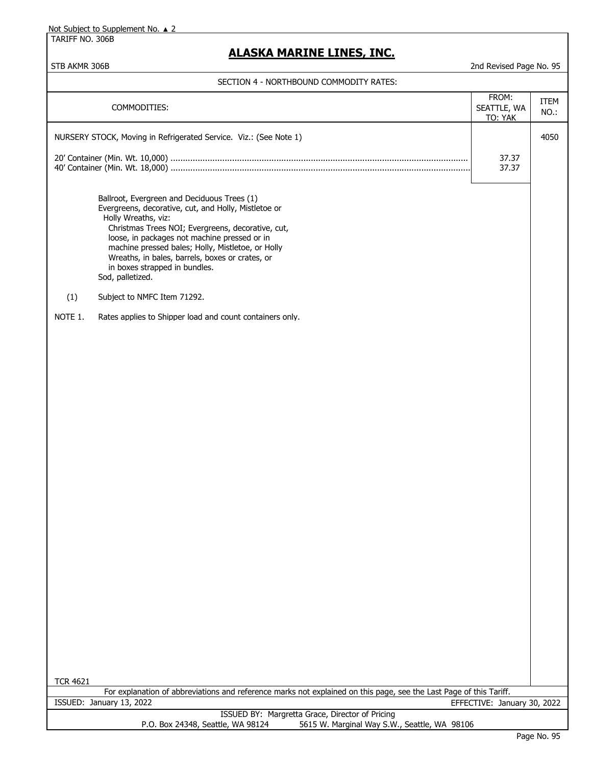TARIFF NO. 306B

### **ALASKA MARINE LINES, INC.**

| 4050<br>NURSERY STOCK, Moving in Refrigerated Service. Viz.: (See Note 1)<br>37.37<br>37.37<br>Ballroot, Evergreen and Deciduous Trees (1)<br>Evergreens, decorative, cut, and Holly, Mistletoe or<br>Holly Wreaths, viz:<br>Christmas Trees NOI; Evergreens, decorative, cut,<br>loose, in packages not machine pressed or in<br>machine pressed bales; Holly, Mistletoe, or Holly<br>Wreaths, in bales, barrels, boxes or crates, or<br>in boxes strapped in bundles.<br>Sod, palletized.<br>(1)<br>Subject to NMFC Item 71292.<br>NOTE 1.<br>Rates applies to Shipper load and count containers only.<br><b>TCR 4621</b><br>For explanation of abbreviations and reference marks not explained on this page, see the Last Page of this Tariff.<br>ISSUED: January 13, 2022<br>EFFECTIVE: January 30, 2022<br>ISSUED BY: Margretta Grace, Director of Pricing |  | COMMODITIES: | FROM:<br>SEATTLE, WA<br>TO: YAK | <b>ITEM</b><br>NO.: |  |
|-----------------------------------------------------------------------------------------------------------------------------------------------------------------------------------------------------------------------------------------------------------------------------------------------------------------------------------------------------------------------------------------------------------------------------------------------------------------------------------------------------------------------------------------------------------------------------------------------------------------------------------------------------------------------------------------------------------------------------------------------------------------------------------------------------------------------------------------------------------------|--|--------------|---------------------------------|---------------------|--|
|                                                                                                                                                                                                                                                                                                                                                                                                                                                                                                                                                                                                                                                                                                                                                                                                                                                                 |  |              |                                 |                     |  |
|                                                                                                                                                                                                                                                                                                                                                                                                                                                                                                                                                                                                                                                                                                                                                                                                                                                                 |  |              |                                 |                     |  |
|                                                                                                                                                                                                                                                                                                                                                                                                                                                                                                                                                                                                                                                                                                                                                                                                                                                                 |  |              |                                 |                     |  |
|                                                                                                                                                                                                                                                                                                                                                                                                                                                                                                                                                                                                                                                                                                                                                                                                                                                                 |  |              |                                 |                     |  |
|                                                                                                                                                                                                                                                                                                                                                                                                                                                                                                                                                                                                                                                                                                                                                                                                                                                                 |  |              |                                 |                     |  |
|                                                                                                                                                                                                                                                                                                                                                                                                                                                                                                                                                                                                                                                                                                                                                                                                                                                                 |  |              |                                 |                     |  |
|                                                                                                                                                                                                                                                                                                                                                                                                                                                                                                                                                                                                                                                                                                                                                                                                                                                                 |  |              |                                 |                     |  |
|                                                                                                                                                                                                                                                                                                                                                                                                                                                                                                                                                                                                                                                                                                                                                                                                                                                                 |  |              |                                 |                     |  |
|                                                                                                                                                                                                                                                                                                                                                                                                                                                                                                                                                                                                                                                                                                                                                                                                                                                                 |  |              |                                 |                     |  |
|                                                                                                                                                                                                                                                                                                                                                                                                                                                                                                                                                                                                                                                                                                                                                                                                                                                                 |  |              |                                 |                     |  |
|                                                                                                                                                                                                                                                                                                                                                                                                                                                                                                                                                                                                                                                                                                                                                                                                                                                                 |  |              |                                 |                     |  |
|                                                                                                                                                                                                                                                                                                                                                                                                                                                                                                                                                                                                                                                                                                                                                                                                                                                                 |  |              |                                 |                     |  |
|                                                                                                                                                                                                                                                                                                                                                                                                                                                                                                                                                                                                                                                                                                                                                                                                                                                                 |  |              |                                 |                     |  |
|                                                                                                                                                                                                                                                                                                                                                                                                                                                                                                                                                                                                                                                                                                                                                                                                                                                                 |  |              |                                 |                     |  |
|                                                                                                                                                                                                                                                                                                                                                                                                                                                                                                                                                                                                                                                                                                                                                                                                                                                                 |  |              |                                 |                     |  |
|                                                                                                                                                                                                                                                                                                                                                                                                                                                                                                                                                                                                                                                                                                                                                                                                                                                                 |  |              |                                 |                     |  |
|                                                                                                                                                                                                                                                                                                                                                                                                                                                                                                                                                                                                                                                                                                                                                                                                                                                                 |  |              |                                 |                     |  |
|                                                                                                                                                                                                                                                                                                                                                                                                                                                                                                                                                                                                                                                                                                                                                                                                                                                                 |  |              |                                 |                     |  |
|                                                                                                                                                                                                                                                                                                                                                                                                                                                                                                                                                                                                                                                                                                                                                                                                                                                                 |  |              |                                 |                     |  |
|                                                                                                                                                                                                                                                                                                                                                                                                                                                                                                                                                                                                                                                                                                                                                                                                                                                                 |  |              |                                 |                     |  |
|                                                                                                                                                                                                                                                                                                                                                                                                                                                                                                                                                                                                                                                                                                                                                                                                                                                                 |  |              |                                 |                     |  |
|                                                                                                                                                                                                                                                                                                                                                                                                                                                                                                                                                                                                                                                                                                                                                                                                                                                                 |  |              |                                 |                     |  |
|                                                                                                                                                                                                                                                                                                                                                                                                                                                                                                                                                                                                                                                                                                                                                                                                                                                                 |  |              |                                 |                     |  |
|                                                                                                                                                                                                                                                                                                                                                                                                                                                                                                                                                                                                                                                                                                                                                                                                                                                                 |  |              |                                 |                     |  |
|                                                                                                                                                                                                                                                                                                                                                                                                                                                                                                                                                                                                                                                                                                                                                                                                                                                                 |  |              |                                 |                     |  |
|                                                                                                                                                                                                                                                                                                                                                                                                                                                                                                                                                                                                                                                                                                                                                                                                                                                                 |  |              |                                 |                     |  |
|                                                                                                                                                                                                                                                                                                                                                                                                                                                                                                                                                                                                                                                                                                                                                                                                                                                                 |  |              |                                 |                     |  |
|                                                                                                                                                                                                                                                                                                                                                                                                                                                                                                                                                                                                                                                                                                                                                                                                                                                                 |  |              |                                 |                     |  |
| 5615 W. Marginal Way S.W., Seattle, WA 98106<br>P.O. Box 24348, Seattle, WA 98124                                                                                                                                                                                                                                                                                                                                                                                                                                                                                                                                                                                                                                                                                                                                                                               |  |              |                                 |                     |  |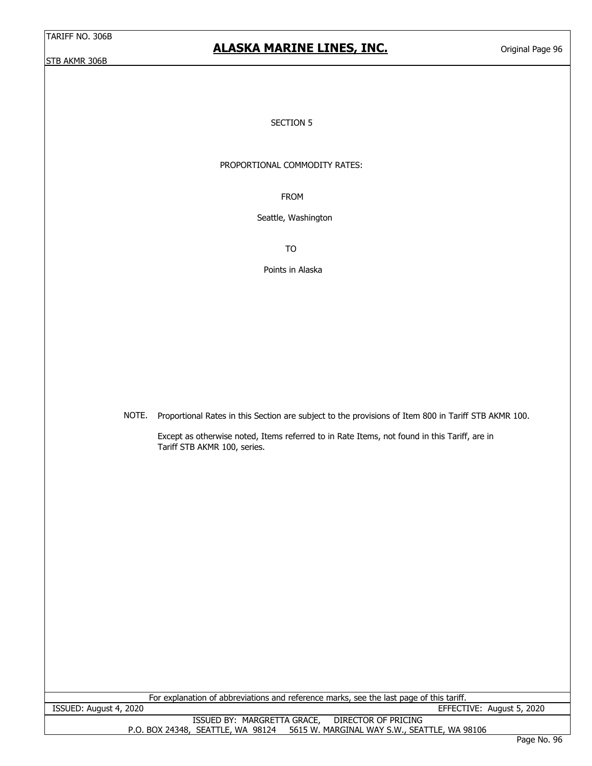### **ALASKA MARINE LINES, INC.**

Original Page 96

#### SECTION 5

#### PROPORTIONAL COMMODITY RATES:

FROM

Seattle, Washington

TO

Points in Alaska

NOTE. Proportional Rates in this Section are subject to the provisions of Item 800 in Tariff STB AKMR 100.

Except as otherwise noted, Items referred to in Rate Items, not found in this Tariff, are in Tariff STB AKMR 100, series.

| For explanation of abbreviations and reference marks, see the last page of this tariff. |                           |  |  |
|-----------------------------------------------------------------------------------------|---------------------------|--|--|
| ISSUED: August 4, 2020                                                                  | EFFECTIVE: August 5, 2020 |  |  |
| ISSUED BY: MARGRETTA GRACE, DIRECTOR OF PRICING                                         |                           |  |  |
| P.O. BOX 24348, SEATTLE, WA 98124 5615 W. MARGINAL WAY S.W., SEATTLE, WA 98106          |                           |  |  |
|                                                                                         | Dogo No. OC               |  |  |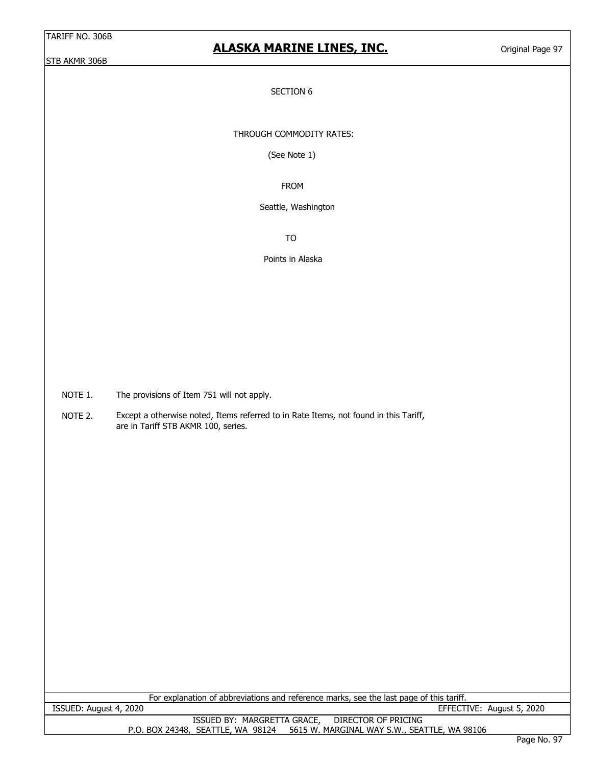## **ALASKA MARINE LINES, INC.**

Original Page 97

#### SECTION 6

THROUGH COMMODITY RATES:

(See Note 1)

FROM

Seattle, Washington

TO

Points in Alaska

NOTE 1. The provisions of Item 751 will not apply.

NOTE 2. Except a otherwise noted, Items referred to in Rate Items, not found in this Tariff, are in Tariff STB AKMR 100, series.

| For explanation of abbreviations and reference marks, see the last page of this tariff. |                 |  |  |
|-----------------------------------------------------------------------------------------|-----------------|--|--|
| EFFECTIVE: August 5, 2020<br>ISSUED: August 4, 2020                                     |                 |  |  |
| ISSUED BY: MARGRETTA GRACE, DIRECTOR OF PRICING                                         |                 |  |  |
| P.O. BOX 24348, SEATTLE, WA 98124 5615 W. MARGINAL WAY S.W., SEATTLE, WA 98106          |                 |  |  |
|                                                                                         | $D$ 333 $N0$ 07 |  |  |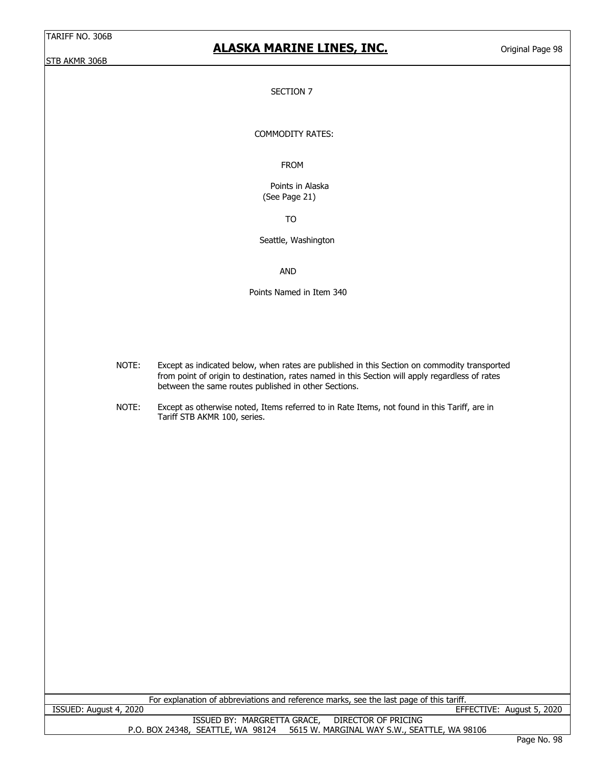## **ALASKA MARINE LINES, INC.**

Original Page 98

#### SECTION 7

#### COMMODITY RATES:

#### FROM

 Points in Alaska (See Page 21)

TO

Seattle, Washington

AND

Points Named in Item 340

- NOTE: Except as indicated below, when rates are published in this Section on commodity transported from point of origin to destination, rates named in this Section will apply regardless of rates between the same routes published in other Sections.
- NOTE: Except as otherwise noted, Items referred to in Rate Items, not found in this Tariff, are in Tariff STB AKMR 100, series.

| For explanation of abbreviations and reference marks, see the last page of this tariff. |                                   |  |  |
|-----------------------------------------------------------------------------------------|-----------------------------------|--|--|
| ISSUED: August 4, 2020                                                                  | EFFECTIVE: August 5, 2020         |  |  |
| DIRECTOR OF PRICING<br>ISSUED BY: MARGRETTA GRACE,                                      |                                   |  |  |
| 5615 W. MARGINAL WAY S.W., SEATTLE, WA 98106<br>P.O. BOX 24348, SEATTLE, WA 98124       |                                   |  |  |
|                                                                                         | $\sim$<br>$\sim$ $\sim$<br>$\sim$ |  |  |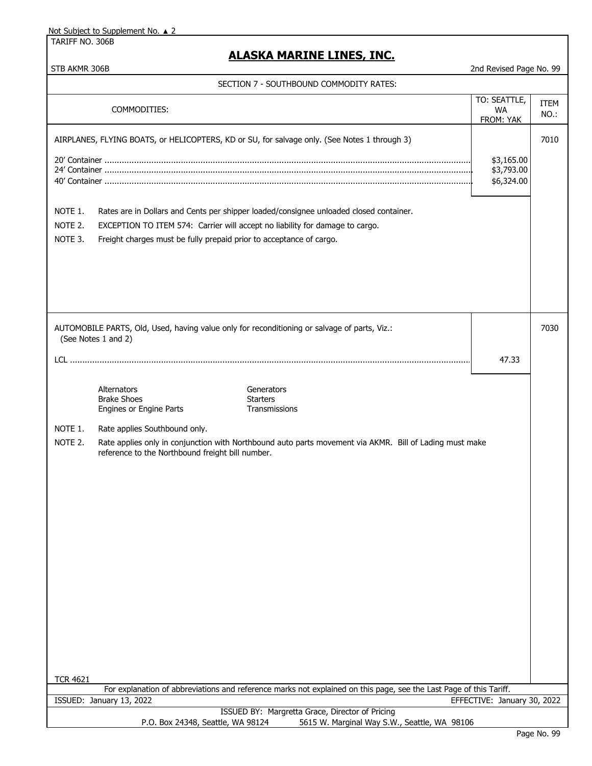TARIFF NO. 306B

| STB AKMR 306B<br>2nd Revised Page No. 99                                                                           |                                                                     |                                                                                                         |                                        |              |
|--------------------------------------------------------------------------------------------------------------------|---------------------------------------------------------------------|---------------------------------------------------------------------------------------------------------|----------------------------------------|--------------|
| SECTION 7 - SOUTHBOUND COMMODITY RATES:                                                                            |                                                                     |                                                                                                         |                                        |              |
|                                                                                                                    | COMMODITIES:                                                        |                                                                                                         | TO: SEATTLE,<br><b>WA</b><br>FROM: YAK | ITEM<br>NO.: |
|                                                                                                                    |                                                                     | AIRPLANES, FLYING BOATS, or HELICOPTERS, KD or SU, for salvage only. (See Notes 1 through 3)            |                                        | 7010         |
|                                                                                                                    |                                                                     |                                                                                                         | \$3,165.00<br>\$3,793.00<br>\$6,324.00 |              |
| NOTE 1.                                                                                                            |                                                                     | Rates are in Dollars and Cents per shipper loaded/consignee unloaded closed container.                  |                                        |              |
| NOTE 2.                                                                                                            |                                                                     | EXCEPTION TO ITEM 574: Carrier will accept no liability for damage to cargo.                            |                                        |              |
| NOTE 3.                                                                                                            | Freight charges must be fully prepaid prior to acceptance of cargo. |                                                                                                         |                                        |              |
|                                                                                                                    | (See Notes 1 and 2)                                                 | AUTOMOBILE PARTS, Old, Used, having value only for reconditioning or salvage of parts, Viz.:            |                                        | 7030         |
|                                                                                                                    |                                                                     |                                                                                                         | 47.33                                  |              |
|                                                                                                                    | Alternators<br><b>Brake Shoes</b><br>Engines or Engine Parts        | Generators<br><b>Starters</b><br>Transmissions                                                          |                                        |              |
| NOTE 1.                                                                                                            | Rate applies Southbound only.                                       |                                                                                                         |                                        |              |
| NOTE 2.<br><b>TCR 4621</b>                                                                                         | reference to the Northbound freight bill number.                    | Rate applies only in conjunction with Northbound auto parts movement via AKMR. Bill of Lading must make |                                        |              |
| For explanation of abbreviations and reference marks not explained on this page, see the Last Page of this Tariff. |                                                                     |                                                                                                         |                                        |              |
|                                                                                                                    | ISSUED: January 13, 2022                                            | ISSUED BY: Margretta Grace, Director of Pricing                                                         | EFFECTIVE: January 30, 2022            |              |
| P.O. Box 24348, Seattle, WA 98124<br>5615 W. Marginal Way S.W., Seattle, WA 98106                                  |                                                                     |                                                                                                         |                                        |              |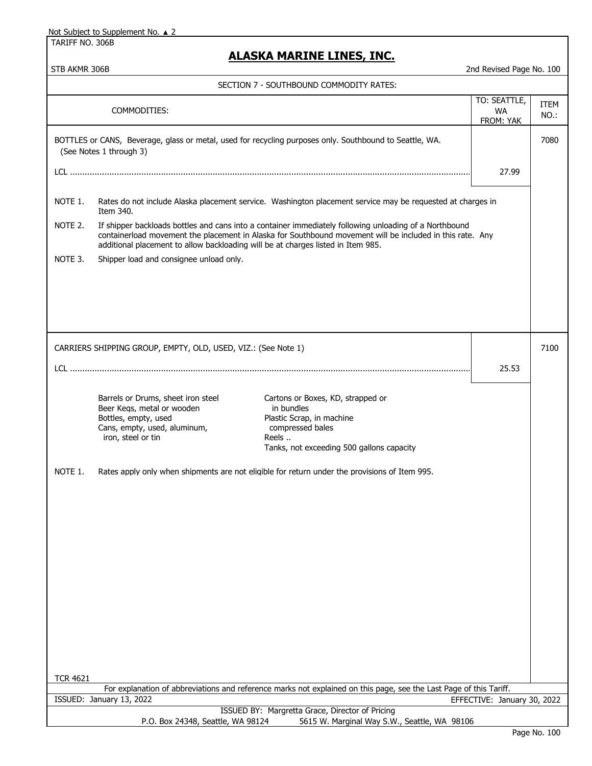TARIFF NO. 306B

| STB AKMR 306B   |                                                                                                                                                |                                                                                                                                                                                                                     | 2nd Revised Page No. 100               |                     |
|-----------------|------------------------------------------------------------------------------------------------------------------------------------------------|---------------------------------------------------------------------------------------------------------------------------------------------------------------------------------------------------------------------|----------------------------------------|---------------------|
|                 |                                                                                                                                                | SECTION 7 - SOUTHBOUND COMMODITY RATES:                                                                                                                                                                             |                                        |                     |
|                 | COMMODITIES:                                                                                                                                   |                                                                                                                                                                                                                     | TO: SEATTLE,<br><b>WA</b><br>FROM: YAK | <b>ITEM</b><br>NO.: |
|                 | (See Notes 1 through 3)                                                                                                                        | BOTTLES or CANS, Beverage, glass or metal, used for recycling purposes only. Southbound to Seattle, WA.                                                                                                             |                                        | 7080                |
|                 |                                                                                                                                                |                                                                                                                                                                                                                     | 27.99                                  |                     |
| NOTE 1.         | Item 340.                                                                                                                                      | Rates do not include Alaska placement service. Washington placement service may be requested at charges in                                                                                                          |                                        |                     |
| NOTE 2.         | additional placement to allow backloading will be at charges listed in Item 985.                                                               | If shipper backloads bottles and cans into a container immediately following unloading of a Northbound<br>containerload movement the placement in Alaska for Southbound movement will be included in this rate. Any |                                        |                     |
| NOTE 3.         | Shipper load and consignee unload only.                                                                                                        |                                                                                                                                                                                                                     |                                        |                     |
|                 |                                                                                                                                                |                                                                                                                                                                                                                     |                                        |                     |
|                 |                                                                                                                                                |                                                                                                                                                                                                                     |                                        |                     |
|                 | CARRIERS SHIPPING GROUP, EMPTY, OLD, USED, VIZ.: (See Note 1)                                                                                  |                                                                                                                                                                                                                     |                                        | 7100                |
|                 |                                                                                                                                                |                                                                                                                                                                                                                     | 25.53                                  |                     |
|                 | Barrels or Drums, sheet iron steel<br>Beer Kegs, metal or wooden<br>Bottles, empty, used<br>Cans, empty, used, aluminum,<br>iron, steel or tin | Cartons or Boxes, KD, strapped or<br>in bundles<br>Plastic Scrap, in machine<br>compressed bales<br>Reels<br>Tanks, not exceeding 500 gallons capacity                                                              |                                        |                     |
| NOTE 1.         |                                                                                                                                                | Rates apply only when shipments are not eligible for return under the provisions of Item 995.                                                                                                                       |                                        |                     |
|                 |                                                                                                                                                |                                                                                                                                                                                                                     |                                        |                     |
|                 |                                                                                                                                                |                                                                                                                                                                                                                     |                                        |                     |
|                 |                                                                                                                                                |                                                                                                                                                                                                                     |                                        |                     |
|                 |                                                                                                                                                |                                                                                                                                                                                                                     |                                        |                     |
|                 |                                                                                                                                                |                                                                                                                                                                                                                     |                                        |                     |
|                 |                                                                                                                                                |                                                                                                                                                                                                                     |                                        |                     |
|                 |                                                                                                                                                |                                                                                                                                                                                                                     |                                        |                     |
| <b>TCR 4621</b> |                                                                                                                                                |                                                                                                                                                                                                                     |                                        |                     |
|                 |                                                                                                                                                | For explanation of abbreviations and reference marks not explained on this page, see the Last Page of this Tariff.                                                                                                  |                                        |                     |
|                 | ISSUED: January 13, 2022                                                                                                                       |                                                                                                                                                                                                                     | EFFECTIVE: January 30, 2022            |                     |
|                 | P.O. Box 24348, Seattle, WA 98124                                                                                                              | ISSUED BY: Margretta Grace, Director of Pricing<br>5615 W. Marginal Way S.W., Seattle, WA 98106                                                                                                                     |                                        |                     |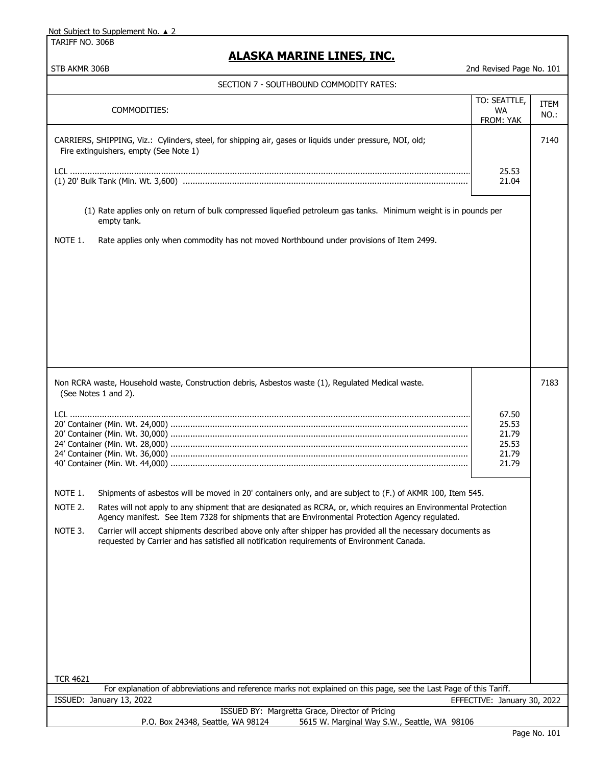TARIFF NO. 306B

| STB AKMR 306B                                                                                                                                                                                                                                                                                                                                                                                                                                                                                                                                                                                                                                                                                                                                                                                     | 2nd Revised Page No. 101        |              |  |  |
|---------------------------------------------------------------------------------------------------------------------------------------------------------------------------------------------------------------------------------------------------------------------------------------------------------------------------------------------------------------------------------------------------------------------------------------------------------------------------------------------------------------------------------------------------------------------------------------------------------------------------------------------------------------------------------------------------------------------------------------------------------------------------------------------------|---------------------------------|--------------|--|--|
| SECTION 7 - SOUTHBOUND COMMODITY RATES:                                                                                                                                                                                                                                                                                                                                                                                                                                                                                                                                                                                                                                                                                                                                                           |                                 |              |  |  |
| COMMODITIES:                                                                                                                                                                                                                                                                                                                                                                                                                                                                                                                                                                                                                                                                                                                                                                                      | TO: SEATTLE,<br>WA<br>FROM: YAK | ITEM<br>NO.: |  |  |
| CARRIERS, SHIPPING, Viz.: Cylinders, steel, for shipping air, gases or liquids under pressure, NOI, old;<br>Fire extinguishers, empty (See Note 1)                                                                                                                                                                                                                                                                                                                                                                                                                                                                                                                                                                                                                                                |                                 | 7140         |  |  |
|                                                                                                                                                                                                                                                                                                                                                                                                                                                                                                                                                                                                                                                                                                                                                                                                   | 25.53<br>21.04                  |              |  |  |
| (1) Rate applies only on return of bulk compressed liquefied petroleum gas tanks. Minimum weight is in pounds per<br>empty tank.                                                                                                                                                                                                                                                                                                                                                                                                                                                                                                                                                                                                                                                                  |                                 |              |  |  |
| NOTE 1.<br>Rate applies only when commodity has not moved Northbound under provisions of Item 2499.                                                                                                                                                                                                                                                                                                                                                                                                                                                                                                                                                                                                                                                                                               |                                 |              |  |  |
| 7183<br>Non RCRA waste, Household waste, Construction debris, Asbestos waste (1), Regulated Medical waste.<br>(See Notes 1 and 2).<br>67.50<br>25.53<br>21.79<br>25.53<br>21.79<br>21.79<br>NOTE 1.<br>Shipments of asbestos will be moved in 20' containers only, and are subject to (F.) of AKMR 100, Item 545.<br>NOTE 2.<br>Rates will not apply to any shipment that are designated as RCRA, or, which requires an Environmental Protection<br>Agency manifest. See Item 7328 for shipments that are Environmental Protection Agency regulated.<br>NOTE 3.<br>Carrier will accept shipments described above only after shipper has provided all the necessary documents as<br>requested by Carrier and has satisfied all notification requirements of Environment Canada.<br><b>TCR 4621</b> |                                 |              |  |  |
| For explanation of abbreviations and reference marks not explained on this page, see the Last Page of this Tariff.<br>ISSUED: January 13, 2022                                                                                                                                                                                                                                                                                                                                                                                                                                                                                                                                                                                                                                                    | EFFECTIVE: January 30, 2022     |              |  |  |
| ISSUED BY: Margretta Grace, Director of Pricing<br>P.O. Box 24348, Seattle, WA 98124<br>5615 W. Marginal Way S.W., Seattle, WA 98106                                                                                                                                                                                                                                                                                                                                                                                                                                                                                                                                                                                                                                                              |                                 |              |  |  |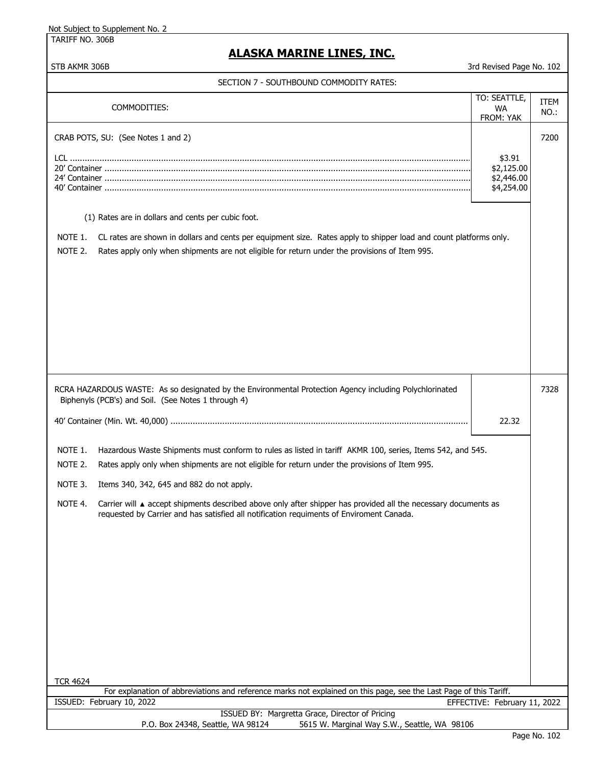TARIFF NO. 306B

# **ALASKA MARINE LINES, INC.**

| SECTION 7 - SOUTHBOUND COMMODITY RATES: |  |
|-----------------------------------------|--|
|                                         |  |

|                                                                                                                                                                                                                                                                                                | COMMODITIES:                                                                                                                                                                                                                                                                                                                                                                                                                                                          | TO: SEATTLE,<br>WA.<br>FROM: YAK                 | <b>ITEM</b><br>NO.: |  |
|------------------------------------------------------------------------------------------------------------------------------------------------------------------------------------------------------------------------------------------------------------------------------------------------|-----------------------------------------------------------------------------------------------------------------------------------------------------------------------------------------------------------------------------------------------------------------------------------------------------------------------------------------------------------------------------------------------------------------------------------------------------------------------|--------------------------------------------------|---------------------|--|
|                                                                                                                                                                                                                                                                                                | CRAB POTS, SU: (See Notes 1 and 2)                                                                                                                                                                                                                                                                                                                                                                                                                                    | \$3.91<br>\$2,125.00<br>\$2,446.00<br>\$4,254.00 | 7200                |  |
| (1) Rates are in dollars and cents per cubic foot.<br>NOTE 1.<br>CL rates are shown in dollars and cents per equipment size. Rates apply to shipper load and count platforms only.<br>NOTE 2.<br>Rates apply only when shipments are not eligible for return under the provisions of Item 995. |                                                                                                                                                                                                                                                                                                                                                                                                                                                                       |                                                  |                     |  |
|                                                                                                                                                                                                                                                                                                |                                                                                                                                                                                                                                                                                                                                                                                                                                                                       |                                                  |                     |  |
| RCRA HAZARDOUS WASTE: As so designated by the Environmental Protection Agency including Polychlorinated<br>7328<br>Biphenyls (PCB's) and Soil. (See Notes 1 through 4)                                                                                                                         |                                                                                                                                                                                                                                                                                                                                                                                                                                                                       |                                                  |                     |  |
|                                                                                                                                                                                                                                                                                                |                                                                                                                                                                                                                                                                                                                                                                                                                                                                       | 22.32                                            |                     |  |
| NOTE 1.<br>NOTE 2.<br>NOTE 3.<br>NOTE 4.                                                                                                                                                                                                                                                       | Hazardous Waste Shipments must conform to rules as listed in tariff AKMR 100, series, Items 542, and 545.<br>Rates apply only when shipments are not eligible for return under the provisions of Item 995.<br>Items 340, 342, 645 and 882 do not apply.<br>Carrier will ▲ accept shipments described above only after shipper has provided all the necessary documents as<br>requested by Carrier and has satisfied all notification requiments of Enviroment Canada. |                                                  |                     |  |
| <b>TCR 4624</b><br>For explanation of abbreviations and reference marks not explained on this page, see the Last Page of this Tariff.<br>ISSUED: February 10, 2022<br>EFFECTIVE: February 11, 2022                                                                                             |                                                                                                                                                                                                                                                                                                                                                                                                                                                                       |                                                  |                     |  |
| ISSUED BY: Margretta Grace, Director of Pricing<br>5615 W. Marginal Way S.W., Seattle, WA 98106<br>P.O. Box 24348, Seattle, WA 98124                                                                                                                                                           |                                                                                                                                                                                                                                                                                                                                                                                                                                                                       |                                                  |                     |  |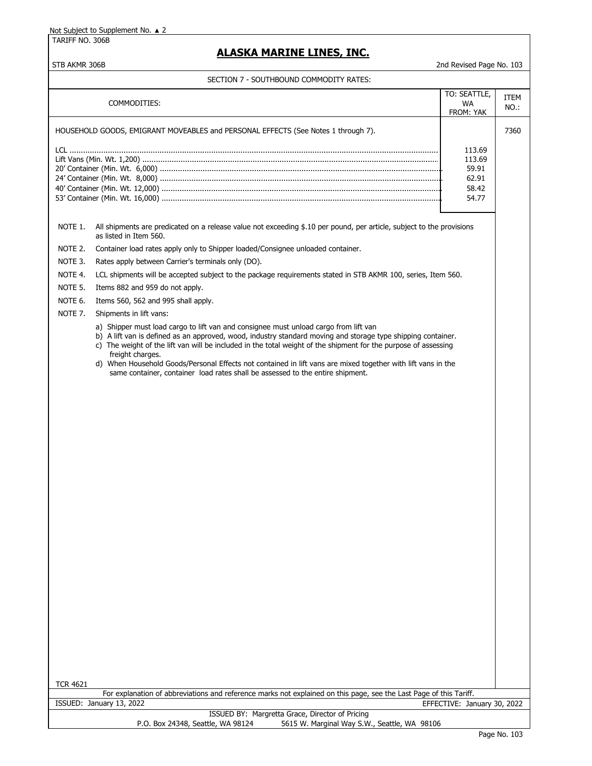TARIFF NO. 306B

### **ALASKA MARINE LINES, INC.**

#### STB AKMR 306B 2nd Revised Page No. 103

SECTION 7 - SOUTHBOUND COMMODITY RATES:

|                 |                                                                                                                                                                                                                                                                                                                                                                                                                                                                                                                                               | TO: SEATTLE,                |              |
|-----------------|-----------------------------------------------------------------------------------------------------------------------------------------------------------------------------------------------------------------------------------------------------------------------------------------------------------------------------------------------------------------------------------------------------------------------------------------------------------------------------------------------------------------------------------------------|-----------------------------|--------------|
|                 | COMMODITIES:                                                                                                                                                                                                                                                                                                                                                                                                                                                                                                                                  | <b>WA</b>                   | ITEM<br>NO.: |
|                 |                                                                                                                                                                                                                                                                                                                                                                                                                                                                                                                                               | FROM: YAK                   |              |
|                 | HOUSEHOLD GOODS, EMIGRANT MOVEABLES and PERSONAL EFFECTS (See Notes 1 through 7).                                                                                                                                                                                                                                                                                                                                                                                                                                                             |                             | 7360         |
|                 |                                                                                                                                                                                                                                                                                                                                                                                                                                                                                                                                               | 113.69                      |              |
|                 |                                                                                                                                                                                                                                                                                                                                                                                                                                                                                                                                               | 113.69                      |              |
|                 |                                                                                                                                                                                                                                                                                                                                                                                                                                                                                                                                               | 59.91                       |              |
|                 |                                                                                                                                                                                                                                                                                                                                                                                                                                                                                                                                               | 62.91                       |              |
|                 |                                                                                                                                                                                                                                                                                                                                                                                                                                                                                                                                               | 58.42<br>54.77              |              |
|                 |                                                                                                                                                                                                                                                                                                                                                                                                                                                                                                                                               |                             |              |
| NOTE 1.         | All shipments are predicated on a release value not exceeding \$.10 per pound, per article, subject to the provisions<br>as listed in Item 560.                                                                                                                                                                                                                                                                                                                                                                                               |                             |              |
| NOTE 2.         | Container load rates apply only to Shipper loaded/Consignee unloaded container.                                                                                                                                                                                                                                                                                                                                                                                                                                                               |                             |              |
| NOTE 3.         | Rates apply between Carrier's terminals only (DO).                                                                                                                                                                                                                                                                                                                                                                                                                                                                                            |                             |              |
| NOTE 4.         | LCL shipments will be accepted subject to the package requirements stated in STB AKMR 100, series, Item 560.                                                                                                                                                                                                                                                                                                                                                                                                                                  |                             |              |
| NOTE 5.         | Items 882 and 959 do not apply.                                                                                                                                                                                                                                                                                                                                                                                                                                                                                                               |                             |              |
| NOTE 6.         | Items 560, 562 and 995 shall apply.                                                                                                                                                                                                                                                                                                                                                                                                                                                                                                           |                             |              |
| NOTE 7.         | Shipments in lift vans:                                                                                                                                                                                                                                                                                                                                                                                                                                                                                                                       |                             |              |
|                 | a) Shipper must load cargo to lift van and consignee must unload cargo from lift van<br>b) A lift van is defined as an approved, wood, industry standard moving and storage type shipping container.<br>c) The weight of the lift van will be included in the total weight of the shipment for the purpose of assessing<br>freight charges.<br>d) When Household Goods/Personal Effects not contained in lift vans are mixed together with lift vans in the<br>same container, container load rates shall be assessed to the entire shipment. |                             |              |
|                 |                                                                                                                                                                                                                                                                                                                                                                                                                                                                                                                                               |                             |              |
|                 |                                                                                                                                                                                                                                                                                                                                                                                                                                                                                                                                               |                             |              |
|                 |                                                                                                                                                                                                                                                                                                                                                                                                                                                                                                                                               |                             |              |
|                 |                                                                                                                                                                                                                                                                                                                                                                                                                                                                                                                                               |                             |              |
|                 |                                                                                                                                                                                                                                                                                                                                                                                                                                                                                                                                               |                             |              |
|                 |                                                                                                                                                                                                                                                                                                                                                                                                                                                                                                                                               |                             |              |
|                 |                                                                                                                                                                                                                                                                                                                                                                                                                                                                                                                                               |                             |              |
|                 |                                                                                                                                                                                                                                                                                                                                                                                                                                                                                                                                               |                             |              |
|                 |                                                                                                                                                                                                                                                                                                                                                                                                                                                                                                                                               |                             |              |
|                 |                                                                                                                                                                                                                                                                                                                                                                                                                                                                                                                                               |                             |              |
|                 |                                                                                                                                                                                                                                                                                                                                                                                                                                                                                                                                               |                             |              |
|                 |                                                                                                                                                                                                                                                                                                                                                                                                                                                                                                                                               |                             |              |
|                 |                                                                                                                                                                                                                                                                                                                                                                                                                                                                                                                                               |                             |              |
|                 |                                                                                                                                                                                                                                                                                                                                                                                                                                                                                                                                               |                             |              |
|                 |                                                                                                                                                                                                                                                                                                                                                                                                                                                                                                                                               |                             |              |
|                 |                                                                                                                                                                                                                                                                                                                                                                                                                                                                                                                                               |                             |              |
|                 |                                                                                                                                                                                                                                                                                                                                                                                                                                                                                                                                               |                             |              |
|                 |                                                                                                                                                                                                                                                                                                                                                                                                                                                                                                                                               |                             |              |
|                 |                                                                                                                                                                                                                                                                                                                                                                                                                                                                                                                                               |                             |              |
| <b>TCR 4621</b> | For explanation of abbreviations and reference marks not explained on this page, see the Last Page of this Tariff.                                                                                                                                                                                                                                                                                                                                                                                                                            |                             |              |
|                 | ISSUED: January 13, 2022                                                                                                                                                                                                                                                                                                                                                                                                                                                                                                                      | EFFECTIVE: January 30, 2022 |              |
|                 | ISSUED BY: Margretta Grace, Director of Pricing                                                                                                                                                                                                                                                                                                                                                                                                                                                                                               |                             |              |
|                 | 5615 W. Marginal Way S.W., Seattle, WA 98106<br>P.O. Box 24348, Seattle, WA 98124                                                                                                                                                                                                                                                                                                                                                                                                                                                             |                             |              |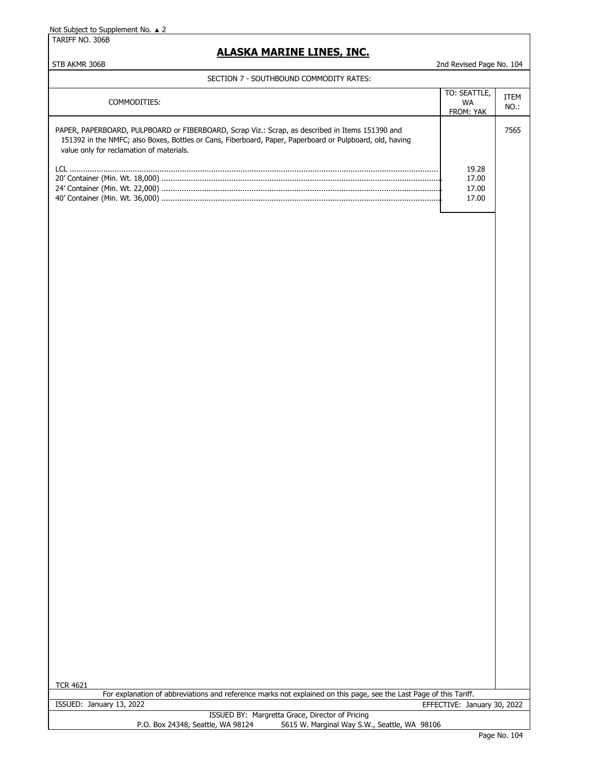TARIFF NO. 306B

### **ALASKA MARINE LINES, INC.**

#### STB AKMR 306B 2nd Revised Page No. 104

#### SECTION 7 - SOUTHBOUND COMMODITY RATES:

| COMMODITIES:                                                                                                                                                                                                                                            | TO: SEATTLE,<br>WA<br><b>FROM: YAK</b> | <b>ITEM</b><br>$NO.$ : |
|---------------------------------------------------------------------------------------------------------------------------------------------------------------------------------------------------------------------------------------------------------|----------------------------------------|------------------------|
| PAPER, PAPERBOARD, PULPBOARD or FIBERBOARD, Scrap Viz.: Scrap, as described in Items 151390 and<br>151392 in the NMFC; also Boxes, Bottles or Cans, Fiberboard, Paper, Paperboard or Pulpboard, old, having<br>value only for reclamation of materials. |                                        | 7565                   |
|                                                                                                                                                                                                                                                         | 19.28<br>17.00<br>17.00<br>17.00       |                        |

| <b>TCR 4621</b>                                                                                                    |  |
|--------------------------------------------------------------------------------------------------------------------|--|
| For explanation of abbreviations and reference marks not explained on this page, see the Last Page of this Tariff. |  |
| ISSUED: January 13, 2022<br>EFFECTIVE: January 30, 2022                                                            |  |
| ISSUED BY: Margretta Grace, Director of Pricing                                                                    |  |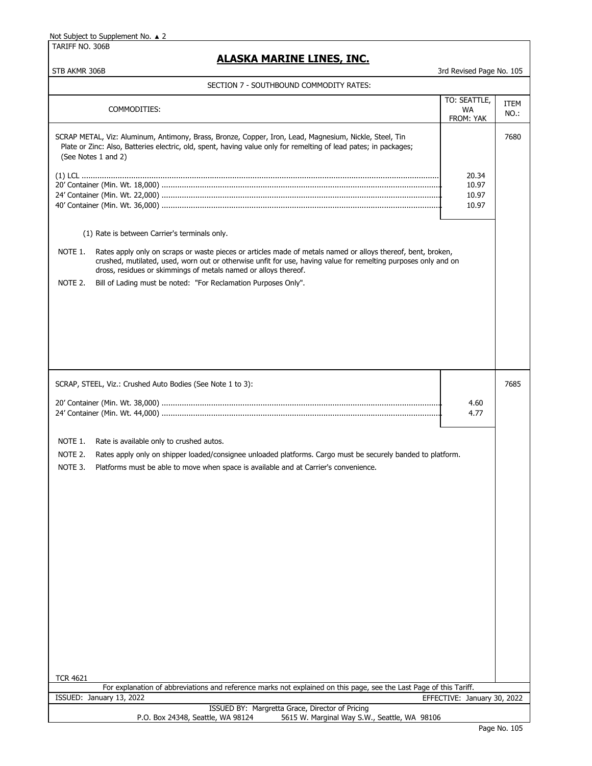TARIFF NO. 306B

## **ALASKA MARINE LINES, INC.**

| SECTION 7 - SOUTHBOUND COMMODITY RATES:                                                                                                                                                                                                                                                                                                                                                                                                    |                                        |                     |
|--------------------------------------------------------------------------------------------------------------------------------------------------------------------------------------------------------------------------------------------------------------------------------------------------------------------------------------------------------------------------------------------------------------------------------------------|----------------------------------------|---------------------|
| COMMODITIES:                                                                                                                                                                                                                                                                                                                                                                                                                               | TO: SEATTLE,<br><b>WA</b><br>FROM: YAK | <b>ITEM</b><br>NO.: |
| SCRAP METAL, Viz: Aluminum, Antimony, Brass, Bronze, Copper, Iron, Lead, Magnesium, Nickle, Steel, Tin<br>Plate or Zinc: Also, Batteries electric, old, spent, having value only for remelting of lead pates; in packages;<br>(See Notes 1 and 2)                                                                                                                                                                                          | 20.34<br>10.97<br>10.97<br>10.97       | 7680                |
| (1) Rate is between Carrier's terminals only.<br>NOTE 1.<br>Rates apply only on scraps or waste pieces or articles made of metals named or alloys thereof, bent, broken,<br>crushed, mutilated, used, worn out or otherwise unfit for use, having value for remelting purposes only and on<br>dross, residues or skimmings of metals named or alloys thereof.<br>NOTE 2.<br>Bill of Lading must be noted: "For Reclamation Purposes Only". |                                        |                     |
| SCRAP, STEEL, Viz.: Crushed Auto Bodies (See Note 1 to 3):<br>NOTE 1.<br>Rate is available only to crushed autos.<br>NOTE 2.<br>Rates apply only on shipper loaded/consignee unloaded platforms. Cargo must be securely banded to platform.<br>NOTE 3.<br>Platforms must be able to move when space is available and at Carrier's convenience.<br><b>TCR 4621</b>                                                                          | 4.60<br>4.77                           | 7685                |
| For explanation of abbreviations and reference marks not explained on this page, see the Last Page of this Tariff.<br>ISSUED: January 13, 2022                                                                                                                                                                                                                                                                                             | EFFECTIVE: January 30, 2022            |                     |
| ISSUED BY: Margretta Grace, Director of Pricing<br>P.O. Box 24348, Seattle, WA 98124<br>5615 W. Marginal Way S.W., Seattle, WA 98106                                                                                                                                                                                                                                                                                                       |                                        |                     |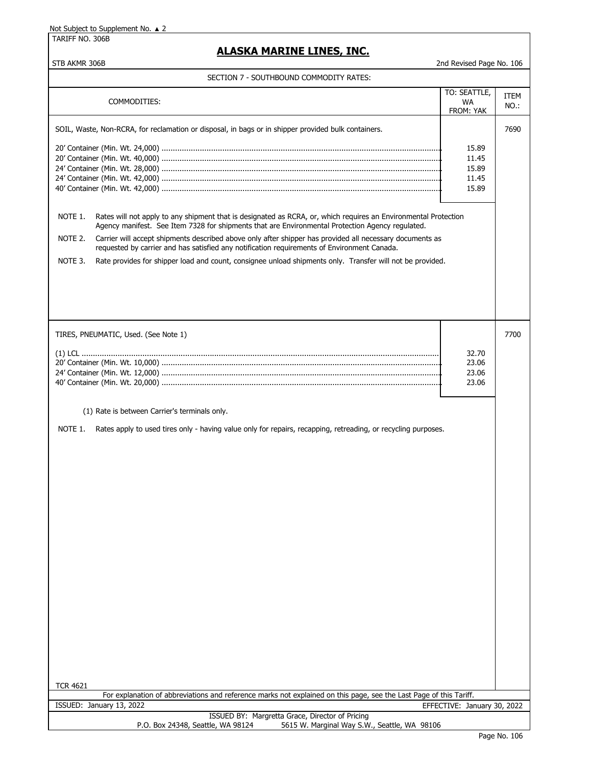TARIFF NO. 306B

## **ALASKA MARINE LINES, INC.**

### SECTION 7 - SOUTHBOUND COMMODITY RATES:

|                 | CTION / - 300THB00ND COPINODITT NATE3                                                                                                                                                                               |                                           |              |
|-----------------|---------------------------------------------------------------------------------------------------------------------------------------------------------------------------------------------------------------------|-------------------------------------------|--------------|
|                 | COMMODITIES:                                                                                                                                                                                                        | TO: SEATTLE,<br><b>WA</b><br>FROM: YAK    | ITEM<br>NO.: |
|                 | SOIL, Waste, Non-RCRA, for reclamation or disposal, in bags or in shipper provided bulk containers.                                                                                                                 |                                           | 7690         |
|                 |                                                                                                                                                                                                                     | 15.89<br>11.45<br>15.89<br>11.45<br>15.89 |              |
| NOTE 1.         | Rates will not apply to any shipment that is designated as RCRA, or, which requires an Environmental Protection<br>Agency manifest. See Item 7328 for shipments that are Environmental Protection Agency regulated. |                                           |              |
| NOTE 2.         | Carrier will accept shipments described above only after shipper has provided all necessary documents as<br>requested by carrier and has satisfied any notification requirements of Environment Canada.             |                                           |              |
| NOTE 3.         | Rate provides for shipper load and count, consignee unload shipments only. Transfer will not be provided.                                                                                                           |                                           |              |
|                 |                                                                                                                                                                                                                     |                                           |              |
|                 | TIRES, PNEUMATIC, Used. (See Note 1)                                                                                                                                                                                |                                           | 7700         |
|                 |                                                                                                                                                                                                                     | 32.70<br>23.06<br>23.06<br>23.06          |              |
|                 |                                                                                                                                                                                                                     |                                           |              |
|                 | (1) Rate is between Carrier's terminals only.                                                                                                                                                                       |                                           |              |
| NOTE 1.         | Rates apply to used tires only - having value only for repairs, recapping, retreading, or recycling purposes.                                                                                                       |                                           |              |
|                 |                                                                                                                                                                                                                     |                                           |              |
|                 |                                                                                                                                                                                                                     |                                           |              |
|                 |                                                                                                                                                                                                                     |                                           |              |
|                 |                                                                                                                                                                                                                     |                                           |              |
|                 |                                                                                                                                                                                                                     |                                           |              |
|                 |                                                                                                                                                                                                                     |                                           |              |
| <b>TCR 4621</b> |                                                                                                                                                                                                                     |                                           |              |
|                 | For explanation of abbreviations and reference marks not explained on this page, see the Last Page of this Tariff.                                                                                                  |                                           |              |
|                 | ISSUED: January 13, 2022<br>ISSUED BY: Margretta Grace, Director of Pricing                                                                                                                                         | EFFECTIVE: January 30, 2022               |              |
|                 | P.O. Box 24348, Seattle, WA 98124<br>5615 W. Marginal Way S.W., Seattle, WA 98106                                                                                                                                   |                                           |              |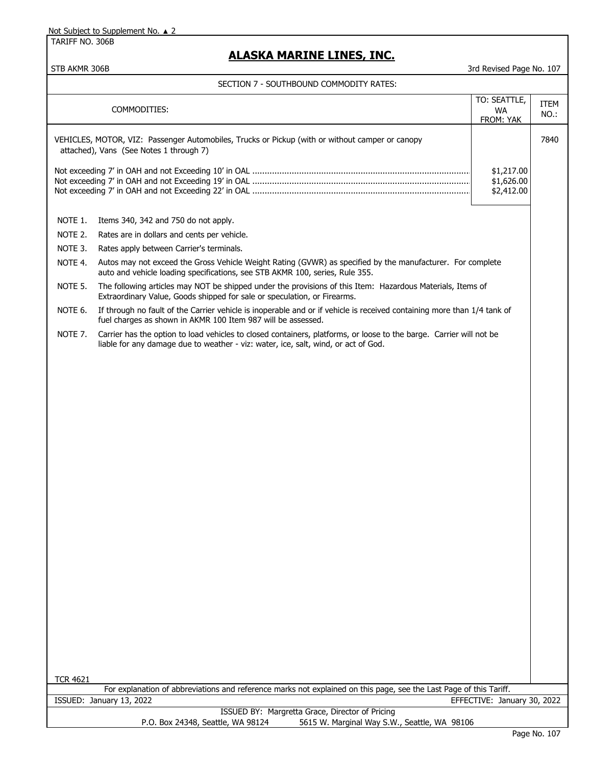TARIFF NO. 306B

# **ALASKA MARINE LINES, INC.**

STB AKMR 306B 3rd Revised Page No. 107

|                 | SECTION 7 - SOUTHBOUND COMMODITY RATES:                                                                                                                                                                   |                                        |              |
|-----------------|-----------------------------------------------------------------------------------------------------------------------------------------------------------------------------------------------------------|----------------------------------------|--------------|
|                 | COMMODITIES:                                                                                                                                                                                              | TO: SEATTLE,<br><b>WA</b>              | ITEM<br>NO.: |
|                 |                                                                                                                                                                                                           | FROM: YAK                              |              |
|                 | VEHICLES, MOTOR, VIZ: Passenger Automobiles, Trucks or Pickup (with or without camper or canopy<br>attached), Vans (See Notes 1 through 7)                                                                |                                        | 7840         |
|                 |                                                                                                                                                                                                           | \$1,217.00<br>\$1,626.00<br>\$2,412.00 |              |
| NOTE 1.         | Items 340, 342 and 750 do not apply.                                                                                                                                                                      |                                        |              |
| NOTE 2.         | Rates are in dollars and cents per vehicle.                                                                                                                                                               |                                        |              |
| NOTE 3.         | Rates apply between Carrier's terminals.                                                                                                                                                                  |                                        |              |
| NOTE 4.         | Autos may not exceed the Gross Vehicle Weight Rating (GVWR) as specified by the manufacturer. For complete<br>auto and vehicle loading specifications, see STB AKMR 100, series, Rule 355.                |                                        |              |
| NOTE 5.         | The following articles may NOT be shipped under the provisions of this Item: Hazardous Materials, Items of<br>Extraordinary Value, Goods shipped for sale or speculation, or Firearms.                    |                                        |              |
| NOTE 6.         | If through no fault of the Carrier vehicle is inoperable and or if vehicle is received containing more than 1/4 tank of<br>fuel charges as shown in AKMR 100 Item 987 will be assessed.                   |                                        |              |
| NOTE 7.         | Carrier has the option to load vehicles to closed containers, platforms, or loose to the barge. Carrier will not be<br>liable for any damage due to weather - viz: water, ice, salt, wind, or act of God. |                                        |              |
|                 |                                                                                                                                                                                                           |                                        |              |
|                 |                                                                                                                                                                                                           |                                        |              |
|                 |                                                                                                                                                                                                           |                                        |              |
|                 |                                                                                                                                                                                                           |                                        |              |
|                 |                                                                                                                                                                                                           |                                        |              |
|                 |                                                                                                                                                                                                           |                                        |              |
|                 |                                                                                                                                                                                                           |                                        |              |
|                 |                                                                                                                                                                                                           |                                        |              |
|                 |                                                                                                                                                                                                           |                                        |              |
|                 |                                                                                                                                                                                                           |                                        |              |
|                 |                                                                                                                                                                                                           |                                        |              |
|                 |                                                                                                                                                                                                           |                                        |              |
|                 |                                                                                                                                                                                                           |                                        |              |
|                 |                                                                                                                                                                                                           |                                        |              |
|                 |                                                                                                                                                                                                           |                                        |              |
|                 |                                                                                                                                                                                                           |                                        |              |
|                 |                                                                                                                                                                                                           |                                        |              |
|                 |                                                                                                                                                                                                           |                                        |              |
| <b>TCR 4621</b> |                                                                                                                                                                                                           |                                        |              |
|                 | For explanation of abbreviations and reference marks not explained on this page, see the Last Page of this Tariff.<br>ISSUED: January 13, 2022                                                            | EFFECTIVE: January 30, 2022            |              |
|                 | ISSUED BY: Margretta Grace, Director of Pricing                                                                                                                                                           |                                        |              |

P.O. Box 24348, Seattle, WA 98124 5615 W. Marginal Way S.W., Seattle, WA 98106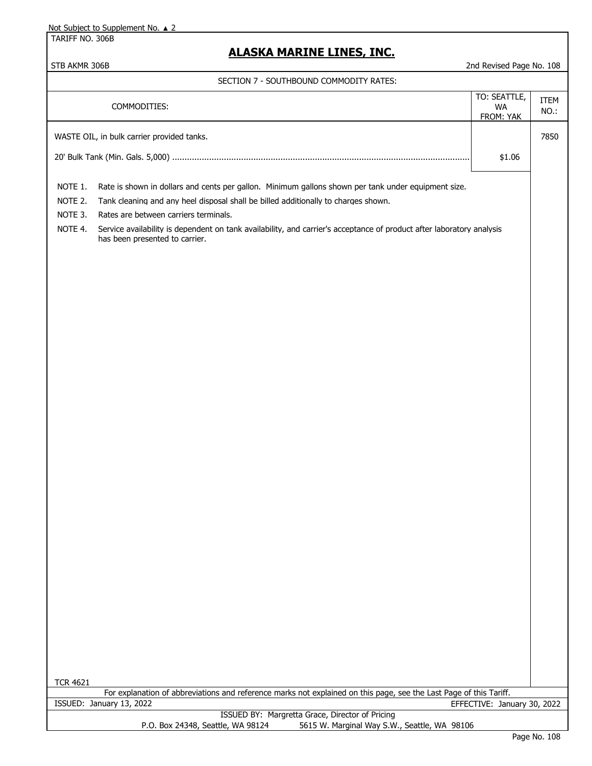TARIFF NO. 306B

# **ALASKA MARINE LINES, INC.**

| SECTION 7 - SOUTHBOUND COMMODITY RATES: |
|-----------------------------------------|
|-----------------------------------------|

|                 | <b>SOUTHDOUND COMMODITI INTIES.</b>                                                                                   |                             |      |
|-----------------|-----------------------------------------------------------------------------------------------------------------------|-----------------------------|------|
|                 | COMMODITIES:                                                                                                          | TO: SEATTLE,                | ITEM |
|                 |                                                                                                                       | WA<br>FROM: YAK             | NO.: |
|                 |                                                                                                                       |                             |      |
|                 | WASTE OIL, in bulk carrier provided tanks.                                                                            |                             | 7850 |
|                 |                                                                                                                       | \$1.06                      |      |
|                 |                                                                                                                       |                             |      |
| NOTE 1.         | Rate is shown in dollars and cents per gallon. Minimum gallons shown per tank under equipment size.                   |                             |      |
| NOTE 2.         | Tank cleaning and any heel disposal shall be billed additionally to charges shown.                                    |                             |      |
| NOTE 3.         | Rates are between carriers terminals.                                                                                 |                             |      |
| NOTE 4.         | Service availability is dependent on tank availability, and carrier's acceptance of product after laboratory analysis |                             |      |
|                 | has been presented to carrier.                                                                                        |                             |      |
|                 |                                                                                                                       |                             |      |
|                 |                                                                                                                       |                             |      |
|                 |                                                                                                                       |                             |      |
|                 |                                                                                                                       |                             |      |
|                 |                                                                                                                       |                             |      |
|                 |                                                                                                                       |                             |      |
|                 |                                                                                                                       |                             |      |
|                 |                                                                                                                       |                             |      |
|                 |                                                                                                                       |                             |      |
|                 |                                                                                                                       |                             |      |
|                 |                                                                                                                       |                             |      |
|                 |                                                                                                                       |                             |      |
|                 |                                                                                                                       |                             |      |
|                 |                                                                                                                       |                             |      |
|                 |                                                                                                                       |                             |      |
|                 |                                                                                                                       |                             |      |
|                 |                                                                                                                       |                             |      |
|                 |                                                                                                                       |                             |      |
|                 |                                                                                                                       |                             |      |
|                 |                                                                                                                       |                             |      |
|                 |                                                                                                                       |                             |      |
|                 |                                                                                                                       |                             |      |
|                 |                                                                                                                       |                             |      |
|                 |                                                                                                                       |                             |      |
|                 |                                                                                                                       |                             |      |
|                 |                                                                                                                       |                             |      |
|                 |                                                                                                                       |                             |      |
|                 |                                                                                                                       |                             |      |
|                 |                                                                                                                       |                             |      |
|                 |                                                                                                                       |                             |      |
|                 |                                                                                                                       |                             |      |
|                 |                                                                                                                       |                             |      |
| <b>TCR 4621</b> |                                                                                                                       |                             |      |
|                 | For explanation of abbreviations and reference marks not explained on this page, see the Last Page of this Tariff.    |                             |      |
|                 | ISSUED: January 13, 2022<br>ISSUED BY: Margretta Grace, Director of Pricing                                           | EFFECTIVE: January 30, 2022 |      |
|                 | P.O. Box 24348, Seattle, WA 98124<br>5615 W. Marginal Way S.W., Seattle, WA 98106                                     |                             |      |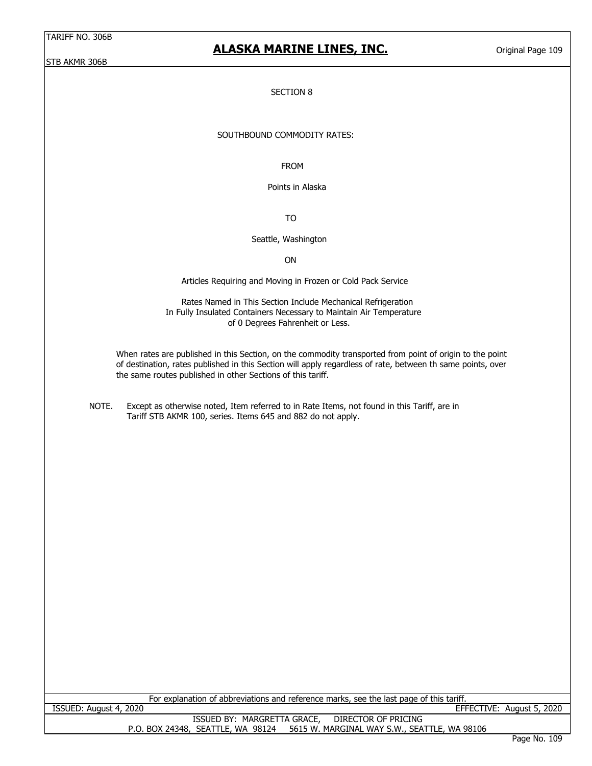STB AKMR 306B

# **ALASKA MARINE LINES, INC.**

Original Page 109

### SECTION 8

## SOUTHBOUND COMMODITY RATES:

FROM

Points in Alaska

TO

### Seattle, Washington

### ON

Articles Requiring and Moving in Frozen or Cold Pack Service

 Rates Named in This Section Include Mechanical Refrigeration In Fully Insulated Containers Necessary to Maintain Air Temperature of 0 Degrees Fahrenheit or Less.

When rates are published in this Section, on the commodity transported from point of origin to the point of destination, rates published in this Section will apply regardless of rate, between th same points, over the same routes published in other Sections of this tariff.

| NOTE. | Except as otherwise noted, Item referred to in Rate Items, not found in this Tariff, are in |
|-------|---------------------------------------------------------------------------------------------|
|       | Tariff STB AKMR 100, series. Items 645 and 882 do not apply.                                |

| For explanation of abbreviations and reference marks, see the last page of this tariff. |                                              |
|-----------------------------------------------------------------------------------------|----------------------------------------------|
| ISSUED: August 4, 2020                                                                  | EFFECTIVE: August 5, 2020                    |
| ISSUED BY: MARGRETTA GRACE,<br>DIRECTOR OF PRICING                                      |                                              |
| 5615 W. MARGINAL WAY S.W., SEATTLE, WA 98106<br>P.O. BOX 24348, SEATTLE, WA 98124       |                                              |
|                                                                                         | $R_{\rm{max}}$ $R_{\rm{max}}$ $R_{\rm{max}}$ |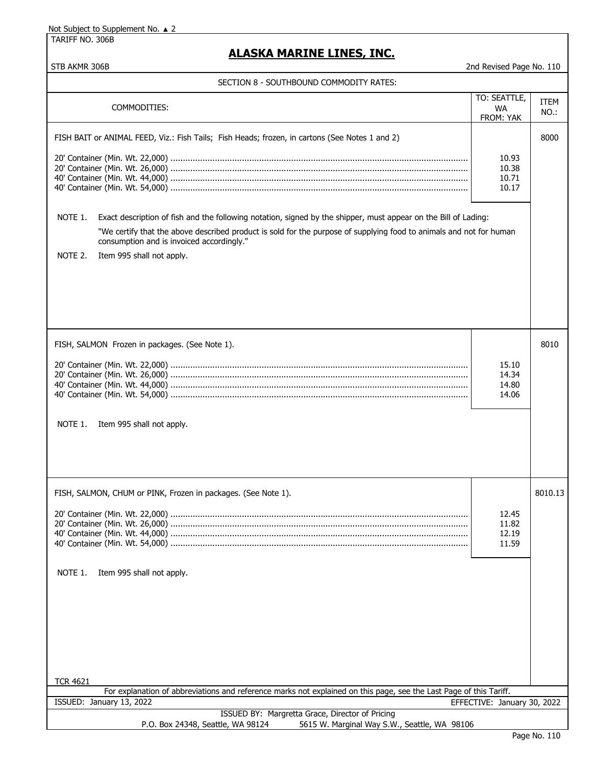TARIFF NO. 306B

# **ALASKA MARINE LINES, INC.**

| SECTION 8 - SOUTHBOUND COMMODITY RATES: |
|-----------------------------------------|
|-----------------------------------------|

| COMMODITIES:                                                                                                                                                                                                                                                                                                                                                                                                                             | TO: SEATTLE,<br><b>WA</b><br>FROM: YAK | ITEM<br>NO.: |
|------------------------------------------------------------------------------------------------------------------------------------------------------------------------------------------------------------------------------------------------------------------------------------------------------------------------------------------------------------------------------------------------------------------------------------------|----------------------------------------|--------------|
| FISH BAIT or ANIMAL FEED, Viz.: Fish Tails; Fish Heads; frozen, in cartons (See Notes 1 and 2)<br>NOTE 1.<br>Exact description of fish and the following notation, signed by the shipper, must appear on the Bill of Lading:<br>"We certify that the above described product is sold for the purpose of supplying food to animals and not for human<br>consumption and is invoiced accordingly."<br>NOTE 2.<br>Item 995 shall not apply. | 10.93<br>10.38<br>10.71<br>10.17       | 8000         |
| FISH, SALMON Frozen in packages. (See Note 1).<br>NOTE 1.<br>Item 995 shall not apply.                                                                                                                                                                                                                                                                                                                                                   | 15.10<br>14.34<br>14.80<br>14.06       | 8010         |
| FISH, SALMON, CHUM or PINK, Frozen in packages. (See Note 1).<br>NOTE 1.<br>Item 995 shall not apply.<br><b>TCR 4621</b>                                                                                                                                                                                                                                                                                                                 | 12.45<br>11.82<br>12.19<br>11.59       | 8010.13      |
| For explanation of abbreviations and reference marks not explained on this page, see the Last Page of this Tariff.                                                                                                                                                                                                                                                                                                                       |                                        |              |
| ISSUED: January 13, 2022                                                                                                                                                                                                                                                                                                                                                                                                                 | EFFECTIVE: January 30, 2022            |              |
| ISSUED BY: Margretta Grace, Director of Pricing<br>5615 W. Marginal Way S.W., Seattle, WA 98106<br>P.O. Box 24348, Seattle, WA 98124                                                                                                                                                                                                                                                                                                     |                                        |              |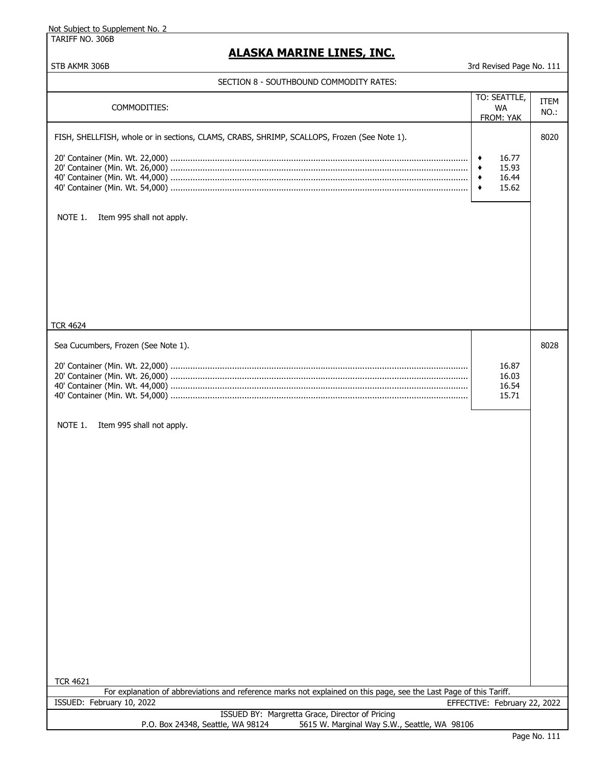TARIFF NO. 306B

## **ALASKA MARINE LINES, INC.**

| SECTION 8 - SOUTHBOUND COMMODITY RATES:                                                                                              |        |                              |      |
|--------------------------------------------------------------------------------------------------------------------------------------|--------|------------------------------|------|
|                                                                                                                                      |        | TO: SEATTLE,                 | ITEM |
| COMMODITIES:                                                                                                                         |        | <b>WA</b>                    | NO.: |
|                                                                                                                                      |        | FROM: YAK                    |      |
| FISH, SHELLFISH, whole or in sections, CLAMS, CRABS, SHRIMP, SCALLOPS, Frozen (See Note 1).                                          |        |                              | 8020 |
|                                                                                                                                      |        |                              |      |
|                                                                                                                                      | ٠<br>٠ | 16.77<br>15.93               |      |
|                                                                                                                                      | ٠      | 16.44                        |      |
|                                                                                                                                      | ٠      | 15.62                        |      |
|                                                                                                                                      |        |                              |      |
| NOTE 1.<br>Item 995 shall not apply.                                                                                                 |        |                              |      |
|                                                                                                                                      |        |                              |      |
|                                                                                                                                      |        |                              |      |
|                                                                                                                                      |        |                              |      |
|                                                                                                                                      |        |                              |      |
|                                                                                                                                      |        |                              |      |
|                                                                                                                                      |        |                              |      |
|                                                                                                                                      |        |                              |      |
|                                                                                                                                      |        |                              |      |
| <b>TCR 4624</b>                                                                                                                      |        |                              |      |
|                                                                                                                                      |        |                              |      |
| Sea Cucumbers, Frozen (See Note 1).                                                                                                  |        |                              | 8028 |
|                                                                                                                                      |        | 16.87                        |      |
|                                                                                                                                      |        | 16.03                        |      |
|                                                                                                                                      |        | 16.54                        |      |
|                                                                                                                                      |        | 15.71                        |      |
|                                                                                                                                      |        |                              |      |
| NOTE 1.<br>Item 995 shall not apply.                                                                                                 |        |                              |      |
|                                                                                                                                      |        |                              |      |
|                                                                                                                                      |        |                              |      |
|                                                                                                                                      |        |                              |      |
|                                                                                                                                      |        |                              |      |
|                                                                                                                                      |        |                              |      |
|                                                                                                                                      |        |                              |      |
|                                                                                                                                      |        |                              |      |
|                                                                                                                                      |        |                              |      |
|                                                                                                                                      |        |                              |      |
|                                                                                                                                      |        |                              |      |
|                                                                                                                                      |        |                              |      |
|                                                                                                                                      |        |                              |      |
|                                                                                                                                      |        |                              |      |
|                                                                                                                                      |        |                              |      |
|                                                                                                                                      |        |                              |      |
|                                                                                                                                      |        |                              |      |
|                                                                                                                                      |        |                              |      |
|                                                                                                                                      |        |                              |      |
|                                                                                                                                      |        |                              |      |
|                                                                                                                                      |        |                              |      |
| <b>TCR 4621</b>                                                                                                                      |        |                              |      |
| For explanation of abbreviations and reference marks not explained on this page, see the Last Page of this Tariff.                   |        |                              |      |
| ISSUED: February 10, 2022                                                                                                            |        | EFFECTIVE: February 22, 2022 |      |
| ISSUED BY: Margretta Grace, Director of Pricing<br>P.O. Box 24348, Seattle, WA 98124<br>5615 W. Marginal Way S.W., Seattle, WA 98106 |        |                              |      |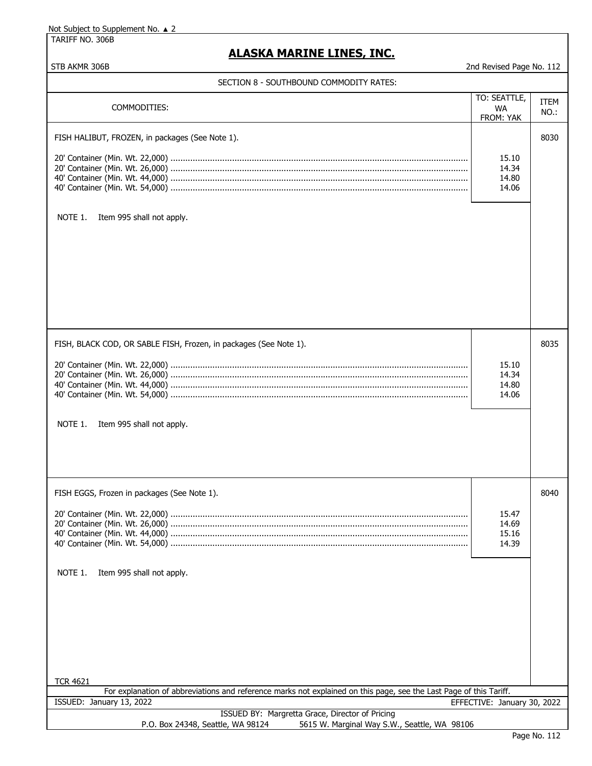TARIFF NO. 306B

## **ALASKA MARINE LINES, INC.**

STB AKMR 306B 2nd Revised Page No. 112

## SECTION 8 - SOUTHBOUND COMMODITY RATES:

| כו וטון וויסטיוויוטט שווטטשווויסטע - ט וויסטנ                                                                      |                                  |             |
|--------------------------------------------------------------------------------------------------------------------|----------------------------------|-------------|
|                                                                                                                    | TO: SEATTLE,                     | <b>ITEM</b> |
| COMMODITIES:                                                                                                       | <b>WA</b><br>FROM: YAK           | NO.:        |
| FISH HALIBUT, FROZEN, in packages (See Note 1).<br>NOTE 1.<br>Item 995 shall not apply.                            | 15.10<br>14.34<br>14.80<br>14.06 | 8030        |
| FISH, BLACK COD, OR SABLE FISH, Frozen, in packages (See Note 1).<br>NOTE 1.<br>Item 995 shall not apply.          | 15.10<br>14.34<br>14.80<br>14.06 | 8035        |
| FISH EGGS, Frozen in packages (See Note 1).<br>NOTE 1.<br>Item 995 shall not apply.<br><b>TCR 4621</b>             | 15.47<br>14.69<br>15.16<br>14.39 | 8040        |
| For explanation of abbreviations and reference marks not explained on this page, see the Last Page of this Tariff. |                                  |             |
| ISSUED: January 13, 2022                                                                                           | EFFECTIVE: January 30, 2022      |             |
| ISSUED BY: Margretta Grace, Director of Pricing                                                                    |                                  |             |
| 5615 W. Marginal Way S.W., Seattle, WA 98106<br>P.O. Box 24348, Seattle, WA 98124                                  |                                  |             |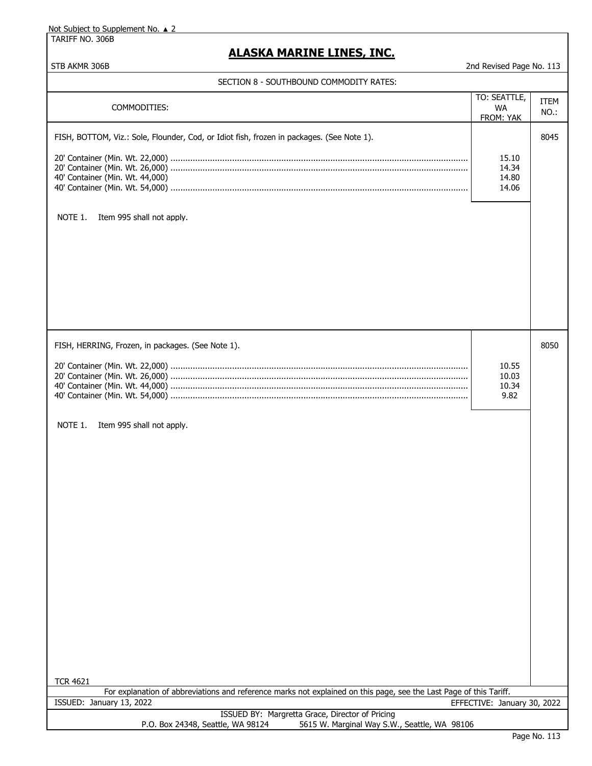TARIFF NO. 306B

## **ALASKA MARINE LINES, INC.**

| SECTION 8 - SOUTHBOUND COMMODITY RATES:                                                                                                                                                                                            |                                        |              |
|------------------------------------------------------------------------------------------------------------------------------------------------------------------------------------------------------------------------------------|----------------------------------------|--------------|
| COMMODITIES:                                                                                                                                                                                                                       | TO: SEATTLE,<br><b>WA</b><br>FROM: YAK | ITEM<br>NO.: |
| FISH, BOTTOM, Viz.: Sole, Flounder, Cod, or Idiot fish, frozen in packages. (See Note 1).<br>40' Container (Min. Wt. 44,000)<br>NOTE 1.<br>Item 995 shall not apply.                                                               | 15.10<br>14.34<br>14.80<br>14.06       | 8045         |
| FISH, HERRING, Frozen, in packages. (See Note 1).<br>NOTE 1.<br>Item 995 shall not apply.<br><b>TCR 4621</b><br>For explanation of abbreviations and reference marks not explained on this page, see the Last Page of this Tariff. | 10.55<br>10.03<br>10.34<br>9.82        | 8050         |
| ISSUED: January 13, 2022                                                                                                                                                                                                           | EFFECTIVE: January 30, 2022            |              |
| ISSUED BY: Margretta Grace, Director of Pricing<br>5615 W. Marginal Way S.W., Seattle, WA 98106<br>P.O. Box 24348, Seattle, WA 98124                                                                                               |                                        |              |